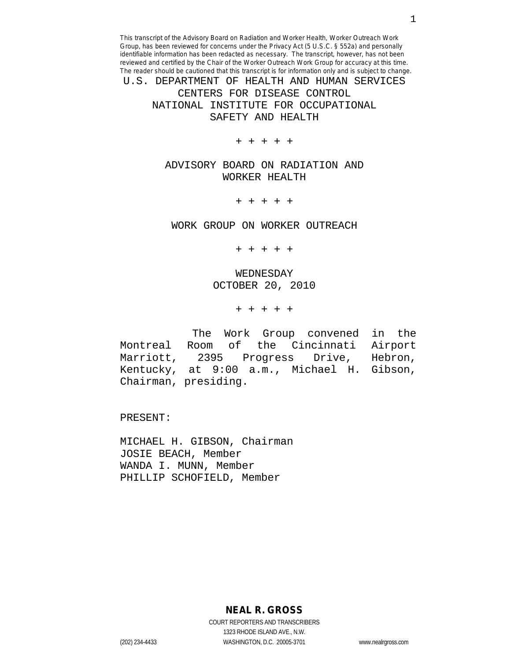U.S. DEPARTMENT OF HEALTH AND HUMAN SERVICES CENTERS FOR DISEASE CONTROL NATIONAL INSTITUTE FOR OCCUPATIONAL SAFETY AND HEALTH

+ + + + +

ADVISORY BOARD ON RADIATION AND WORKER HEALTH

+ + + + +

WORK GROUP ON WORKER OUTREACH

+ + + + +

WEDNESDAY OCTOBER 20, 2010

+ + + + +

The Work Group convened in the<br>Montreal Room of the Cincinnati Airport Room of the Cincinnati Airport<br>2395 Progress Drive, Hebron, Marriott, 2395 Progress Drive, Hebron, Kentucky, at 9:00 a.m., Michael H. Gibson, Chairman, presiding.

PRESENT:

MICHAEL H. GIBSON, Chairman JOSIE BEACH, Member WANDA I. MUNN, Member PHILLIP SCHOFIELD, Member

**NEAL R. GROSS**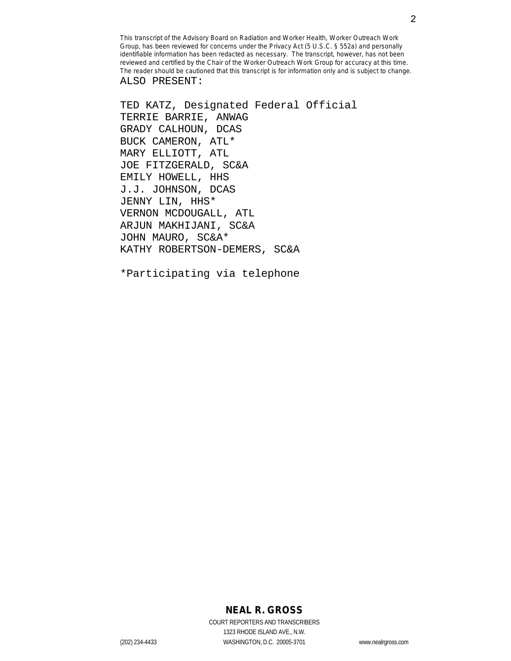TED KATZ, Designated Federal Official TERRIE BARRIE, ANWAG GRADY CALHOUN, DCAS BUCK CAMERON, ATL\* MARY ELLIOTT, ATL JOE FITZGERALD, SC&A EMILY HOWELL, HHS J.J. JOHNSON, DCAS JENNY LIN, HHS\* VERNON MCDOUGALL, ATL ARJUN MAKHIJANI, SC&A JOHN MAURO, SC&A\* KATHY ROBERTSON-DEMERS, SC&A

\*Participating via telephone

## **NEAL R. GROSS**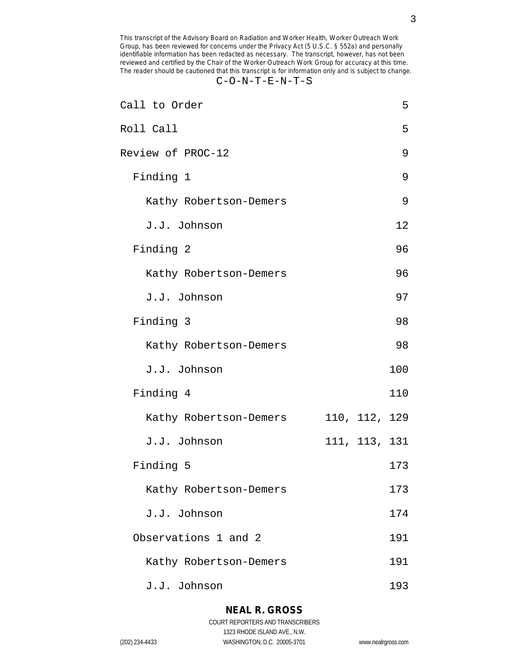## C-O-N-T-E-N-T-S

| Call to Order          |               | 5   |
|------------------------|---------------|-----|
| Roll Call              |               | 5   |
| Review of PROC-12      |               | 9   |
| Finding 1              |               | 9   |
| Kathy Robertson-Demers |               | 9   |
| J.J. Johnson           |               | 12  |
| Finding 2              |               | 96  |
| Kathy Robertson-Demers |               | 96  |
| J.J. Johnson           |               | 97  |
| Finding 3              |               | 98  |
| Kathy Robertson-Demers |               | 98  |
| J.J. Johnson           |               | 100 |
| Finding 4              |               | 110 |
| Kathy Robertson-Demers | 110, 112, 129 |     |
| J.J. Johnson           | 111, 113, 131 |     |
| Finding 5              |               | 173 |
| Kathy Robertson-Demers |               | 173 |
| J.J. Johnson           |               | 174 |
| Observations 1 and 2   |               | 191 |
| Kathy Robertson-Demers |               | 191 |
| J.J. Johnson           |               | 193 |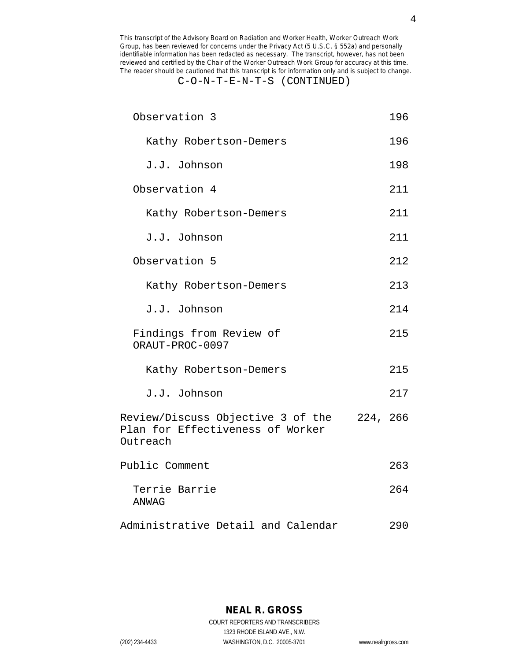## C-O-N-T-E-N-T-S (CONTINUED)

| Observation 3                                                                              | 196 |
|--------------------------------------------------------------------------------------------|-----|
| Kathy Robertson-Demers                                                                     | 196 |
| J.J. Johnson                                                                               | 198 |
| Observation 4                                                                              | 211 |
| Kathy Robertson-Demers                                                                     | 211 |
| J.J. Johnson                                                                               | 211 |
| Observation 5                                                                              | 212 |
| Kathy Robertson-Demers                                                                     | 213 |
| J.J. Johnson                                                                               | 214 |
| Findings from Review of<br>ORAUT-PROC-0097                                                 | 215 |
| Kathy Robertson-Demers                                                                     | 215 |
| J.J. Johnson                                                                               | 217 |
| Review/Discuss Objective 3 of the 224, 266<br>Plan for Effectiveness of Worker<br>Outreach |     |
| Public Comment                                                                             | 263 |
| Terrie Barrie<br><b>ANWAG</b>                                                              | 264 |
| Administrative Detail and Calendar                                                         | 290 |

**NEAL R. GROSS** COURT REPORTERS AND TRANSCRIBERS 1323 RHODE ISLAND AVE., N.W.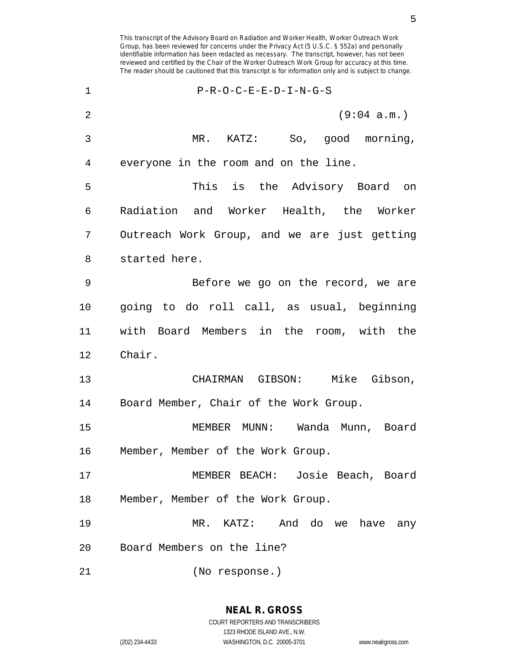identifiable information has been redacted as necessary. The transcript, however, has not been reviewed and certified by the Chair of the Worker Outreach Work Group for accuracy at this time. The reader should be cautioned that this transcript is for information only and is subject to change. 1 P-R-O-C-E-E-D-I-N-G-S 2 (9:04 a.m.) 3 MR. KATZ: So, good morning, 4 everyone in the room and on the line. 5 This is the Advisory Board on 6 Radiation and Worker Health, the Worker 7 Outreach Work Group, and we are just getting 8 started here. 9 Before we go on the record, we are 10 going to do roll call, as usual, beginning 11 with Board Members in the room, with the 12 Chair. 13 CHAIRMAN GIBSON: Mike Gibson, 14 Board Member, Chair of the Work Group. 15 MEMBER MUNN: Wanda Munn, Board 16 Member, Member of the Work Group. 17 MEMBER BEACH: Josie Beach, Board 18 Member, Member of the Work Group. 19 MR. KATZ: And do we have any 20 Board Members on the line? 21 (No response.)

This transcript of the Advisory Board on Radiation and Worker Health, Worker Outreach Work Group, has been reviewed for concerns under the Privacy Act (5 U.S.C. § 552a) and personally

COURT REPORTERS AND TRANSCRIBERS 1323 RHODE ISLAND AVE., N.W. (202) 234-4433 WASHINGTON, D.C. 20005-3701 www.nealrgross.com

**NEAL R. GROSS**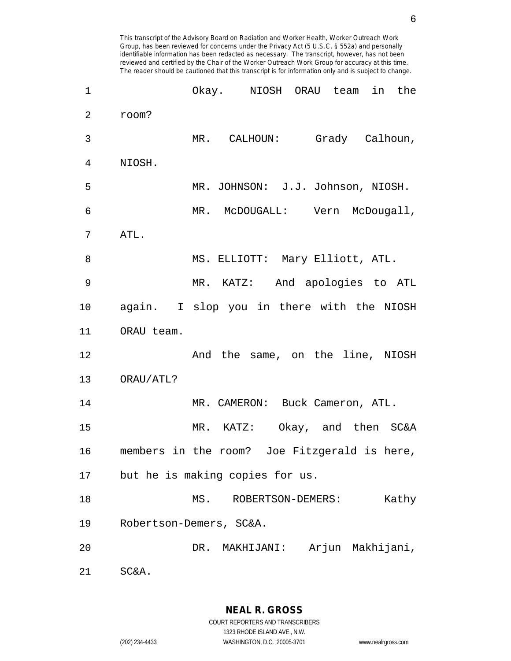| 1              |                                              |                       | Okay. NIOSH ORAU team             | in<br>the |
|----------------|----------------------------------------------|-----------------------|-----------------------------------|-----------|
| $\overline{2}$ | room?                                        |                       |                                   |           |
| 3              |                                              |                       | MR. CALHOUN: Grady Calhoun,       |           |
| 4              | NIOSH.                                       |                       |                                   |           |
| 5              |                                              |                       | MR. JOHNSON: J.J. Johnson, NIOSH. |           |
| 6              |                                              |                       | MR. McDOUGALL: Vern McDougall,    |           |
| 7              | ATL.                                         |                       |                                   |           |
| 8              |                                              |                       | MS. ELLIOTT: Mary Elliott, ATL.   |           |
| 9              |                                              |                       | MR. KATZ: And apologies to ATL    |           |
| 10             | again. I slop you in there with the NIOSH    |                       |                                   |           |
| 11             | ORAU team.                                   |                       |                                   |           |
| 12             |                                              |                       | And the same, on the line, NIOSH  |           |
| 13             | ORAU/ATL?                                    |                       |                                   |           |
| 14             |                                              |                       | MR. CAMERON: Buck Cameron, ATL.   |           |
| 15             |                                              |                       | MR. KATZ: Okay, and then SC&A     |           |
| 16             | members in the room? Joe Fitzgerald is here, |                       |                                   |           |
| 17             | but he is making copies for us.              |                       |                                   |           |
| 18             |                                              | MS. ROBERTSON-DEMERS: |                                   | Kathy     |
| 19             | Robertson-Demers, SC&A.                      |                       |                                   |           |
| 20             |                                              | DR. MAKHIJANI:        | Arjun Makhijani,                  |           |
| 21             | SC&A.                                        |                       |                                   |           |

1323 RHODE ISLAND AVE., N.W.

(202) 234-4433 WASHINGTON, D.C. 20005-3701 www.nealrgross.com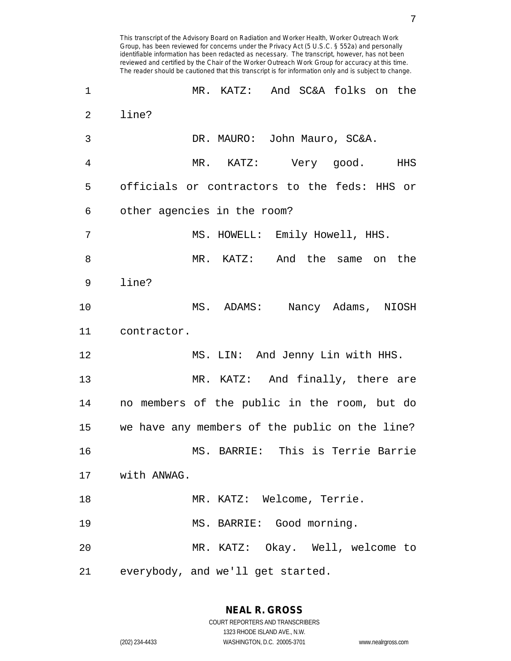This transcript of the Advisory Board on Radiation and Worker Health, Worker Outreach Work Group, has been reviewed for concerns under the Privacy Act (5 U.S.C. § 552a) and personally identifiable information has been redacted as necessary. The transcript, however, has not been reviewed and certified by the Chair of the Worker Outreach Work Group for accuracy at this time. The reader should be cautioned that this transcript is for information only and is subject to change. 1 MR. KATZ: And SC&A folks on the 2 line? 3 DR. MAURO: John Mauro, SC&A. 4 MR. KATZ: Very good. HHS 5 officials or contractors to the feds: HHS or 6 other agencies in the room? 7 MS. HOWELL: Emily Howell, HHS. 8 MR. KATZ: And the same on the 9 line? 10 MS. ADAMS: Nancy Adams, NIOSH 11 contractor. 12 MS. LIN: And Jenny Lin with HHS. 13 MR. KATZ: And finally, there are 14 no members of the public in the room, but do 15 we have any members of the public on the line? 16 MS. BARRIE: This is Terrie Barrie 17 with ANWAG. 18 MR. KATZ: Welcome, Terrie.

19 MS. BARRIE: Good morning. 20 MR. KATZ: Okay. Well, welcome to 21 everybody, and we'll get started.

(202) 234-4433 WASHINGTON, D.C. 20005-3701 www.nealrgross.com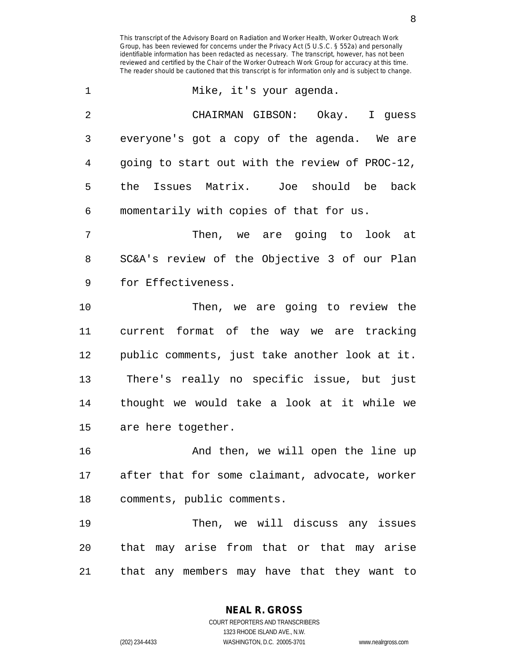1 Mike, it's your agenda. 2 CHAIRMAN GIBSON: Okay. I guess 3 everyone's got a copy of the agenda. We are 4 going to start out with the review of PROC-12, 5 the Issues Matrix. Joe should be back 6 momentarily with copies of that for us. 7 Then, we are going to look at 8 SC&A's review of the Objective 3 of our Plan

9 for Effectiveness.

10 Then, we are going to review the 11 current format of the way we are tracking 12 public comments, just take another look at it. 13 There's really no specific issue, but just 14 thought we would take a look at it while we 15 are here together.

16 And then, we will open the line up 17 after that for some claimant, advocate, worker 18 comments, public comments.

19 Then, we will discuss any issues 20 that may arise from that or that may arise 21 that any members may have that they want to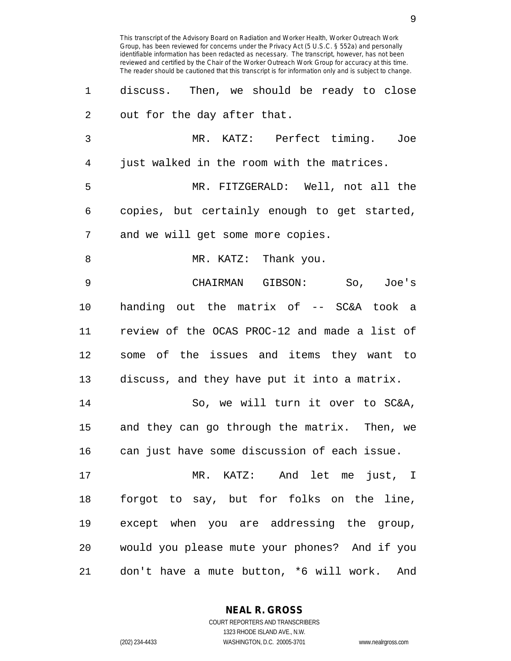1 discuss. Then, we should be ready to close 2 out for the day after that. 3 MR. KATZ: Perfect timing. Joe 4 just walked in the room with the matrices. 5 MR. FITZGERALD: Well, not all the 6 copies, but certainly enough to get started, 7 and we will get some more copies. 8 MR. KATZ: Thank you. 9 CHAIRMAN GIBSON: So, Joe's 10 handing out the matrix of -- SC&A took a 11 review of the OCAS PROC-12 and made a list of 12 some of the issues and items they want to 13 discuss, and they have put it into a matrix. 14 So, we will turn it over to SC&A, 15 and they can go through the matrix. Then, we 16 can just have some discussion of each issue. 17 MR. KATZ: And let me just, I 18 forgot to say, but for folks on the line, 19 except when you are addressing the group, 20 would you please mute your phones? And if you 21 don't have a mute button, \*6 will work. And

> **NEAL R. GROSS** COURT REPORTERS AND TRANSCRIBERS

> > 1323 RHODE ISLAND AVE., N.W.

(202) 234-4433 WASHINGTON, D.C. 20005-3701 www.nealrgross.com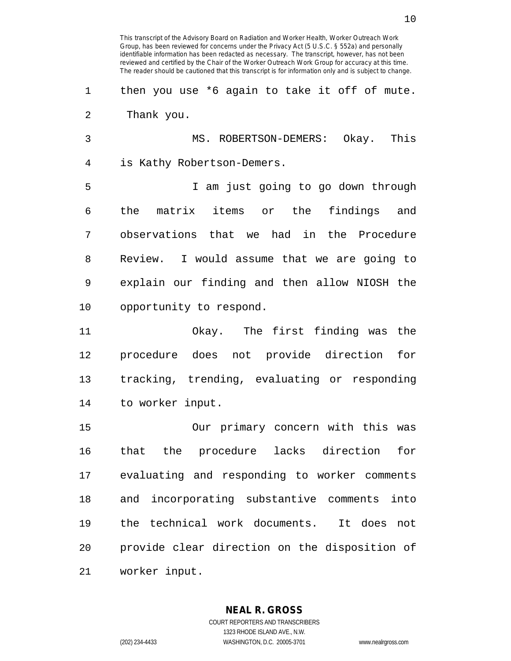COURT REPORTERS AND TRANSCRIBERS (202) 234-4433 WASHINGTON, D.C. 20005-3701 www.nealrgross.com

4 is Kathy Robertson-Demers. 5 I am just going to go down through 10 opportunity to respond. 15 Our primary concern with this was

2 Thank you. 3 MS. ROBERTSON-DEMERS: Okay. This

1 then you use \*6 again to take it off of mute.

This transcript of the Advisory Board on Radiation and Worker Health, Worker Outreach Work Group, has been reviewed for concerns under the Privacy Act (5 U.S.C. § 552a) and personally identifiable information has been redacted as necessary. The transcript, however, has not been reviewed and certified by the Chair of the Worker Outreach Work Group for accuracy at this time. The reader should be cautioned that this transcript is for information only and is subject to change.

6 the matrix items or the findings and 7 observations that we had in the Procedure 8 Review. I would assume that we are going to 9 explain our finding and then allow NIOSH the

11 Okay. The first finding was the 12 procedure does not provide direction for 13 tracking, trending, evaluating or responding 14 to worker input.

16 that the procedure lacks direction for 17 evaluating and responding to worker comments 18 and incorporating substantive comments into 19 the technical work documents. It does not 20 provide clear direction on the disposition of 21 worker input.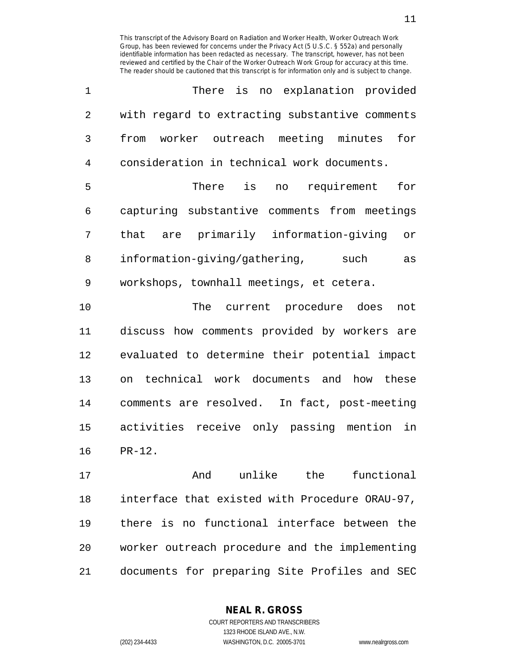| 1  | There is no explanation provided               |
|----|------------------------------------------------|
| 2  | with regard to extracting substantive comments |
| 3  | from worker outreach meeting minutes for       |
| 4  | consideration in technical work documents.     |
| 5  | There is no requirement<br>for                 |
| 6  | capturing substantive comments from meetings   |
| 7  | that are primarily information-giving<br>or    |
| 8  | information-giving/gathering,<br>such<br>as    |
| 9  | workshops, townhall meetings, et cetera.       |
| 10 | The current procedure does<br>not              |
|    |                                                |

11 discuss how comments provided by workers are 12 evaluated to determine their potential impact 13 on technical work documents and how these 14 comments are resolved. In fact, post-meeting 15 activities receive only passing mention in 16 PR-12.

17 And unlike the functional 18 interface that existed with Procedure ORAU-97, 19 there is no functional interface between the 20 worker outreach procedure and the implementing 21 documents for preparing Site Profiles and SEC

> COURT REPORTERS AND TRANSCRIBERS 1323 RHODE ISLAND AVE., N.W. (202) 234-4433 WASHINGTON, D.C. 20005-3701 www.nealrgross.com

**NEAL R. GROSS**

11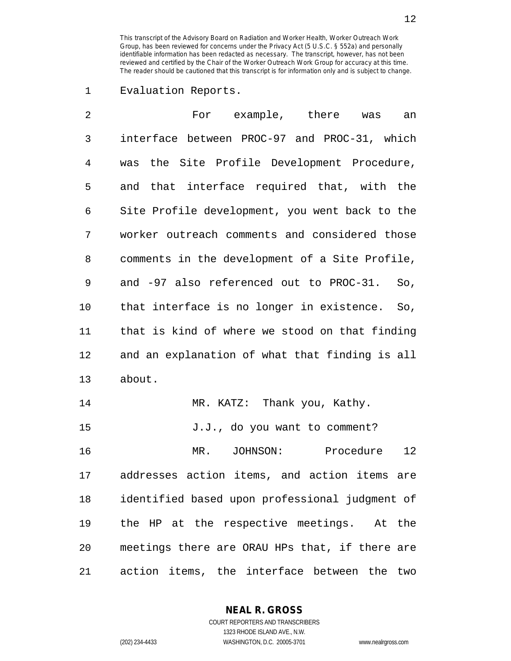1 Evaluation Reports.

| 2       | For example, there was<br>an                   |
|---------|------------------------------------------------|
| 3       | interface between PROC-97 and PROC-31, which   |
| 4       | was the Site Profile Development Procedure,    |
| 5       | and that interface required that, with the     |
| 6       | Site Profile development, you went back to the |
| 7       | worker outreach comments and considered those  |
| 8       | comments in the development of a Site Profile, |
| 9       | and -97 also referenced out to PROC-31. So,    |
| $10 \,$ | that interface is no longer in existence. So,  |
| 11      | that is kind of where we stood on that finding |
| 12      | and an explanation of what that finding is all |
| 13      | about.                                         |
| 14      | MR. KATZ: Thank you, Kathy.                    |
| 15      | J.J., do you want to comment?                  |
| 16      | 12<br>MR. JOHNSON:<br>Procedure                |
| 17      | addresses action items, and action items are   |
| 18      | identified based upon professional judgment of |
| 19      | the HP at the respective meetings. At the      |
| 20      | meetings there are ORAU HPs that, if there are |
| 21      | action items, the interface between the two    |

**NEAL R. GROSS** COURT REPORTERS AND TRANSCRIBERS

1323 RHODE ISLAND AVE., N.W. (202) 234-4433 WASHINGTON, D.C. 20005-3701 www.nealrgross.com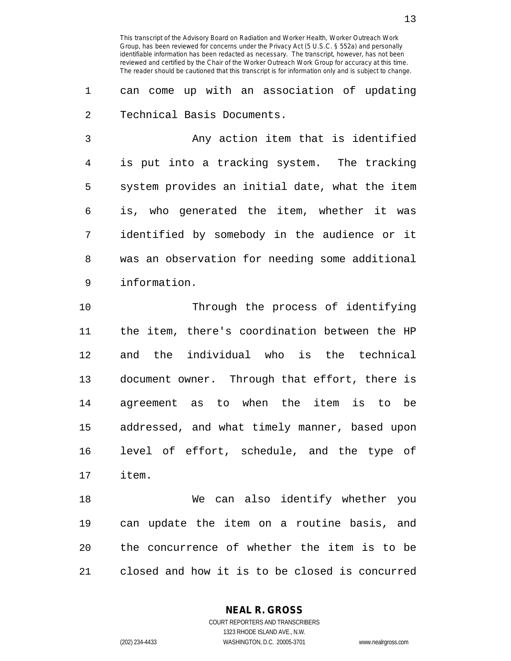1 can come up with an association of updating 2 Technical Basis Documents.

3 Any action item that is identified 4 is put into a tracking system. The tracking 5 system provides an initial date, what the item 6 is, who generated the item, whether it was 7 identified by somebody in the audience or it 8 was an observation for needing some additional 9 information.

10 Through the process of identifying 11 the item, there's coordination between the HP 12 and the individual who is the technical 13 document owner. Through that effort, there is 14 agreement as to when the item is to be 15 addressed, and what timely manner, based upon 16 level of effort, schedule, and the type of 17 item.

18 We can also identify whether you 19 can update the item on a routine basis, and 20 the concurrence of whether the item is to be 21 closed and how it is to be closed is concurred

**NEAL R. GROSS**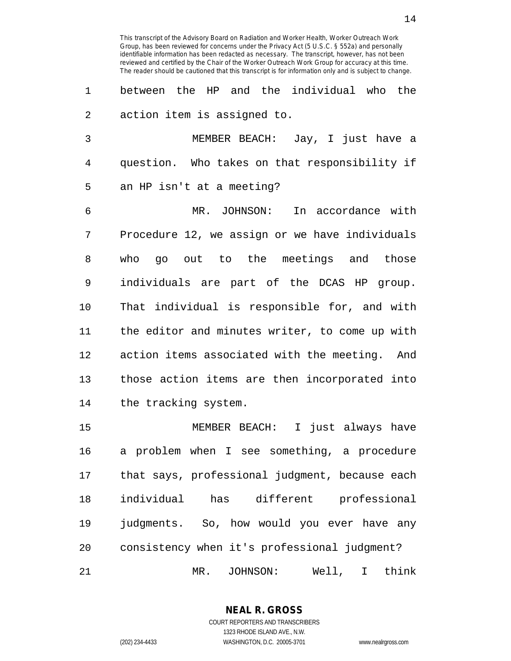1 between the HP and the individual who the 2 action item is assigned to.

3 MEMBER BEACH: Jay, I just have a 4 question. Who takes on that responsibility if 5 an HP isn't at a meeting?

6 MR. JOHNSON: In accordance with 7 Procedure 12, we assign or we have individuals 8 who go out to the meetings and those 9 individuals are part of the DCAS HP group. 10 That individual is responsible for, and with 11 the editor and minutes writer, to come up with 12 action items associated with the meeting. And 13 those action items are then incorporated into 14 the tracking system.

15 MEMBER BEACH: I just always have 16 a problem when I see something, a procedure 17 that says, professional judgment, because each 18 individual has different professional 19 judgments. So, how would you ever have any 20 consistency when it's professional judgment? 21 MR. JOHNSON: Well, I think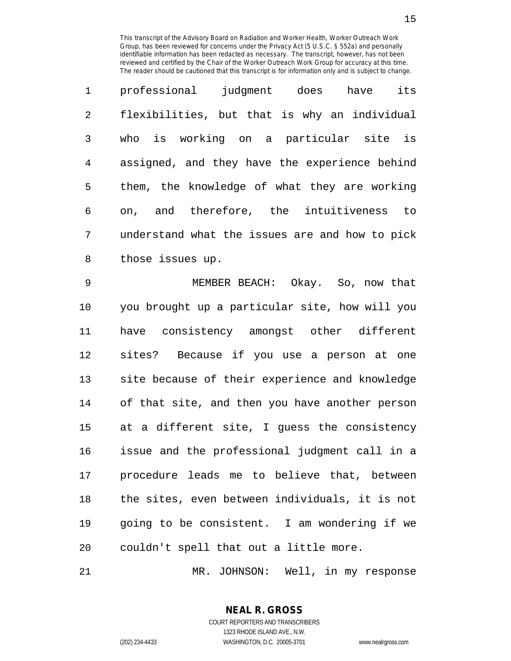| $\mathbf{1}$   | its<br>professional judgment does have         |
|----------------|------------------------------------------------|
| $\overline{2}$ | flexibilities, but that is why an individual   |
| 3              | who is working on a particular site is         |
| $\overline{4}$ | assigned, and they have the experience behind  |
| 5              | them, the knowledge of what they are working   |
| 6              | on, and therefore, the intuitiveness<br>to     |
| 7              | understand what the issues are and how to pick |
| 8              | those issues up.                               |

9 MEMBER BEACH: Okay. So, now that 10 you brought up a particular site, how will you 11 have consistency amongst other different 12 sites? Because if you use a person at one 13 site because of their experience and knowledge 14 of that site, and then you have another person 15 at a different site, I guess the consistency 16 issue and the professional judgment call in a 17 procedure leads me to believe that, between 18 the sites, even between individuals, it is not 19 going to be consistent. I am wondering if we 20 couldn't spell that out a little more.

21 MR. JOHNSON: Well, in my response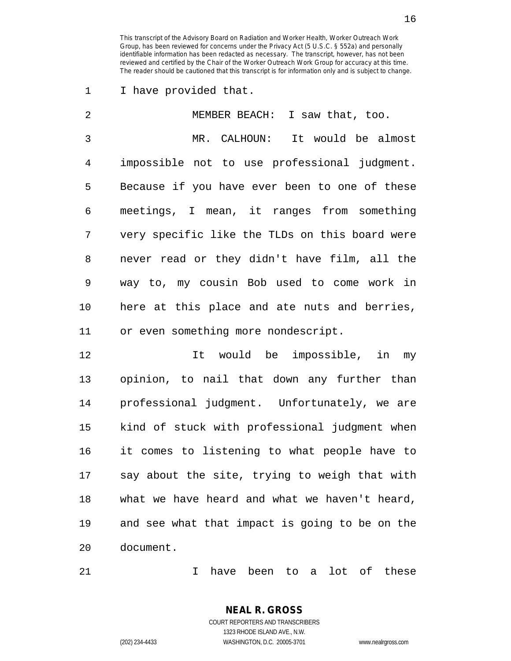1 I have provided that.

| 2            | MEMBER BEACH: I saw that, too.                 |
|--------------|------------------------------------------------|
| $\mathbf{3}$ | It would be almost<br>MR. CALHOUN:             |
| 4            | impossible not to use professional judgment.   |
| 5            | Because if you have ever been to one of these  |
| 6            | meetings, I mean, it ranges from something     |
| 7            | very specific like the TLDs on this board were |
| 8            | never read or they didn't have film, all the   |
| 9            | way to, my cousin Bob used to come work in     |
| 10           | here at this place and ate nuts and berries,   |
| 11           | or even something more nondescript.            |

12 12 It would be impossible, in my 13 opinion, to nail that down any further than 14 professional judgment. Unfortunately, we are 15 kind of stuck with professional judgment when 16 it comes to listening to what people have to 17 say about the site, trying to weigh that with 18 what we have heard and what we haven't heard, 19 and see what that impact is going to be on the 20 document.

21 I have been to a lot of these

COURT REPORTERS AND TRANSCRIBERS 1323 RHODE ISLAND AVE., N.W. (202) 234-4433 WASHINGTON, D.C. 20005-3701 www.nealrgross.com

**NEAL R. GROSS**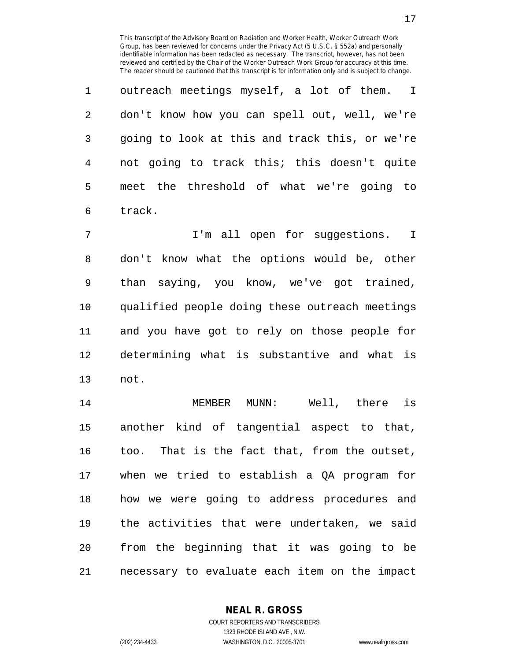1 outreach meetings myself, a lot of them. I 2 don't know how you can spell out, well, we're 3 going to look at this and track this, or we're 4 not going to track this; this doesn't quite 5 meet the threshold of what we're going to 6 track.

7 I'm all open for suggestions. I 8 don't know what the options would be, other 9 than saying, you know, we've got trained, 10 qualified people doing these outreach meetings 11 and you have got to rely on those people for 12 determining what is substantive and what is 13 not.

14 MEMBER MUNN: Well, there is 15 another kind of tangential aspect to that, 16 too. That is the fact that, from the outset, 17 when we tried to establish a QA program for 18 how we were going to address procedures and 19 the activities that were undertaken, we said 20 from the beginning that it was going to be 21 necessary to evaluate each item on the impact

> **NEAL R. GROSS** COURT REPORTERS AND TRANSCRIBERS

> > 1323 RHODE ISLAND AVE., N.W.

(202) 234-4433 WASHINGTON, D.C. 20005-3701 www.nealrgross.com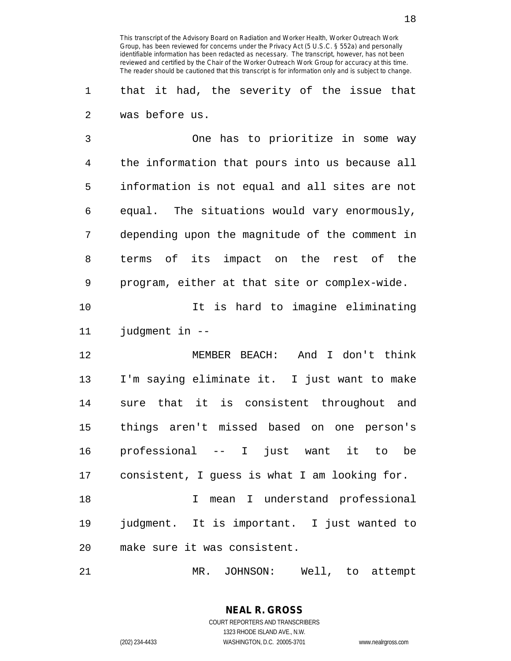1 that it had, the severity of the issue that 2 was before us.

3 One has to prioritize in some way 4 the information that pours into us because all 5 information is not equal and all sites are not 6 equal. The situations would vary enormously, 7 depending upon the magnitude of the comment in 8 terms of its impact on the rest of the 9 program, either at that site or complex-wide.

10 10 It is hard to imagine eliminating 11 judgment in --

12 MEMBER BEACH: And I don't think 13 I'm saying eliminate it. I just want to make 14 sure that it is consistent throughout and 15 things aren't missed based on one person's 16 professional -- I just want it to be 17 consistent, I guess is what I am looking for.

18 I mean I understand professional 19 judgment. It is important. I just wanted to 20 make sure it was consistent.

21 MR. JOHNSON: Well, to attempt

**NEAL R. GROSS** COURT REPORTERS AND TRANSCRIBERS 1323 RHODE ISLAND AVE., N.W. (202) 234-4433 WASHINGTON, D.C. 20005-3701 www.nealrgross.com

18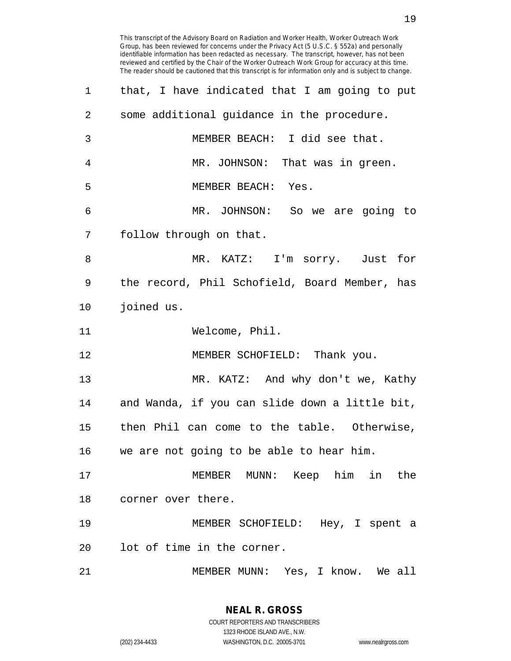| 2  | some additional guidance in the procedure.     |
|----|------------------------------------------------|
| 3  | MEMBER BEACH: I did see that.                  |
| 4  | MR. JOHNSON: That was in green.                |
| 5  | MEMBER BEACH: Yes.                             |
| 6  | MR. JOHNSON: So we are going to                |
| 7  | follow through on that.                        |
| 8  | MR. KATZ: I'm sorry. Just for                  |
| 9  | the record, Phil Schofield, Board Member, has  |
| 10 | joined us.                                     |
| 11 | Welcome, Phil.                                 |
| 12 | MEMBER SCHOFIELD: Thank you.                   |
| 13 | MR. KATZ: And why don't we, Kathy              |
| 14 | and Wanda, if you can slide down a little bit, |
| 15 | then Phil can come to the table. Otherwise,    |
| 16 | we are not going to be able to hear him.       |
| 17 | him in<br>MEMBER<br>MUNN:<br>Keep<br>the       |
|    | 18 corner over there.                          |
| 19 | MEMBER SCHOFIELD: Hey, I spent a               |
| 20 | lot of time in the corner.                     |
| 21 | MEMBER MUNN: Yes, I know. We all               |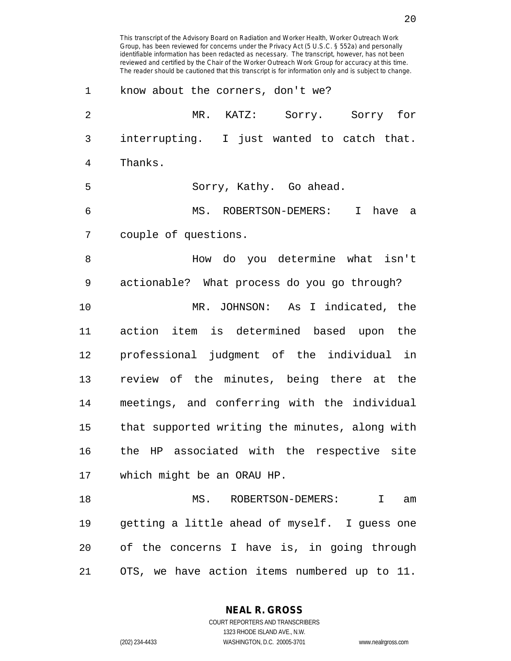Group, has been reviewed for concerns under the Privacy Act (5 U.S.C. § 552a) and personally identifiable information has been redacted as necessary. The transcript, however, has not been reviewed and certified by the Chair of the Worker Outreach Work Group for accuracy at this time. The reader should be cautioned that this transcript is for information only and is subject to change. 1 know about the corners, don't we? 2 MR. KATZ: Sorry. Sorry for 3 interrupting. I just wanted to catch that. 4 Thanks. 5 Sorry, Kathy. Go ahead. 6 MS. ROBERTSON-DEMERS: I have a 7 couple of questions. 8 How do you determine what isn't 9 actionable? What process do you go through? 10 MR. JOHNSON: As I indicated, the 11 action item is determined based upon the 12 professional judgment of the individual in 13 review of the minutes, being there at the 14 meetings, and conferring with the individual 15 that supported writing the minutes, along with 16 the HP associated with the respective site 17 which might be an ORAU HP. 18 MS. ROBERTSON-DEMERS: I am 19 getting a little ahead of myself. I guess one 20 of the concerns I have is, in going through 21 OTS, we have action items numbered up to 11.

This transcript of the Advisory Board on Radiation and Worker Health, Worker Outreach Work

**NEAL R. GROSS**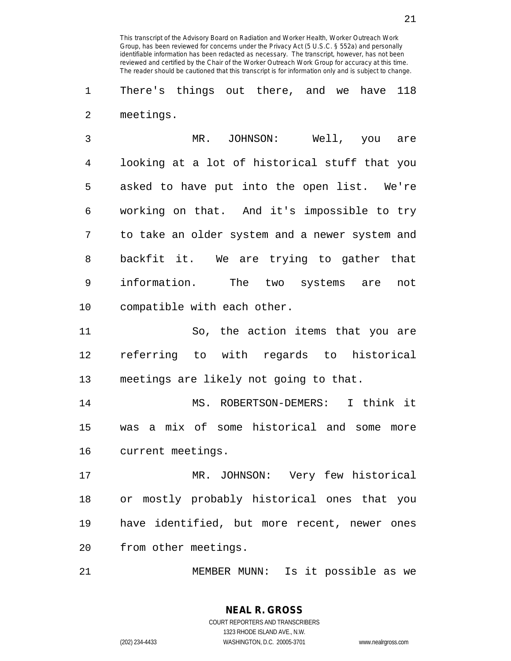1 There's things out there, and we have 118 2 meetings.

3 MR. JOHNSON: Well, you are 4 looking at a lot of historical stuff that you 5 asked to have put into the open list. We're 6 working on that. And it's impossible to try 7 to take an older system and a newer system and 8 backfit it. We are trying to gather that 9 information. The two systems are not 10 compatible with each other.

11 So, the action items that you are 12 referring to with regards to historical 13 meetings are likely not going to that.

14 MS. ROBERTSON-DEMERS: I think it 15 was a mix of some historical and some more 16 current meetings.

17 MR. JOHNSON: Very few historical 18 or mostly probably historical ones that you 19 have identified, but more recent, newer ones 20 from other meetings.

21 MEMBER MUNN: Is it possible as we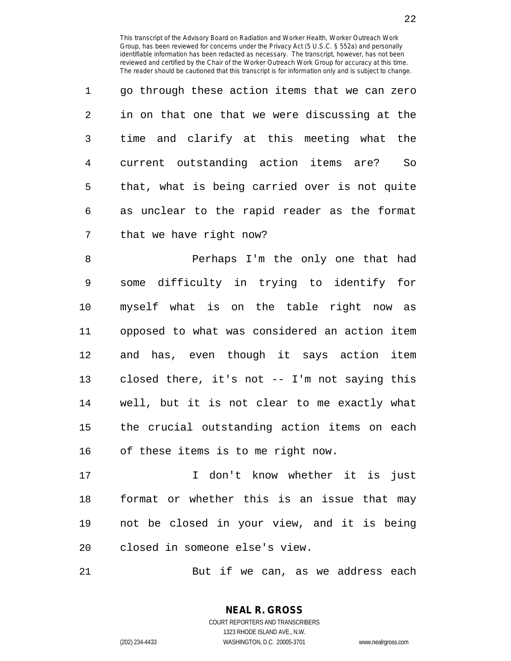| $\mathbf{1}$ | go through these action items that we can zero |
|--------------|------------------------------------------------|
| 2            | in on that one that we were discussing at the  |
| 3            | time and clarify at this meeting what the      |
| 4            | current outstanding action items are?<br>So    |
| 5            | that, what is being carried over is not quite  |
| 6            | as unclear to the rapid reader as the format   |
| 7            | that we have right now?                        |

8 Perhaps I'm the only one that had 9 some difficulty in trying to identify for 10 myself what is on the table right now as 11 opposed to what was considered an action item 12 and has, even though it says action item 13 closed there, it's not -- I'm not saying this 14 well, but it is not clear to me exactly what 15 the crucial outstanding action items on each 16 of these items is to me right now.

17 I don't know whether it is just 18 format or whether this is an issue that may 19 not be closed in your view, and it is being 20 closed in someone else's view.

21 But if we can, as we address each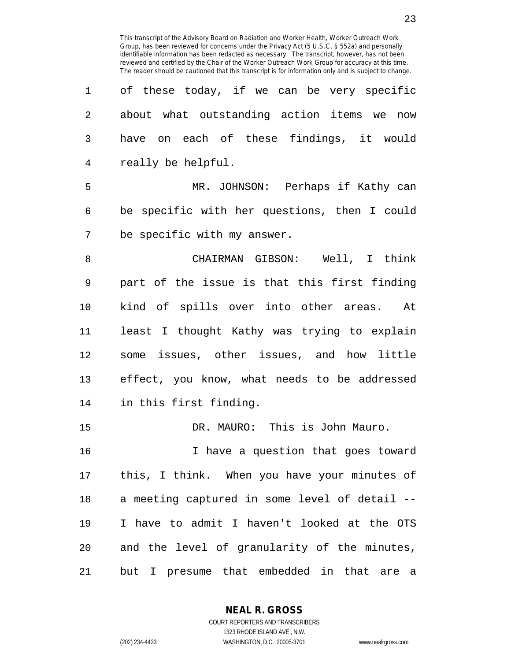| $\mathbf 1$ | of these today, if we can be very specific        |
|-------------|---------------------------------------------------|
| 2           | about what outstanding action items we now        |
| 3           | have on each of these findings, it would          |
| 4           | really be helpful.                                |
| 5           | MR. JOHNSON: Perhaps if Kathy can                 |
| 6           | be specific with her questions, then I could      |
| 7           | be specific with my answer.                       |
| 8           | CHAIRMAN GIBSON: Well, I think                    |
| $\mathsf 9$ | part of the issue is that this first finding      |
| 10          | kind of spills over into other areas. At          |
| 11          | least I thought Kathy was trying to explain       |
| 12          | some issues, other issues, and how little         |
| 13          | effect, you know, what needs to be addressed      |
| 14          | in this first finding.                            |
| 15          | DR. MAURO: This is John Mauro.                    |
| 16          | I have a question that goes toward                |
| 17          | this, I think. When you have your minutes of      |
| 18          | a meeting captured in some level of detail --     |
| 19          | I have to admit I haven't looked at the OTS       |
| 20          | and the level of granularity of the minutes,      |
| 21          | but I presume that embedded in that<br>are<br>- a |

**NEAL R. GROSS**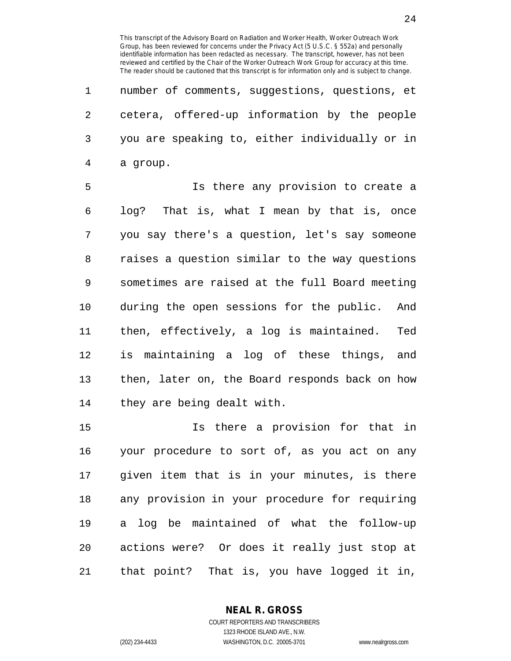1 number of comments, suggestions, questions, et 2 cetera, offered-up information by the people 3 you are speaking to, either individually or in 4 a group.

5 Is there any provision to create a 6 log? That is, what I mean by that is, once 7 you say there's a question, let's say someone 8 raises a question similar to the way questions 9 sometimes are raised at the full Board meeting 10 during the open sessions for the public. And 11 then, effectively, a log is maintained. Ted 12 is maintaining a log of these things, and 13 then, later on, the Board responds back on how 14 they are being dealt with.

15 Is there a provision for that in 16 your procedure to sort of, as you act on any 17 given item that is in your minutes, is there 18 any provision in your procedure for requiring 19 a log be maintained of what the follow-up 20 actions were? Or does it really just stop at 21 that point? That is, you have logged it in,

> **NEAL R. GROSS** COURT REPORTERS AND TRANSCRIBERS

> > 1323 RHODE ISLAND AVE., N.W.

(202) 234-4433 WASHINGTON, D.C. 20005-3701 www.nealrgross.com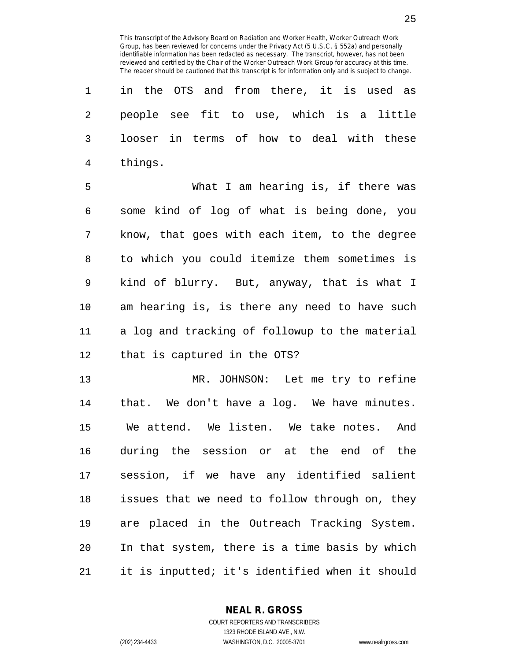| 1 in the OTS and from there, it is used as  |  |  |  |  |  |
|---------------------------------------------|--|--|--|--|--|
| 2 people see fit to use, which is a little  |  |  |  |  |  |
| 3 looser in terms of how to deal with these |  |  |  |  |  |
| 4 things.                                   |  |  |  |  |  |

5 What I am hearing is, if there was 6 some kind of log of what is being done, you 7 know, that goes with each item, to the degree 8 to which you could itemize them sometimes is 9 kind of blurry. But, anyway, that is what I 10 am hearing is, is there any need to have such 11 a log and tracking of followup to the material 12 that is captured in the OTS?

13 MR. JOHNSON: Let me try to refine 14 that. We don't have a log. We have minutes. 15 We attend. We listen. We take notes. And 16 during the session or at the end of the 17 session, if we have any identified salient 18 issues that we need to follow through on, they 19 are placed in the Outreach Tracking System. 20 In that system, there is a time basis by which 21 it is inputted; it's identified when it should

> **NEAL R. GROSS** COURT REPORTERS AND TRANSCRIBERS

1323 RHODE ISLAND AVE., N.W. (202) 234-4433 WASHINGTON, D.C. 20005-3701 www.nealrgross.com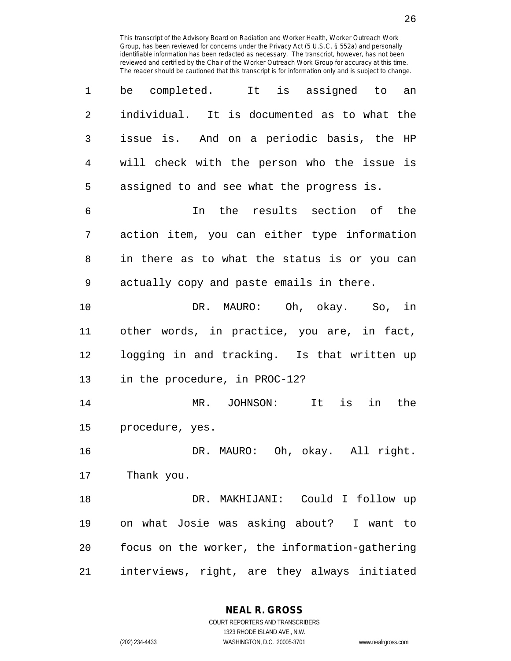| 1  | It is assigned to<br>completed.<br>be<br>an    |
|----|------------------------------------------------|
| 2  | individual. It is documented as to what the    |
| 3  | issue is. And on a periodic basis, the HP      |
| 4  | will check with the person who the issue is    |
| 5  | assigned to and see what the progress is.      |
| 6  | In the results section of the                  |
| 7  | action item, you can either type information   |
| 8  | in there as to what the status is or you can   |
| 9  | actually copy and paste emails in there.       |
| 10 | DR. MAURO: Oh, okay. So, in                    |
| 11 | other words, in practice, you are, in fact,    |
| 12 | logging in and tracking. Is that written up    |
| 13 | in the procedure, in PROC-12?                  |
| 14 | MR. JOHNSON:<br>It is<br>in<br>the             |
| 15 | procedure, yes.                                |
| 16 | DR. MAURO: Oh, okay. All right.                |
| 17 | Thank you.                                     |
| 18 | DR. MAKHIJANI: Could I follow up               |
| 19 | on what Josie was asking about? I want to      |
| 20 | focus on the worker, the information-gathering |
| 21 | interviews, right, are they always initiated   |

**NEAL R. GROSS**

COURT REPORTERS AND TRANSCRIBERS 1323 RHODE ISLAND AVE., N.W. (202) 234-4433 WASHINGTON, D.C. 20005-3701 www.nealrgross.com

26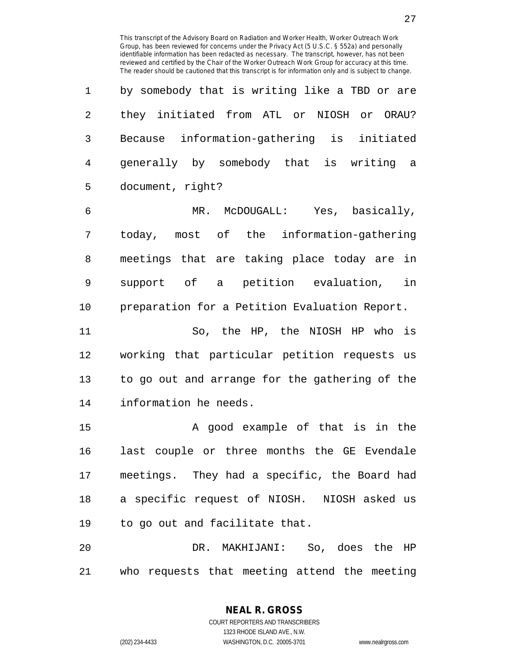1 by somebody that is writing like a TBD or are 2 they initiated from ATL or NIOSH or ORAU? 3 Because information-gathering is initiated 4 generally by somebody that is writing a 5 document, right?

6 MR. McDOUGALL: Yes, basically, 7 today, most of the information-gathering 8 meetings that are taking place today are in 9 support of a petition evaluation, in 10 preparation for a Petition Evaluation Report.

11 So, the HP, the NIOSH HP who is 12 working that particular petition requests us 13 to go out and arrange for the gathering of the 14 information he needs.

15 A good example of that is in the 16 last couple or three months the GE Evendale 17 meetings. They had a specific, the Board had 18 a specific request of NIOSH. NIOSH asked us 19 to go out and facilitate that.

20 DR. MAKHIJANI: So, does the HP 21 who requests that meeting attend the meeting

1323 RHODE ISLAND AVE., N.W.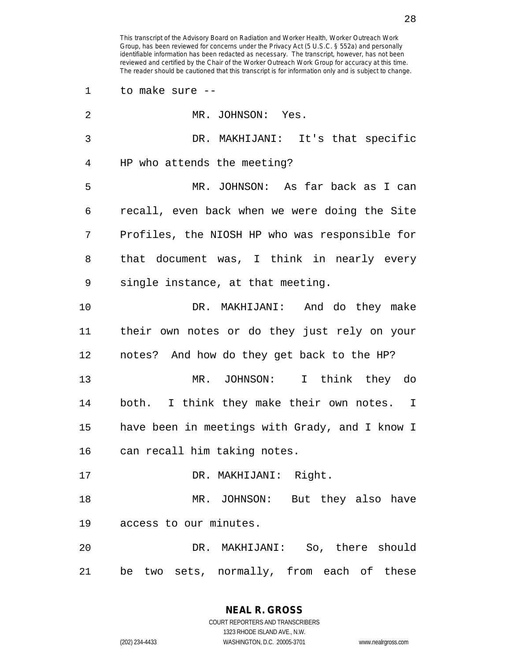1 to make sure --

| $\overline{2}$ | MR. JOHNSON: Yes.                              |
|----------------|------------------------------------------------|
| 3              | DR. MAKHIJANI: It's that specific              |
| 4              | HP who attends the meeting?                    |
| 5              | MR. JOHNSON: As far back as I can              |
| 6              | recall, even back when we were doing the Site  |
| 7              | Profiles, the NIOSH HP who was responsible for |
| 8              | that document was, I think in nearly every     |
| 9              | single instance, at that meeting.              |
| 10             | DR. MAKHIJANI: And do they make                |
| 11             | their own notes or do they just rely on your   |
| 12             | notes? And how do they get back to the HP?     |
| 13             | MR. JOHNSON: I think they do                   |
| 14             | both. I think they make their own notes. I     |
| 15             | have been in meetings with Grady, and I know I |
| 16             | can recall him taking notes.                   |
| 17             | DR. MAKHIJANI: Right.                          |
| 18             | MR. JOHNSON: But they also have                |
| 19             | access to our minutes.                         |
| 20             | DR. MAKHIJANI: So, there should                |
| 21             | two sets, normally, from each of these<br>be   |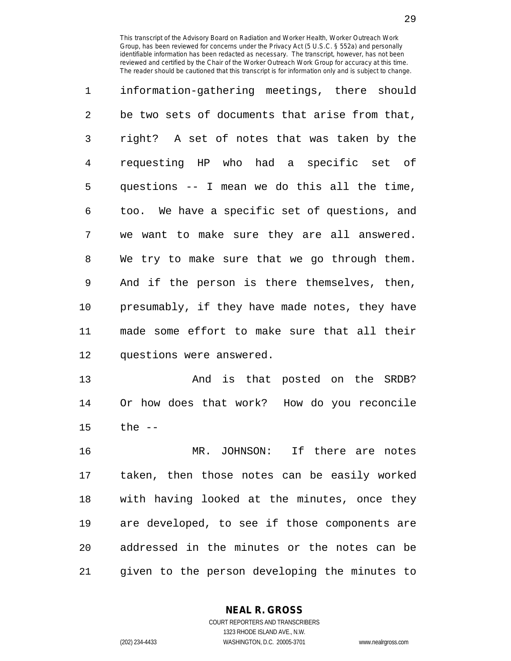1 information-gathering meetings, there should 2 be two sets of documents that arise from that, 3 right? A set of notes that was taken by the 4 requesting HP who had a specific set of 5 questions -- I mean we do this all the time, 6 too. We have a specific set of questions, and 7 we want to make sure they are all answered. 8 We try to make sure that we go through them. 9 And if the person is there themselves, then, 10 presumably, if they have made notes, they have 11 made some effort to make sure that all their 12 questions were answered.

13 And is that posted on the SRDB? 14 Or how does that work? How do you reconcile 15 the --

16 MR. JOHNSON: If there are notes 17 taken, then those notes can be easily worked 18 with having looked at the minutes, once they 19 are developed, to see if those components are 20 addressed in the minutes or the notes can be 21 given to the person developing the minutes to

**NEAL R. GROSS**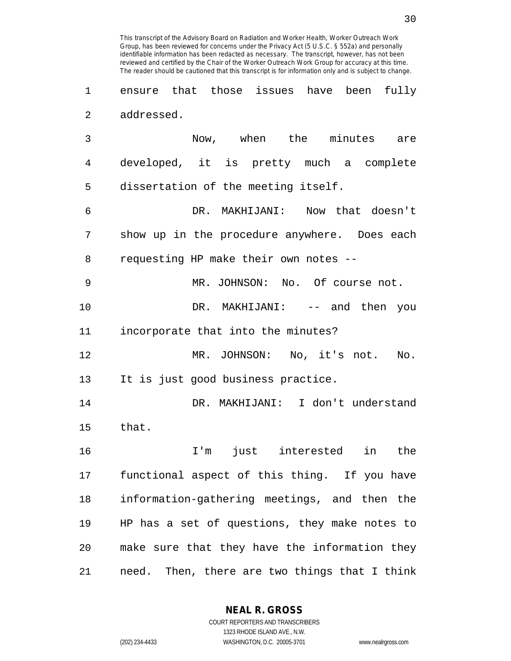1 ensure that those issues have been fully 2 addressed.

3 Now, when the minutes are 4 developed, it is pretty much a complete 5 dissertation of the meeting itself. 6 DR. MAKHIJANI: Now that doesn't 7 show up in the procedure anywhere. Does each 8 requesting HP make their own notes -- 9 MR. JOHNSON: No. Of course not. 10 DR. MAKHIJANI: -- and then you 11 incorporate that into the minutes? 12 MR. JOHNSON: No, it's not. No. 13 It is just good business practice. 14 DR. MAKHIJANI: I don't understand 15 that. 16 I'm just interested in the 17 functional aspect of this thing. If you have 18 information-gathering meetings, and then the 19 HP has a set of questions, they make notes to 20 make sure that they have the information they 21 need. Then, there are two things that I think

> **NEAL R. GROSS** COURT REPORTERS AND TRANSCRIBERS

> > 1323 RHODE ISLAND AVE., N.W.

(202) 234-4433 WASHINGTON, D.C. 20005-3701 www.nealrgross.com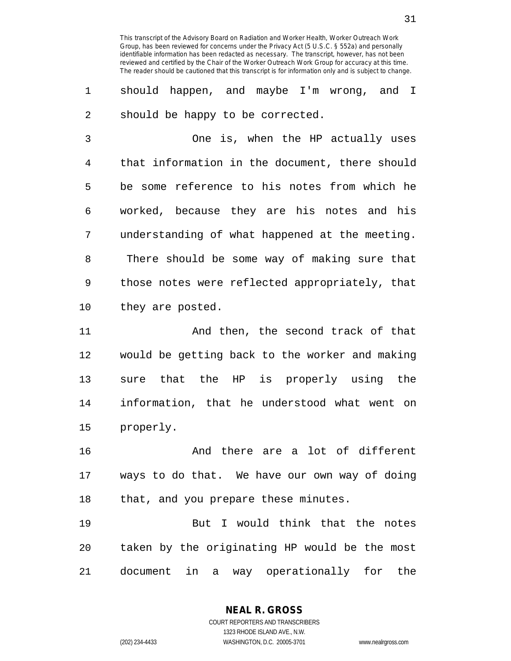1 should happen, and maybe I'm wrong, and I 2 should be happy to be corrected.

3 One is, when the HP actually uses 4 that information in the document, there should 5 be some reference to his notes from which he 6 worked, because they are his notes and his 7 understanding of what happened at the meeting. 8 There should be some way of making sure that 9 those notes were reflected appropriately, that 10 they are posted.

11 And then, the second track of that 12 would be getting back to the worker and making 13 sure that the HP is properly using the 14 information, that he understood what went on 15 properly.

16 And there are a lot of different 17 ways to do that. We have our own way of doing 18 that, and you prepare these minutes.

19 But I would think that the notes 20 taken by the originating HP would be the most 21 document in a way operationally for the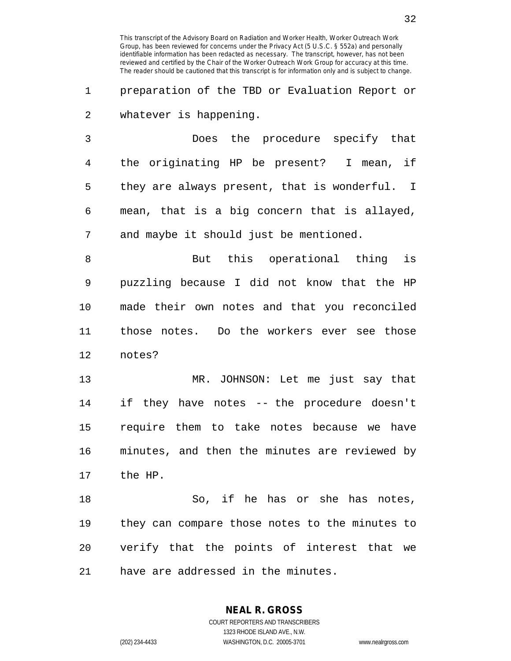1 preparation of the TBD or Evaluation Report or 2 whatever is happening.

3 Does the procedure specify that 4 the originating HP be present? I mean, if 5 they are always present, that is wonderful. I 6 mean, that is a big concern that is allayed, 7 and maybe it should just be mentioned.

8 But this operational thing is 9 puzzling because I did not know that the HP 10 made their own notes and that you reconciled 11 those notes. Do the workers ever see those 12 notes?

13 MR. JOHNSON: Let me just say that 14 if they have notes -- the procedure doesn't 15 require them to take notes because we have 16 minutes, and then the minutes are reviewed by 17 the HP.

18 So, if he has or she has notes, 19 they can compare those notes to the minutes to 20 verify that the points of interest that we 21 have are addressed in the minutes.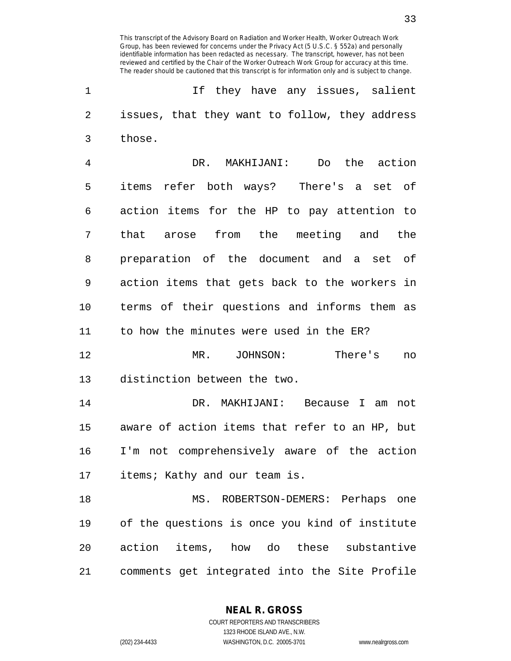1 If they have any issues, salient 2 issues, that they want to follow, they address 3 those.

4 DR. MAKHIJANI: Do the action 5 items refer both ways? There's a set of 6 action items for the HP to pay attention to 7 that arose from the meeting and the 8 preparation of the document and a set of 9 action items that gets back to the workers in 10 terms of their questions and informs them as 11 to how the minutes were used in the ER?

12 MR. JOHNSON: There's no 13 distinction between the two.

14 DR. MAKHIJANI: Because I am not 15 aware of action items that refer to an HP, but 16 I'm not comprehensively aware of the action 17 items; Kathy and our team is.

18 MS. ROBERTSON-DEMERS: Perhaps one 19 of the questions is once you kind of institute 20 action items, how do these substantive 21 comments get integrated into the Site Profile

**NEAL R. GROSS**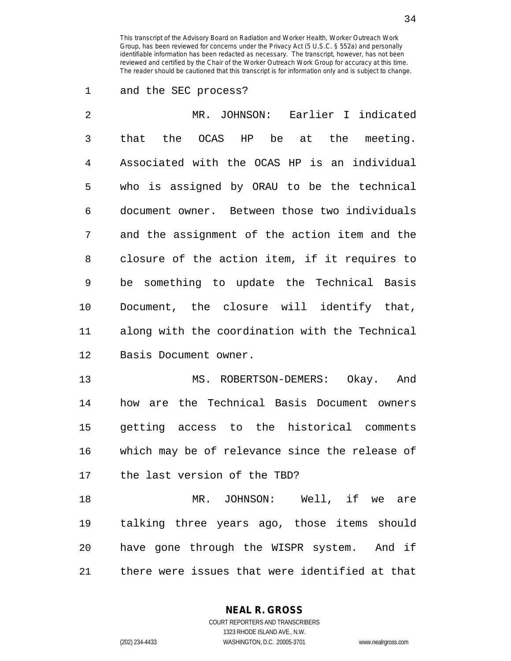1 and the SEC process?

| $\overline{2}$ | MR. JOHNSON: Earlier I indicated               |
|----------------|------------------------------------------------|
| 3              | that the OCAS HP be at the meeting.            |
| 4              | Associated with the OCAS HP is an individual   |
| 5              | who is assigned by ORAU to be the technical    |
| 6              | document owner. Between those two individuals  |
| 7              | and the assignment of the action item and the  |
| 8              | closure of the action item, if it requires to  |
| 9              | be something to update the Technical Basis     |
| 10             | Document, the closure will identify that,      |
| 11             | along with the coordination with the Technical |
| 12             | Basis Document owner.                          |
| $\sim$         |                                                |

13 MS. ROBERTSON-DEMERS: Okay. And 14 how are the Technical Basis Document owners 15 getting access to the historical comments 16 which may be of relevance since the release of 17 the last version of the TBD?

18 MR. JOHNSON: Well, if we are 19 talking three years ago, those items should 20 have gone through the WISPR system. And if 21 there were issues that were identified at that

**NEAL R. GROSS**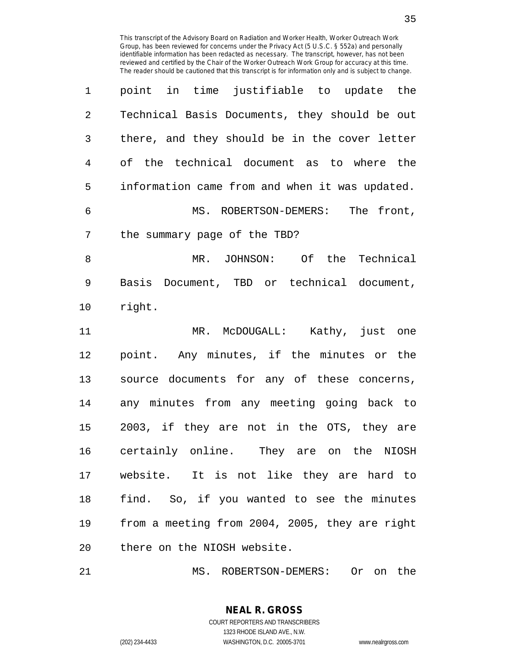|                | point in time justifiable to update the        |
|----------------|------------------------------------------------|
| $\overline{2}$ | Technical Basis Documents, they should be out  |
| 3              | there, and they should be in the cover letter  |
| 4              | of the technical document as to where the      |
| 5              | information came from and when it was updated. |
| 6              | MS. ROBERTSON-DEMERS: The front,               |
| 7              | the summary page of the TBD?                   |
| 8              | MR. JOHNSON: Of the Technical                  |
| 9              | Basis Document, TBD or technical document,     |
| 10             | right.                                         |
| 11             | MR. McDOUGALL: Kathy, just one                 |
| 12             | point. Any minutes, if the minutes or the      |
|                |                                                |
| 13             | source documents for any of these concerns,    |
| 14             | any minutes from any meeting going back to     |
| 15             | 2003, if they are not in the OTS, they are     |
| 16             | certainly online. They are on the NIOSH        |
| 17             | website. It is not like they are hard to       |
| 18             | find. So, if you wanted to see the minutes     |
| 19             | from a meeting from 2004, 2005, they are right |

21 MS. ROBERTSON-DEMERS: Or on the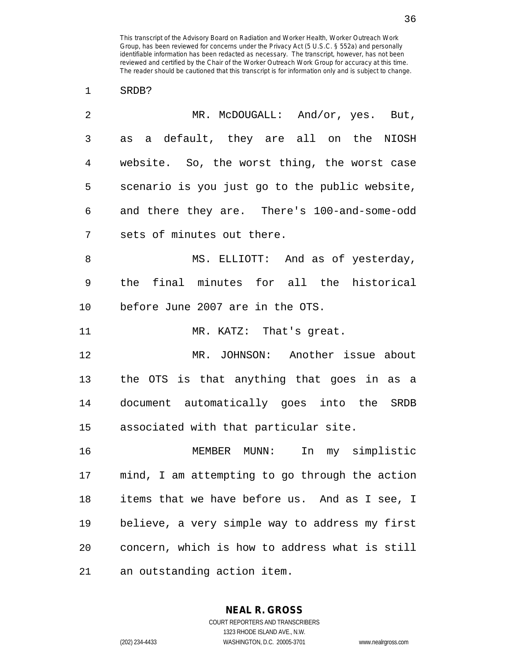1 SRDB?

| 2  | MR. McDOUGALL: And/or, yes. But,               |
|----|------------------------------------------------|
| 3  | as a default, they are all on the NIOSH        |
| 4  | website. So, the worst thing, the worst case   |
| 5  | scenario is you just go to the public website, |
| 6  | and there they are. There's 100-and-some-odd   |
| 7  | sets of minutes out there.                     |
| 8  | MS. ELLIOTT: And as of yesterday,              |
| 9  | the final minutes for all the historical       |
| 10 | before June 2007 are in the OTS.               |
| 11 | MR. KATZ: That's great.                        |
| 12 | MR. JOHNSON: Another issue about               |
| 13 | the OTS is that anything that goes in as a     |
| 14 | document automatically goes into the SRDB      |
| 15 | associated with that particular site.          |
| 16 | MEMBER MUNN:<br>In<br>my simplistic            |
| 17 | mind, I am attempting to go through the action |
| 18 | items that we have before us. And as I see, I  |
| 19 | believe, a very simple way to address my first |
| 20 | concern, which is how to address what is still |
| 21 | an outstanding action item.                    |

**NEAL R. GROSS** COURT REPORTERS AND TRANSCRIBERS

1323 RHODE ISLAND AVE., N.W.

(202) 234-4433 WASHINGTON, D.C. 20005-3701 www.nealrgross.com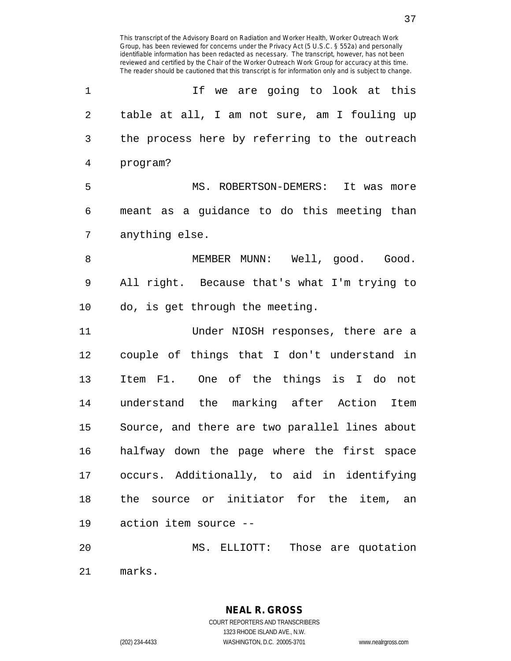identifiable information has been redacted as necessary. The transcript, however, has not been reviewed and certified by the Chair of the Worker Outreach Work Group for accuracy at this time. The reader should be cautioned that this transcript is for information only and is subject to change. 1 1 If we are going to look at this 2 table at all, I am not sure, am I fouling up 3 the process here by referring to the outreach 4 program? 5 MS. ROBERTSON-DEMERS: It was more 6 meant as a guidance to do this meeting than 7 anything else. 8 MEMBER MUNN: Well, good. Good. 9 All right. Because that's what I'm trying to 10 do, is get through the meeting. 11 Under NIOSH responses, there are a 12 couple of things that I don't understand in 13 Item F1. One of the things is I do not 14 understand the marking after Action Item 15 Source, and there are two parallel lines about 16 halfway down the page where the first space 17 occurs. Additionally, to aid in identifying 18 the source or initiator for the item, an 19 action item source -- 20 MS. ELLIOTT: Those are quotation

This transcript of the Advisory Board on Radiation and Worker Health, Worker Outreach Work Group, has been reviewed for concerns under the Privacy Act (5 U.S.C. § 552a) and personally

21 marks.

**NEAL R. GROSS** COURT REPORTERS AND TRANSCRIBERS

1323 RHODE ISLAND AVE., N.W.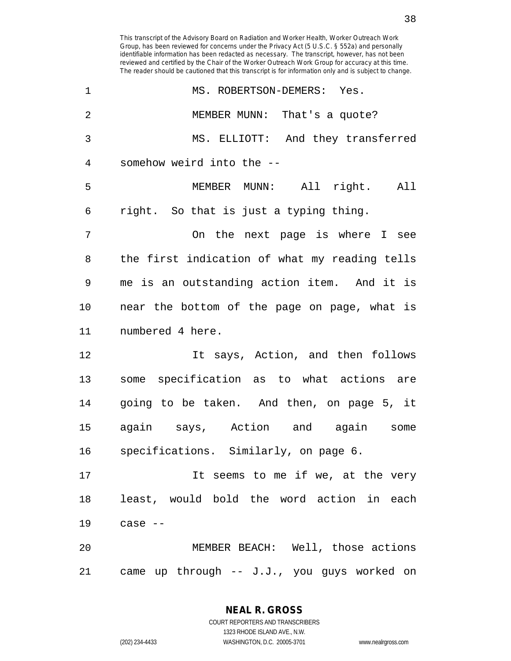identifiable information has been redacted as necessary. The transcript, however, has not been reviewed and certified by the Chair of the Worker Outreach Work Group for accuracy at this time. The reader should be cautioned that this transcript is for information only and is subject to change. 1 MS. ROBERTSON-DEMERS: Yes. 2 MEMBER MUNN: That's a quote? 3 MS. ELLIOTT: And they transferred 4 somehow weird into the -- 5 MEMBER MUNN: All right. All 6 right. So that is just a typing thing. 7 On the next page is where I see 8 the first indication of what my reading tells 9 me is an outstanding action item. And it is 10 near the bottom of the page on page, what is 11 numbered 4 here. 12 12 It says, Action, and then follows 13 some specification as to what actions are 14 going to be taken. And then, on page 5, it 15 again says, Action and again some 16 specifications. Similarly, on page 6. 17 The seems to me if we, at the very 18 least, would bold the word action in each 19 case -- 20 MEMBER BEACH: Well, those actions 21 came up through -- J.J., you guys worked on

This transcript of the Advisory Board on Radiation and Worker Health, Worker Outreach Work Group, has been reviewed for concerns under the Privacy Act (5 U.S.C. § 552a) and personally

1323 RHODE ISLAND AVE., N.W.

(202) 234-4433 WASHINGTON, D.C. 20005-3701 www.nealrgross.com

38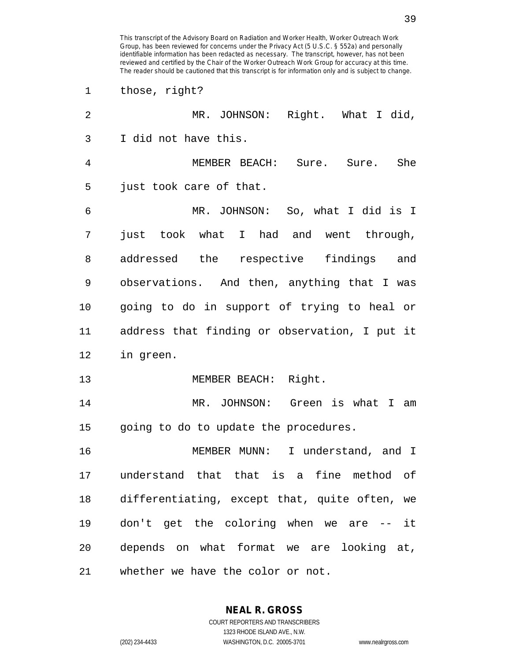1 those, right?

| 2  | MR. JOHNSON: Right. What I did,               |
|----|-----------------------------------------------|
| 3  | I did not have this.                          |
| 4  | MEMBER BEACH: Sure. Sure. She                 |
| 5  | just took care of that.                       |
| 6  | MR. JOHNSON: So, what I did is I              |
| 7  | just took what I had and went through,        |
| 8  | addressed the respective findings<br>and      |
| 9  | observations. And then, anything that I was   |
| 10 | going to do in support of trying to heal or   |
| 11 | address that finding or observation, I put it |
| 12 | in green.                                     |
| 13 | MEMBER BEACH: Right.                          |
| 14 | MR. JOHNSON: Green is what I am               |
| 15 | going to do to update the procedures.         |
| 16 | MEMBER MUNN:<br>I understand, and I           |
| 17 | understand that that is a fine method of      |
| 18 | differentiating, except that, quite often, we |
| 19 | don't get the coloring when we are -- it      |
| 20 | depends on what format we are looking at,     |
| 21 | whether we have the color or not.             |

**NEAL R. GROSS** COURT REPORTERS AND TRANSCRIBERS 1323 RHODE ISLAND AVE., N.W.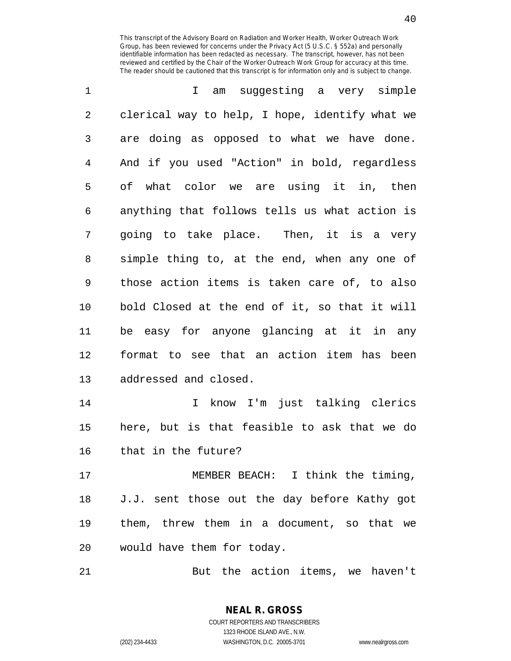| 1  | am suggesting a very simple<br>I.              |
|----|------------------------------------------------|
| 2  | clerical way to help, I hope, identify what we |
| 3  | are doing as opposed to what we have done.     |
| 4  | And if you used "Action" in bold, regardless   |
| 5  | of what color we are using it in, then         |
| 6  | anything that follows tells us what action is  |
| 7  | going to take place. Then, it is a very        |
| 8  | simple thing to, at the end, when any one of   |
| 9  | those action items is taken care of, to also   |
| 10 | bold Closed at the end of it, so that it will  |
| 11 | be easy for anyone glancing at it in any       |
| 12 | format to see that an action item has been     |
| 13 | addressed and closed.                          |
| 14 | I know I'm just talking clerics                |
| 15 | here, but is that feasible to ask that we do   |
| 16 | that in the future?                            |
| 17 | MEMBER BEACH: I think the timing,              |
| 18 | J.J. sent those out the day before Kathy got   |
| 19 | them, threw them in a document, so that we     |
| 20 | would have them for today.                     |

21 But the action items, we haven't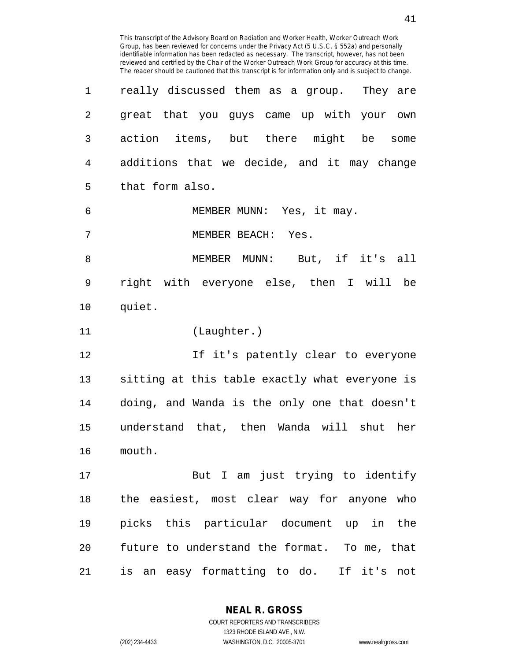| 1              | really discussed them as a group. They are     |
|----------------|------------------------------------------------|
| 2              | great that you guys came up with your own      |
| 3              | action items, but there might be some          |
| $\overline{4}$ | additions that we decide, and it may change    |
| 5              | that form also.                                |
| 6              | MEMBER MUNN: Yes, it may.                      |
| 7              | MEMBER BEACH: Yes.                             |
| 8              | MEMBER MUNN: But, if it's all                  |
| 9              | right with everyone else, then I will be       |
| 10             | quiet.                                         |
| 11             | (Laughter.)                                    |
| 12             | If it's patently clear to everyone             |
| 13             | sitting at this table exactly what everyone is |
| 14             | doing, and Wanda is the only one that doesn't  |
| 15             | understand that, then Wanda will shut her      |
| 16             | mouth.                                         |
| 17             | But I am just trying to identify               |
| 18             | the easiest, most clear way for anyone who     |
| 19             | picks this particular document up in the       |
| 20             | future to understand the format. To me, that   |
| 21             | is an easy formatting to do. If it's not       |

**NEAL R. GROSS** COURT REPORTERS AND TRANSCRIBERS

1323 RHODE ISLAND AVE., N.W.

(202) 234-4433 WASHINGTON, D.C. 20005-3701 www.nealrgross.com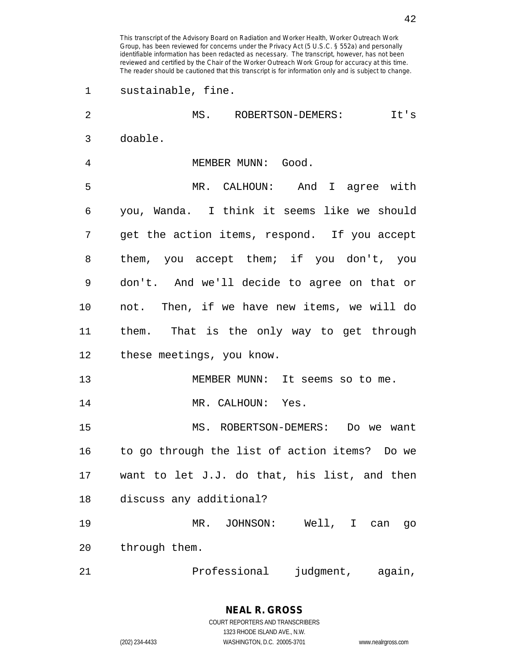1 sustainable, fine. 2 MS. ROBERTSON-DEMERS: It's 3 doable. 4 MEMBER MUNN: Good. 5 MR. CALHOUN: And I agree with 6 you, Wanda. I think it seems like we should

7 get the action items, respond. If you accept 8 them, you accept them; if you don't, you 9 don't. And we'll decide to agree on that or 10 not. Then, if we have new items, we will do 11 them. That is the only way to get through 12 these meetings, you know.

13 MEMBER MUNN: It seems so to me. 14 MR. CALHOUN: Yes.

15 MS. ROBERTSON-DEMERS: Do we want 16 to go through the list of action items? Do we 17 want to let J.J. do that, his list, and then 18 discuss any additional?

19 MR. JOHNSON: Well, I can go 20 through them.

21 Professional judgment, again,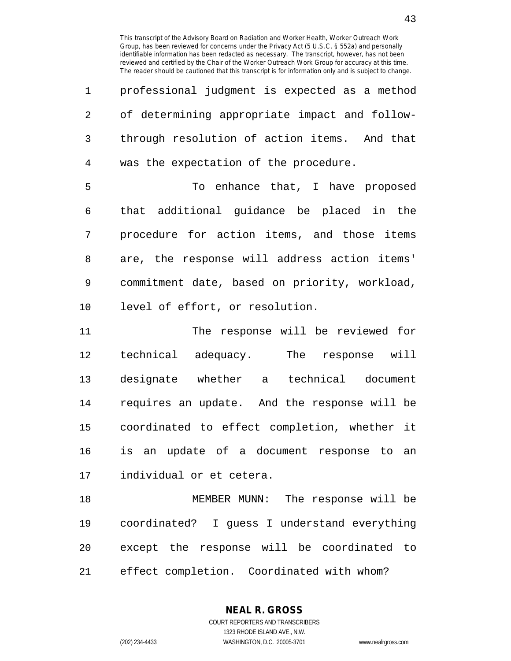| 1               | professional judgment is expected as a method |
|-----------------|-----------------------------------------------|
| $\mathcal{L}$   | of determining appropriate impact and follow- |
| 3               | through resolution of action items. And that  |
| $4\overline{ }$ | was the expectation of the procedure.         |
| 5               | To enhance that, I have proposed              |
| 6               | that additional guidance be placed in the     |
| 7               | procedure for action items, and those items   |
| 8               | are, the response will address action items'  |

9 commitment date, based on priority, workload, 10 level of effort, or resolution.

11 The response will be reviewed for 12 technical adequacy. The response will 13 designate whether a technical document 14 requires an update. And the response will be 15 coordinated to effect completion, whether it 16 is an update of a document response to an 17 individual or et cetera.

18 MEMBER MUNN: The response will be 19 coordinated? I guess I understand everything 20 except the response will be coordinated to 21 effect completion. Coordinated with whom?

> **NEAL R. GROSS** COURT REPORTERS AND TRANSCRIBERS

> > 1323 RHODE ISLAND AVE., N.W.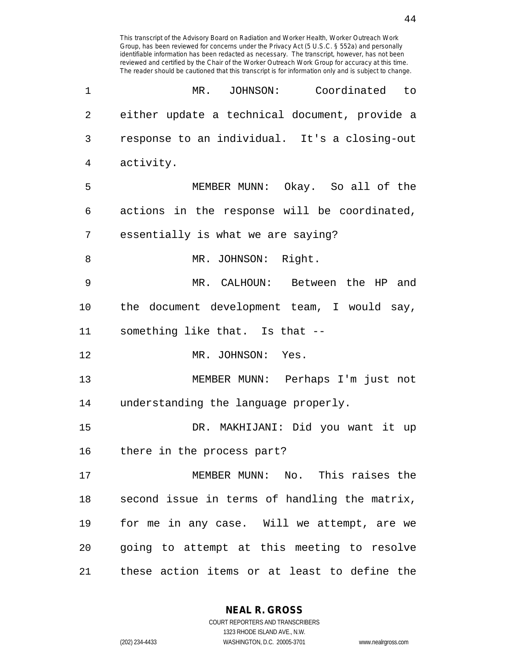| 1              | MR. JOHNSON:<br>Coordinated to                |
|----------------|-----------------------------------------------|
| $\overline{2}$ | either update a technical document, provide a |
| 3              | response to an individual. It's a closing-out |
| 4              | activity.                                     |
| 5              | MEMBER MUNN: Okay. So all of the              |
| 6              | actions in the response will be coordinated,  |
| 7              | essentially is what we are saying?            |
| 8              | MR. JOHNSON: Right.                           |
| 9              | MR. CALHOUN: Between the HP and               |
| 10             | the document development team, I would say,   |
| 11             | something like that. Is that --               |
| 12             | MR. JOHNSON: Yes.                             |
| 13             | MEMBER MUNN: Perhaps I'm just not             |
| 14             | understanding the language properly.          |
| 15             | DR. MAKHIJANI: Did you want it up             |
| 16             | there in the process part?                    |
| 17             | MEMBER MUNN: No. This raises the              |
| 18             | second issue in terms of handling the matrix, |
| 19             | for me in any case. Will we attempt, are we   |
| 20             | going to attempt at this meeting to resolve   |
| 21             | these action items or at least to define the  |

**NEAL R. GROSS** COURT REPORTERS AND TRANSCRIBERS

1323 RHODE ISLAND AVE., N.W.

(202) 234-4433 WASHINGTON, D.C. 20005-3701 www.nealrgross.com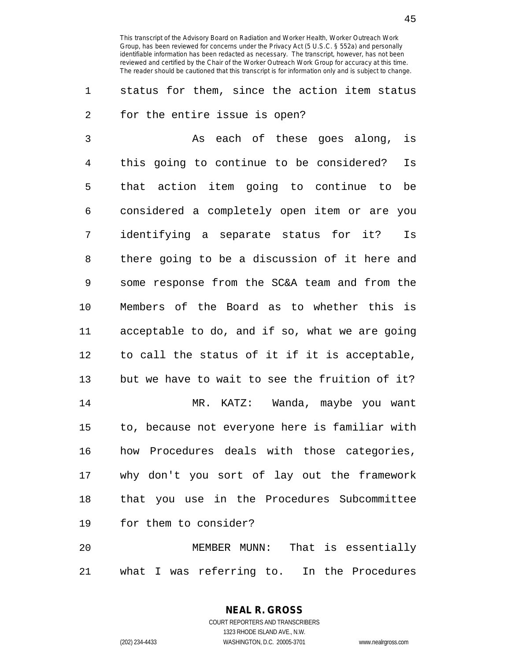1 status for them, since the action item status 2 for the entire issue is open?

3 As each of these goes along, is 4 this going to continue to be considered? Is 5 that action item going to continue to be 6 considered a completely open item or are you 7 identifying a separate status for it? Is 8 there going to be a discussion of it here and 9 some response from the SC&A team and from the 10 Members of the Board as to whether this is 11 acceptable to do, and if so, what we are going 12 to call the status of it if it is acceptable, 13 but we have to wait to see the fruition of it? 14 MR. KATZ: Wanda, maybe you want 15 to, because not everyone here is familiar with 16 how Procedures deals with those categories, 17 why don't you sort of lay out the framework 18 that you use in the Procedures Subcommittee 19 for them to consider?

20 MEMBER MUNN: That is essentially 21 what I was referring to. In the Procedures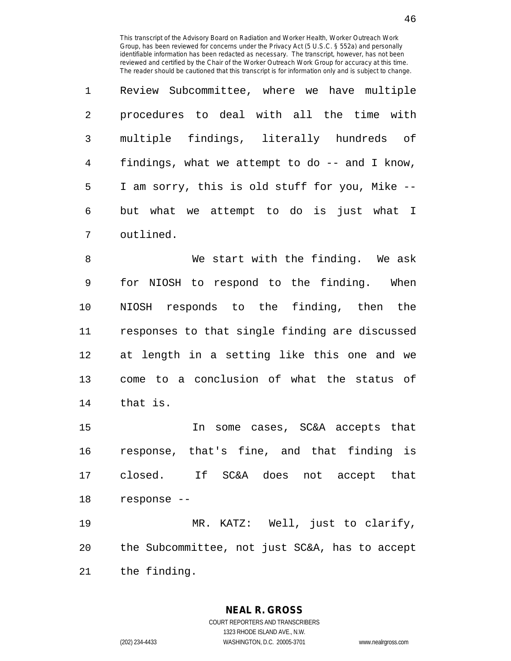| $\mathbf{1}$ | Review Subcommittee, where we have multiple     |
|--------------|-------------------------------------------------|
| 2            | procedures to deal with all the time with       |
| 3            | multiple findings, literally hundreds of        |
| 4            | findings, what we attempt to do $-$ and I know, |
| 5            | I am sorry, this is old stuff for you, Mike --  |
| 6            | but what we attempt to do is just what I        |
| 7            | outlined.                                       |

8 We start with the finding. We ask 9 for NIOSH to respond to the finding. When 10 NIOSH responds to the finding, then the 11 responses to that single finding are discussed 12 at length in a setting like this one and we 13 come to a conclusion of what the status of 14 that is.

15 In some cases, SC&A accepts that 16 response, that's fine, and that finding is 17 closed. If SC&A does not accept that 18 response --

19 MR. KATZ: Well, just to clarify, 20 the Subcommittee, not just SC&A, has to accept 21 the finding.

> **NEAL R. GROSS** COURT REPORTERS AND TRANSCRIBERS

> > 1323 RHODE ISLAND AVE., N.W.

(202) 234-4433 WASHINGTON, D.C. 20005-3701 www.nealrgross.com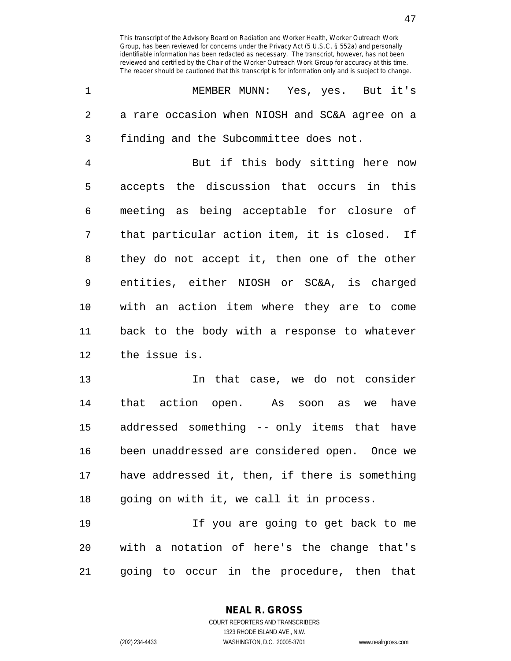|   | MEMBER MUNN: Yes, yes. But it's                |
|---|------------------------------------------------|
| 2 | a rare occasion when NIOSH and SC&A agree on a |
| 3 | finding and the Subcommittee does not.         |
| 4 | But if this body sitting here now              |
| 5 | accepts the discussion that occurs in this     |

6 meeting as being acceptable for closure of 7 that particular action item, it is closed. If 8 they do not accept it, then one of the other 9 entities, either NIOSH or SC&A, is charged 10 with an action item where they are to come 11 back to the body with a response to whatever 12 the issue is.

13 In that case, we do not consider 14 that action open. As soon as we have 15 addressed something -- only items that have 16 been unaddressed are considered open. Once we 17 have addressed it, then, if there is something 18 going on with it, we call it in process.

19 If you are going to get back to me 20 with a notation of here's the change that's 21 going to occur in the procedure, then that

> **NEAL R. GROSS** COURT REPORTERS AND TRANSCRIBERS

> > 1323 RHODE ISLAND AVE., N.W.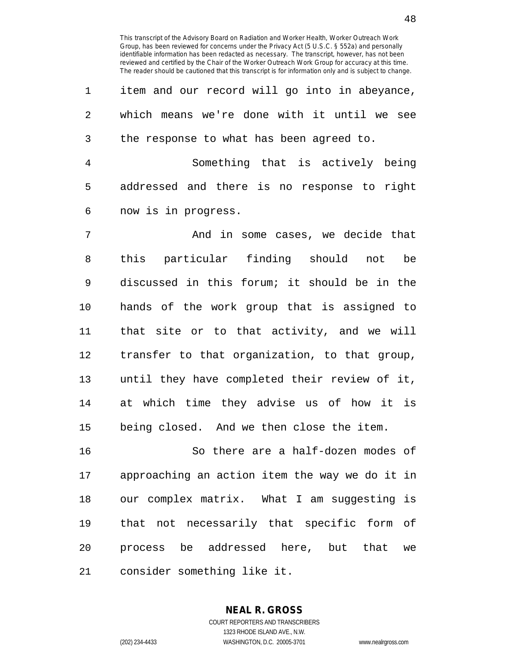1 item and our record will go into in abeyance, 2 which means we're done with it until we see 3 the response to what has been agreed to.

4 Something that is actively being 5 addressed and there is no response to right 6 now is in progress.

7 And in some cases, we decide that 8 this particular finding should not be 9 discussed in this forum; it should be in the 10 hands of the work group that is assigned to 11 that site or to that activity, and we will 12 transfer to that organization, to that group, 13 until they have completed their review of it, 14 at which time they advise us of how it is 15 being closed. And we then close the item.

16 So there are a half-dozen modes of 17 approaching an action item the way we do it in 18 our complex matrix. What I am suggesting is 19 that not necessarily that specific form of 20 process be addressed here, but that we 21 consider something like it.

> **NEAL R. GROSS** COURT REPORTERS AND TRANSCRIBERS 1323 RHODE ISLAND AVE., N.W.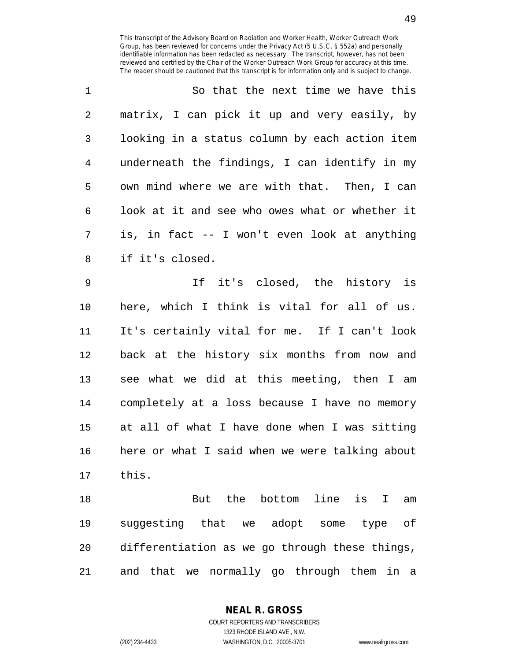1 So that the next time we have this 2 matrix, I can pick it up and very easily, by 3 looking in a status column by each action item 4 underneath the findings, I can identify in my 5 own mind where we are with that. Then, I can 6 look at it and see who owes what or whether it 7 is, in fact -- I won't even look at anything 8 if it's closed.

9 If it's closed, the history is 10 here, which I think is vital for all of us. 11 It's certainly vital for me. If I can't look 12 back at the history six months from now and 13 see what we did at this meeting, then I am 14 completely at a loss because I have no memory 15 at all of what I have done when I was sitting 16 here or what I said when we were talking about 17 this.

18 But the bottom line is I am 19 suggesting that we adopt some type of 20 differentiation as we go through these things, 21 and that we normally go through them in a

> **NEAL R. GROSS** COURT REPORTERS AND TRANSCRIBERS

1323 RHODE ISLAND AVE., N.W. (202) 234-4433 WASHINGTON, D.C. 20005-3701 www.nealrgross.com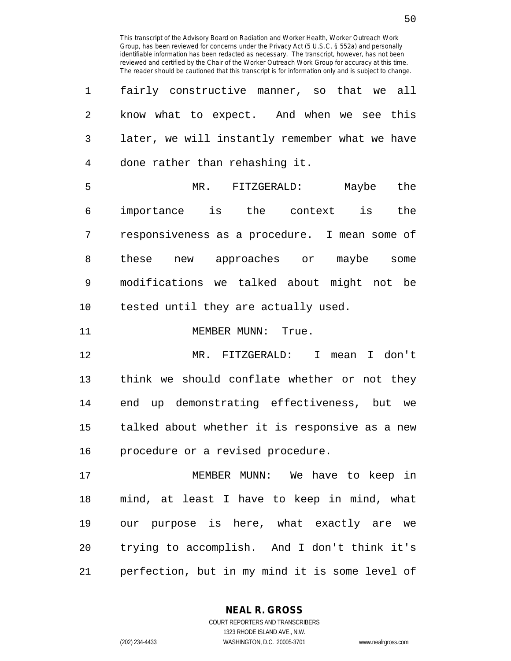| 1  | fairly constructive manner, so that we all     |
|----|------------------------------------------------|
| 2  | know what to expect. And when we see this      |
| 3  | later, we will instantly remember what we have |
| 4  | done rather than rehashing it.                 |
| 5  | MR. FITZGERALD:<br>Maybe the                   |
| 6  | importance is the context is the               |
| 7  | responsiveness as a procedure. I mean some of  |
| 8  | new approaches or maybe some<br>these          |
| 9  | modifications we talked about might not be     |
| 10 | tested until they are actually used.           |
| 11 | MEMBER MUNN: True.                             |
| 12 | MR. FITZGERALD: I mean I don't                 |
| 13 | think we should conflate whether or not they   |
| 14 | end up demonstrating effectiveness, but we     |
| 15 | talked about whether it is responsive as a new |
| 16 | procedure or a revised procedure.              |
| 17 | MEMBER MUNN: We have to keep in                |
| 18 | mind, at least I have to keep in mind, what    |
| 19 | our purpose is here, what exactly are we       |

21 perfection, but in my mind it is some level of

20 trying to accomplish. And I don't think it's

**NEAL R. GROSS** COURT REPORTERS AND TRANSCRIBERS

1323 RHODE ISLAND AVE., N.W. (202) 234-4433 WASHINGTON, D.C. 20005-3701 www.nealrgross.com

50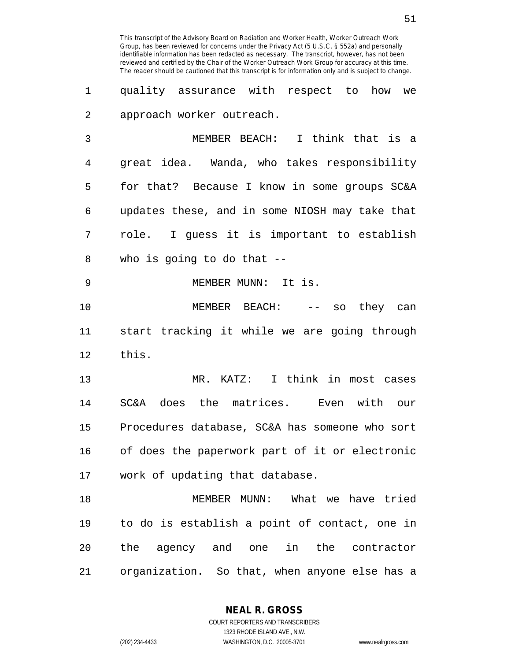1 quality assurance with respect to how we 2 approach worker outreach.

3 MEMBER BEACH: I think that is a 4 great idea. Wanda, who takes responsibility 5 for that? Because I know in some groups SC&A 6 updates these, and in some NIOSH may take that 7 role. I guess it is important to establish 8 who is going to do that --

9 MEMBER MUNN: It is.

10 MEMBER BEACH: -- so they can 11 start tracking it while we are going through 12 this.

13 MR. KATZ: I think in most cases 14 SC&A does the matrices. Even with our 15 Procedures database, SC&A has someone who sort 16 of does the paperwork part of it or electronic 17 work of updating that database.

18 MEMBER MUNN: What we have tried 19 to do is establish a point of contact, one in 20 the agency and one in the contractor 21 organization. So that, when anyone else has a

**NEAL R. GROSS**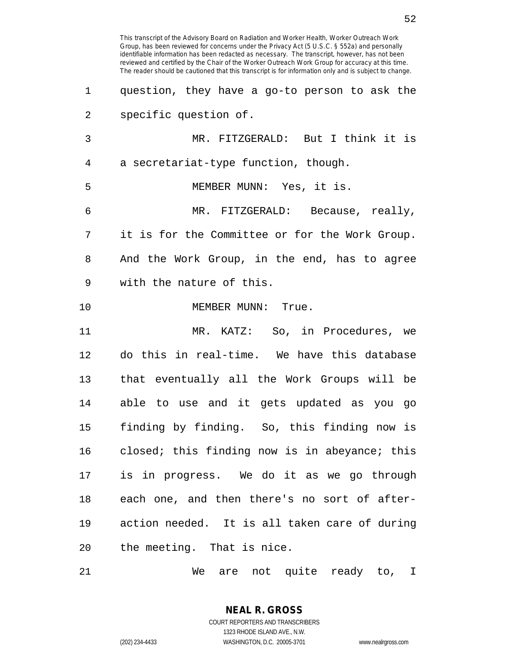Group, has been reviewed for concerns under the Privacy Act (5 U.S.C. § 552a) and personally identifiable information has been redacted as necessary. The transcript, however, has not been reviewed and certified by the Chair of the Worker Outreach Work Group for accuracy at this time. The reader should be cautioned that this transcript is for information only and is subject to change. 1 question, they have a go-to person to ask the 2 specific question of. 3 MR. FITZGERALD: But I think it is 4 a secretariat-type function, though. 5 MEMBER MUNN: Yes, it is. 6 MR. FITZGERALD: Because, really, 7 it is for the Committee or for the Work Group. 8 And the Work Group, in the end, has to agree 9 with the nature of this. 10 MEMBER MUNN: True. 11 MR. KATZ: So, in Procedures, we 12 do this in real-time. We have this database 13 that eventually all the Work Groups will be 14 able to use and it gets updated as you go 15 finding by finding. So, this finding now is 16 closed; this finding now is in abeyance; this 17 is in progress. We do it as we go through 18 each one, and then there's no sort of after-19 action needed. It is all taken care of during 20 the meeting. That is nice.

This transcript of the Advisory Board on Radiation and Worker Health, Worker Outreach Work

21 We are not quite ready to, I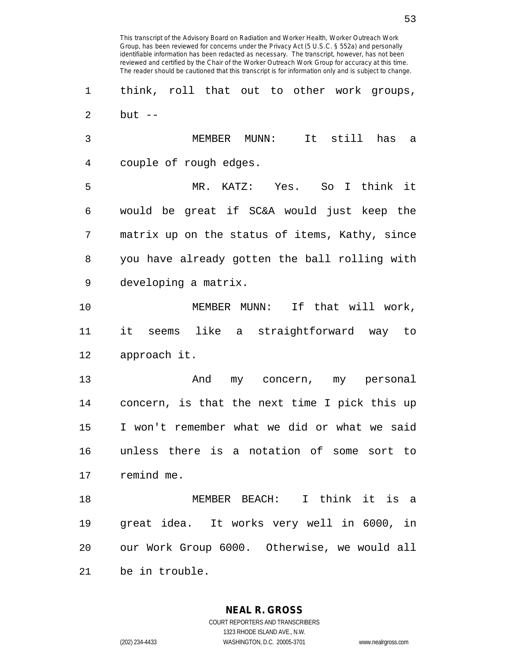Group, has been reviewed for concerns under the Privacy Act (5 U.S.C. § 552a) and personally identifiable information has been redacted as necessary. The transcript, however, has not been reviewed and certified by the Chair of the Worker Outreach Work Group for accuracy at this time. The reader should be cautioned that this transcript is for information only and is subject to change. 1 think, roll that out to other work groups,  $2$  but  $-$ 3 MEMBER MUNN: It still has a 4 couple of rough edges. 5 MR. KATZ: Yes. So I think it 6 would be great if SC&A would just keep the 7 matrix up on the status of items, Kathy, since 8 you have already gotten the ball rolling with 9 developing a matrix. 10 MEMBER MUNN: If that will work, 11 it seems like a straightforward way to 12 approach it. 13 And my concern, my personal 14 concern, is that the next time I pick this up 15 I won't remember what we did or what we said 16 unless there is a notation of some sort to 17 remind me. 18 MEMBER BEACH: I think it is a 19 great idea. It works very well in 6000, in 20 our Work Group 6000. Otherwise, we would all 21 be in trouble.

This transcript of the Advisory Board on Radiation and Worker Health, Worker Outreach Work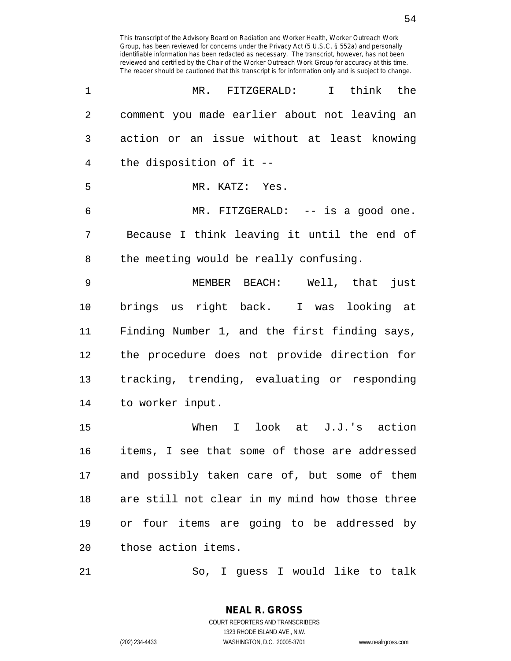| 1              | MR. FITZGERALD:<br>I think the                 |
|----------------|------------------------------------------------|
| $\overline{2}$ | comment you made earlier about not leaving an  |
| 3              | action or an issue without at least knowing    |
| $\overline{4}$ | the disposition of it --                       |
| 5              | MR. KATZ: Yes.                                 |
| 6              | MR. FITZGERALD: -- is a good one.              |
| 7              | Because I think leaving it until the end of    |
| 8              | the meeting would be really confusing.         |
| 9              | MEMBER BEACH: Well, that just                  |
| $10 \,$        | brings us right back. I was looking at         |
| 11             | Finding Number 1, and the first finding says,  |
| 12             | the procedure does not provide direction for   |
| 13             | tracking, trending, evaluating or responding   |
| 14             | to worker input.                               |
| 15             | When I look at J.J.'s action                   |
| 16             | items, I see that some of those are addressed  |
| 17             | and possibly taken care of, but some of them   |
| 18             | are still not clear in my mind how those three |
| 19             | or four items are going to be addressed by     |
| 20             | those action items.                            |
|                |                                                |

21 So, I guess I would like to talk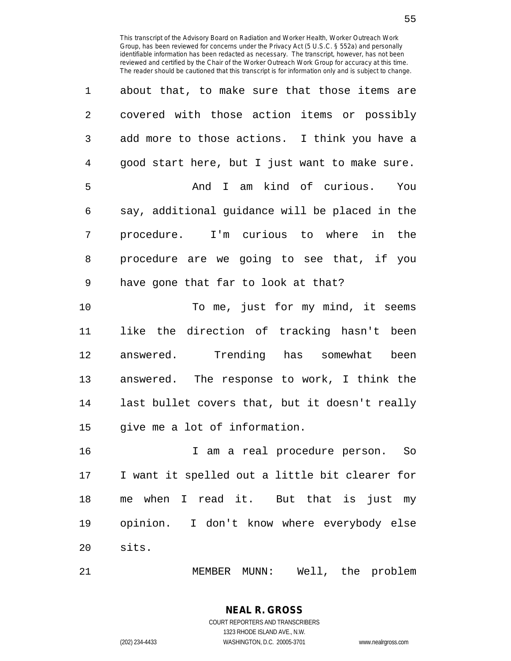| 1              | about that, to make sure that those items are  |
|----------------|------------------------------------------------|
| $\overline{2}$ | covered with those action items or possibly    |
| 3              | add more to those actions. I think you have a  |
| 4              | good start here, but I just want to make sure. |
| 5              | And I am kind of curious. You                  |
| 6              | say, additional guidance will be placed in the |
| 7              | procedure. I'm curious to where in the         |
| 8              | procedure are we going to see that, if you     |
| 9              | have gone that far to look at that?            |
| 10             | To me, just for my mind, it seems              |
| 11             | like the direction of tracking hasn't been     |
|                |                                                |

12 answered. Trending has somewhat been 13 answered. The response to work, I think the 14 last bullet covers that, but it doesn't really 15 give me a lot of information.

16 I am a real procedure person. So 17 I want it spelled out a little bit clearer for 18 me when I read it. But that is just my 19 opinion. I don't know where everybody else 20 sits.

21 MEMBER MUNN: Well, the problem

**NEAL R. GROSS** COURT REPORTERS AND TRANSCRIBERS

1323 RHODE ISLAND AVE., N.W.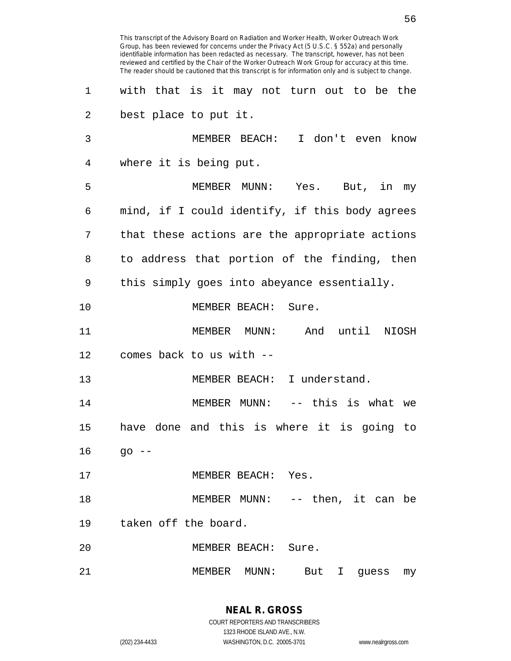This transcript of the Advisory Board on Radiation and Worker Health, Worker Outreach Work Group, has been reviewed for concerns under the Privacy Act (5 U.S.C. § 552a) and personally identifiable information has been redacted as necessary. The transcript, however, has not been reviewed and certified by the Chair of the Worker Outreach Work Group for accuracy at this time. The reader should be cautioned that this transcript is for information only and is subject to change. 1 with that is it may not turn out to be the 2 best place to put it. 3 MEMBER BEACH: I don't even know 4 where it is being put. 5 MEMBER MUNN: Yes. But, in my 6 mind, if I could identify, if this body agrees 7 that these actions are the appropriate actions 8 to address that portion of the finding, then 9 this simply goes into abeyance essentially. 10 MEMBER BEACH: Sure. 11 MEMBER MUNN: And until NIOSH 12 comes back to us with -- 13 MEMBER BEACH: I understand. 14 MEMBER MUNN: -- this is what we 15 have done and this is where it is going to  $16$  go  $-$ 17 MEMBER BEACH: Yes. 18 MEMBER MUNN: -- then, it can be 19 taken off the board. 20 MEMBER BEACH: Sure. 21 MEMBER MUNN: But I guess my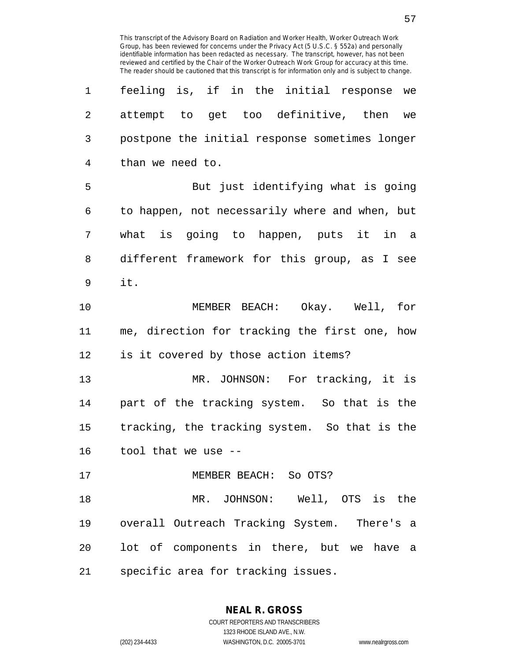| 1              | feeling is, if in the initial response we      |
|----------------|------------------------------------------------|
| $\overline{a}$ | attempt to get too definitive, then we         |
| 3              | postpone the initial response sometimes longer |
| $\overline{4}$ | than we need to.                               |
| 5              | But just identifying what is going             |
| 6              | to happen, not necessarily where and when, but |
| 7              | what is going to happen, puts it in a          |
| 8              | different framework for this group, as I see   |
| 9              | it.                                            |
| 10             | MEMBER BEACH: Okay. Well, for                  |
| 11             | me, direction for tracking the first one, how  |
| 12             | is it covered by those action items?           |
| 13             | MR. JOHNSON: For tracking, it is               |
| 14             | part of the tracking system. So that is the    |
| 15             | tracking, the tracking system. So that is the  |
| 16             | tool that we use --                            |
| 17             | MEMBER BEACH: So OTS?                          |
| 18             | MR. JOHNSON: Well, OTS is the                  |
| 19             | overall Outreach Tracking System. There's a    |
| 20             | lot of components in there, but we have a      |
| 21             | specific area for tracking issues.             |

**NEAL R. GROSS** COURT REPORTERS AND TRANSCRIBERS

1323 RHODE ISLAND AVE., N.W.

(202) 234-4433 WASHINGTON, D.C. 20005-3701 www.nealrgross.com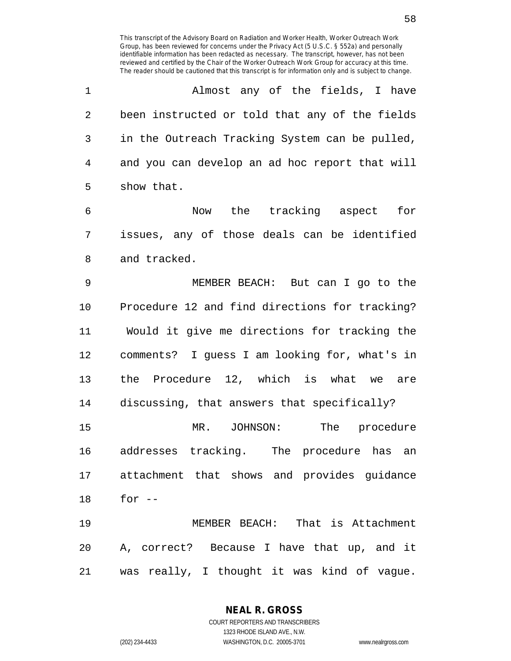1 Almost any of the fields, I have 2 been instructed or told that any of the fields 3 in the Outreach Tracking System can be pulled, 4 and you can develop an ad hoc report that will 5 show that.

6 Now the tracking aspect for 7 issues, any of those deals can be identified 8 and tracked.

9 MEMBER BEACH: But can I go to the 10 Procedure 12 and find directions for tracking? 11 Would it give me directions for tracking the 12 comments? I guess I am looking for, what's in 13 the Procedure 12, which is what we are

14 discussing, that answers that specifically? 15 MR. JOHNSON: The procedure 16 addresses tracking. The procedure has an 17 attachment that shows and provides guidance 18 for --

19 MEMBER BEACH: That is Attachment 20 A, correct? Because I have that up, and it 21 was really, I thought it was kind of vague.

> **NEAL R. GROSS** COURT REPORTERS AND TRANSCRIBERS 1323 RHODE ISLAND AVE., N.W.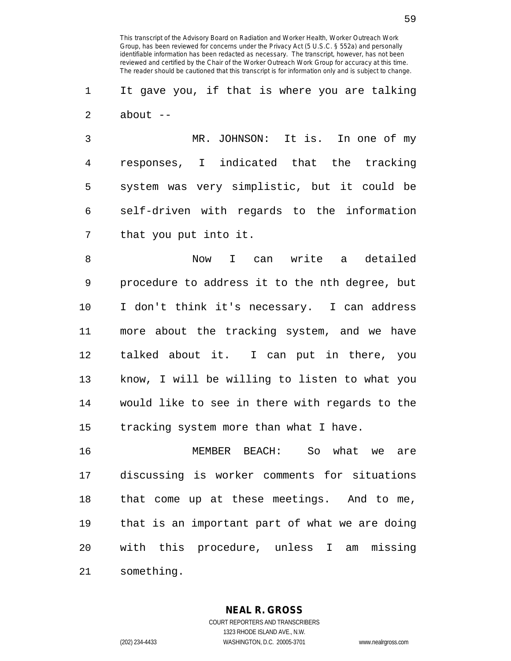1 It gave you, if that is where you are talking 2 about --

3 MR. JOHNSON: It is. In one of my 4 responses, I indicated that the tracking 5 system was very simplistic, but it could be 6 self-driven with regards to the information 7 that you put into it.

8 Now I can write a detailed 9 procedure to address it to the nth degree, but 10 I don't think it's necessary. I can address 11 more about the tracking system, and we have 12 talked about it. I can put in there, you 13 know, I will be willing to listen to what you 14 would like to see in there with regards to the 15 tracking system more than what I have.

16 MEMBER BEACH: So what we are 17 discussing is worker comments for situations 18 that come up at these meetings. And to me, 19 that is an important part of what we are doing 20 with this procedure, unless I am missing 21 something.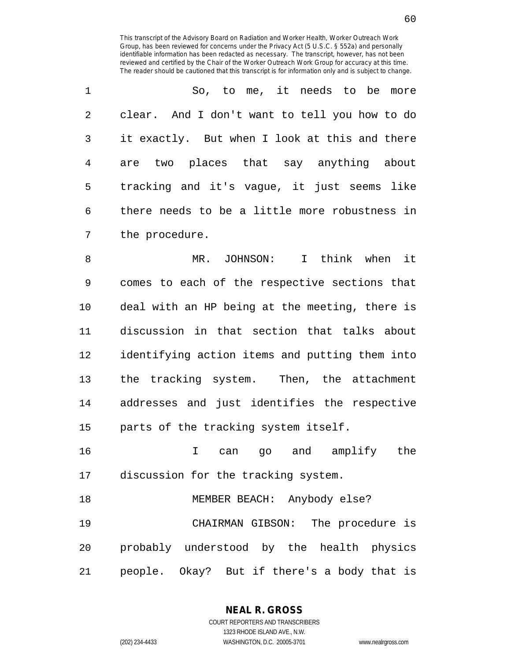| $\mathbf{1}$  | So, to me, it needs to be more                |
|---------------|-----------------------------------------------|
| $\mathcal{L}$ | clear. And I don't want to tell you how to do |
| 3             | it exactly. But when I look at this and there |
| 4             | are two places that say anything about        |
| 5             | tracking and it's vague, it just seems like   |
| 6             | there needs to be a little more robustness in |
| 7             | the procedure.                                |

8 MR. JOHNSON: I think when it 9 comes to each of the respective sections that 10 deal with an HP being at the meeting, there is 11 discussion in that section that talks about 12 identifying action items and putting them into 13 the tracking system. Then, the attachment 14 addresses and just identifies the respective 15 parts of the tracking system itself.

16 I can go and amplify the 17 discussion for the tracking system.

18 MEMBER BEACH: Anybody else? 19 CHAIRMAN GIBSON: The procedure is 20 probably understood by the health physics 21 people. Okay? But if there's a body that is

**NEAL R. GROSS**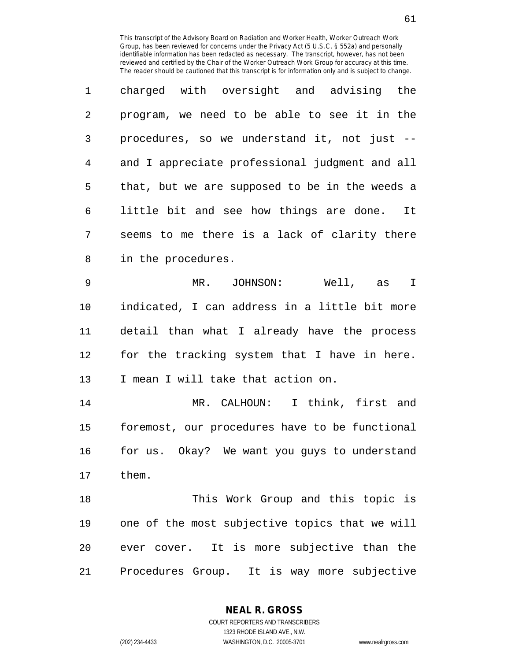| 1              | charged with oversight and advising the        |
|----------------|------------------------------------------------|
| $\overline{2}$ | program, we need to be able to see it in the   |
| 3              | procedures, so we understand it, not just --   |
| 4              | and I appreciate professional judgment and all |
| 5              | that, but we are supposed to be in the weeds a |
| 6              | little bit and see how things are done. It     |
| 7              | seems to me there is a lack of clarity there   |
| 8              | in the procedures.                             |
| 9              | MR. JOHNSON:<br>Well, as I                     |
| $10 \,$        | indicated, I can address in a little bit more  |
| 11             | detail than what I already have the process    |
| 12             | for the tracking system that I have in here.   |
| 13             | I mean I will take that action on.             |
| 14             | MR. CALHOUN: I think, first and                |
| 15             | foremost, our procedures have to be functional |
| 16             | for us. Okay? We want you guys to understand   |
| 17             | them.                                          |
| 18             | This Work Group and this topic is              |
| 19             | one of the most subjective topics that we will |
| 20             | ever cover. It is more subjective than the     |
| 21             | Procedures Group. It is way more subjective    |

**NEAL R. GROSS** COURT REPORTERS AND TRANSCRIBERS

1323 RHODE ISLAND AVE., N.W. (202) 234-4433 WASHINGTON, D.C. 20005-3701 www.nealrgross.com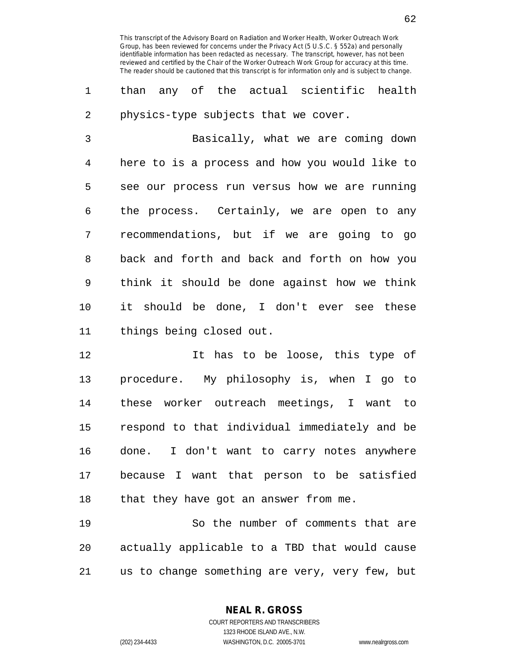1 than any of the actual scientific health 2 physics-type subjects that we cover.

3 Basically, what we are coming down 4 here to is a process and how you would like to 5 see our process run versus how we are running 6 the process. Certainly, we are open to any 7 recommendations, but if we are going to go 8 back and forth and back and forth on how you 9 think it should be done against how we think 10 it should be done, I don't ever see these 11 things being closed out.

12 12 It has to be loose, this type of 13 procedure. My philosophy is, when I go to 14 these worker outreach meetings, I want to 15 respond to that individual immediately and be 16 done. I don't want to carry notes anywhere 17 because I want that person to be satisfied 18 that they have got an answer from me.

19 So the number of comments that are 20 actually applicable to a TBD that would cause 21 us to change something are very, very few, but

**NEAL R. GROSS**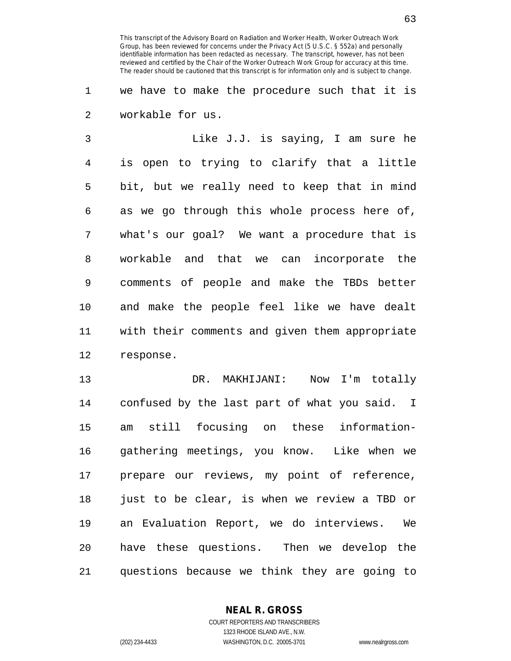1 we have to make the procedure such that it is 2 workable for us.

3 Like J.J. is saying, I am sure he 4 is open to trying to clarify that a little 5 bit, but we really need to keep that in mind 6 as we go through this whole process here of, 7 what's our goal? We want a procedure that is 8 workable and that we can incorporate the 9 comments of people and make the TBDs better 10 and make the people feel like we have dealt 11 with their comments and given them appropriate 12 response.

13 DR. MAKHIJANI: Now I'm totally 14 confused by the last part of what you said. I 15 am still focusing on these information-16 gathering meetings, you know. Like when we 17 prepare our reviews, my point of reference, 18 just to be clear, is when we review a TBD or 19 an Evaluation Report, we do interviews. We 20 have these questions. Then we develop the 21 questions because we think they are going to

> **NEAL R. GROSS** COURT REPORTERS AND TRANSCRIBERS

> > 1323 RHODE ISLAND AVE., N.W.

(202) 234-4433 WASHINGTON, D.C. 20005-3701 www.nealrgross.com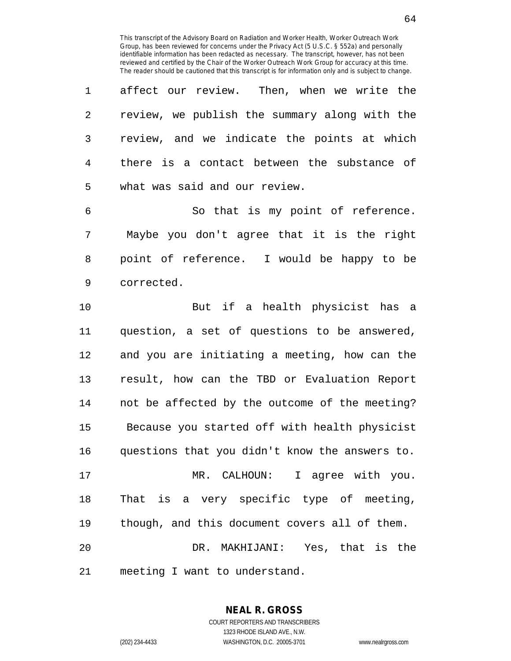1 affect our review. Then, when we write the 2 review, we publish the summary along with the 3 review, and we indicate the points at which 4 there is a contact between the substance of 5 what was said and our review.

6 So that is my point of reference. 7 Maybe you don't agree that it is the right 8 point of reference. I would be happy to be 9 corrected.

10 But if a health physicist has a 11 question, a set of questions to be answered, 12 and you are initiating a meeting, how can the 13 result, how can the TBD or Evaluation Report 14 not be affected by the outcome of the meeting? 15 Because you started off with health physicist 16 questions that you didn't know the answers to. 17 MR. CALHOUN: I agree with you. 18 That is a very specific type of meeting, 19 though, and this document covers all of them. 20 DR. MAKHIJANI: Yes, that is the 21 meeting I want to understand.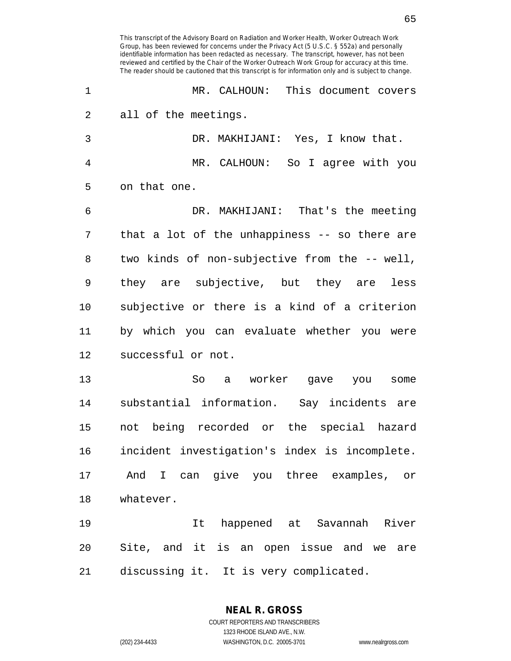1 MR. CALHOUN: This document covers 2 all of the meetings. 3 DR. MAKHIJANI: Yes, I know that. 4 MR. CALHOUN: So I agree with you 5 on that one. 6 DR. MAKHIJANI: That's the meeting 7 that a lot of the unhappiness -- so there are 8 two kinds of non-subjective from the -- well, 9 they are subjective, but they are less 10 subjective or there is a kind of a criterion 11 by which you can evaluate whether you were 12 successful or not. 13 So a worker gave you some 14 substantial information. Say incidents are 15 not being recorded or the special hazard 16 incident investigation's index is incomplete. 17 And I can give you three examples, or 18 whatever. 19 It happened at Savannah River 20 Site, and it is an open issue and we are 21 discussing it. It is very complicated.

**NEAL R. GROSS**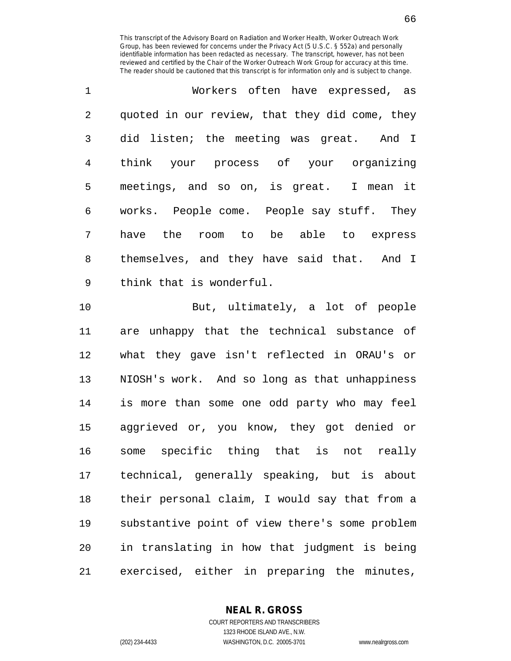| $\mathbf{1}$   | Workers often have expressed, as               |
|----------------|------------------------------------------------|
| $\overline{2}$ | quoted in our review, that they did come, they |
| 3              | did listen; the meeting was great. And I       |
| 4              | think your process of your organizing          |
| 5              | meetings, and so on, is great. I mean it       |
| 6              | works. People come. People say stuff. They     |
| 7              | have the room to be able to express            |
| 8              | themselves, and they have said that. And I     |
| 9              | think that is wonderful.                       |

10 But, ultimately, a lot of people 11 are unhappy that the technical substance of 12 what they gave isn't reflected in ORAU's or 13 NIOSH's work. And so long as that unhappiness 14 is more than some one odd party who may feel 15 aggrieved or, you know, they got denied or 16 some specific thing that is not really 17 technical, generally speaking, but is about 18 their personal claim, I would say that from a 19 substantive point of view there's some problem 20 in translating in how that judgment is being 21 exercised, either in preparing the minutes,

## **NEAL R. GROSS**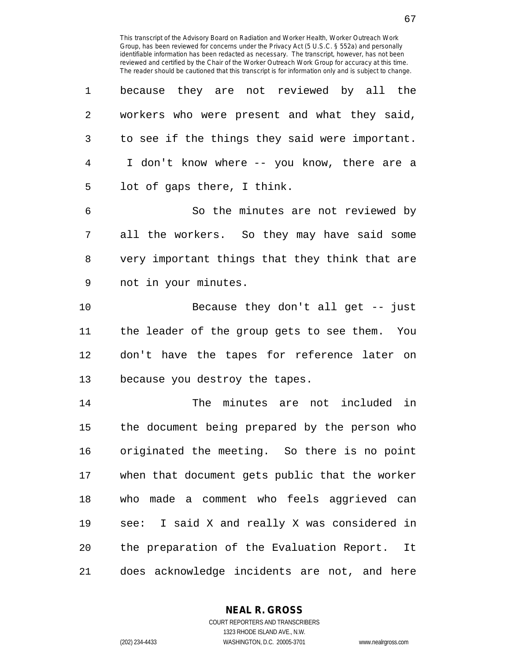| 1              | because they are not reviewed by all the       |
|----------------|------------------------------------------------|
| $\overline{2}$ | workers who were present and what they said,   |
| $\mathbf{3}$   | to see if the things they said were important. |
| 4              | I don't know where -- you know, there are a    |
| 5              | lot of gaps there, I think.                    |
| 6              | So the minutes are not reviewed by             |
| 7              | all the workers. So they may have said some    |
| 8              | very important things that they think that are |
| 9              | not in your minutes.                           |
| 10             | Because they don't all get $-$ just            |
| 11             | the leader of the group gets to see them. You  |
| 12             | don't have the tapes for reference later on    |
| 13             | because you destroy the tapes.                 |
| 14             | The minutes are not included in                |
| 15             | the document being prepared by the person who  |
| 16             | originated the meeting. So there is no point   |
| 17             | when that document gets public that the worker |
| 18             | who made a comment who feels aggrieved can     |
| 19             | see: I said X and really X was considered in   |
| 20             | the preparation of the Evaluation Report. It   |
| 21             | does acknowledge incidents are not, and here   |

**NEAL R. GROSS** COURT REPORTERS AND TRANSCRIBERS

1323 RHODE ISLAND AVE., N.W. (202) 234-4433 WASHINGTON, D.C. 20005-3701 www.nealrgross.com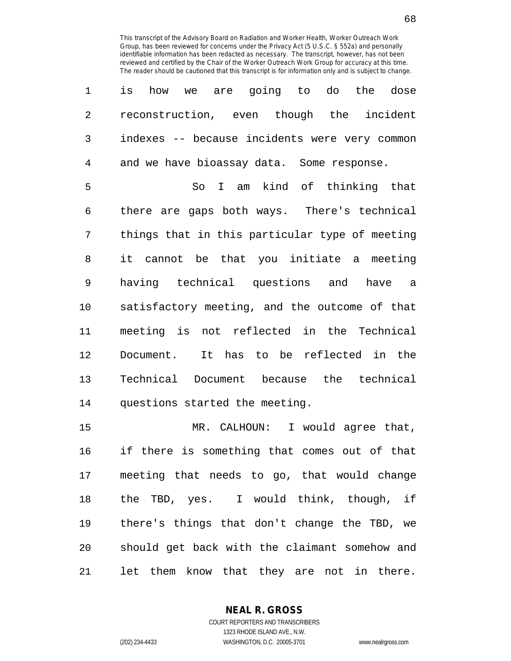| $\mathbf 1$    | how we are going to do the dose<br>is          |
|----------------|------------------------------------------------|
| $\overline{2}$ | reconstruction, even though the incident       |
| 3              | indexes -- because incidents were very common  |
| $\overline{4}$ | and we have bioassay data. Some response.      |
| 5              | So I am kind of thinking that                  |
| 6              | there are gaps both ways. There's technical    |
| 7              | things that in this particular type of meeting |
| 8              | it cannot be that you initiate a meeting       |
| 9              | having technical questions and have a          |
| 10             | satisfactory meeting, and the outcome of that  |
| 11             | meeting is not reflected in the Technical      |
| 12             | Document. It has to be reflected in the        |
| 13             | Technical Document because the technical       |
| 14             | questions started the meeting.                 |

15 MR. CALHOUN: I would agree that, 16 if there is something that comes out of that 17 meeting that needs to go, that would change 18 the TBD, yes. I would think, though, if 19 there's things that don't change the TBD, we 20 should get back with the claimant somehow and 21 let them know that they are not in there.

> **NEAL R. GROSS** COURT REPORTERS AND TRANSCRIBERS

1323 RHODE ISLAND AVE., N.W. (202) 234-4433 WASHINGTON, D.C. 20005-3701 www.nealrgross.com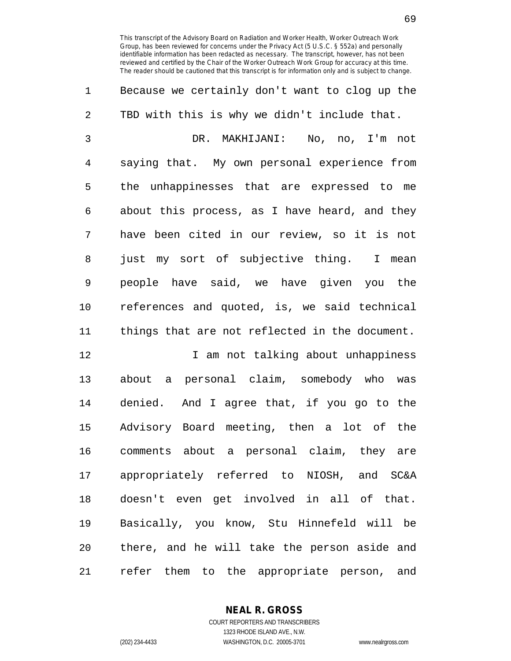1 Because we certainly don't want to clog up the 2 TBD with this is why we didn't include that. 3 DR. MAKHIJANI: No, no, I'm not 4 saying that. My own personal experience from 5 the unhappinesses that are expressed to me 6 about this process, as I have heard, and they 7 have been cited in our review, so it is not 8 just my sort of subjective thing. I mean 9 people have said, we have given you the 10 references and quoted, is, we said technical 11 things that are not reflected in the document. 12 12 I am not talking about unhappiness

13 about a personal claim, somebody who was 14 denied. And I agree that, if you go to the 15 Advisory Board meeting, then a lot of the 16 comments about a personal claim, they are 17 appropriately referred to NIOSH, and SC&A 18 doesn't even get involved in all of that. 19 Basically, you know, Stu Hinnefeld will be 20 there, and he will take the person aside and 21 refer them to the appropriate person, and

**NEAL R. GROSS**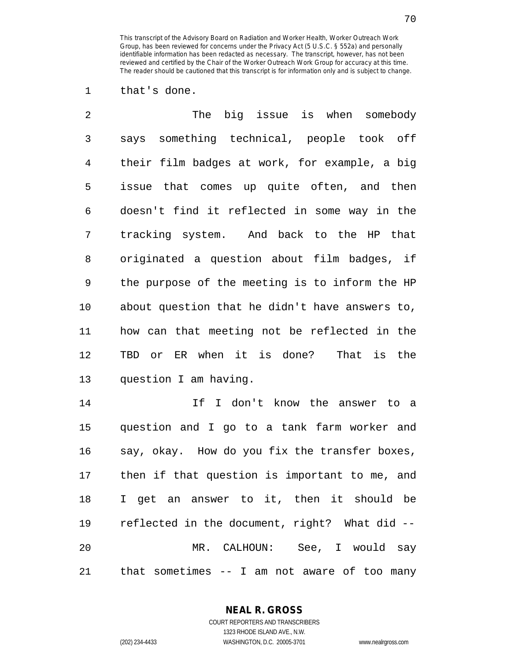1 that's done.

| $\overline{2}$ | The big issue is when somebody                 |
|----------------|------------------------------------------------|
| 3              | says something technical, people took off      |
| $\overline{4}$ | their film badges at work, for example, a big  |
| 5              | issue that comes up quite often, and then      |
| 6              | doesn't find it reflected in some way in the   |
| 7              | tracking system. And back to the HP that       |
| 8              | originated a question about film badges, if    |
| 9              | the purpose of the meeting is to inform the HP |
| 10             | about question that he didn't have answers to, |
| 11             | how can that meeting not be reflected in the   |
| 12             | TBD or ER when it is done? That is the         |
| 13             | question I am having.                          |
| 14             | If I don't know the answer to a                |
| 15             | question and I go to a tank farm worker and    |
| 16             | say, okay. How do you fix the transfer boxes,  |
| 17             | then if that question is important to me, and  |
| 18             | I get an answer to it, then it should be       |
| 19             | reflected in the document, right? What did --  |
| 20             | MR. CALHOUN: See, I would say                  |
| 21             | that sometimes $-$ I am not aware of too many  |

**NEAL R. GROSS**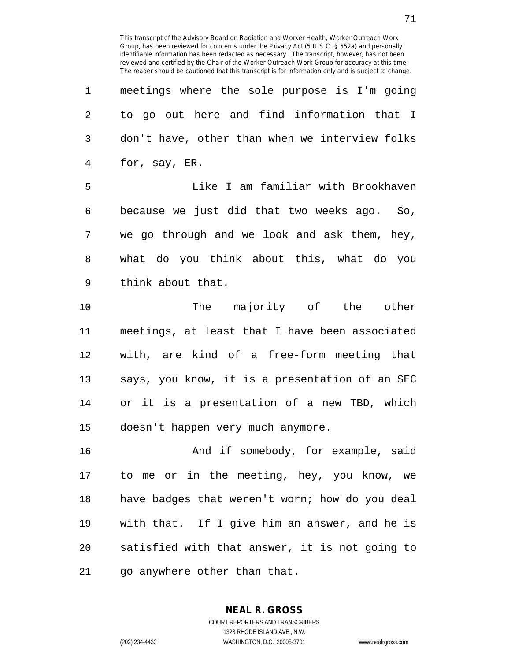| 1  | meetings where the sole purpose is I'm going   |
|----|------------------------------------------------|
| 2  | to go out here and find information that I     |
| 3  | don't have, other than when we interview folks |
| 4  | for, say, ER.                                  |
| 5  | Like I am familiar with Brookhaven             |
| 6  | because we just did that two weeks ago. So,    |
| 7  | we go through and we look and ask them, hey,   |
| 8  | what do you think about this, what do you      |
| 9  | think about that.                              |
| 10 | The majority of the other                      |
| 11 | meetings, at least that I have been associated |
| 12 | with, are kind of a free-form meeting that     |
| 13 | says, you know, it is a presentation of an SEC |
| 14 | or it is a presentation of a new TBD, which    |
| 15 | doesn't happen very much anymore.              |
| 16 | And if somebody, for example, said             |
| 17 | to me or in the meeting, hey, you know, we     |
| 18 | have badges that weren't worn; how do you deal |
| 19 | with that. If I give him an answer, and he is  |
| 20 | satisfied with that answer, it is not going to |

21 go anywhere other than that.

**NEAL R. GROSS** COURT REPORTERS AND TRANSCRIBERS

1323 RHODE ISLAND AVE., N.W.

 $\overline{a}$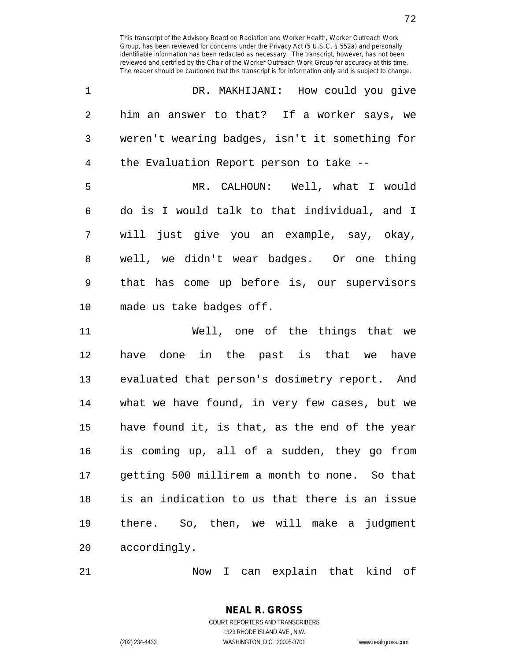| $\mathbf 1$    | DR. MAKHIJANI: How could you give              |
|----------------|------------------------------------------------|
| $\overline{2}$ | him an answer to that? If a worker says, we    |
| 3              | weren't wearing badges, isn't it something for |
| $\overline{4}$ | the Evaluation Report person to take --        |
| 5              | MR. CALHOUN: Well, what I would                |
| 6              | do is I would talk to that individual, and I   |
| 7              | will just give you an example, say, okay,      |
| 8              | well, we didn't wear badges. Or one thing      |
| 9              | that has come up before is, our supervisors    |
| 10             | made us take badges off.                       |
| 11             | Well, one of the things that we                |
| 12             | have done in the past is that we have          |
| 13             | evaluated that person's dosimetry report. And  |
| 14             | what we have found, in very few cases, but we  |

12 have done in the past is that we have 13 evaluated that person's dosimetry report. And 14 what we have found, in very few cases, but we 15 have found it, is that, as the end of the year 16 is coming up, all of a sudden, they go from 17 getting 500 millirem a month to none. So that 18 is an indication to us that there is an issue 19 there. So, then, we will make a judgment 20 accordingly.

21 Now I can explain that kind of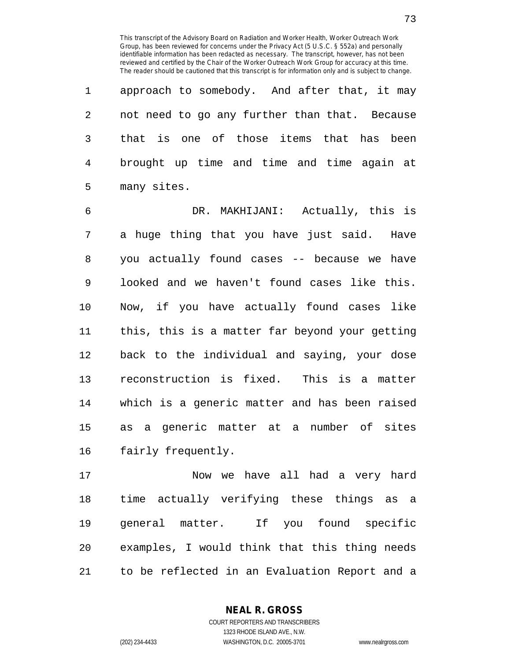1 approach to somebody. And after that, it may 2 not need to go any further than that. Because 3 that is one of those items that has been 4 brought up time and time and time again at 5 many sites.

6 DR. MAKHIJANI: Actually, this is 7 a huge thing that you have just said. Have 8 you actually found cases -- because we have 9 looked and we haven't found cases like this. 10 Now, if you have actually found cases like 11 this, this is a matter far beyond your getting 12 back to the individual and saying, your dose 13 reconstruction is fixed. This is a matter 14 which is a generic matter and has been raised 15 as a generic matter at a number of sites 16 fairly frequently.

17 Now we have all had a very hard 18 time actually verifying these things as a 19 general matter. If you found specific 20 examples, I would think that this thing needs 21 to be reflected in an Evaluation Report and a

> **NEAL R. GROSS** COURT REPORTERS AND TRANSCRIBERS

> > 1323 RHODE ISLAND AVE., N.W.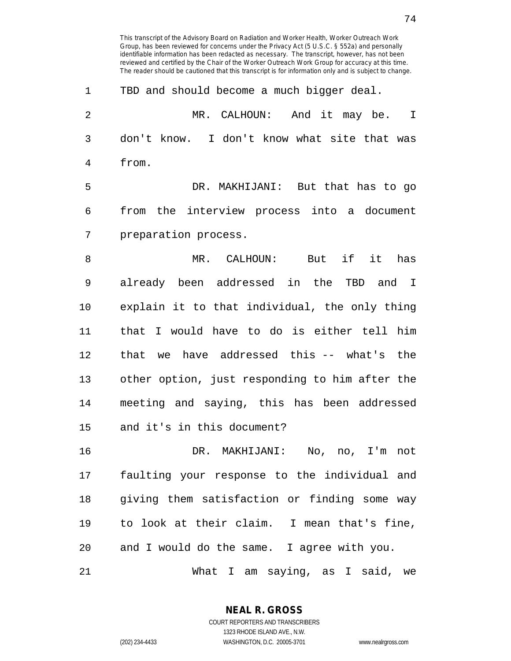1 TBD and should become a much bigger deal. 2 MR. CALHOUN: And it may be. I 3 don't know. I don't know what site that was 4 from. 5 DR. MAKHIJANI: But that has to go 6 from the interview process into a document 7 preparation process. 8 MR. CALHOUN: But if it has 9 already been addressed in the TBD and I 10 explain it to that individual, the only thing 11 that I would have to do is either tell him 12 that we have addressed this -- what's the 13 other option, just responding to him after the 14 meeting and saying, this has been addressed 15 and it's in this document? 16 DR. MAKHIJANI: No, no, I'm not 17 faulting your response to the individual and 18 giving them satisfaction or finding some way 19 to look at their claim. I mean that's fine, 20 and I would do the same. I agree with you. 21 What I am saying, as I said, we

This transcript of the Advisory Board on Radiation and Worker Health, Worker Outreach Work Group, has been reviewed for concerns under the Privacy Act (5 U.S.C. § 552a) and personally identifiable information has been redacted as necessary. The transcript, however, has not been reviewed and certified by the Chair of the Worker Outreach Work Group for accuracy at this time. The reader should be cautioned that this transcript is for information only and is subject to change.

COURT REPORTERS AND TRANSCRIBERS 1323 RHODE ISLAND AVE., N.W. (202) 234-4433 WASHINGTON, D.C. 20005-3701 www.nealrgross.com

**NEAL R. GROSS**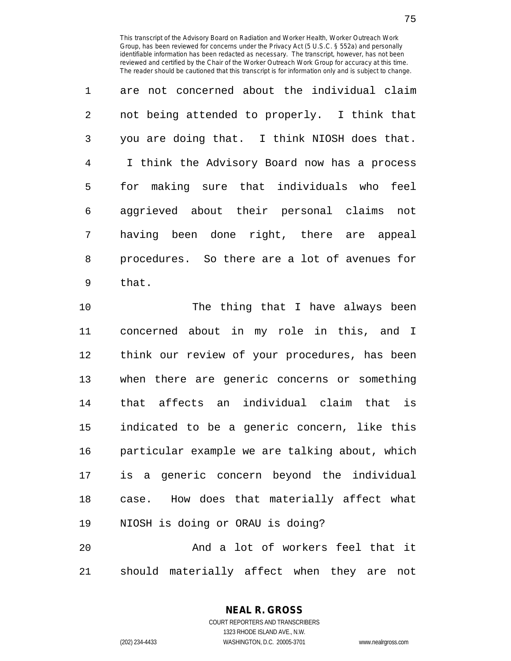1 are not concerned about the individual claim 2 not being attended to properly. I think that 3 you are doing that. I think NIOSH does that. 4 I think the Advisory Board now has a process 5 for making sure that individuals who feel 6 aggrieved about their personal claims not 7 having been done right, there are appeal 8 procedures. So there are a lot of avenues for 9 that.

10 The thing that I have always been 11 concerned about in my role in this, and I 12 think our review of your procedures, has been 13 when there are generic concerns or something 14 that affects an individual claim that is 15 indicated to be a generic concern, like this 16 particular example we are talking about, which 17 is a generic concern beyond the individual 18 case. How does that materially affect what 19 NIOSH is doing or ORAU is doing? 20 And a lot of workers feel that it

21 should materially affect when they are not

**NEAL R. GROSS** COURT REPORTERS AND TRANSCRIBERS

1323 RHODE ISLAND AVE., N.W.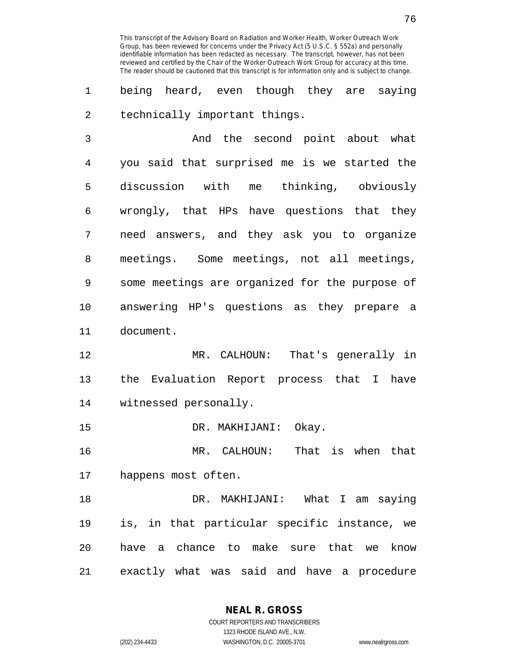1 being heard, even though they are saying 2 technically important things.

3 And the second point about what 4 you said that surprised me is we started the 5 discussion with me thinking, obviously 6 wrongly, that HPs have questions that they 7 need answers, and they ask you to organize 8 meetings. Some meetings, not all meetings, 9 some meetings are organized for the purpose of 10 answering HP's questions as they prepare a 11 document.

12 MR. CALHOUN: That's generally in 13 the Evaluation Report process that I have 14 witnessed personally.

15 DR. MAKHIJANI: Okay.

16 MR. CALHOUN: That is when that 17 happens most often.

18 DR. MAKHIJANI: What I am saying 19 is, in that particular specific instance, we 20 have a chance to make sure that we know 21 exactly what was said and have a procedure

> **NEAL R. GROSS** COURT REPORTERS AND TRANSCRIBERS

> > 1323 RHODE ISLAND AVE., N.W.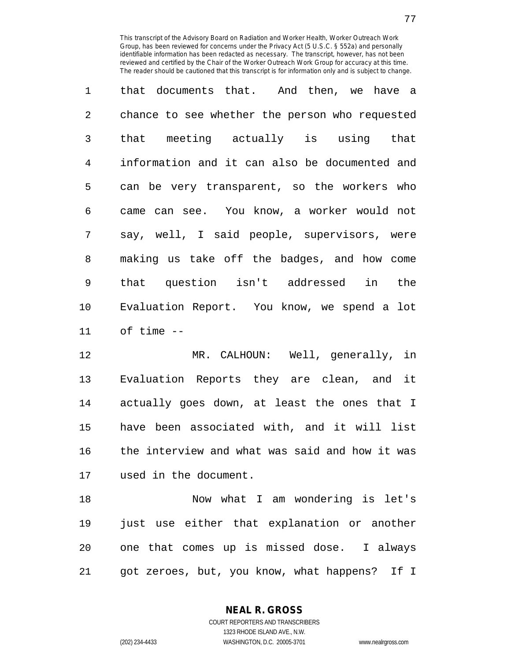1 that documents that. And then, we have a 2 chance to see whether the person who requested 3 that meeting actually is using that 4 information and it can also be documented and 5 can be very transparent, so the workers who 6 came can see. You know, a worker would not 7 say, well, I said people, supervisors, were 8 making us take off the badges, and how come 9 that question isn't addressed in the 10 Evaluation Report. You know, we spend a lot 11 of time --

12 MR. CALHOUN: Well, generally, in 13 Evaluation Reports they are clean, and it 14 actually goes down, at least the ones that I 15 have been associated with, and it will list 16 the interview and what was said and how it was 17 used in the document.

18 Now what I am wondering is let's 19 just use either that explanation or another 20 one that comes up is missed dose. I always 21 got zeroes, but, you know, what happens? If I

> **NEAL R. GROSS** COURT REPORTERS AND TRANSCRIBERS 1323 RHODE ISLAND AVE., N.W.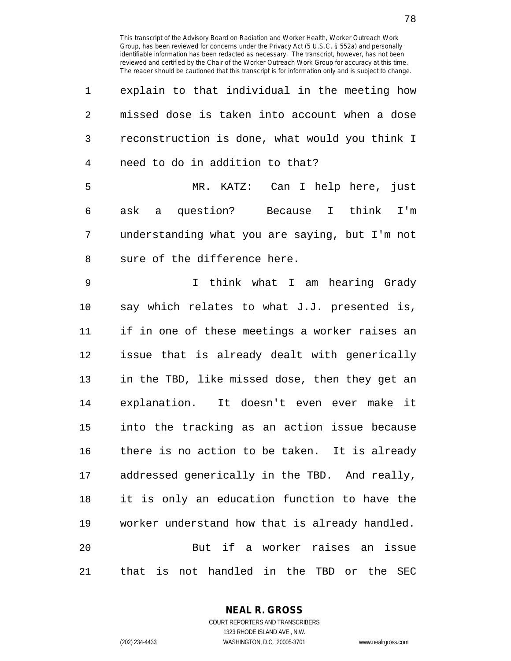| 1              | explain to that individual in the meeting how                |
|----------------|--------------------------------------------------------------|
| 2              | missed dose is taken into account when a dose                |
| 3              | reconstruction is done, what would you think I               |
| $\overline{4}$ | need to do in addition to that?                              |
| 5              | MR. KATZ: Can I help here, just                              |
| 6              | ask a question? Because I think I'm                          |
| 7              | understanding what you are saying, but I'm not               |
| 8              | sure of the difference here.                                 |
| 9              | I think what I am hearing Grady                              |
| 10             | say which relates to what J.J. presented is,                 |
| 11             | if in one of these meetings a worker raises an               |
| 12             | issue that is already dealt with generically                 |
| 13             | in the TBD, like missed dose, then they get an               |
| 14             | explanation. It doesn't even ever make it                    |
| 15             | into the tracking as an action issue because                 |
| 16             | there is no action to be taken. It is already                |
| 17             | addressed generically in the TBD. And really,                |
| 18             | it is only an education function to have the                 |
| 19             | worker understand how that is already handled.               |
| 20             | But if a worker raises an issue                              |
| 21             | not handled in the TBD or<br>that<br>is<br>the<br><b>SEC</b> |

**NEAL R. GROSS** COURT REPORTERS AND TRANSCRIBERS

1323 RHODE ISLAND AVE., N.W. (202) 234-4433 WASHINGTON, D.C. 20005-3701 www.nealrgross.com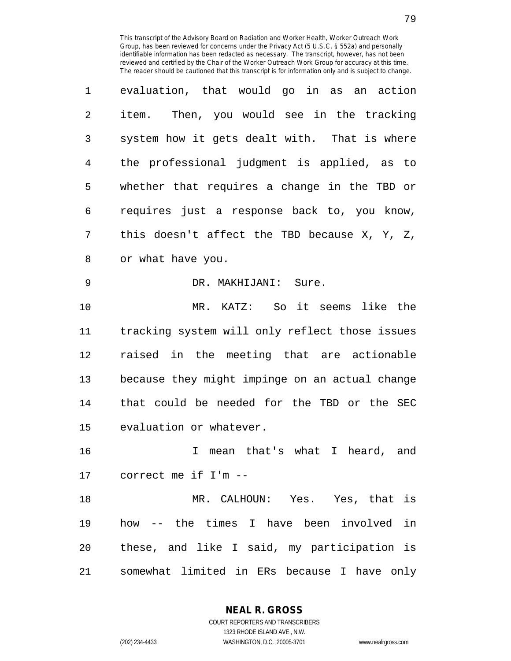| 1              | evaluation, that would go in as an action      |
|----------------|------------------------------------------------|
| $\overline{2}$ | Then, you would see in the tracking<br>item.   |
| 3              | system how it gets dealt with. That is where   |
| 4              | the professional judgment is applied, as to    |
| 5              | whether that requires a change in the TBD or   |
| 6              | requires just a response back to, you know,    |
| 7              | this doesn't affect the TBD because X, Y, Z,   |
| 8              | or what have you.                              |
| 9              | DR. MAKHIJANI: Sure.                           |
| 10             | MR. KATZ: So it seems like the                 |
| 11             | tracking system will only reflect those issues |
| 12             | raised in the meeting that are actionable      |
| 13             | because they might impinge on an actual change |
| 14             | that could be needed for the TBD or the SEC    |
| 15             | evaluation or whatever.                        |
| 16             | mean that's what I heard, and<br>T.            |
| 17             | correct me if I'm --                           |
| 18             | MR. CALHOUN: Yes. Yes, that is                 |
| 19             | how -- the times I have been involved in       |
| 20             | these, and like I said, my participation is    |
| 21             | somewhat limited in ERs because I<br>have only |

**NEAL R. GROSS**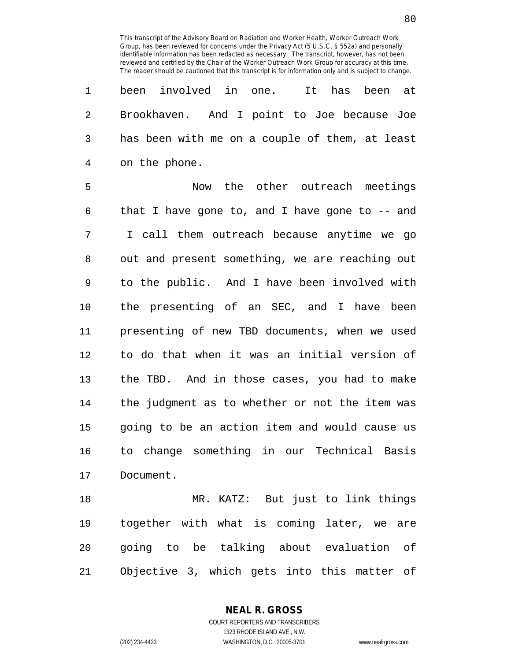1 been involved in one. It has been at 2 Brookhaven. And I point to Joe because Joe 3 has been with me on a couple of them, at least 4 on the phone.

5 Now the other outreach meetings 6 that I have gone to, and I have gone to -- and 7 I call them outreach because anytime we go 8 out and present something, we are reaching out 9 to the public. And I have been involved with 10 the presenting of an SEC, and I have been 11 presenting of new TBD documents, when we used 12 to do that when it was an initial version of 13 the TBD. And in those cases, you had to make 14 the judgment as to whether or not the item was 15 going to be an action item and would cause us 16 to change something in our Technical Basis 17 Document.

18 MR. KATZ: But just to link things 19 together with what is coming later, we are 20 going to be talking about evaluation of 21 Objective 3, which gets into this matter of

**NEAL R. GROSS**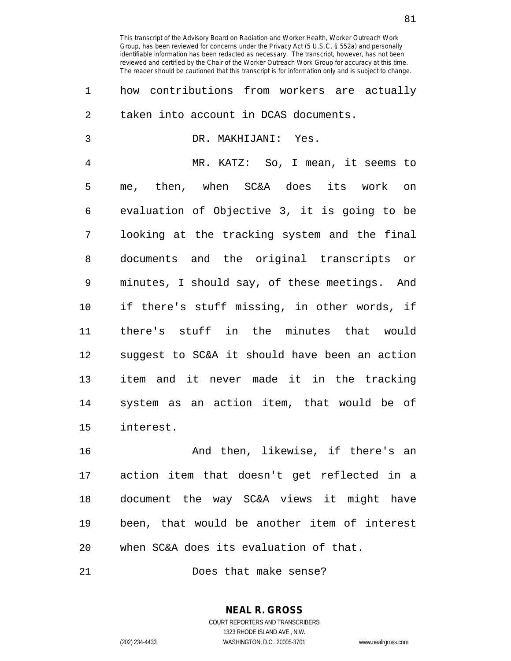1 how contributions from workers are actually 2 taken into account in DCAS documents. 3 DR. MAKHIJANI: Yes. 4 MR. KATZ: So, I mean, it seems to 5 me, then, when SC&A does its work on 6 evaluation of Objective 3, it is going to be 7 looking at the tracking system and the final 8 documents and the original transcripts or 9 minutes, I should say, of these meetings. And 10 if there's stuff missing, in other words, if 11 there's stuff in the minutes that would 12 suggest to SC&A it should have been an action 13 item and it never made it in the tracking 14 system as an action item, that would be of 15 interest.

16 And then, likewise, if there's an 17 action item that doesn't get reflected in a 18 document the way SC&A views it might have 19 been, that would be another item of interest 20 when SC&A does its evaluation of that.

21 Does that make sense?

**NEAL R. GROSS** COURT REPORTERS AND TRANSCRIBERS 1323 RHODE ISLAND AVE., N.W.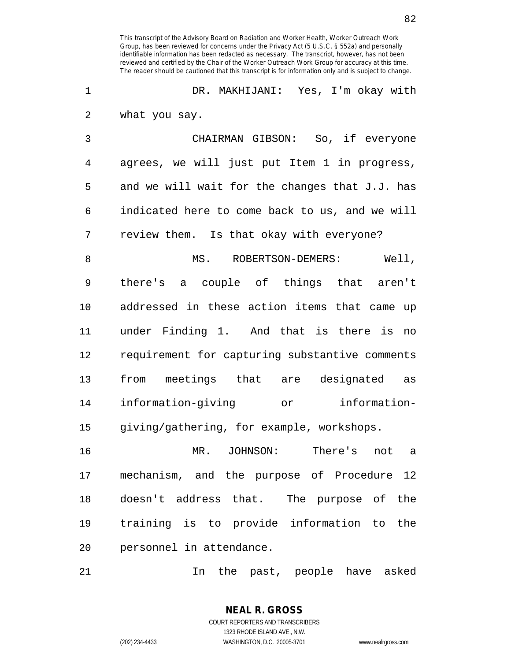1 DR. MAKHIJANI: Yes, I'm okay with 2 what you say.

3 CHAIRMAN GIBSON: So, if everyone 4 agrees, we will just put Item 1 in progress, 5 and we will wait for the changes that J.J. has 6 indicated here to come back to us, and we will 7 review them. Is that okay with everyone?

8 MS. ROBERTSON-DEMERS: Well, 9 there's a couple of things that aren't 10 addressed in these action items that came up 11 under Finding 1. And that is there is no 12 requirement for capturing substantive comments 13 from meetings that are designated as 14 information-giving or information-15 giving/gathering, for example, workshops.

16 MR. JOHNSON: There's not a 17 mechanism, and the purpose of Procedure 12 18 doesn't address that. The purpose of the 19 training is to provide information to the 20 personnel in attendance.

21 In the past, people have asked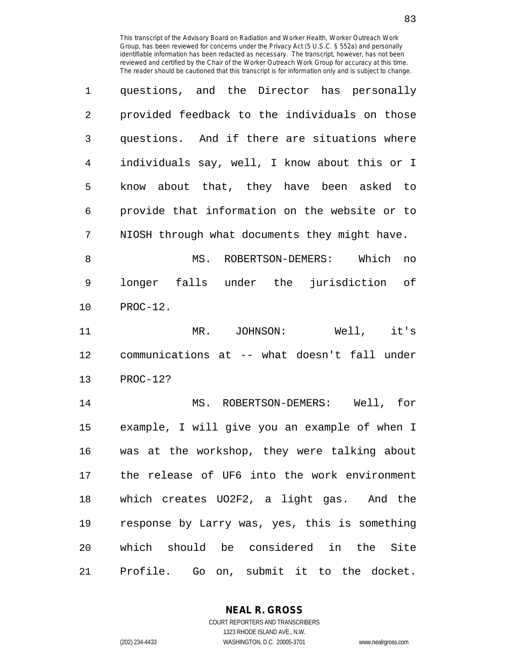| $\mathbf{1}$   | questions, and the Director has personally    |
|----------------|-----------------------------------------------|
| $\mathfrak{D}$ | provided feedback to the individuals on those |
| 3              | questions. And if there are situations where  |
| 4              | individuals say, well, I know about this or I |
| 5              | know about that, they have been asked to      |
| 6              | provide that information on the website or to |
| 7              | NIOSH through what documents they might have. |

8 MS. ROBERTSON-DEMERS: Which no 9 longer falls under the jurisdiction of 10 PROC-12.

11 MR. JOHNSON: Well, it's 12 communications at -- what doesn't fall under 13 PROC-12?

14 MS. ROBERTSON-DEMERS: Well, for 15 example, I will give you an example of when I 16 was at the workshop, they were talking about 17 the release of UF6 into the work environment 18 which creates UO2F2, a light gas. And the 19 response by Larry was, yes, this is something 20 which should be considered in the Site 21 Profile. Go on, submit it to the docket.

> **NEAL R. GROSS** COURT REPORTERS AND TRANSCRIBERS

> > 1323 RHODE ISLAND AVE., N.W.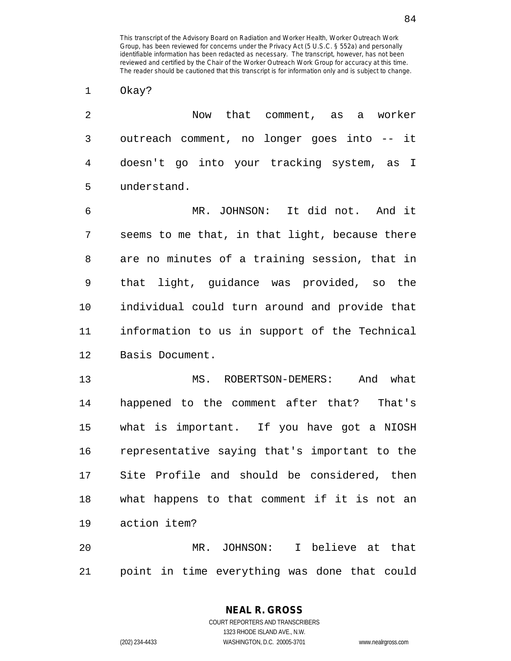1 Okay?

2 Now that comment, as a worker 3 outreach comment, no longer goes into -- it 4 doesn't go into your tracking system, as I 5 understand.

6 MR. JOHNSON: It did not. And it 7 seems to me that, in that light, because there 8 are no minutes of a training session, that in 9 that light, guidance was provided, so the 10 individual could turn around and provide that 11 information to us in support of the Technical 12 Basis Document.

13 MS. ROBERTSON-DEMERS: And what 14 happened to the comment after that? That's 15 what is important. If you have got a NIOSH 16 representative saying that's important to the 17 Site Profile and should be considered, then 18 what happens to that comment if it is not an 19 action item?

20 MR. JOHNSON: I believe at that 21 point in time everything was done that could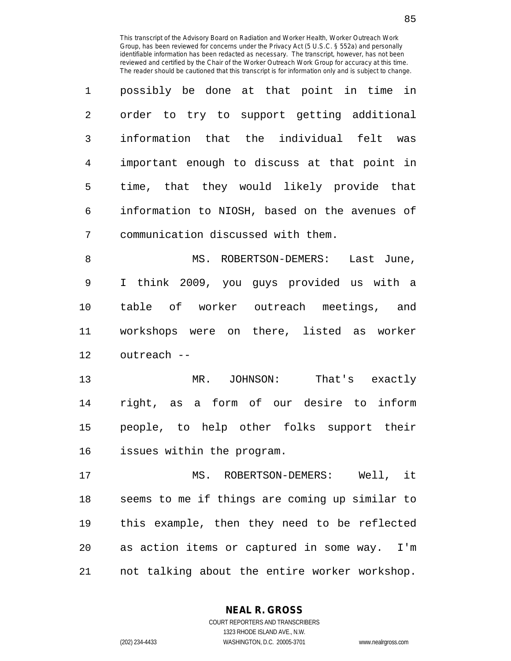| $\mathbf{1}$   | possibly be done at that point in time in     |
|----------------|-----------------------------------------------|
| $\mathfrak{D}$ | order to try to support getting additional    |
| 3              | information that the individual felt was      |
| 4              | important enough to discuss at that point in  |
| 5              | time, that they would likely provide that     |
| 6              | information to NIOSH, based on the avenues of |
| 7              | communication discussed with them.            |

8 MS. ROBERTSON-DEMERS: Last June, 9 I think 2009, you guys provided us with a 10 table of worker outreach meetings, and 11 workshops were on there, listed as worker 12 outreach --

13 MR. JOHNSON: That's exactly 14 right, as a form of our desire to inform 15 people, to help other folks support their 16 issues within the program.

17 MS. ROBERTSON-DEMERS: Well, it 18 seems to me if things are coming up similar to 19 this example, then they need to be reflected 20 as action items or captured in some way. I'm 21 not talking about the entire worker workshop.

**NEAL R. GROSS**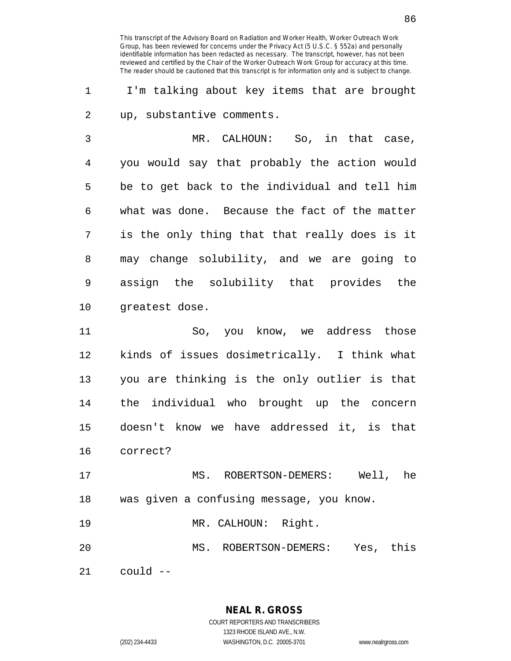1 I'm talking about key items that are brought 2 up, substantive comments.

3 MR. CALHOUN: So, in that case, 4 you would say that probably the action would 5 be to get back to the individual and tell him 6 what was done. Because the fact of the matter 7 is the only thing that that really does is it 8 may change solubility, and we are going to 9 assign the solubility that provides the 10 greatest dose.

11 So, you know, we address those 12 kinds of issues dosimetrically. I think what 13 you are thinking is the only outlier is that 14 the individual who brought up the concern 15 doesn't know we have addressed it, is that 16 correct?

17 MS. ROBERTSON-DEMERS: Well, he 18 was given a confusing message, you know.

19 MR. CALHOUN: Right.

20 MS. ROBERTSON-DEMERS: Yes, this

21  $\cos 1\theta$   $\leftarrow$ 

**NEAL R. GROSS**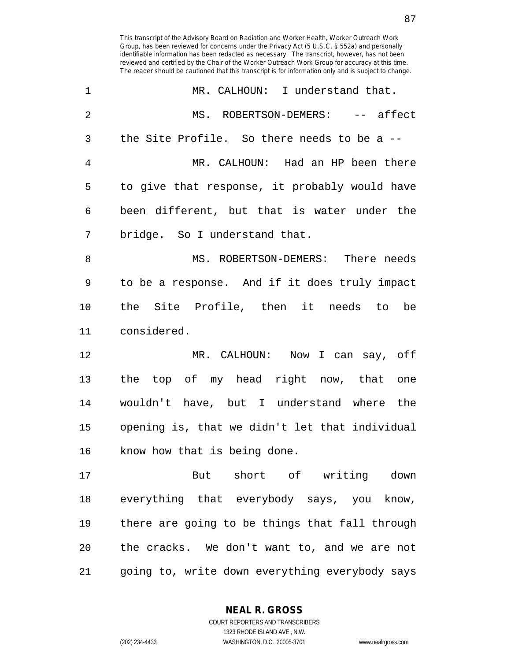| 1              | MR. CALHOUN: I understand that.                |
|----------------|------------------------------------------------|
| $\overline{2}$ | MS. ROBERTSON-DEMERS: -- affect                |
| 3              | the Site Profile. So there needs to be a $-$ - |
| 4              | MR. CALHOUN: Had an HP been there              |
| 5              | to give that response, it probably would have  |
| 6              | been different, but that is water under the    |
| 7              | bridge. So I understand that.                  |
| 8              | MS. ROBERTSON-DEMERS: There needs              |
| 9              | to be a response. And if it does truly impact  |
| 10             | the Site Profile, then it needs to be          |
| 11             | considered.                                    |
| 12             | MR. CALHOUN: Now I can say, off                |
| 13             | the top of my head right now, that one         |
| 14             | wouldn't have, but I understand where the      |
| 15             | opening is, that we didn't let that individual |
| 16             | know how that is being done.                   |
| 17             | But short of writing down                      |
| 18             | everything that everybody says, you know,      |
| 19             | there are going to be things that fall through |
| 20             | the cracks. We don't want to, and we are not   |
| 21             | going to, write down everything everybody says |

**NEAL R. GROSS** COURT REPORTERS AND TRANSCRIBERS

1323 RHODE ISLAND AVE., N.W. (202) 234-4433 WASHINGTON, D.C. 20005-3701 www.nealrgross.com

87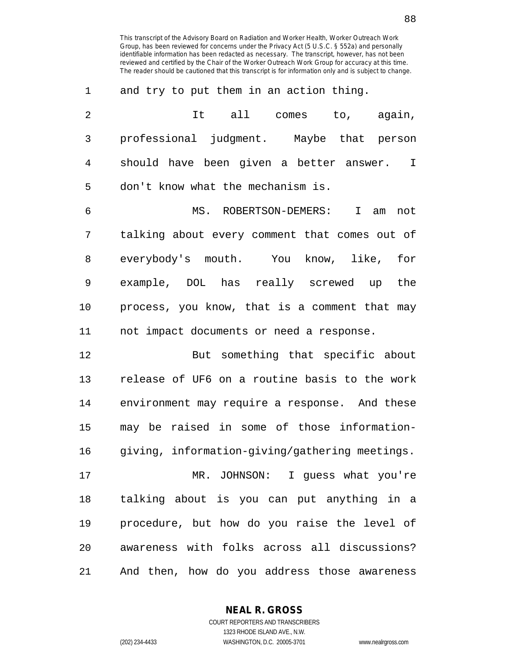| 1              | and try to put them in an action thing.                |
|----------------|--------------------------------------------------------|
| $\overline{2}$ | It all comes to, again,                                |
| 3              | professional judgment. Maybe that person               |
| 4              | should have been given a better answer.<br>$\mathbf I$ |
| 5              | don't know what the mechanism is.                      |
| 6              | MS. ROBERTSON-DEMERS:<br>I am<br>not                   |
| 7              | talking about every comment that comes out of          |
| 8              | everybody's mouth. You know, like, for                 |
| 9              | example, DOL has really screwed up<br>the              |
| 10             | process, you know, that is a comment that may          |
| 11             | not impact documents or need a response.               |
| 12             | But something that specific about                      |
| 13             | release of UF6 on a routine basis to the work          |
| 14             | environment may require a response. And these          |
| 15             | may be raised in some of those information-            |
| 16             | giving, information-giving/gathering meetings.         |
| 17             | MR. JOHNSON: I guess what you're                       |
| 18             | talking about is you can put anything in a             |
| 19             | procedure, but how do you raise the level of           |
| 20             | awareness with folks across all discussions?           |
|                |                                                        |

**NEAL R. GROSS**

21 And then, how do you address those awareness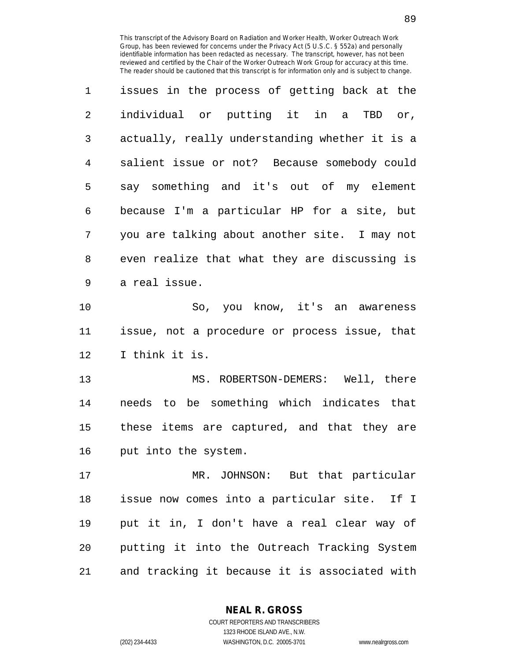| $\mathbf{1}$   | issues in the process of getting back at the   |
|----------------|------------------------------------------------|
| $\overline{2}$ | individual or putting it in a TBD or,          |
| 3              | actually, really understanding whether it is a |
| 4              | salient issue or not? Because somebody could   |
| 5              | say something and it's out of my element       |
| 6              | because I'm a particular HP for a site, but    |
| 7              | you are talking about another site. I may not  |
| 8              | even realize that what they are discussing is  |
| 9              | a real issue.                                  |

10 So, you know, it's an awareness 11 issue, not a procedure or process issue, that 12 I think it is.

13 MS. ROBERTSON-DEMERS: Well, there 14 needs to be something which indicates that 15 these items are captured, and that they are 16 put into the system.

17 MR. JOHNSON: But that particular 18 issue now comes into a particular site. If I 19 put it in, I don't have a real clear way of 20 putting it into the Outreach Tracking System 21 and tracking it because it is associated with

> **NEAL R. GROSS** COURT REPORTERS AND TRANSCRIBERS

1323 RHODE ISLAND AVE., N.W. (202) 234-4433 WASHINGTON, D.C. 20005-3701 www.nealrgross.com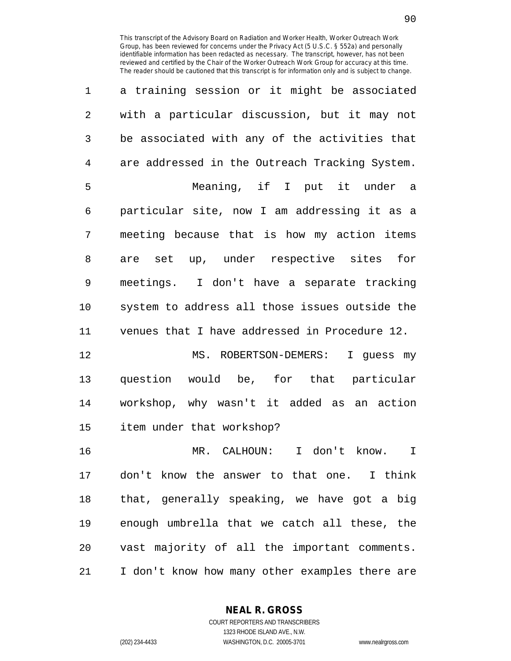| 1              | a training session or it might be associated   |
|----------------|------------------------------------------------|
| $\overline{2}$ | with a particular discussion, but it may not   |
| 3              | be associated with any of the activities that  |
| 4              | are addressed in the Outreach Tracking System. |
| 5              | Meaning, if I put it under a                   |
| 6              | particular site, now I am addressing it as a   |
| 7              | meeting because that is how my action items    |
| 8              | are set up, under respective sites for         |
| 9              | meetings. I don't have a separate tracking     |
| 10             | system to address all those issues outside the |
| 11             | venues that I have addressed in Procedure 12.  |
| 12             | MS. ROBERTSON-DEMERS:<br>I guess my            |
| 13             | question would be, for that particular         |
| 14             | workshop, why wasn't it added as an action     |
| 15             | item under that workshop?                      |
| 16             | MR. CALHOUN:<br>I don't know.<br>$\mathbf I$   |
| 17             | don't know the answer to that one. I think     |
| 18             | that, generally speaking, we have got a big    |
| 19             | enough umbrella that we catch all these, the   |
| 20             | vast majority of all the important comments.   |
|                |                                                |

**NEAL R. GROSS**

21 I don't know how many other examples there are

COURT REPORTERS AND TRANSCRIBERS 1323 RHODE ISLAND AVE., N.W. (202) 234-4433 WASHINGTON, D.C. 20005-3701 www.nealrgross.com

90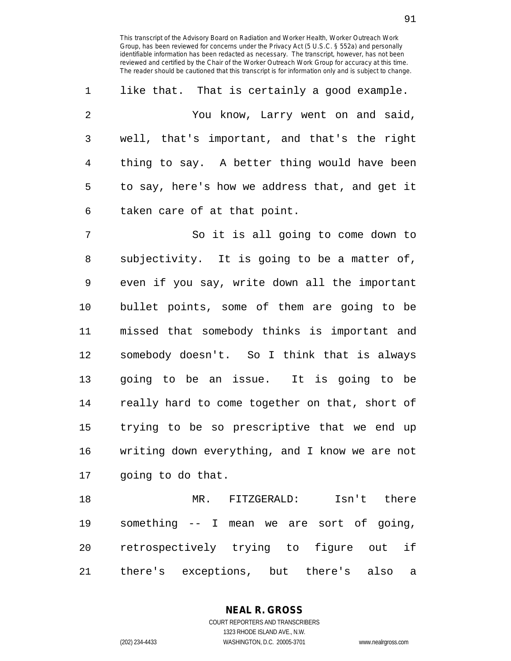1 like that. That is certainly a good example. 2 You know, Larry went on and said, 3 well, that's important, and that's the right 4 thing to say. A better thing would have been 5 to say, here's how we address that, and get it 6 taken care of at that point.

7 So it is all going to come down to 8 subjectivity. It is going to be a matter of, 9 even if you say, write down all the important 10 bullet points, some of them are going to be 11 missed that somebody thinks is important and 12 somebody doesn't. So I think that is always 13 going to be an issue. It is going to be 14 really hard to come together on that, short of 15 trying to be so prescriptive that we end up 16 writing down everything, and I know we are not 17 going to do that.

18 MR. FITZGERALD: Isn't there 19 something -- I mean we are sort of going, 20 retrospectively trying to figure out if 21 there's exceptions, but there's also a

> **NEAL R. GROSS** COURT REPORTERS AND TRANSCRIBERS 1323 RHODE ISLAND AVE., N.W.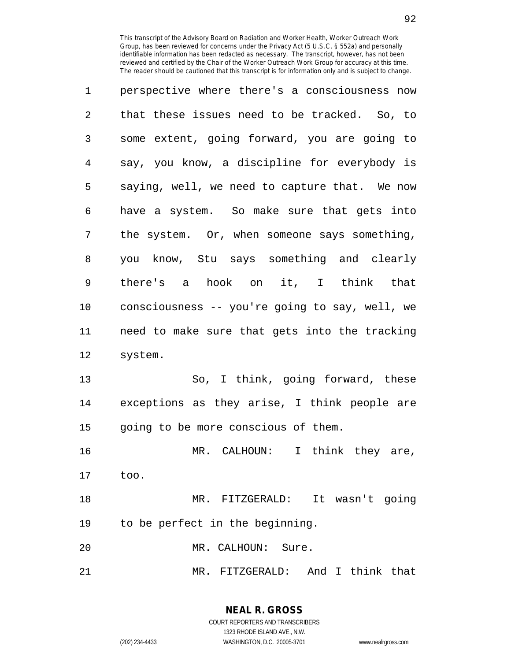| 1              | perspective where there's a consciousness now  |
|----------------|------------------------------------------------|
| $\overline{2}$ | that these issues need to be tracked. So, to   |
| 3              | some extent, going forward, you are going to   |
| 4              | say, you know, a discipline for everybody is   |
| 5              | saying, well, we need to capture that. We now  |
| 6              | have a system. So make sure that gets into     |
|                |                                                |
| 7              | the system. Or, when someone says something,   |
| 8              | you know, Stu says something and clearly       |
| 9              | there's a hook on it, I think that             |
| 10             | consciousness -- you're going to say, well, we |
| 11             | need to make sure that gets into the tracking  |

13 So, I think, going forward, these 14 exceptions as they arise, I think people are 15 going to be more conscious of them.

16 MR. CALHOUN: I think they are, 17 too.

18 MR. FITZGERALD: It wasn't going 19 to be perfect in the beginning.

20 MR. CALHOUN: Sure.

21 MR. FITZGERALD: And I think that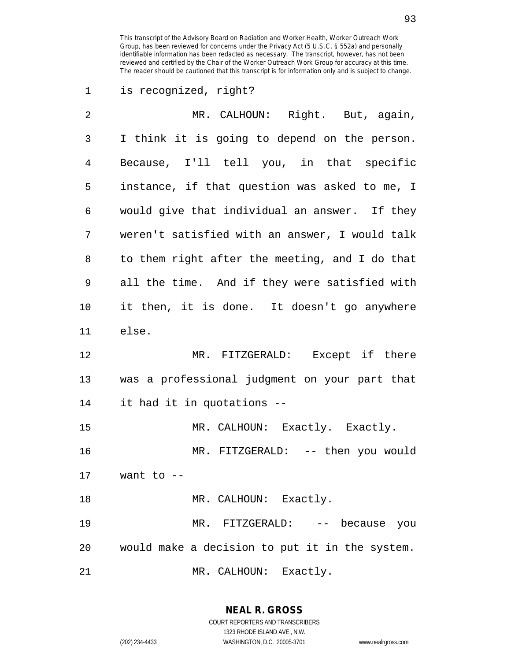## 1 is recognized, right?

| $\overline{2}$ | MR. CALHOUN: Right. But, again,                |
|----------------|------------------------------------------------|
| 3              | I think it is going to depend on the person.   |
| 4              | Because, I'll tell you, in that specific       |
| 5              | instance, if that question was asked to me, I  |
| 6              | would give that individual an answer. If they  |
| 7              | weren't satisfied with an answer, I would talk |
| 8              | to them right after the meeting, and I do that |
| 9              | all the time. And if they were satisfied with  |
| 10             | it then, it is done. It doesn't go anywhere    |
| 11             | else.                                          |
| 12             | MR. FITZGERALD: Except if there                |
| 13             | was a professional judgment on your part that  |
| 14             | it had it in quotations --                     |
| 15             | MR. CALHOUN: Exactly. Exactly.                 |
| 16             | MR. FITZGERALD: -- then you would              |
| 17             | want to --                                     |
| 18             | MR. CALHOUN: Exactly.                          |
| 19             | MR. FITZGERALD: -- because you                 |
| 20             | would make a decision to put it in the system. |
| 21             | MR. CALHOUN: Exactly.                          |

**NEAL R. GROSS** COURT REPORTERS AND TRANSCRIBERS

1323 RHODE ISLAND AVE., N.W.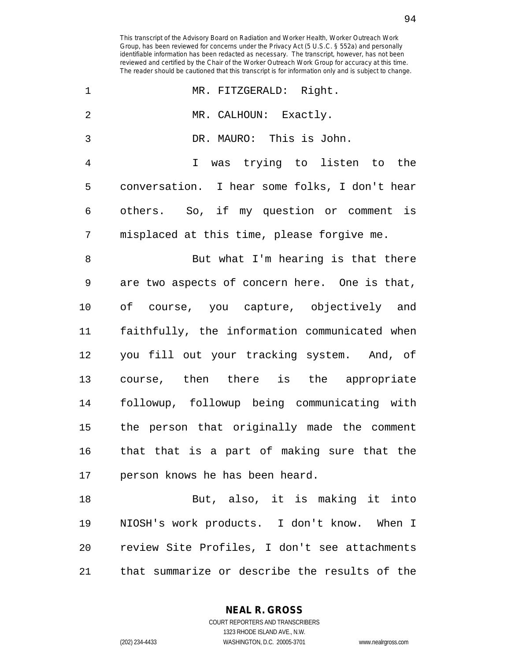$\mathcal{L}^{\text{max}}$ 

| 1              | MR. FITZGERALD: Right.                        |
|----------------|-----------------------------------------------|
| $\overline{2}$ | MR. CALHOUN: Exactly.                         |
| 3              | DR. MAURO: This is John.                      |
| $\overline{4}$ | I was trying to listen to the                 |
| 5              | conversation. I hear some folks, I don't hear |
| 6              | others. So, if my question or comment is      |
| 7              | misplaced at this time, please forgive me.    |
| 8              | But what I'm hearing is that there            |
| 9              | are two aspects of concern here. One is that, |
| 10             | of course, you capture, objectively and       |
| 11             | faithfully, the information communicated when |
| 12             | you fill out your tracking system. And, of    |
| 13             | course, then there is the appropriate         |
| 14             | followup, followup being communicating with   |
| 15             | the person that originally made the comment   |
| 16             | that that is a part of making sure that the   |
| 17             | person knows he has been heard.               |
| 18             | But, also, it is making it into               |
| 19             | NIOSH's work products. I don't know. When I   |
| 20             | review Site Profiles, I don't see attachments |
| 21             | that summarize or describe the results of the |

**NEAL R. GROSS**

1323 RHODE ISLAND AVE., N.W.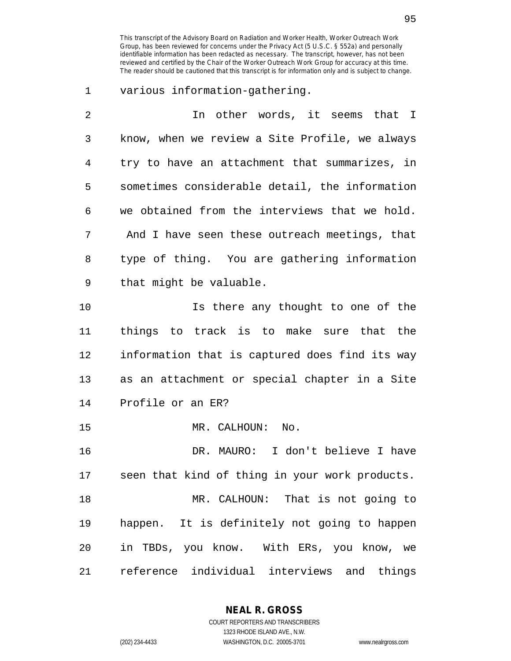1 various information-gathering.

| 2  | In other words, it seems that I                |
|----|------------------------------------------------|
| 3  | know, when we review a Site Profile, we always |
| 4  | try to have an attachment that summarizes, in  |
| 5  | sometimes considerable detail, the information |
| 6  | we obtained from the interviews that we hold.  |
| 7  | And I have seen these outreach meetings, that  |
| 8  | type of thing. You are gathering information   |
| 9  | that might be valuable.                        |
| 10 | Is there any thought to one of the             |
| 11 | things to track is to make sure that the       |
| 12 | information that is captured does find its way |
| 13 | as an attachment or special chapter in a Site  |
| 14 | Profile or an ER?                              |
| 15 | MR. CALHOUN:<br>No.                            |
| 16 | DR. MAURO: I don't believe I have              |
| 17 | seen that kind of thing in your work products. |
| 18 | MR. CALHOUN: That is not going to              |
| 19 | happen. It is definitely not going to happen   |
| 20 | in TBDs, you know. With ERs, you know, we      |
| 21 | reference individual interviews and things     |

**NEAL R. GROSS** COURT REPORTERS AND TRANSCRIBERS

1323 RHODE ISLAND AVE., N.W.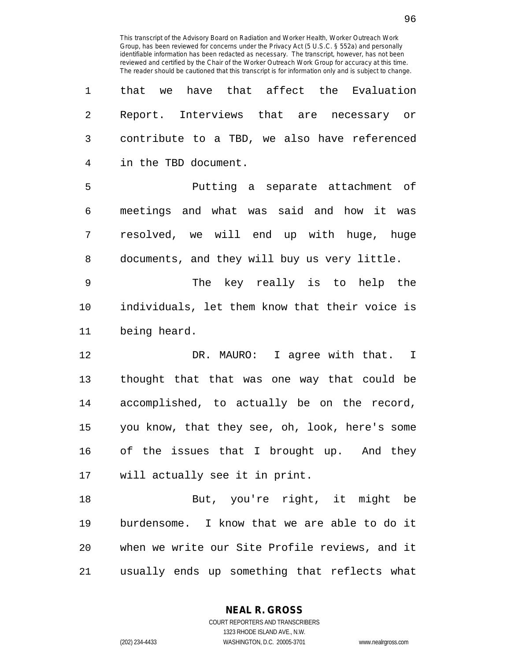| $\mathbf 1$ | that we have that affect the Evaluation        |
|-------------|------------------------------------------------|
| 2           | Report. Interviews that are necessary or       |
| 3           | contribute to a TBD, we also have referenced   |
| 4           | in the TBD document.                           |
| 5           | Putting a separate attachment of               |
| 6           | meetings and what was said and how it was      |
| 7           | resolved, we will end up with huge, huge       |
| 8           | documents, and they will buy us very little.   |
| 9           | The key really is to help the                  |
| 10          | individuals, let them know that their voice is |
|             |                                                |

11 being heard.

12 DR. MAURO: I agree with that. I 13 thought that that was one way that could be 14 accomplished, to actually be on the record, 15 you know, that they see, oh, look, here's some 16 of the issues that I brought up. And they 17 will actually see it in print.

18 But, you're right, it might be 19 burdensome. I know that we are able to do it 20 when we write our Site Profile reviews, and it 21 usually ends up something that reflects what

**NEAL R. GROSS**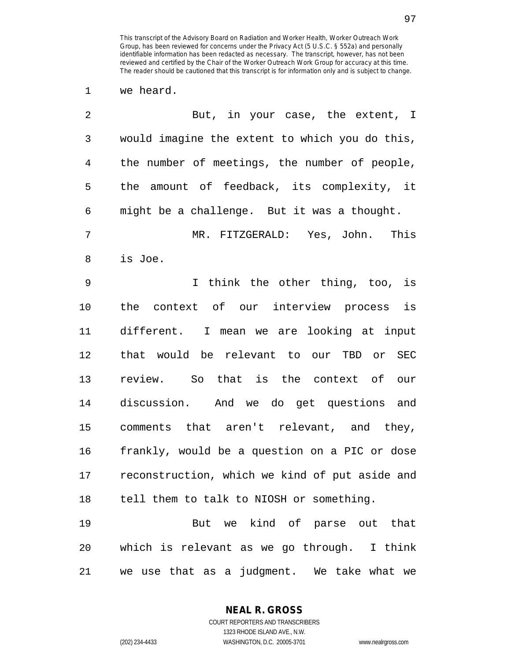1 we heard.

| $\overline{2}$ | But, in your case, the extent, I               |
|----------------|------------------------------------------------|
| $\mathsf{3}$   | would imagine the extent to which you do this, |
| $\overline{4}$ | the number of meetings, the number of people,  |
| 5              | the amount of feedback, its complexity, it     |
| 6              | might be a challenge. But it was a thought.    |
| 7              | MR. FITZGERALD: Yes, John.<br>This             |
| 8              | is Joe.                                        |
| 9              | I think the other thing, too, is               |
| 10             | the context of our interview process is        |
| 11             | different. I mean we are looking at input      |
| 12             | that would be relevant to our TBD or SEC       |
| 13             | review. So that is the context of our          |
| 14             | discussion. And we do get questions and        |
| 15             | comments that aren't relevant, and they,       |
| 16             | frankly, would be a question on a PIC or dose  |
| 17             | reconstruction, which we kind of put aside and |
|                | 18 tell them to talk to NIOSH or something.    |
| 19             | But we kind of parse out that                  |
| 20             | which is relevant as we go through. I think    |
| 21             | we use that as a judgment. We take what we     |

**NEAL R. GROSS** COURT REPORTERS AND TRANSCRIBERS

1323 RHODE ISLAND AVE., N.W.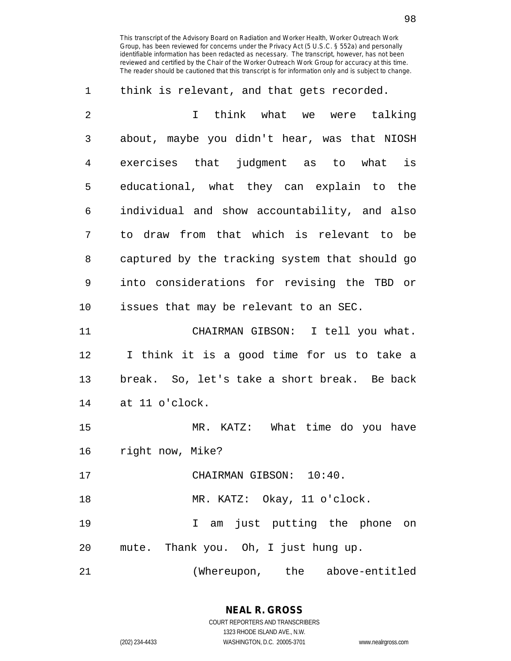| 1              | think is relevant, and that gets recorded.     |
|----------------|------------------------------------------------|
| $\overline{2}$ | think what we were talking<br>$\mathbf{I}$     |
| 3              | about, maybe you didn't hear, was that NIOSH   |
| $\overline{4}$ | exercises that judgment as to what is          |
| 5              | educational, what they can explain to the      |
| 6              | individual and show accountability, and also   |
| 7              | to draw from that which is relevant to be      |
| 8              | captured by the tracking system that should go |
| 9              | into considerations for revising the TBD or    |
| 10             | issues that may be relevant to an SEC.         |
| 11             | CHAIRMAN GIBSON: I tell you what.              |
| 12             | I think it is a good time for us to take a     |
| 13             | break. So, let's take a short break. Be back   |
| 14             | at 11 o'clock.                                 |
| 15             | MR. KATZ: What time do you have                |
| 16             | right now, Mike?                               |
| 17             | CHAIRMAN GIBSON: 10:40.                        |
| 18             | MR. KATZ: Okay, 11 o'clock.                    |
| 19             | I am just putting the phone on                 |
| 20             | mute. Thank you. Oh, I just hung up.           |
| 21             | (Whereupon, the above-entitled                 |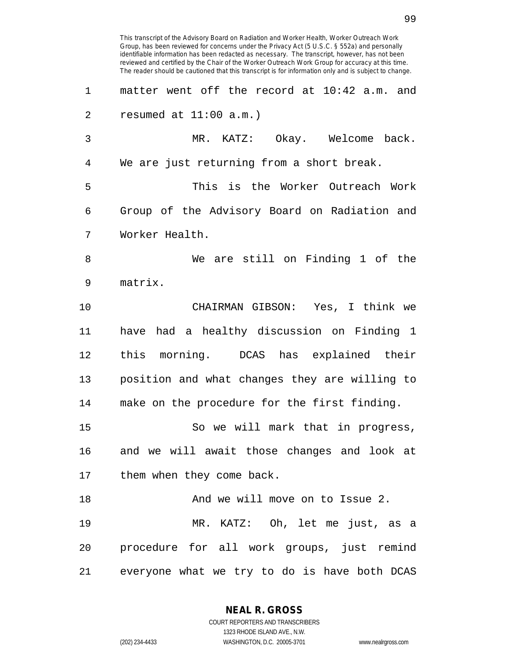This transcript of the Advisory Board on Radiation and Worker Health, Worker Outreach Work Group, has been reviewed for concerns under the Privacy Act (5 U.S.C. § 552a) and personally identifiable information has been redacted as necessary. The transcript, however, has not been reviewed and certified by the Chair of the Worker Outreach Work Group for accuracy at this time. The reader should be cautioned that this transcript is for information only and is subject to change. 1 matter went off the record at 10:42 a.m. and 2 resumed at 11:00 a.m.) 3 MR. KATZ: Okay. Welcome back. 4 We are just returning from a short break. 5 This is the Worker Outreach Work 6 Group of the Advisory Board on Radiation and 7 Worker Health. 8 We are still on Finding 1 of the 9 matrix. 10 CHAIRMAN GIBSON: Yes, I think we 11 have had a healthy discussion on Finding 1 12 this morning. DCAS has explained their 13 position and what changes they are willing to 14 make on the procedure for the first finding. 15 So we will mark that in progress, 16 and we will await those changes and look at 17 them when they come back. 18 And we will move on to Issue 2. 19 MR. KATZ: Oh, let me just, as a 20 procedure for all work groups, just remind 21 everyone what we try to do is have both DCAS

**NEAL R. GROSS**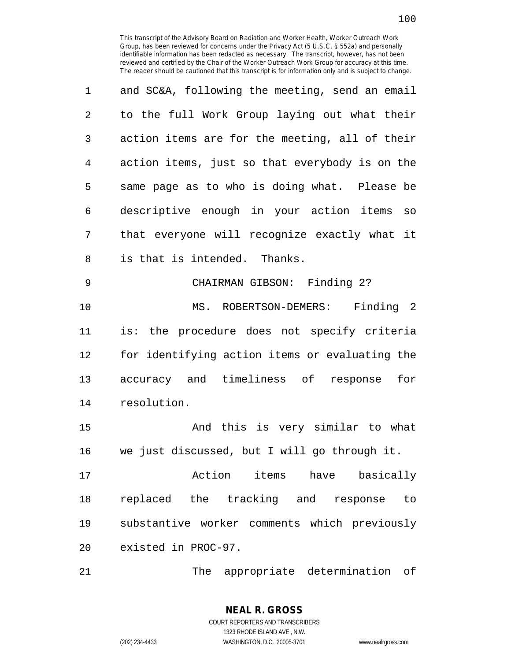| $\mathbf 1$    | and SC&A, following the meeting, send an email |
|----------------|------------------------------------------------|
| $\overline{2}$ | to the full Work Group laying out what their   |
| 3              | action items are for the meeting, all of their |
| 4              | action items, just so that everybody is on the |
| 5              | same page as to who is doing what. Please be   |
| 6              | descriptive enough in your action items so     |
| 7              | that everyone will recognize exactly what it   |
| 8              | is that is intended. Thanks.                   |
| 9              | CHAIRMAN GIBSON: Finding 2?                    |
| 10             | MS. ROBERTSON-DEMERS: Finding 2                |
| 11             | is: the procedure does not specify criteria    |
| 12             | for identifying action items or evaluating the |
| 13             | accuracy and timeliness of response<br>for     |
| 14             | resolution.                                    |
| 15             | And this is very similar to what               |

15 And this is very similar to what 16 we just discussed, but I will go through it.

17 Action items have basically 18 replaced the tracking and response to 19 substantive worker comments which previously 20 existed in PROC-97.

21 The appropriate determination of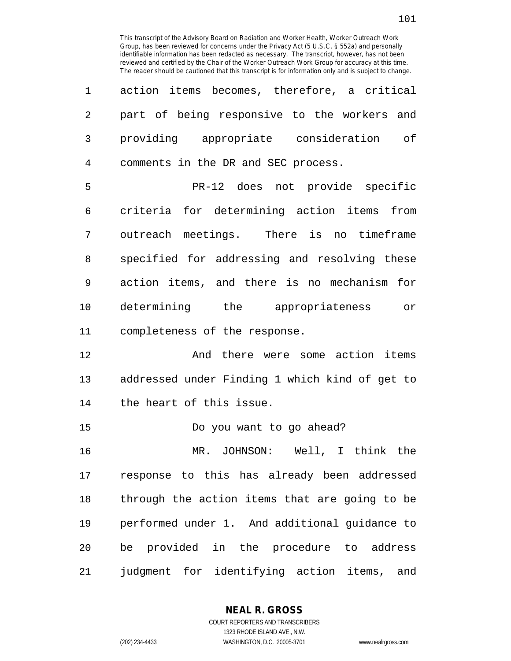| $\mathbf 1$ | action items becomes, therefore, a critical    |
|-------------|------------------------------------------------|
| 2           | part of being responsive to the workers and    |
| 3           | providing appropriate consideration of         |
| 4           | comments in the DR and SEC process.            |
| 5           | PR-12 does not provide specific                |
| 6           | criteria for determining action items from     |
| 7           | outreach meetings. There is no timeframe       |
| 8           | specified for addressing and resolving these   |
| 9           | action items, and there is no mechanism for    |
| 10          | determining the appropriateness or             |
| 11          | completeness of the response.                  |
| 12          | And there were some action items               |
| 13          | addressed under Finding 1 which kind of get to |
| 14          | the heart of this issue.                       |
| 15          | Do you want to go ahead?                       |
| 16          | MR. JOHNSON: Well, I think the                 |
| 17          | response to this has already been addressed    |
| 18          | through the action items that are going to be  |
| 19          | performed under 1. And additional guidance to  |

21 judgment for identifying action items, and

20 be provided in the procedure to address

## **NEAL R. GROSS**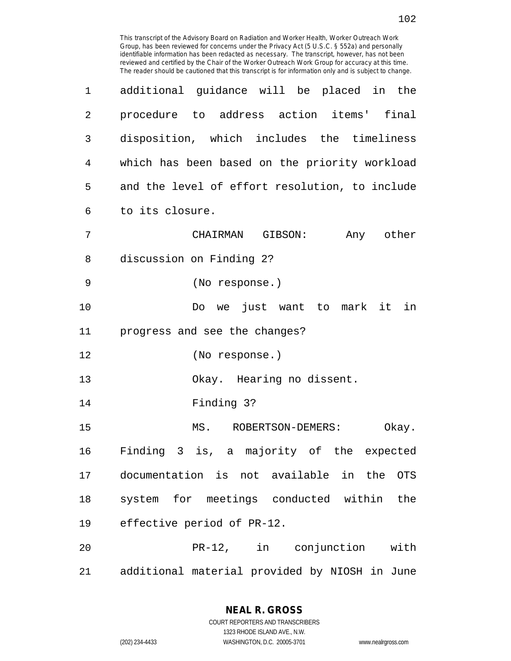| 1  | additional guidance will be placed in the           |
|----|-----------------------------------------------------|
| 2  | procedure to address action items' final            |
| 3  | disposition, which includes the timeliness          |
| 4  | which has been based on the priority workload       |
| 5  | and the level of effort resolution, to include      |
| 6  | to its closure.                                     |
| 7  | CHAIRMAN GIBSON:<br>Any other                       |
| 8  | discussion on Finding 2?                            |
| 9  | (No response.)                                      |
| 10 | Do we just want to mark it in                       |
| 11 | progress and see the changes?                       |
| 12 | (No response.)                                      |
| 13 | Okay. Hearing no dissent.                           |
| 14 | Finding 3?                                          |
| 15 | MS. ROBERTSON-DEMERS:<br>Okay.                      |
| 16 | Finding 3 is, a majority of the expected            |
| 17 | documentation is not available in the<br><b>OTS</b> |
| 18 | system for meetings conducted within<br>the         |
| 19 | effective period of PR-12.                          |
| 20 | PR-12, in conjunction with                          |
| 21 | additional material provided by NIOSH in June       |

**NEAL R. GROSS** COURT REPORTERS AND TRANSCRIBERS

1323 RHODE ISLAND AVE., N.W.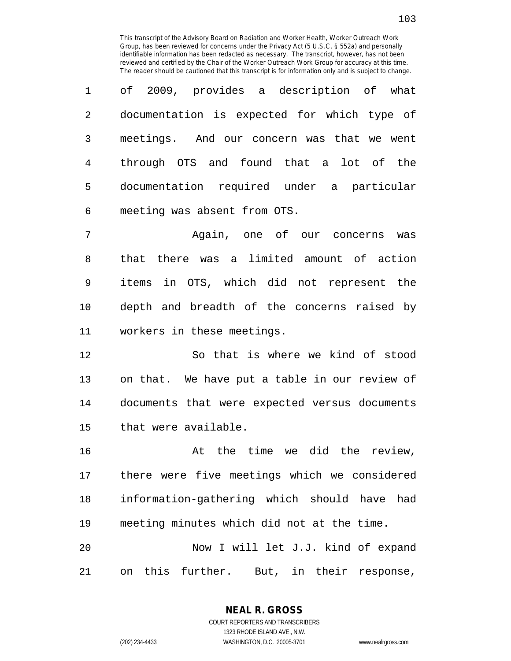1 of 2009, provides a description of what 2 documentation is expected for which type of 3 meetings. And our concern was that we went 4 through OTS and found that a lot of the 5 documentation required under a particular 6 meeting was absent from OTS.

7 Again, one of our concerns was 8 that there was a limited amount of action 9 items in OTS, which did not represent the 10 depth and breadth of the concerns raised by 11 workers in these meetings.

12 So that is where we kind of stood 13 on that. We have put a table in our review of 14 documents that were expected versus documents 15 that were available.

16 at the time we did the review, 17 there were five meetings which we considered 18 information-gathering which should have had 19 meeting minutes which did not at the time. 20 Now I will let J.J. kind of expand

21 on this further. But, in their response,

**NEAL R. GROSS**

103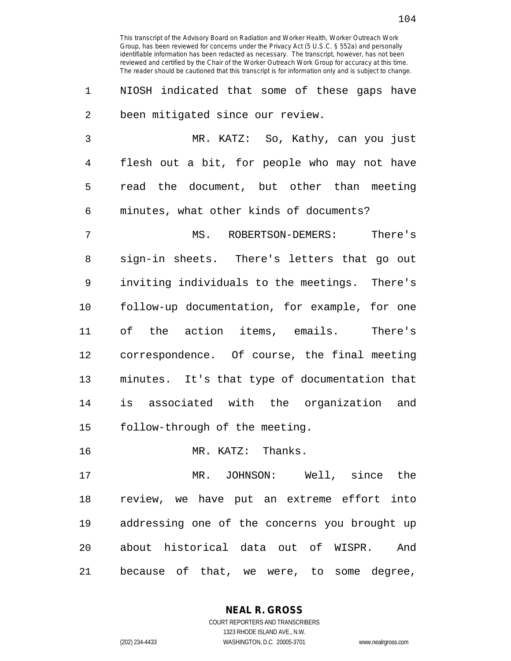1 NIOSH indicated that some of these gaps have 2 been mitigated since our review.

3 MR. KATZ: So, Kathy, can you just 4 flesh out a bit, for people who may not have 5 read the document, but other than meeting 6 minutes, what other kinds of documents?

7 MS. ROBERTSON-DEMERS: There's 8 sign-in sheets. There's letters that go out 9 inviting individuals to the meetings. There's 10 follow-up documentation, for example, for one 11 of the action items, emails. There's 12 correspondence. Of course, the final meeting 13 minutes. It's that type of documentation that 14 is associated with the organization and 15 follow-through of the meeting.

16 MR. KATZ: Thanks.

17 MR. JOHNSON: Well, since the 18 review, we have put an extreme effort into 19 addressing one of the concerns you brought up 20 about historical data out of WISPR. And 21 because of that, we were, to some degree,

> COURT REPORTERS AND TRANSCRIBERS 1323 RHODE ISLAND AVE., N.W. (202) 234-4433 WASHINGTON, D.C. 20005-3701 www.nealrgross.com

**NEAL R. GROSS**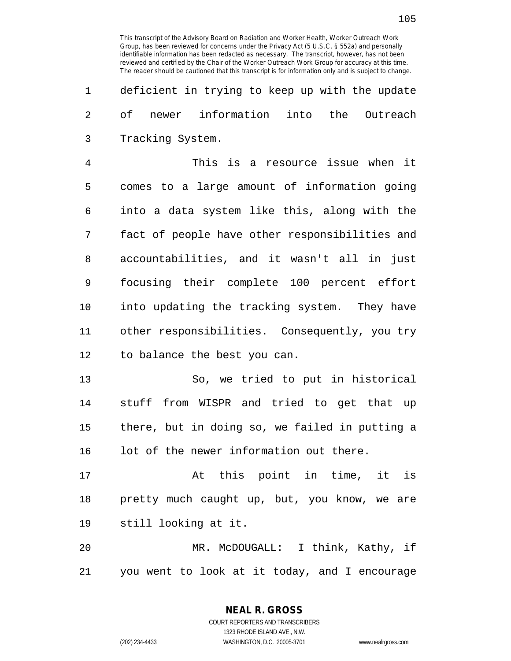1 deficient in trying to keep up with the update 2 of newer information into the Outreach 3 Tracking System.

4 This is a resource issue when it 5 comes to a large amount of information going 6 into a data system like this, along with the 7 fact of people have other responsibilities and 8 accountabilities, and it wasn't all in just 9 focusing their complete 100 percent effort 10 into updating the tracking system. They have 11 other responsibilities. Consequently, you try 12 to balance the best you can.

13 So, we tried to put in historical 14 stuff from WISPR and tried to get that up 15 there, but in doing so, we failed in putting a 16 lot of the newer information out there.

17 At this point in time, it is 18 pretty much caught up, but, you know, we are 19 still looking at it.

20 MR. McDOUGALL: I think, Kathy, if 21 you went to look at it today, and I encourage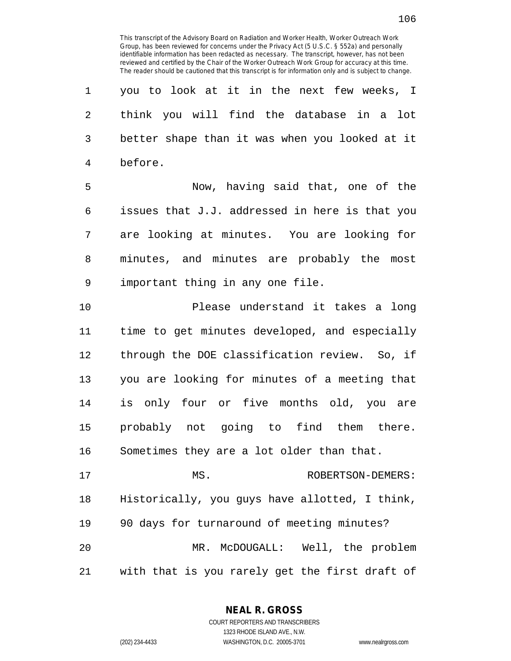| 1  | you to look at it in the next few weeks, I     |
|----|------------------------------------------------|
| 2  | think you will find the database in a lot      |
| 3  | better shape than it was when you looked at it |
| 4  | before.                                        |
| 5  | Now, having said that, one of the              |
| 6  | issues that J.J. addressed in here is that you |
| 7  | are looking at minutes. You are looking for    |
| 8  | minutes, and minutes are probably the most     |
| 9  | important thing in any one file.               |
| 10 | Please understand it takes a long              |
| 11 | time to get minutes developed, and especially  |
| 12 | through the DOE classification review. So, if  |
| 13 | you are looking for minutes of a meeting that  |
| 14 | is only four or five months old, you are       |
| 15 | probably not going to find them there.         |
| 16 | Sometimes they are a lot older than that.      |
| 17 | MS.<br>ROBERTSON-DEMERS:                       |
| 18 | Historically, you guys have allotted, I think, |
| 19 | 90 days for turnaround of meeting minutes?     |
| 20 | MR. McDOUGALL: Well, the problem               |
| 21 | with that is you rarely get the first draft of |

**NEAL R. GROSS**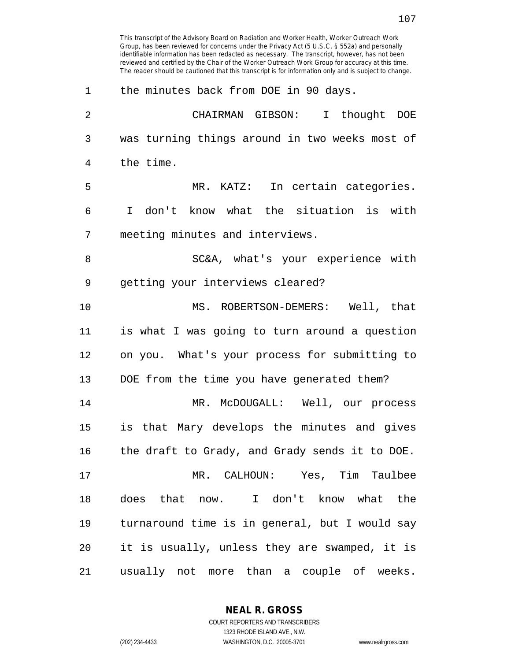This transcript of the Advisory Board on Radiation and Worker Health, Worker Outreach Work Group, has been reviewed for concerns under the Privacy Act (5 U.S.C. § 552a) and personally identifiable information has been redacted as necessary. The transcript, however, has not been reviewed and certified by the Chair of the Worker Outreach Work Group for accuracy at this time. The reader should be cautioned that this transcript is for information only and is subject to change. 1 the minutes back from DOE in 90 days. 2 CHAIRMAN GIBSON: I thought DOE 3 was turning things around in two weeks most of 4 the time. 5 MR. KATZ: In certain categories. 6 I don't know what the situation is with 7 meeting minutes and interviews. 8 SC&A, what's your experience with 9 getting your interviews cleared? 10 MS. ROBERTSON-DEMERS: Well, that 11 is what I was going to turn around a question 12 on you. What's your process for submitting to 13 DOE from the time you have generated them? 14 MR. McDOUGALL: Well, our process 15 is that Mary develops the minutes and gives 16 the draft to Grady, and Grady sends it to DOE. 17 MR. CALHOUN: Yes, Tim Taulbee 18 does that now. I don't know what the 19 turnaround time is in general, but I would say 20 it is usually, unless they are swamped, it is 21 usually not more than a couple of weeks.

> **NEAL R. GROSS** COURT REPORTERS AND TRANSCRIBERS

1323 RHODE ISLAND AVE., N.W. (202) 234-4433 WASHINGTON, D.C. 20005-3701 www.nealrgross.com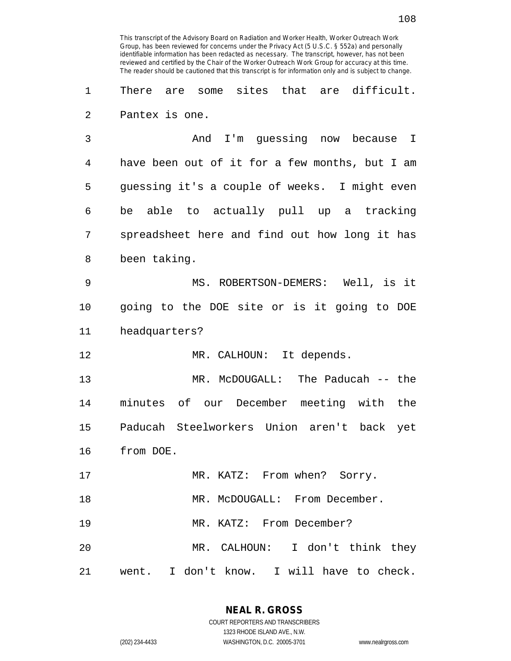1 There are some sites that are difficult. 2 Pantex is one.

3 And I'm guessing now because I 4 have been out of it for a few months, but I am 5 guessing it's a couple of weeks. I might even 6 be able to actually pull up a tracking 7 spreadsheet here and find out how long it has 8 been taking.

9 MS. ROBERTSON-DEMERS: Well, is it 10 going to the DOE site or is it going to DOE 11 headquarters?

12 MR. CALHOUN: It depends.

13 MR. McDOUGALL: The Paducah -- the 14 minutes of our December meeting with the 15 Paducah Steelworkers Union aren't back yet 16 from DOE.

17 MR. KATZ: From when? Sorry. 18 MR. McDOUGALL: From December. 19 MR. KATZ: From December?

20 MR. CALHOUN: I don't think they 21 went. I don't know. I will have to check.

> COURT REPORTERS AND TRANSCRIBERS 1323 RHODE ISLAND AVE., N.W. (202) 234-4433 WASHINGTON, D.C. 20005-3701 www.nealrgross.com

**NEAL R. GROSS**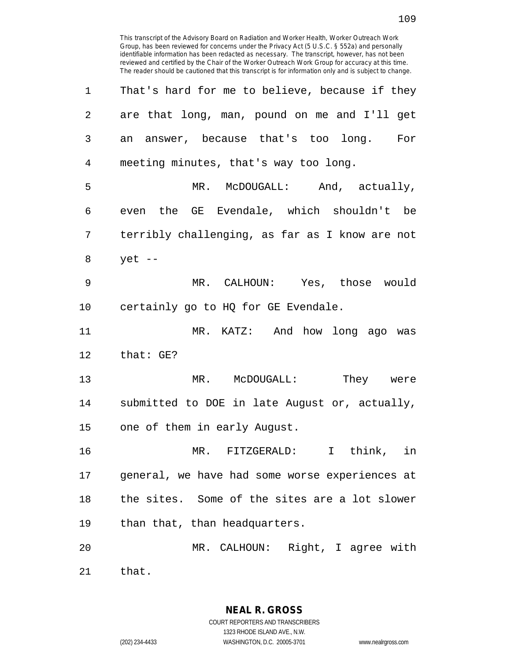| 1              | That's hard for me to believe, because if they |
|----------------|------------------------------------------------|
| $\overline{2}$ | are that long, man, pound on me and I'll get   |
| 3              | an answer, because that's too long. For        |
| 4              | meeting minutes, that's way too long.          |
| 5              | MR. McDOUGALL: And, actually,                  |
| 6              | even the GE Evendale, which shouldn't be       |
| 7              | terribly challenging, as far as I know are not |
| 8              | $yet --$                                       |
| 9              | MR. CALHOUN: Yes, those would                  |
| 10             | certainly go to HQ for GE Evendale.            |
| 11             | MR. KATZ: And how long ago was                 |
| 12             | that: GE?                                      |
| 13             | MR. McDOUGALL: They were                       |
| 14             | submitted to DOE in late August or, actually,  |
| 15             | one of them in early August.                   |
| 16             | MR. FITZGERALD: I think, in                    |
| 17             | general, we have had some worse experiences at |
| 18             | the sites. Some of the sites are a lot slower  |
| 19             | than that, than headquarters.                  |
| 20             | MR. CALHOUN: Right, I agree with               |
| 21             | that.                                          |

**NEAL R. GROSS** COURT REPORTERS AND TRANSCRIBERS 1323 RHODE ISLAND AVE., N.W.

(202) 234-4433 WASHINGTON, D.C. 20005-3701 www.nealrgross.com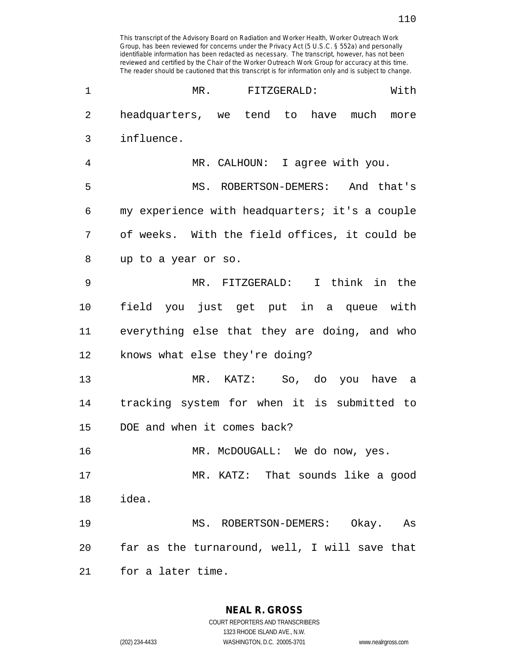| 1              | MR.<br>FITZGERALD:<br>With                     |
|----------------|------------------------------------------------|
| $\overline{2}$ | headquarters, we tend to have much<br>more     |
| 3              | influence.                                     |
| 4              | MR. CALHOUN: I agree with you.                 |
| 5              | MS. ROBERTSON-DEMERS: And that's               |
| 6              | my experience with headquarters; it's a couple |
| 7              | of weeks. With the field offices, it could be  |
| 8              | up to a year or so.                            |
| 9              | MR. FITZGERALD: I think in the                 |
| 10             | field you just get put in a queue with         |
| 11             | everything else that they are doing, and who   |
| 12             | knows what else they're doing?                 |
| 13             | MR. KATZ: So, do you have a                    |
| 14             | tracking system for when it is submitted to    |
| 15             | DOE and when it comes back?                    |
| 16             | MR. McDOUGALL: We do now, yes.                 |
| 17             | MR. KATZ: That sounds like a good              |
| 18             | idea.                                          |
| 19             | MS. ROBERTSON-DEMERS: Okay. As                 |
| 20             | far as the turnaround, well, I will save that  |
| 21             | for a later time.                              |

**NEAL R. GROSS** COURT REPORTERS AND TRANSCRIBERS

1323 RHODE ISLAND AVE., N.W.

(202) 234-4433 WASHINGTON, D.C. 20005-3701 www.nealrgross.com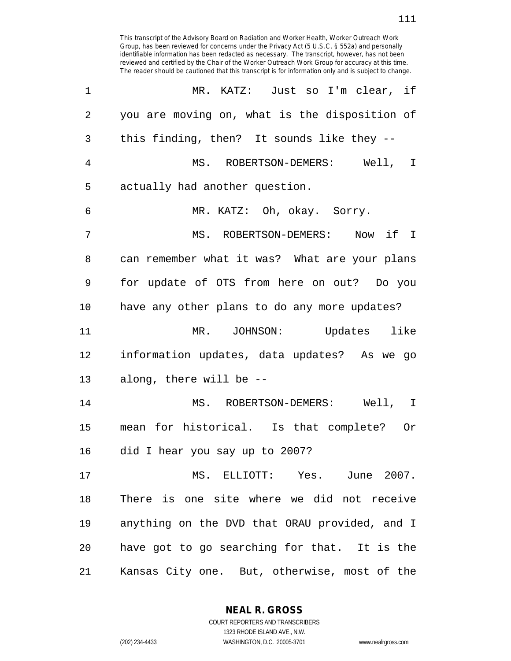This transcript of the Advisory Board on Radiation and Worker Health, Worker Outreach Work Group, has been reviewed for concerns under the Privacy Act (5 U.S.C. § 552a) and personally identifiable information has been redacted as necessary. The transcript, however, has not been reviewed and certified by the Chair of the Worker Outreach Work Group for accuracy at this time. The reader should be cautioned that this transcript is for information only and is subject to change. 1 MR. KATZ: Just so I'm clear, if 2 you are moving on, what is the disposition of 3 this finding, then? It sounds like they -- 4 MS. ROBERTSON-DEMERS: Well, I 5 actually had another question. 6 MR. KATZ: Oh, okay. Sorry. 7 MS. ROBERTSON-DEMERS: Now if I 8 can remember what it was? What are your plans 9 for update of OTS from here on out? Do you 10 have any other plans to do any more updates? 11 MR. JOHNSON: Updates like 12 information updates, data updates? As we go 13 along, there will be -- 14 MS. ROBERTSON-DEMERS: Well, I 15 mean for historical. Is that complete? Or 16 did I hear you say up to 2007? 17 MS. ELLIOTT: Yes. June 2007. 18 There is one site where we did not receive 19 anything on the DVD that ORAU provided, and I 20 have got to go searching for that. It is the

21 Kansas City one. But, otherwise, most of the

**NEAL R. GROSS** COURT REPORTERS AND TRANSCRIBERS

1323 RHODE ISLAND AVE., N.W. (202) 234-4433 WASHINGTON, D.C. 20005-3701 www.nealrgross.com

111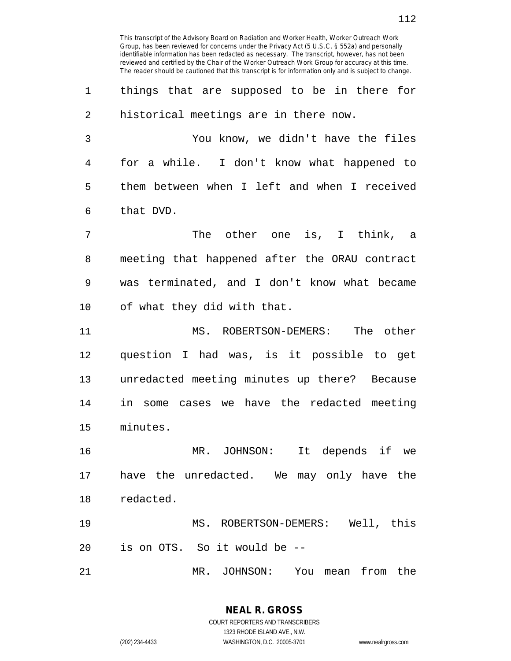1 things that are supposed to be in there for 2 historical meetings are in there now.

3 You know, we didn't have the files 4 for a while. I don't know what happened to 5 them between when I left and when I received 6 that DVD.

7 The other one is, I think, a 8 meeting that happened after the ORAU contract 9 was terminated, and I don't know what became 10 of what they did with that.

11 MS. ROBERTSON-DEMERS: The other 12 question I had was, is it possible to get 13 unredacted meeting minutes up there? Because 14 in some cases we have the redacted meeting 15 minutes.

16 MR. JOHNSON: It depends if we 17 have the unredacted. We may only have the 18 redacted.

19 MS. ROBERTSON-DEMERS: Well, this 20 is on OTS. So it would be --

21 MR. JOHNSON: You mean from the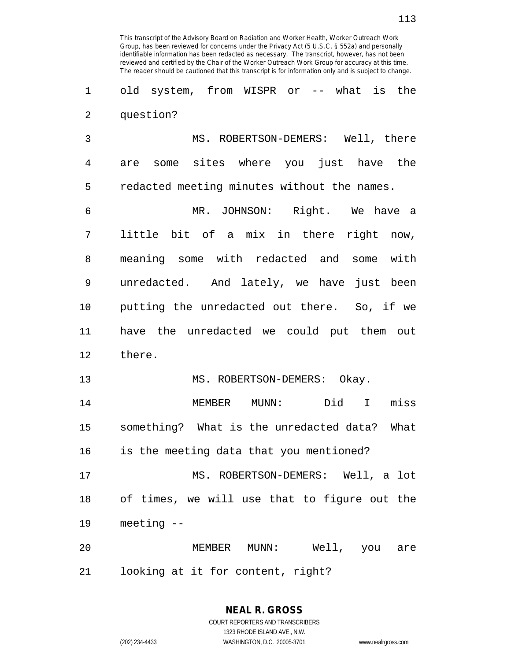This transcript of the Advisory Board on Radiation and Worker Health, Worker Outreach Work

2 question?

3 MS. ROBERTSON-DEMERS: Well, there 4 are some sites where you just have the 5 redacted meeting minutes without the names.

6 MR. JOHNSON: Right. We have a 7 little bit of a mix in there right now, 8 meaning some with redacted and some with 9 unredacted. And lately, we have just been 10 putting the unredacted out there. So, if we 11 have the unredacted we could put them out 12 there.

13 MS. ROBERTSON-DEMERS: Okay.

14 MEMBER MUNN: Did I miss 15 something? What is the unredacted data? What 16 is the meeting data that you mentioned?

17 MS. ROBERTSON-DEMERS: Well, a lot 18 of times, we will use that to figure out the 19 meeting --

20 MEMBER MUNN: Well, you are 21 looking at it for content, right?

## **NEAL R. GROSS**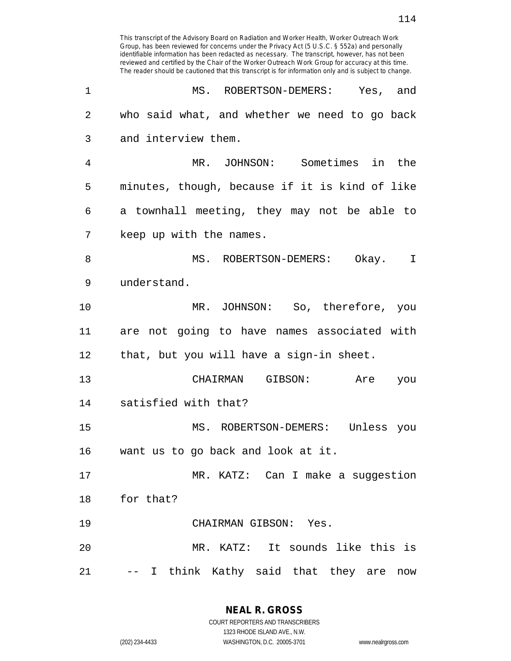| 1              | MS. ROBERTSON-DEMERS: Yes, and                 |
|----------------|------------------------------------------------|
| $\overline{2}$ | who said what, and whether we need to go back  |
| 3              | and interview them.                            |
| 4              | MR. JOHNSON: Sometimes in the                  |
| 5              | minutes, though, because if it is kind of like |
| 6              | a townhall meeting, they may not be able to    |
| 7              | keep up with the names.                        |
| 8              | MS. ROBERTSON-DEMERS: Okay. I                  |
| 9              | understand.                                    |
| 10             | MR. JOHNSON: So, therefore, you                |
| 11             | are not going to have names associated with    |
| 12             | that, but you will have a sign-in sheet.       |
| 13             | CHAIRMAN GIBSON:<br>Are<br>you                 |
| 14             | satisfied with that?                           |
| 15             | MS. ROBERTSON-DEMERS: Unless you               |
| 16             | want us to go back and look at it.             |
| 17             | MR. KATZ: Can I make a suggestion              |
| 18             | for that?                                      |
| 19             | CHAIRMAN GIBSON: Yes.                          |
| 20             | MR. KATZ: It sounds like this is               |
| 21             | -- I think Kathy said that they are now        |

**NEAL R. GROSS**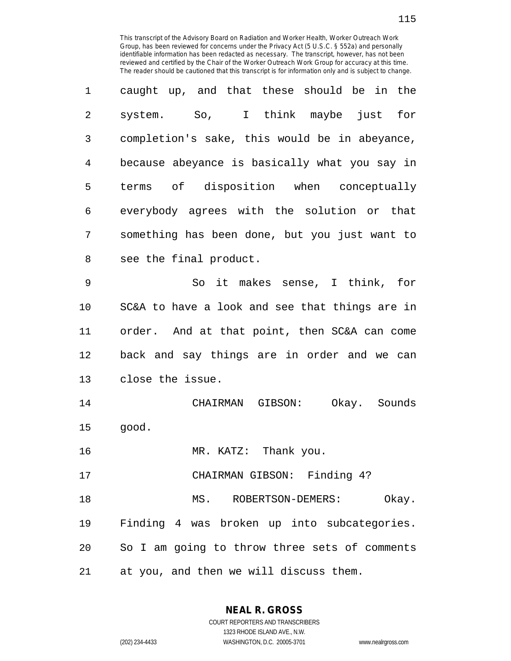| 1       | caught up, and that these should be in the     |
|---------|------------------------------------------------|
| 2       | system. So, I think maybe just for             |
| 3       | completion's sake, this would be in abeyance,  |
| 4       | because abeyance is basically what you say in  |
| 5       | terms of disposition when conceptually         |
| 6       | everybody agrees with the solution or that     |
| 7       | something has been done, but you just want to  |
| 8       | see the final product.                         |
| 9       | So it makes sense, I think, for                |
| $10 \,$ | SC&A to have a look and see that things are in |
| 11      | order. And at that point, then SC&A can come   |
| 12      | back and say things are in order and we can    |
| 13      | close the issue.                               |
| 14      | CHAIRMAN GIBSON: Okay. Sounds                  |
| 15      | good.                                          |
| 16      | MR. KATZ: Thank you.                           |
| 17      | CHAIRMAN GIBSON: Finding 4?                    |
| 18      | MS. ROBERTSON-DEMERS:<br>Okay.                 |
| 19      | Finding 4 was broken up into subcategories.    |
| 20      | So I am going to throw three sets of comments  |
| 21      | at you, and then we will discuss them.         |

**NEAL R. GROSS** COURT REPORTERS AND TRANSCRIBERS

1323 RHODE ISLAND AVE., N.W.

(202) 234-4433 WASHINGTON, D.C. 20005-3701 www.nealrgross.com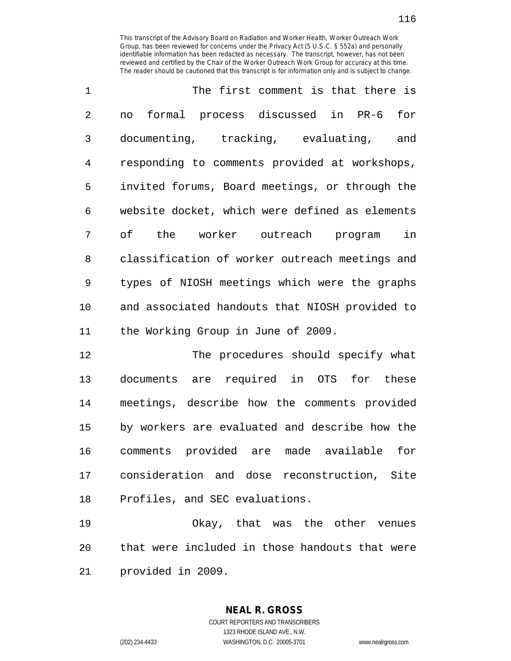| $\mathbf{1}$   | The first comment is that there is             |
|----------------|------------------------------------------------|
| $\overline{a}$ | no formal process discussed in PR-6 for        |
| 3              | documenting, tracking, evaluating,<br>and      |
| 4              | responding to comments provided at workshops,  |
| 5              | invited forums, Board meetings, or through the |
| 6              | website docket, which were defined as elements |
| 7              | of the worker outreach program in              |
| 8              | classification of worker outreach meetings and |
| 9              | types of NIOSH meetings which were the graphs  |
| 10             | and associated handouts that NIOSH provided to |
| 11             | the Working Group in June of 2009.             |

12 The procedures should specify what 13 documents are required in OTS for these 14 meetings, describe how the comments provided 15 by workers are evaluated and describe how the 16 comments provided are made available for 17 consideration and dose reconstruction, Site 18 Profiles, and SEC evaluations.

19 Okay, that was the other venues 20 that were included in those handouts that were 21 provided in 2009.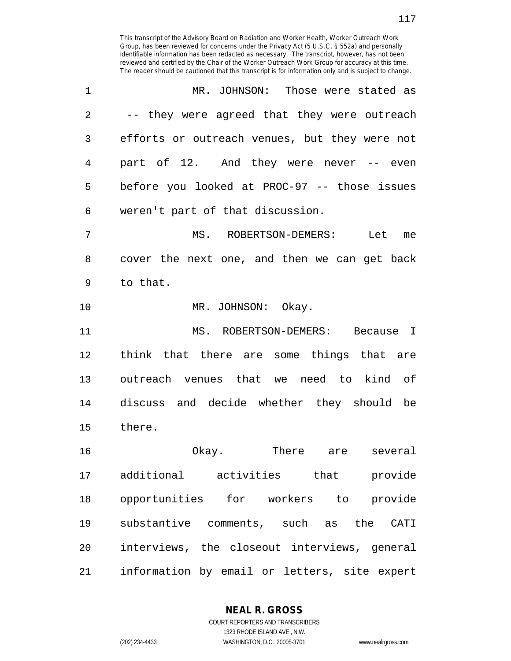| 1              | MR. JOHNSON: Those were stated as                   |
|----------------|-----------------------------------------------------|
| $\overline{2}$ | -- they were agreed that they were outreach         |
| 3              | efforts or outreach venues, but they were not       |
| $\overline{4}$ | part of 12. And they were never -- even             |
| 5              | before you looked at PROC-97 -- those issues        |
| 6              | weren't part of that discussion.                    |
| 7              | MS. ROBERTSON-DEMERS: Let me                        |
| 8              | cover the next one, and then we can get back        |
| 9              | to that.                                            |
| 10             | MR. JOHNSON: Okay.                                  |
| 11             | MS. ROBERTSON-DEMERS: Because I                     |
| 12             | think that there are some things that are           |
| 13             | outreach venues that we need to kind of             |
| 14             | discuss and decide whether they should be           |
| 15             | there.                                              |
| 16             | Okay.<br>There are several                          |
| 17             | additional activities that provide                  |
| 18             | opportunities for workers to provide                |
| 19             | substantive comments, such as<br>the<br><b>CATI</b> |
| 20             | interviews, the closeout interviews, general        |
| 21             | information by email or letters, site expert        |

**NEAL R. GROSS**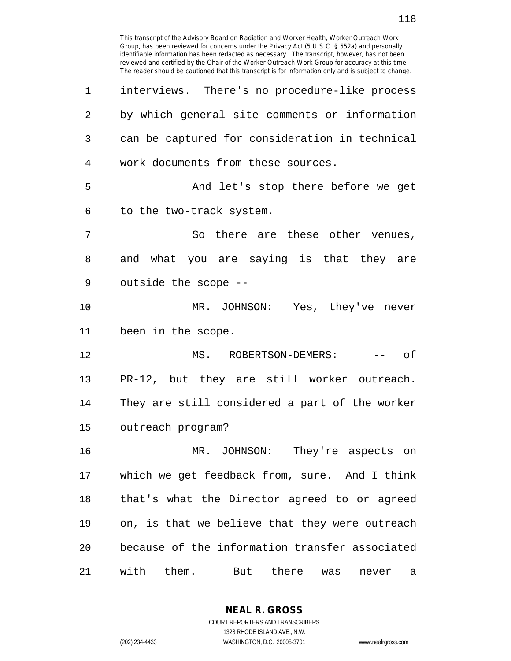Group, has been reviewed for concerns under the Privacy Act (5 U.S.C. § 552a) and personally identifiable information has been redacted as necessary. The transcript, however, has not been reviewed and certified by the Chair of the Worker Outreach Work Group for accuracy at this time. The reader should be cautioned that this transcript is for information only and is subject to change. 1 interviews. There's no procedure-like process 2 by which general site comments or information 3 can be captured for consideration in technical 4 work documents from these sources. 5 And let's stop there before we get 6 to the two-track system. 7 So there are these other venues, 8 and what you are saying is that they are 9 outside the scope -- 10 MR. JOHNSON: Yes, they've never 11 been in the scope. 12 MS. ROBERTSON-DEMERS: -- of 13 PR-12, but they are still worker outreach. 14 They are still considered a part of the worker 15 outreach program? 16 MR. JOHNSON: They're aspects on 17 which we get feedback from, sure. And I think 18 that's what the Director agreed to or agreed 19 on, is that we believe that they were outreach 20 because of the information transfer associated 21 with them. But there was never a

This transcript of the Advisory Board on Radiation and Worker Health, Worker Outreach Work

**NEAL R. GROSS** COURT REPORTERS AND TRANSCRIBERS

1323 RHODE ISLAND AVE., N.W.

(202) 234-4433 WASHINGTON, D.C. 20005-3701 www.nealrgross.com

118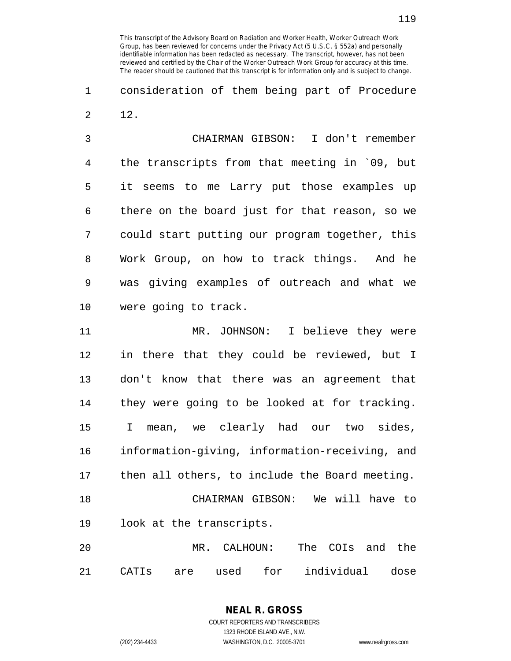1 consideration of them being part of Procedure 2 12.

3 CHAIRMAN GIBSON: I don't remember 4 the transcripts from that meeting in `09, but 5 it seems to me Larry put those examples up 6 there on the board just for that reason, so we 7 could start putting our program together, this 8 Work Group, on how to track things. And he 9 was giving examples of outreach and what we 10 were going to track.

11 MR. JOHNSON: I believe they were 12 in there that they could be reviewed, but I 13 don't know that there was an agreement that 14 they were going to be looked at for tracking. 15 I mean, we clearly had our two sides, 16 information-giving, information-receiving, and 17 then all others, to include the Board meeting. 18 CHAIRMAN GIBSON: We will have to 19 look at the transcripts. 20 MR. CALHOUN: The COIs and the

21 CATIs are used for individual dose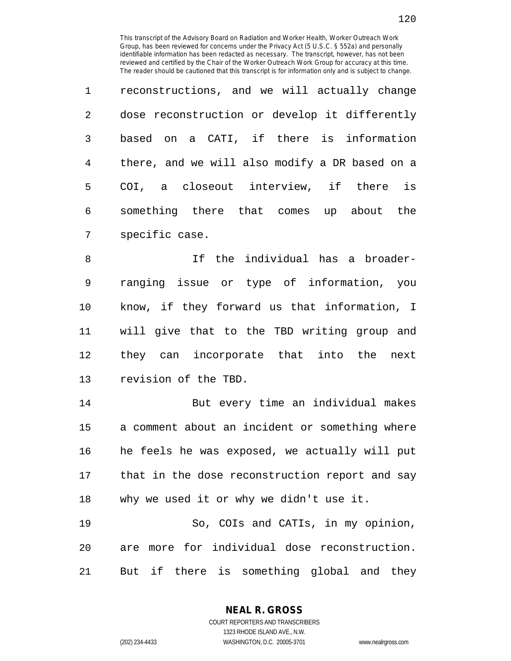| $\mathbf{1}$ | reconstructions, and we will actually change   |
|--------------|------------------------------------------------|
| 2            | dose reconstruction or develop it differently  |
| 3            | based on a CATI, if there is information       |
| 4            | there, and we will also modify a DR based on a |
| 5            | COI, a closeout interview, if there is         |
| 6            | something there that comes up about the        |
| 7            | specific case.                                 |

8 If the individual has a broader-9 ranging issue or type of information, you 10 know, if they forward us that information, I 11 will give that to the TBD writing group and 12 they can incorporate that into the next 13 revision of the TBD.

14 But every time an individual makes 15 a comment about an incident or something where 16 he feels he was exposed, we actually will put 17 that in the dose reconstruction report and say 18 why we used it or why we didn't use it.

19 So, COIs and CATIs, in my opinion, 20 are more for individual dose reconstruction. 21 But if there is something global and they

**NEAL R. GROSS**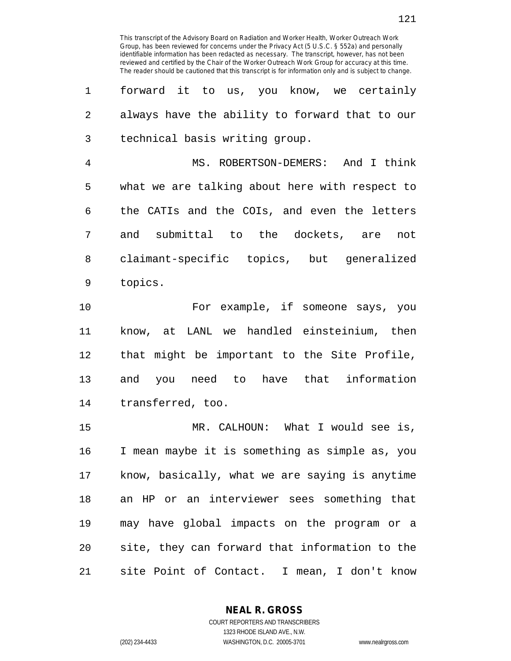1 forward it to us, you know, we certainly 2 always have the ability to forward that to our 3 technical basis writing group.

4 MS. ROBERTSON-DEMERS: And I think 5 what we are talking about here with respect to 6 the CATIs and the COIs, and even the letters 7 and submittal to the dockets, are not 8 claimant-specific topics, but generalized 9 topics.

10 For example, if someone says, you 11 know, at LANL we handled einsteinium, then 12 that might be important to the Site Profile, 13 and you need to have that information 14 transferred, too.

15 MR. CALHOUN: What I would see is, 16 I mean maybe it is something as simple as, you 17 know, basically, what we are saying is anytime 18 an HP or an interviewer sees something that 19 may have global impacts on the program or a 20 site, they can forward that information to the 21 site Point of Contact. I mean, I don't know

**NEAL R. GROSS**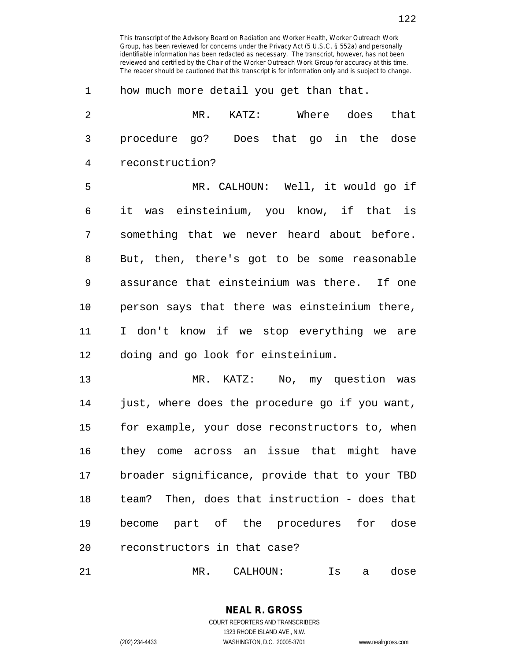| 1              | how much more detail you get than that.        |
|----------------|------------------------------------------------|
| $\overline{2}$ | MR. KATZ: Where does that                      |
| 3              | procedure go? Does that go in the dose         |
| 4              | reconstruction?                                |
| 5              | MR. CALHOUN: Well, it would go if              |
| 6              | it was einsteinium, you know, if that is       |
| 7              | something that we never heard about before.    |
| 8              | But, then, there's got to be some reasonable   |
| 9              | assurance that einsteinium was there. If one   |
| 10             | person says that there was einsteinium there,  |
| 11             | I don't know if we stop everything we are      |
| 12             | doing and go look for einsteinium.             |
| 13             | MR. KATZ: No, my question was                  |
| 14             | just, where does the procedure go if you want, |
| 15             | for example, your dose reconstructors to, when |
| 16             | they come across an issue that might have      |
| 17             | broader significance, provide that to your TBD |
| 18             | team? Then, does that instruction - does that  |
| 19             | become part of the procedures for<br>dose      |

21 MR. CALHOUN: Is a dose

20 reconstructors in that case?

**NEAL R. GROSS** COURT REPORTERS AND TRANSCRIBERS 1323 RHODE ISLAND AVE., N.W.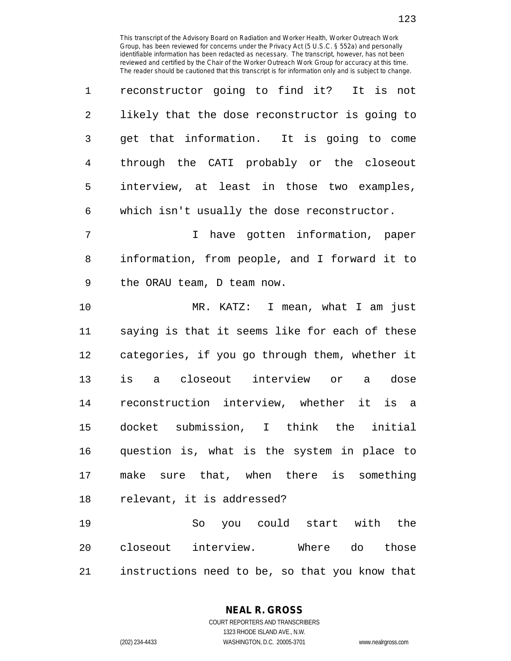| $\mathbf{1}$   | reconstructor going to find it? It is not      |
|----------------|------------------------------------------------|
| 2              | likely that the dose reconstructor is going to |
| $\overline{3}$ | get that information. It is going to come      |
| 4              | through the CATI probably or the closeout      |
| 5              | interview, at least in those two examples,     |
| 6              | which isn't usually the dose reconstructor.    |

7 I have gotten information, paper 8 information, from people, and I forward it to 9 the ORAU team, D team now.

10 MR. KATZ: I mean, what I am just 11 saying is that it seems like for each of these 12 categories, if you go through them, whether it 13 is a closeout interview or a dose 14 reconstruction interview, whether it is a 15 docket submission, I think the initial 16 question is, what is the system in place to 17 make sure that, when there is something 18 relevant, it is addressed?

19 So you could start with the 20 closeout interview. Where do those 21 instructions need to be, so that you know that

**NEAL R. GROSS**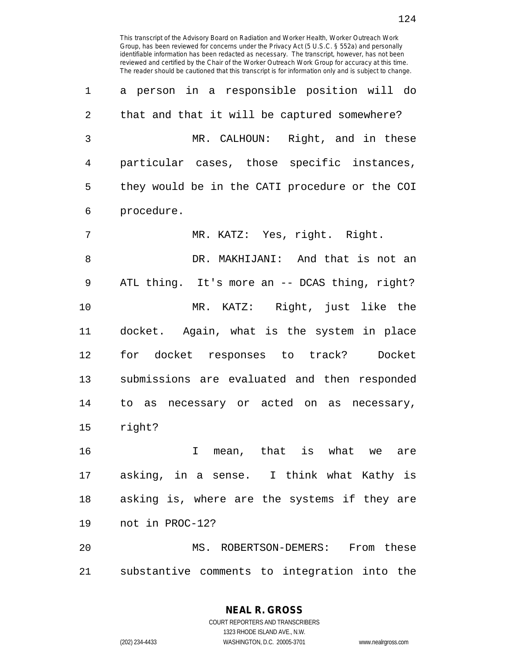1 a person in a responsible position will do 2 that and that it will be captured somewhere? 3 MR. CALHOUN: Right, and in these 4 particular cases, those specific instances, 5 they would be in the CATI procedure or the COI 6 procedure. 7 MR. KATZ: Yes, right. Right. 8 DR. MAKHIJANI: And that is not an 9 ATL thing. It's more an -- DCAS thing, right? 10 MR. KATZ: Right, just like the 11 docket. Again, what is the system in place 12 for docket responses to track? Docket 13 submissions are evaluated and then responded 14 to as necessary or acted on as necessary, 15 right? 16 I mean, that is what we are

17 asking, in a sense. I think what Kathy is 18 asking is, where are the systems if they are 19 not in PROC-12?

20 MS. ROBERTSON-DEMERS: From these 21 substantive comments to integration into the

> **NEAL R. GROSS** COURT REPORTERS AND TRANSCRIBERS

> > 1323 RHODE ISLAND AVE., N.W.

(202) 234-4433 WASHINGTON, D.C. 20005-3701 www.nealrgross.com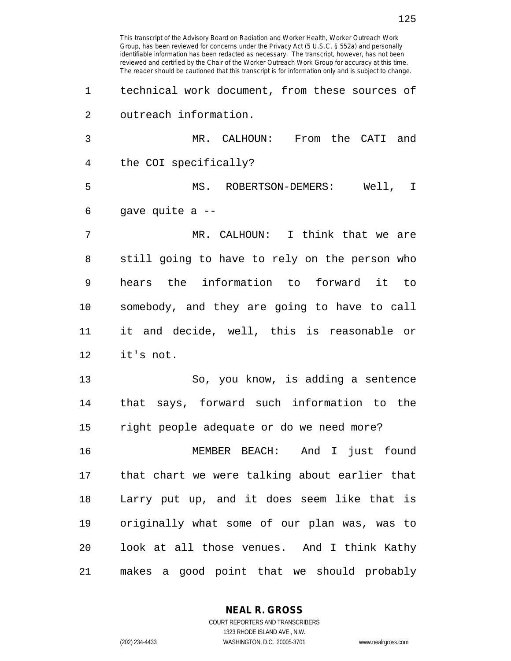Group, has been reviewed for concerns under the Privacy Act (5 U.S.C. § 552a) and personally identifiable information has been redacted as necessary. The transcript, however, has not been reviewed and certified by the Chair of the Worker Outreach Work Group for accuracy at this time. The reader should be cautioned that this transcript is for information only and is subject to change. 1 technical work document, from these sources of 2 outreach information. 3 MR. CALHOUN: From the CATI and 4 the COI specifically? 5 MS. ROBERTSON-DEMERS: Well, I 6 gave quite a -- 7 MR. CALHOUN: I think that we are 8 still going to have to rely on the person who 9 hears the information to forward it to 10 somebody, and they are going to have to call 11 it and decide, well, this is reasonable or 12 it's not. 13 So, you know, is adding a sentence 14 that says, forward such information to the 15 right people adequate or do we need more? 16 MEMBER BEACH: And I just found 17 that chart we were talking about earlier that 18 Larry put up, and it does seem like that is 19 originally what some of our plan was, was to 20 look at all those venues. And I think Kathy 21 makes a good point that we should probably

This transcript of the Advisory Board on Radiation and Worker Health, Worker Outreach Work

**NEAL R. GROSS** COURT REPORTERS AND TRANSCRIBERS

1323 RHODE ISLAND AVE., N.W.

(202) 234-4433 WASHINGTON, D.C. 20005-3701 www.nealrgross.com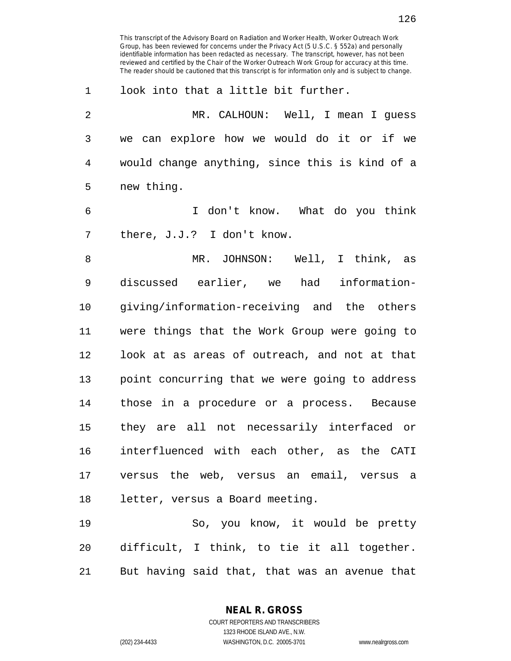1 look into that a little bit further.

2 MR. CALHOUN: Well, I mean I guess 3 we can explore how we would do it or if we 4 would change anything, since this is kind of a 5 new thing.

6 I don't know. What do you think 7 there, J.J.? I don't know.

8 MR. JOHNSON: Well, I think, as 9 discussed earlier, we had information-10 giving/information-receiving and the others 11 were things that the Work Group were going to 12 look at as areas of outreach, and not at that 13 point concurring that we were going to address 14 those in a procedure or a process. Because 15 they are all not necessarily interfaced or 16 interfluenced with each other, as the CATI 17 versus the web, versus an email, versus a 18 letter, versus a Board meeting.

19 So, you know, it would be pretty 20 difficult, I think, to tie it all together. 21 But having said that, that was an avenue that

**NEAL R. GROSS**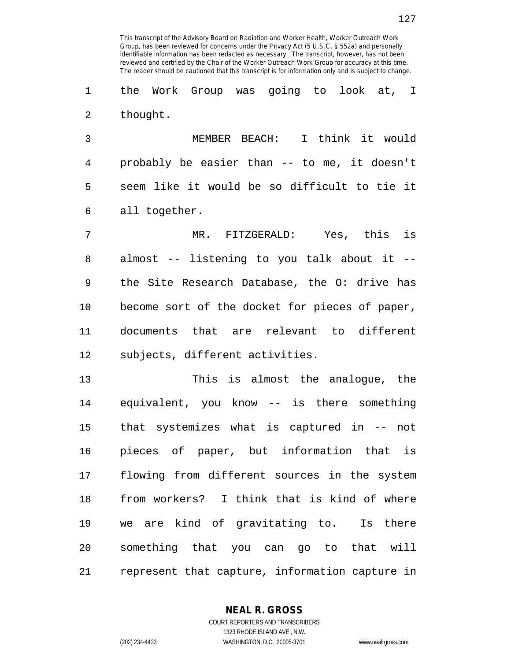1 the Work Group was going to look at, I 2 thought.

3 MEMBER BEACH: I think it would 4 probably be easier than -- to me, it doesn't 5 seem like it would be so difficult to tie it 6 all together.

7 MR. FITZGERALD: Yes, this is 8 almost -- listening to you talk about it -- 9 the Site Research Database, the O: drive has 10 become sort of the docket for pieces of paper, 11 documents that are relevant to different 12 subjects, different activities.

13 This is almost the analogue, the 14 equivalent, you know -- is there something 15 that systemizes what is captured in -- not 16 pieces of paper, but information that is 17 flowing from different sources in the system 18 from workers? I think that is kind of where 19 we are kind of gravitating to. Is there 20 something that you can go to that will 21 represent that capture, information capture in

**NEAL R. GROSS**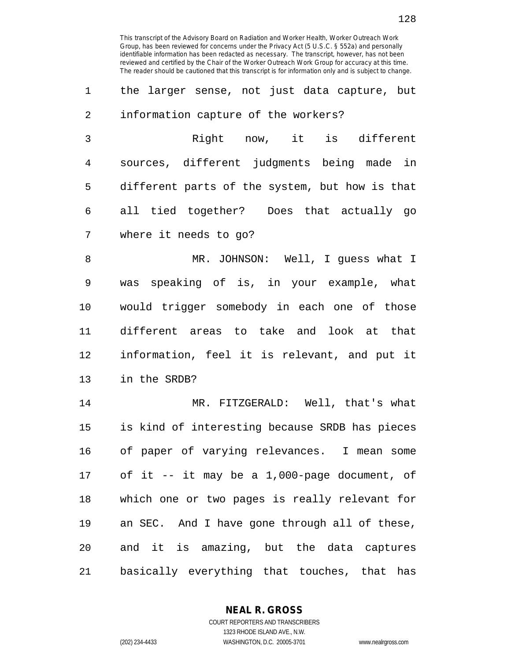1 the larger sense, not just data capture, but 2 information capture of the workers?

3 Right now, it is different 4 sources, different judgments being made in 5 different parts of the system, but how is that 6 all tied together? Does that actually go 7 where it needs to go?

8 MR. JOHNSON: Well, I guess what I 9 was speaking of is, in your example, what 10 would trigger somebody in each one of those 11 different areas to take and look at that 12 information, feel it is relevant, and put it 13 in the SRDB?

14 MR. FITZGERALD: Well, that's what 15 is kind of interesting because SRDB has pieces 16 of paper of varying relevances. I mean some 17 of it -- it may be a 1,000-page document, of 18 which one or two pages is really relevant for 19 an SEC. And I have gone through all of these, 20 and it is amazing, but the data captures 21 basically everything that touches, that has

> **NEAL R. GROSS** COURT REPORTERS AND TRANSCRIBERS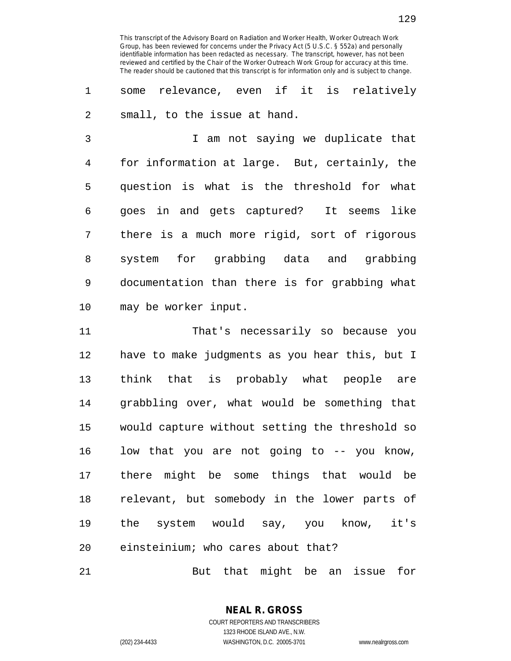1 some relevance, even if it is relatively 2 small, to the issue at hand.

3 I am not saying we duplicate that 4 for information at large. But, certainly, the 5 question is what is the threshold for what 6 goes in and gets captured? It seems like 7 there is a much more rigid, sort of rigorous 8 system for grabbing data and grabbing 9 documentation than there is for grabbing what 10 may be worker input.

11 That's necessarily so because you 12 have to make judgments as you hear this, but I 13 think that is probably what people are 14 grabbling over, what would be something that 15 would capture without setting the threshold so 16 low that you are not going to -- you know, 17 there might be some things that would be 18 relevant, but somebody in the lower parts of 19 the system would say, you know, it's 20 einsteinium; who cares about that?

21 But that might be an issue for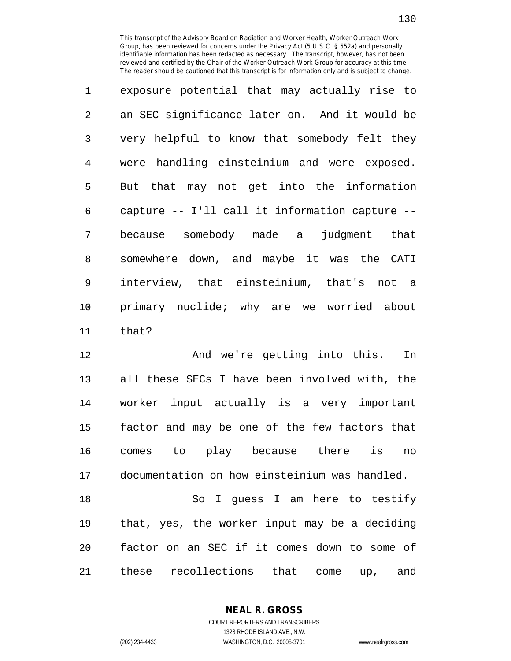1 exposure potential that may actually rise to 2 an SEC significance later on. And it would be 3 very helpful to know that somebody felt they 4 were handling einsteinium and were exposed. 5 But that may not get into the information 6 capture -- I'll call it information capture -- 7 because somebody made a judgment that 8 somewhere down, and maybe it was the CATI 9 interview, that einsteinium, that's not a 10 primary nuclide; why are we worried about 11 that?

12 And we're getting into this. In 13 all these SECs I have been involved with, the 14 worker input actually is a very important 15 factor and may be one of the few factors that 16 comes to play because there is no 17 documentation on how einsteinium was handled. 18 So I guess I am here to testify 19 that, yes, the worker input may be a deciding 20 factor on an SEC if it comes down to some of

21 these recollections that come up, and

**NEAL R. GROSS**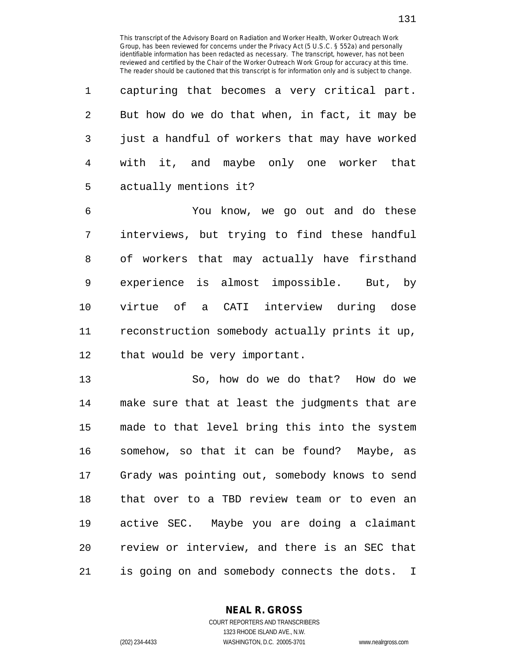1 capturing that becomes a very critical part. 2 But how do we do that when, in fact, it may be 3 just a handful of workers that may have worked 4 with it, and maybe only one worker that 5 actually mentions it?

6 You know, we go out and do these 7 interviews, but trying to find these handful 8 of workers that may actually have firsthand 9 experience is almost impossible. But, by 10 virtue of a CATI interview during dose 11 reconstruction somebody actually prints it up, 12 that would be very important.

13 So, how do we do that? How do we 14 make sure that at least the judgments that are 15 made to that level bring this into the system 16 somehow, so that it can be found? Maybe, as 17 Grady was pointing out, somebody knows to send 18 that over to a TBD review team or to even an 19 active SEC. Maybe you are doing a claimant 20 review or interview, and there is an SEC that 21 is going on and somebody connects the dots. I

> **NEAL R. GROSS** COURT REPORTERS AND TRANSCRIBERS

1323 RHODE ISLAND AVE., N.W. (202) 234-4433 WASHINGTON, D.C. 20005-3701 www.nealrgross.com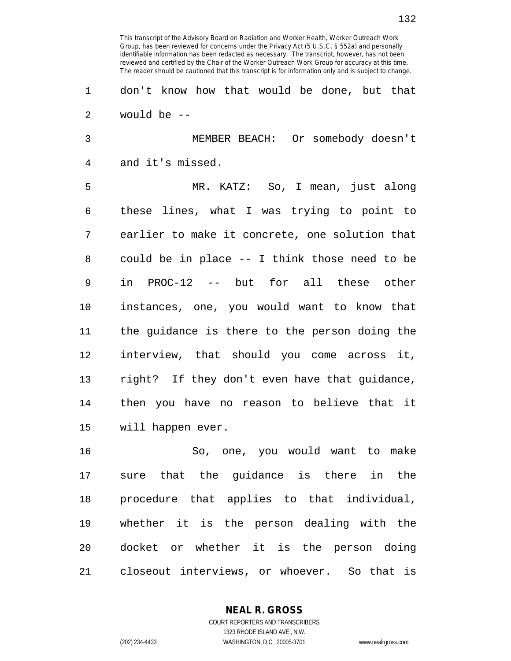1 don't know how that would be done, but that 2 would be --

3 MEMBER BEACH: Or somebody doesn't 4 and it's missed.

5 MR. KATZ: So, I mean, just along 6 these lines, what I was trying to point to 7 earlier to make it concrete, one solution that 8 could be in place -- I think those need to be 9 in PROC-12 -- but for all these other 10 instances, one, you would want to know that 11 the guidance is there to the person doing the 12 interview, that should you come across it, 13 right? If they don't even have that guidance, 14 then you have no reason to believe that it 15 will happen ever.

16 So, one, you would want to make 17 sure that the guidance is there in the 18 procedure that applies to that individual, 19 whether it is the person dealing with the 20 docket or whether it is the person doing 21 closeout interviews, or whoever. So that is

## **NEAL R. GROSS**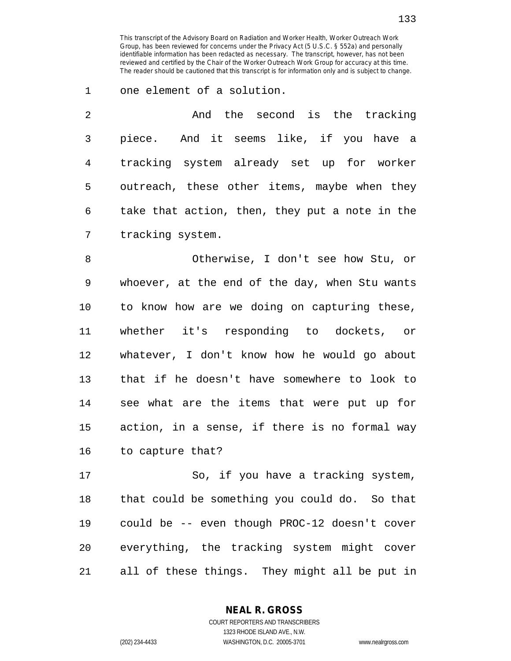1 one element of a solution.

| $\mathfrak{D}$ | And the second is the tracking                 |
|----------------|------------------------------------------------|
| 3              | piece. And it seems like, if you have a        |
| 4              | tracking system already set up for worker      |
| 5              | outreach, these other items, maybe when they   |
| 6              | take that action, then, they put a note in the |
| 7              | tracking system.                               |

8 Otherwise, I don't see how Stu, or 9 whoever, at the end of the day, when Stu wants 10 to know how are we doing on capturing these, 11 whether it's responding to dockets, or 12 whatever, I don't know how he would go about 13 that if he doesn't have somewhere to look to 14 see what are the items that were put up for 15 action, in a sense, if there is no formal way 16 to capture that?

17 So, if you have a tracking system, 18 that could be something you could do. So that 19 could be -- even though PROC-12 doesn't cover 20 everything, the tracking system might cover 21 all of these things. They might all be put in

> **NEAL R. GROSS** COURT REPORTERS AND TRANSCRIBERS

> > 1323 RHODE ISLAND AVE., N.W.

(202) 234-4433 WASHINGTON, D.C. 20005-3701 www.nealrgross.com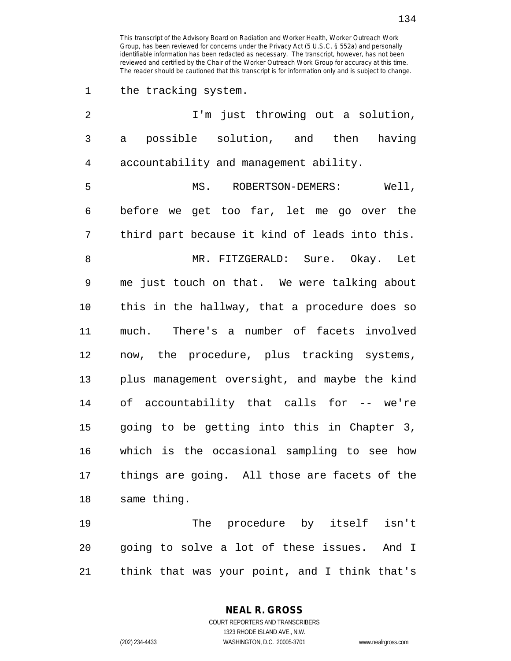1 the tracking system.

| $\overline{2}$ | I'm just throwing out a solution,                     |
|----------------|-------------------------------------------------------|
| 3              | possible solution, and then<br>having<br>$\mathsf{a}$ |
| $\overline{4}$ | accountability and management ability.                |
| 5              | MS. ROBERTSON-DEMERS:<br>Well,                        |
| 6              | before we get too far, let me go over the             |
| 7              | third part because it kind of leads into this.        |
| 8              | MR. FITZGERALD: Sure. Okay. Let                       |
| 9              | me just touch on that. We were talking about          |
| 10             | this in the hallway, that a procedure does so         |
| 11             | much. There's a number of facets involved             |
| 12             | now, the procedure, plus tracking systems,            |
| 13             | plus management oversight, and maybe the kind         |
| 14             | of accountability that calls for -- we're             |
| 15             | going to be getting into this in Chapter 3,           |
| 16             | which is the occasional sampling to see how           |
| 17             | things are going. All those are facets of the         |
| 18             | same thing.                                           |
| 19             | The procedure by itself<br>isn't                      |
| 20             | going to solve a lot of these issues. And I           |
|                |                                                       |

21 think that was your point, and I think that's

**NEAL R. GROSS**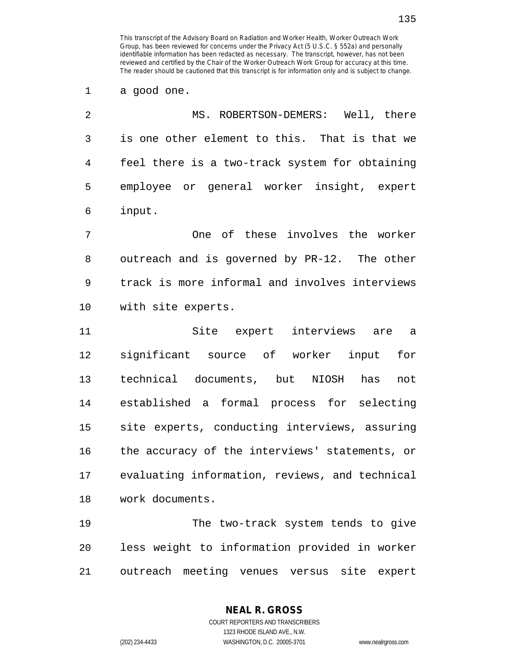1 a good one.

| -2              | MS. ROBERTSON-DEMERS: Well, there              |
|-----------------|------------------------------------------------|
| $\overline{3}$  | is one other element to this. That is that we  |
| $4\overline{ }$ | feel there is a two-track system for obtaining |
| 5               | employee or general worker insight, expert     |
| 6               | input.                                         |

7 One of these involves the worker 8 outreach and is governed by PR-12. The other 9 track is more informal and involves interviews 10 with site experts.

11 Site expert interviews are a 12 significant source of worker input for 13 technical documents, but NIOSH has not 14 established a formal process for selecting 15 site experts, conducting interviews, assuring 16 the accuracy of the interviews' statements, or 17 evaluating information, reviews, and technical 18 work documents.

19 The two-track system tends to give 20 less weight to information provided in worker 21 outreach meeting venues versus site expert

> **NEAL R. GROSS** COURT REPORTERS AND TRANSCRIBERS

1323 RHODE ISLAND AVE., N.W. (202) 234-4433 WASHINGTON, D.C. 20005-3701 www.nealrgross.com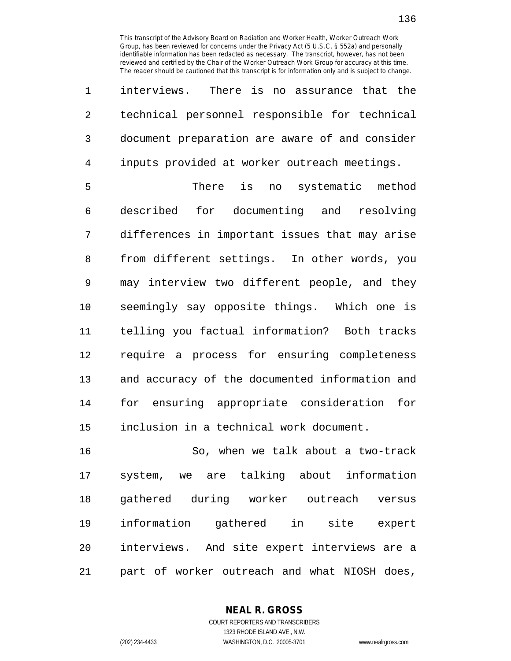1 interviews. There is no assurance that the 2 technical personnel responsible for technical 3 document preparation are aware of and consider 4 inputs provided at worker outreach meetings.

5 There is no systematic method 6 described for documenting and resolving 7 differences in important issues that may arise 8 from different settings. In other words, you 9 may interview two different people, and they 10 seemingly say opposite things. Which one is 11 telling you factual information? Both tracks 12 require a process for ensuring completeness 13 and accuracy of the documented information and 14 for ensuring appropriate consideration for 15 inclusion in a technical work document.

16 So, when we talk about a two-track 17 system, we are talking about information 18 gathered during worker outreach versus 19 information gathered in site expert 20 interviews. And site expert interviews are a 21 part of worker outreach and what NIOSH does,

**NEAL R. GROSS**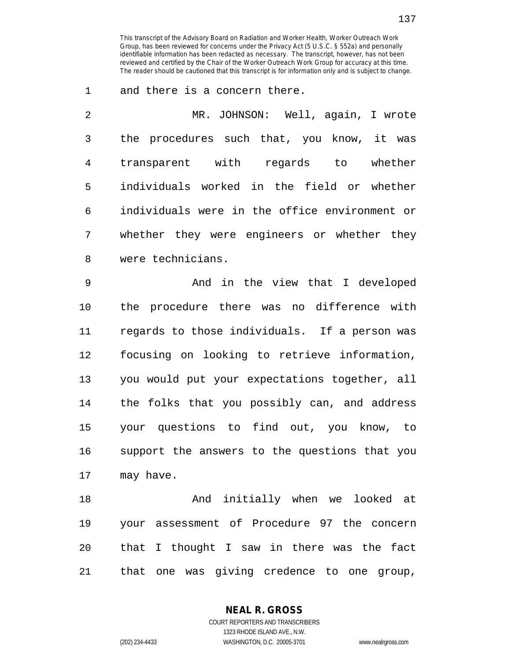1 and there is a concern there.

| 2 | MR. JOHNSON: Well, again, I wrote             |
|---|-----------------------------------------------|
| 3 | the procedures such that, you know, it was    |
| 4 | transparent with<br>whether<br>regards to     |
| 5 | individuals worked in the field or whether    |
| 6 | individuals were in the office environment or |
| 7 | whether they were engineers or whether they   |
| 8 | were technicians.                             |

9 And in the view that I developed 10 the procedure there was no difference with 11 regards to those individuals. If a person was 12 focusing on looking to retrieve information, 13 you would put your expectations together, all 14 the folks that you possibly can, and address 15 your questions to find out, you know, to 16 support the answers to the questions that you 17 may have.

18 And initially when we looked at 19 your assessment of Procedure 97 the concern 20 that I thought I saw in there was the fact 21 that one was giving credence to one group,

> **NEAL R. GROSS** COURT REPORTERS AND TRANSCRIBERS

1323 RHODE ISLAND AVE., N.W. (202) 234-4433 WASHINGTON, D.C. 20005-3701 www.nealrgross.com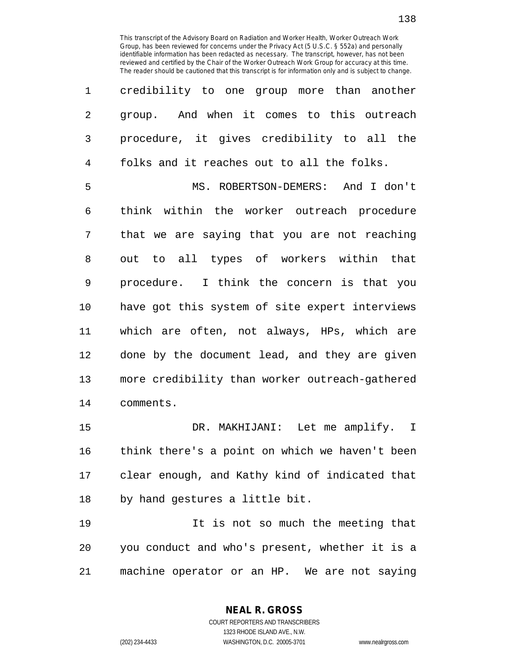| $\mathbf 1$    | credibility to one group more than another     |
|----------------|------------------------------------------------|
| $\overline{2}$ | group. And when it comes to this outreach      |
| 3              | procedure, it gives credibility to all the     |
| $\overline{4}$ | folks and it reaches out to all the folks.     |
| 5              | MS. ROBERTSON-DEMERS: And I don't              |
| 6              | think within the worker outreach procedure     |
| 7              | that we are saying that you are not reaching   |
| 8              | out to all types of workers within that        |
| 9              | procedure. I think the concern is that you     |
| 10             | have got this system of site expert interviews |
| 11             | which are often, not always, HPs, which are    |
| 12             | done by the document lead, and they are given  |
| 13             | more credibility than worker outreach-gathered |
| 14             | comments.                                      |
| $-$            | $\Gamma$                                       |

15 DR. MAKHIJANI: Let me amplify. I 16 think there's a point on which we haven't been 17 clear enough, and Kathy kind of indicated that 18 by hand gestures a little bit.

19 It is not so much the meeting that 20 you conduct and who's present, whether it is a 21 machine operator or an HP. We are not saying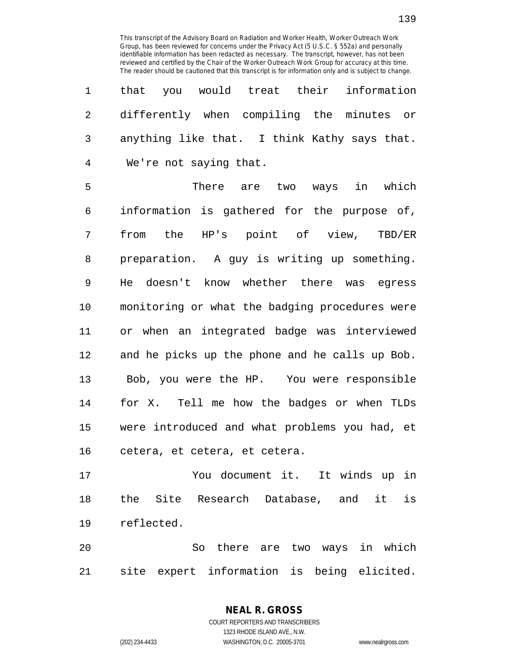|  |                          |  | 1 that you would treat their information       |  |
|--|--------------------------|--|------------------------------------------------|--|
|  |                          |  | 2 differently when compiling the minutes or    |  |
|  |                          |  | 3 anything like that. I think Kathy says that. |  |
|  | 4 We're not saying that. |  |                                                |  |

5 There are two ways in which 6 information is gathered for the purpose of, 7 from the HP's point of view, TBD/ER 8 preparation. A guy is writing up something. 9 He doesn't know whether there was egress 10 monitoring or what the badging procedures were 11 or when an integrated badge was interviewed 12 and he picks up the phone and he calls up Bob. 13 Bob, you were the HP. You were responsible 14 for X. Tell me how the badges or when TLDs 15 were introduced and what problems you had, et 16 cetera, et cetera, et cetera.

17 You document it. It winds up in 18 the Site Research Database, and it is 19 reflected.

20 So there are two ways in which 21 site expert information is being elicited.

## **NEAL R. GROSS**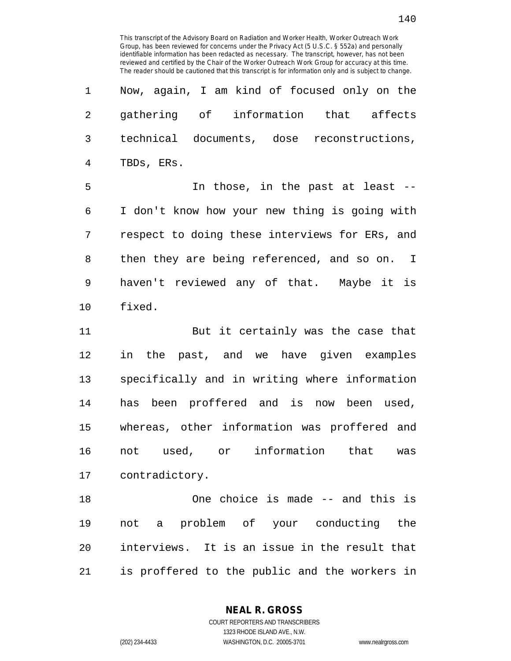| 1  | Now, again, I am kind of focused only on the   |
|----|------------------------------------------------|
| 2  | gathering of information that affects          |
| 3  | technical documents, dose reconstructions,     |
| 4  | TBDs, ERs.                                     |
| 5  | In those, in the past at least --              |
| 6  | I don't know how your new thing is going with  |
| 7  | respect to doing these interviews for ERs, and |
| 8  | then they are being referenced, and so on. I   |
| 9  | haven't reviewed any of that. Maybe it is      |
| 10 | fixed.                                         |
| 11 | But it certainly was the case that             |
| 12 | in the past, and we have given examples        |
| 13 | specifically and in writing where information  |
| 14 | has been proffered and is now been used,       |
| 15 | whereas, other information was proffered and   |

16 not used, or information that was 17 contradictory.

18 One choice is made -- and this is 19 not a problem of your conducting the 20 interviews. It is an issue in the result that 21 is proffered to the public and the workers in

**NEAL R. GROSS**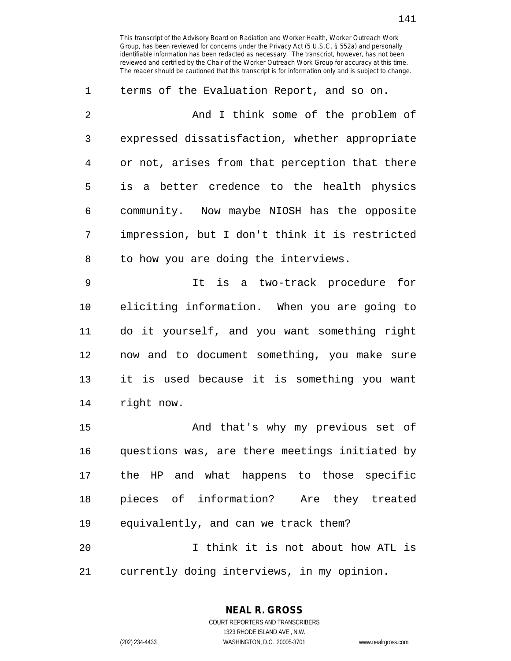1 terms of the Evaluation Report, and so on. 2 And I think some of the problem of 3 expressed dissatisfaction, whether appropriate 4 or not, arises from that perception that there 5 is a better credence to the health physics 6 community. Now maybe NIOSH has the opposite 7 impression, but I don't think it is restricted 8 to how you are doing the interviews. 9 It is a two-track procedure for

10 eliciting information. When you are going to 11 do it yourself, and you want something right 12 now and to document something, you make sure 13 it is used because it is something you want 14 right now.

15 And that's why my previous set of 16 questions was, are there meetings initiated by 17 the HP and what happens to those specific 18 pieces of information? Are they treated 19 equivalently, and can we track them? 20 I think it is not about how ATL is

21 currently doing interviews, in my opinion.

**NEAL R. GROSS** COURT REPORTERS AND TRANSCRIBERS

1323 RHODE ISLAND AVE., N.W.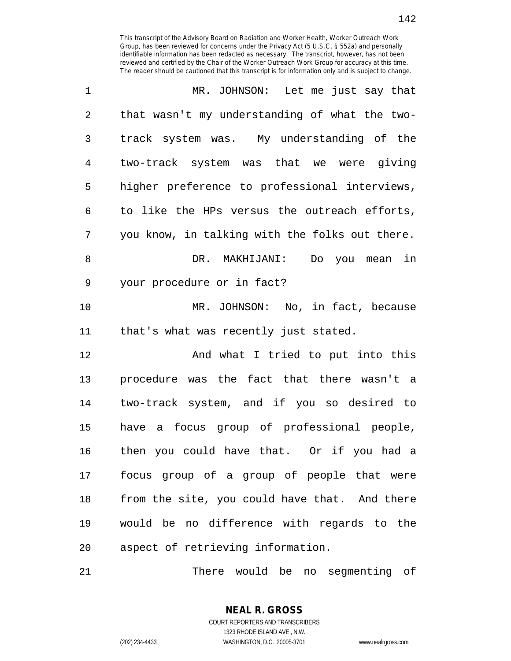| 1              | MR. JOHNSON: Let me just say that              |
|----------------|------------------------------------------------|
| $\overline{2}$ | that wasn't my understanding of what the two-  |
| 3              | track system was. My understanding of the      |
| 4              | two-track system was that we were giving       |
| 5              | higher preference to professional interviews,  |
| 6              | to like the HPs versus the outreach efforts,   |
| 7              | you know, in talking with the folks out there. |
| 8              | DR. MAKHIJANI:<br>Do you mean in               |
| 9              | your procedure or in fact?                     |
| 10             | MR. JOHNSON: No, in fact, because              |
| 11             | that's what was recently just stated.          |
| 12             | And what I tried to put into this              |
| 13             | procedure was the fact that there wasn't a     |
| 14             | two-track system, and if you so desired to     |
| 15             | have a focus group of professional people,     |
| 16             | then you could have that. Or if you had a      |
| 17             | focus group of a group of people that were     |
| 18             | from the site, you could have that. And there  |
| 19             | would be no difference with regards to the     |
| 20             | aspect of retrieving information.              |

21 There would be no segmenting of

142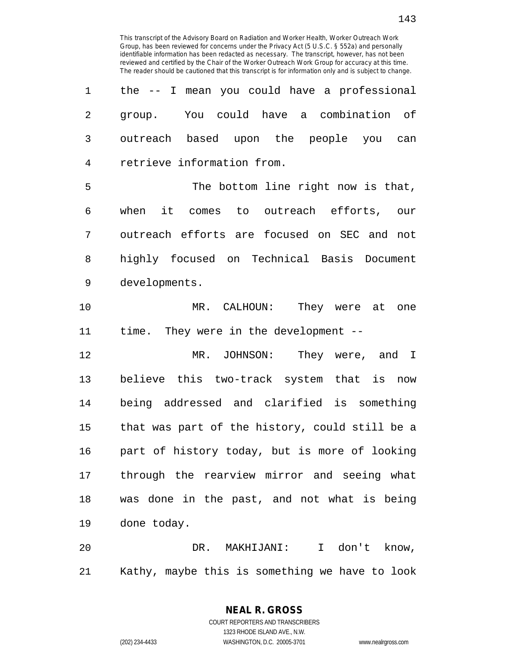| 1              | the -- I mean you could have a professional      |
|----------------|--------------------------------------------------|
| $\overline{2}$ | group. You could have a combination of           |
| 3              | outreach based upon the people you can           |
| 4              | retrieve information from.                       |
| 5              | The bottom line right now is that,               |
| 6              | when it comes to outreach efforts, our           |
| 7              | outreach efforts are focused on SEC and not      |
| 8              | highly focused on Technical Basis Document       |
| 9              | developments.                                    |
| 10             | MR. CALHOUN: They were at one                    |
| 11             | time. They were in the development --            |
| 12             | MR. JOHNSON:<br>They were, and I                 |
| 13             | believe this two-track system that is now        |
| 14             | being addressed and clarified is something       |
| 15             | that was part of the history, could still be a   |
| 16             | part of history today, but is more of looking    |
| 17             | through the rearview mirror and seeing what      |
| 18             | was done in the past, and not what is being      |
| 19             | done today.                                      |
| 20             | don't know,<br>DR.<br>MAKHIJANI:<br>$\mathbf{I}$ |

21 Kathy, maybe this is something we have to look

## **NEAL R. GROSS**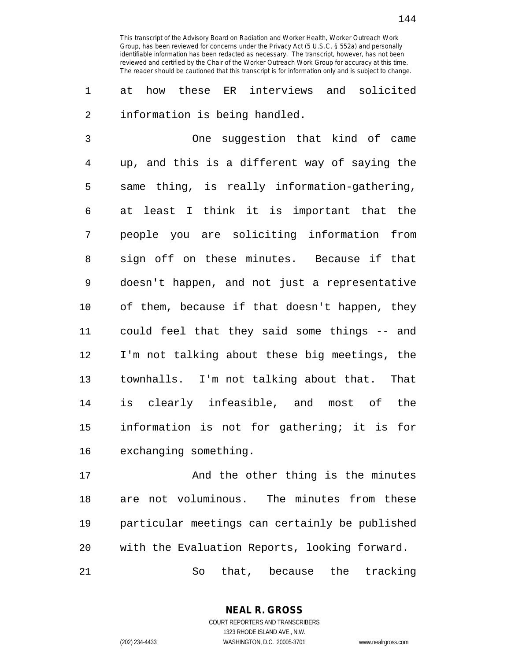1 at how these ER interviews and solicited 2 information is being handled.

3 One suggestion that kind of came 4 up, and this is a different way of saying the 5 same thing, is really information-gathering, 6 at least I think it is important that the 7 people you are soliciting information from 8 sign off on these minutes. Because if that 9 doesn't happen, and not just a representative 10 of them, because if that doesn't happen, they 11 could feel that they said some things -- and 12 I'm not talking about these big meetings, the 13 townhalls. I'm not talking about that. That 14 is clearly infeasible, and most of the 15 information is not for gathering; it is for 16 exchanging something.

17 And the other thing is the minutes 18 are not voluminous. The minutes from these 19 particular meetings can certainly be published 20 with the Evaluation Reports, looking forward.

21 So that, because the tracking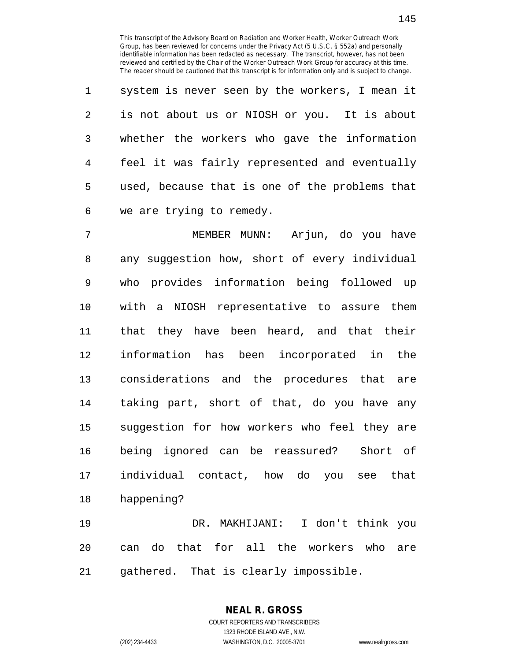1 system is never seen by the workers, I mean it 2 is not about us or NIOSH or you. It is about 3 whether the workers who gave the information 4 feel it was fairly represented and eventually 5 used, because that is one of the problems that 6 we are trying to remedy.

7 MEMBER MUNN: Arjun, do you have 8 any suggestion how, short of every individual 9 who provides information being followed up 10 with a NIOSH representative to assure them 11 that they have been heard, and that their 12 information has been incorporated in the 13 considerations and the procedures that are 14 taking part, short of that, do you have any 15 suggestion for how workers who feel they are 16 being ignored can be reassured? Short of 17 individual contact, how do you see that 18 happening?

19 DR. MAKHIJANI: I don't think you 20 can do that for all the workers who are 21 gathered. That is clearly impossible.

**NEAL R. GROSS**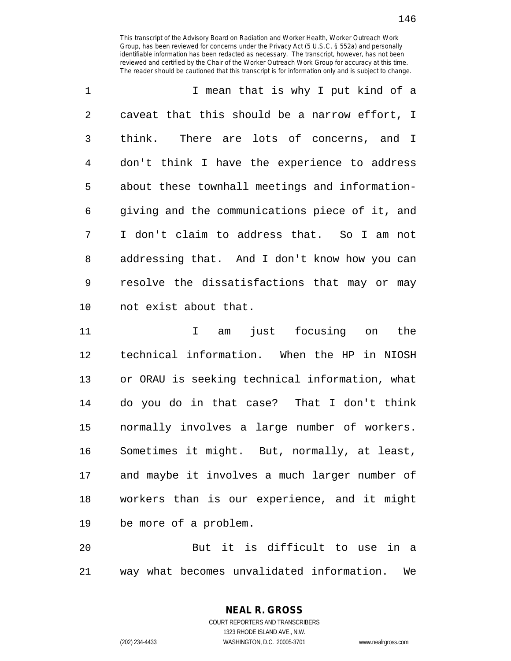146

| $\mathbf 1$ | I mean that is why I put kind of a             |
|-------------|------------------------------------------------|
| 2           | caveat that this should be a narrow effort, I  |
| 3           | think. There are lots of concerns, and I       |
| 4           | don't think I have the experience to address   |
| 5           | about these townhall meetings and information- |
| 6           | giving and the communications piece of it, and |
| 7           | I don't claim to address that. So I am not     |
| 8           | addressing that. And I don't know how you can  |
| 9           | resolve the dissatisfactions that may or may   |
| 10          | not exist about that.                          |

11 I am just focusing on the 12 technical information. When the HP in NIOSH 13 or ORAU is seeking technical information, what 14 do you do in that case? That I don't think 15 normally involves a large number of workers. 16 Sometimes it might. But, normally, at least, 17 and maybe it involves a much larger number of 18 workers than is our experience, and it might 19 be more of a problem.

20 But it is difficult to use in a 21 way what becomes unvalidated information. We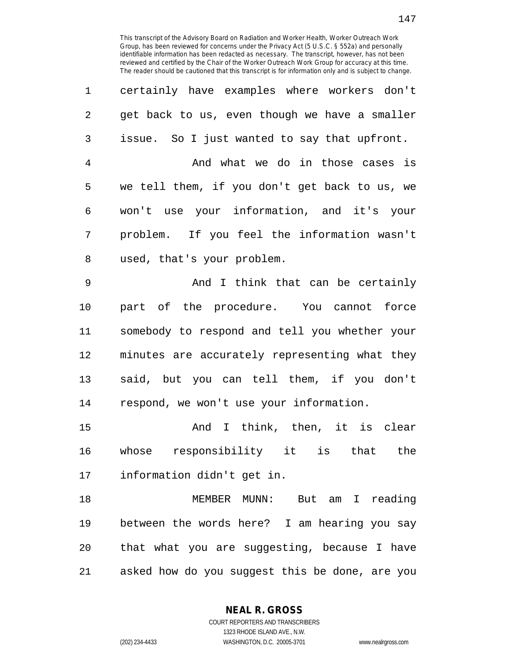| certainly have examples where workers don't<br>1     |
|------------------------------------------------------|
| 2<br>get back to us, even though we have a smaller   |
| 3<br>issue. So I just wanted to say that upfront.    |
| And what we do in those cases is<br>$\overline{4}$   |
| we tell them, if you don't get back to us, we<br>5   |
| won't use your information, and it's your<br>6       |
| problem. If you feel the information wasn't<br>7     |
| 8<br>used, that's your problem.                      |
| $\mathsf 9$<br>And I think that can be certainly     |
| part of the procedure. You cannot force<br>$10 \,$   |
| somebody to respond and tell you whether your<br>11  |
| 12<br>minutes are accurately representing what they  |
| said, but you can tell them, if you don't<br>13      |
| respond, we won't use your information.<br>14        |
| And I think, then, it is clear<br>15                 |
| whose responsibility it is that the<br>16            |
| 17<br>information didn't get in.                     |
| 18<br>MEMBER MUNN: But am I reading                  |
| between the words here? I am hearing you say<br>19   |
| that what you are suggesting, because I have<br>20   |
| asked how do you suggest this be done, are you<br>21 |

**NEAL R. GROSS**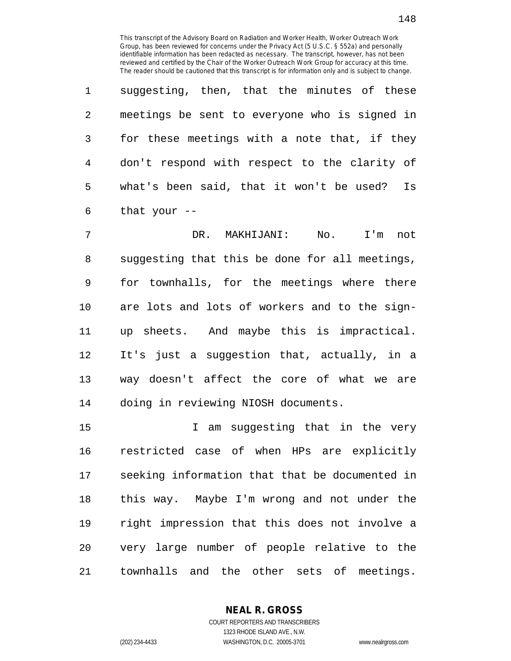1 suggesting, then, that the minutes of these 2 meetings be sent to everyone who is signed in 3 for these meetings with a note that, if they 4 don't respond with respect to the clarity of 5 what's been said, that it won't be used? Is 6 that your --

7 DR. MAKHIJANI: No. I'm not 8 suggesting that this be done for all meetings, 9 for townhalls, for the meetings where there 10 are lots and lots of workers and to the sign-11 up sheets. And maybe this is impractical. 12 It's just a suggestion that, actually, in a 13 way doesn't affect the core of what we are 14 doing in reviewing NIOSH documents.

15 I am suggesting that in the very 16 restricted case of when HPs are explicitly 17 seeking information that that be documented in 18 this way. Maybe I'm wrong and not under the 19 right impression that this does not involve a 20 very large number of people relative to the 21 townhalls and the other sets of meetings.

> **NEAL R. GROSS** COURT REPORTERS AND TRANSCRIBERS

> > 1323 RHODE ISLAND AVE., N.W.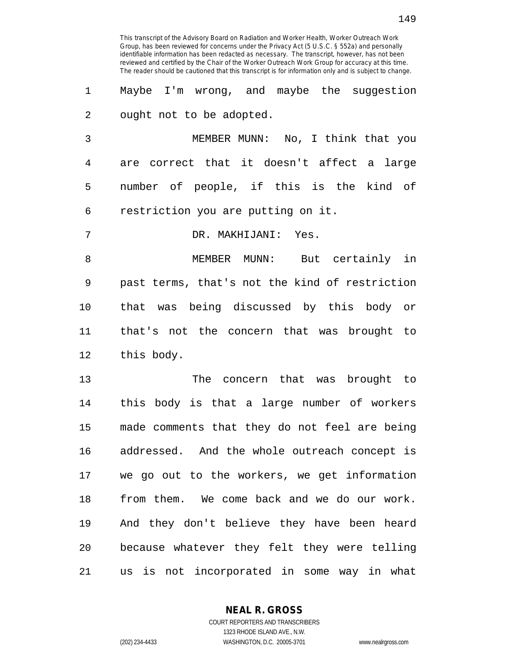1 Maybe I'm wrong, and maybe the suggestion 2 ought not to be adopted.

3 MEMBER MUNN: No, I think that you 4 are correct that it doesn't affect a large 5 number of people, if this is the kind of 6 restriction you are putting on it.

7 DR. MAKHIJANI: Yes.

8 MEMBER MUNN: But certainly in 9 past terms, that's not the kind of restriction 10 that was being discussed by this body or 11 that's not the concern that was brought to 12 this body.

13 The concern that was brought to 14 this body is that a large number of workers 15 made comments that they do not feel are being 16 addressed. And the whole outreach concept is 17 we go out to the workers, we get information 18 from them. We come back and we do our work. 19 And they don't believe they have been heard 20 because whatever they felt they were telling 21 us is not incorporated in some way in what

**NEAL R. GROSS**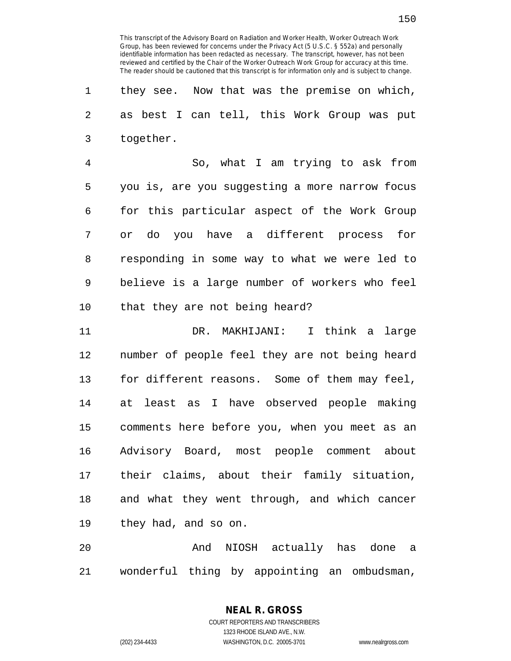1 they see. Now that was the premise on which, 2 as best I can tell, this Work Group was put 3 together.

4 So, what I am trying to ask from 5 you is, are you suggesting a more narrow focus 6 for this particular aspect of the Work Group 7 or do you have a different process for 8 responding in some way to what we were led to 9 believe is a large number of workers who feel 10 that they are not being heard?

11 DR. MAKHIJANI: I think a large 12 number of people feel they are not being heard 13 for different reasons. Some of them may feel, 14 at least as I have observed people making 15 comments here before you, when you meet as an 16 Advisory Board, most people comment about 17 their claims, about their family situation, 18 and what they went through, and which cancer 19 they had, and so on.

20 And NIOSH actually has done a 21 wonderful thing by appointing an ombudsman,

**NEAL R. GROSS**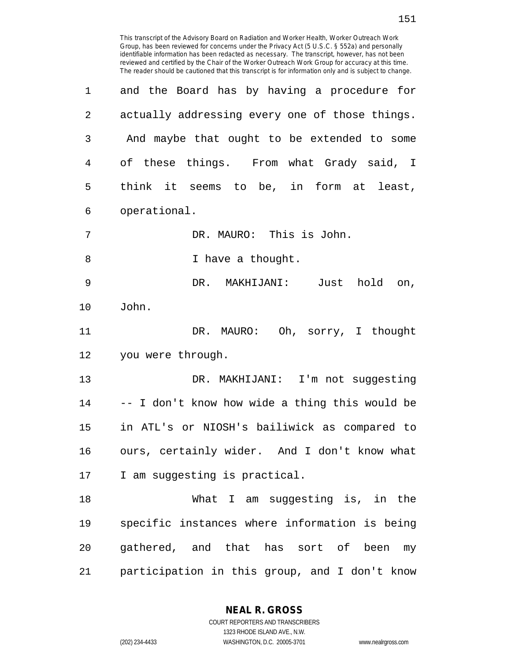| $\mathbf 1$ | and the Board has by having a procedure for    |
|-------------|------------------------------------------------|
| 2           | actually addressing every one of those things. |
| 3           | And maybe that ought to be extended to some    |
| 4           | of these things. From what Grady said, I       |
| 5           | think it seems to be, in form at least,        |
| 6           | operational.                                   |
| 7           | DR. MAURO: This is John.                       |
| 8           | I have a thought.                              |
| $\mathsf 9$ | DR. MAKHIJANI:<br>Just<br>hold on,             |
| 10          | John.                                          |
| 11          | DR. MAURO: Oh, sorry, I thought                |
| 12          | you were through.                              |
| 13          | DR. MAKHIJANI: I'm not suggesting              |
| 14          | -- I don't know how wide a thing this would be |
| 15          | in ATL's or NIOSH's bailiwick as compared to   |
| 16          | ours, certainly wider. And I don't know what   |
| 17          | I am suggesting is practical.                  |
| 18          | What I am suggesting is, in the                |
| 19          | specific instances where information is being  |
| 20          | gathered, and that has sort of been<br>my      |
| 21          | participation in this group, and I don't know  |
|             |                                                |

**NEAL R. GROSS** COURT REPORTERS AND TRANSCRIBERS 1323 RHODE ISLAND AVE., N.W.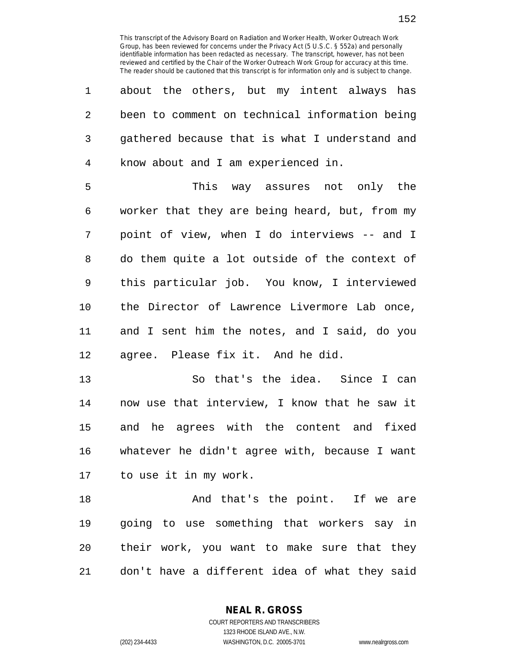| 1              | about the others, but my intent always has     |
|----------------|------------------------------------------------|
| $\overline{c}$ | been to comment on technical information being |
| 3              | gathered because that is what I understand and |
| $\overline{4}$ | know about and I am experienced in.            |
| 5              | This way assures not only the                  |
| 6              | worker that they are being heard, but, from my |
| 7              | point of view, when I do interviews -- and I   |
| 8              | do them quite a lot outside of the context of  |
| 9              | this particular job. You know, I interviewed   |
| 10             | the Director of Lawrence Livermore Lab once,   |
| 11             | and I sent him the notes, and I said, do you   |
| 12             | agree. Please fix it. And he did.              |
| 13             | So that's the idea. Since I can                |
| 14             | now use that interview, I know that he saw it  |
| 15             | and he agrees with the content and fixed       |
| 16             | whatever he didn't agree with, because I want  |
| 17             | to use it in my work.                          |
| 18             | And that's the point. If we are                |
| 19             | going to use something that workers say in     |
| 20             | their work, you want to make sure that they    |

21 don't have a different idea of what they said

**NEAL R. GROSS**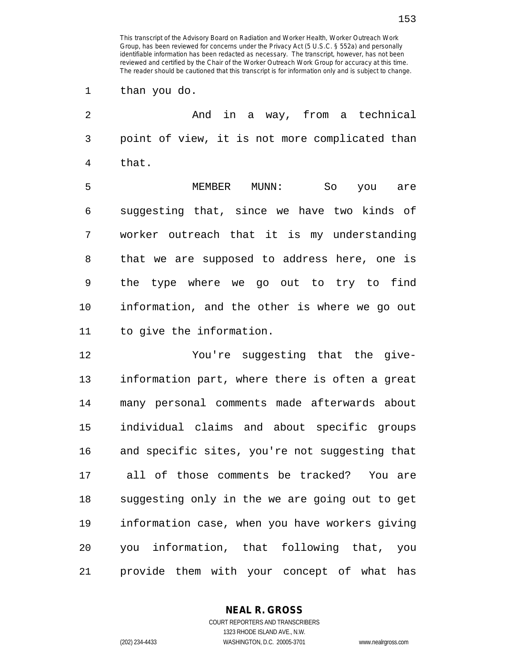1 than you do.

2 And in a way, from a technical 3 point of view, it is not more complicated than 4 that.

5 MEMBER MUNN: So you are 6 suggesting that, since we have two kinds of 7 worker outreach that it is my understanding 8 that we are supposed to address here, one is 9 the type where we go out to try to find 10 information, and the other is where we go out 11 to give the information.

12 You're suggesting that the give-13 information part, where there is often a great 14 many personal comments made afterwards about 15 individual claims and about specific groups 16 and specific sites, you're not suggesting that 17 all of those comments be tracked? You are 18 suggesting only in the we are going out to get 19 information case, when you have workers giving 20 you information, that following that, you 21 provide them with your concept of what has

**NEAL R. GROSS**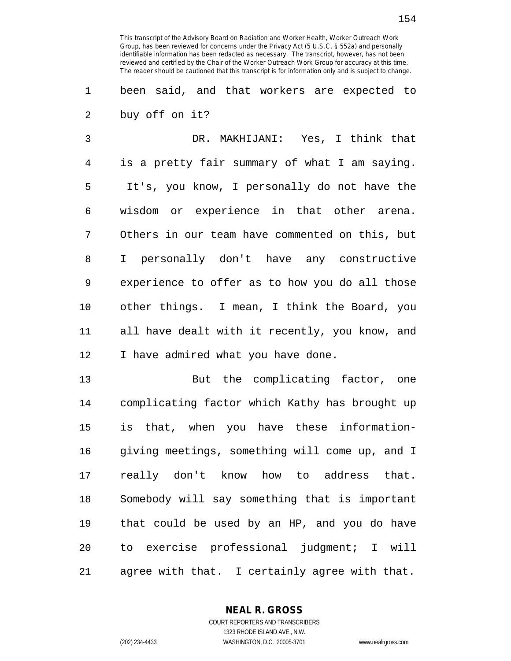1 been said, and that workers are expected to 2 buy off on it?

3 DR. MAKHIJANI: Yes, I think that 4 is a pretty fair summary of what I am saying. 5 It's, you know, I personally do not have the 6 wisdom or experience in that other arena. 7 Others in our team have commented on this, but 8 I personally don't have any constructive 9 experience to offer as to how you do all those 10 other things. I mean, I think the Board, you 11 all have dealt with it recently, you know, and 12 I have admired what you have done.

13 But the complicating factor, one 14 complicating factor which Kathy has brought up 15 is that, when you have these information-16 giving meetings, something will come up, and I 17 really don't know how to address that. 18 Somebody will say something that is important 19 that could be used by an HP, and you do have 20 to exercise professional judgment; I will 21 agree with that. I certainly agree with that.

> **NEAL R. GROSS** COURT REPORTERS AND TRANSCRIBERS 1323 RHODE ISLAND AVE., N.W.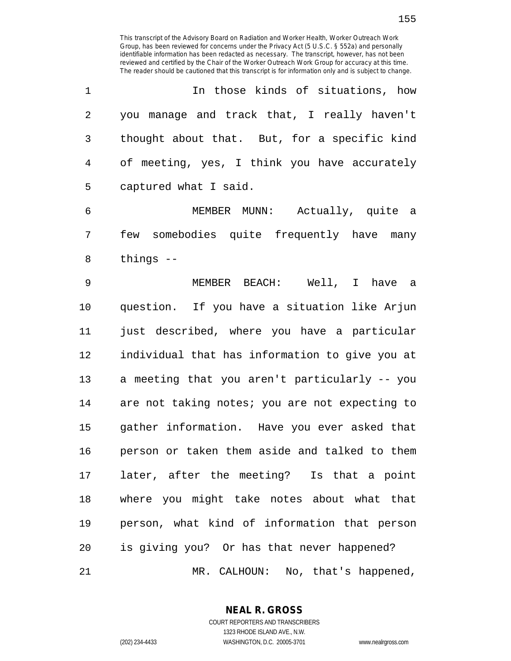|              | In those kinds of situations, how            |
|--------------|----------------------------------------------|
| 2            | you manage and track that, I really haven't  |
| $\mathbf{3}$ | thought about that. But, for a specific kind |
| $4\degree$   | of meeting, yes, I think you have accurately |
| 5            | captured what I said.                        |

6 MEMBER MUNN: Actually, quite a 7 few somebodies quite frequently have many 8 things --

9 MEMBER BEACH: Well, I have a 10 question. If you have a situation like Arjun 11 just described, where you have a particular 12 individual that has information to give you at 13 a meeting that you aren't particularly -- you 14 are not taking notes; you are not expecting to 15 gather information. Have you ever asked that 16 person or taken them aside and talked to them 17 later, after the meeting? Is that a point 18 where you might take notes about what that 19 person, what kind of information that person 20 is giving you? Or has that never happened? 21 MR. CALHOUN: No, that's happened,

**NEAL R. GROSS** COURT REPORTERS AND TRANSCRIBERS 1323 RHODE ISLAND AVE., N.W.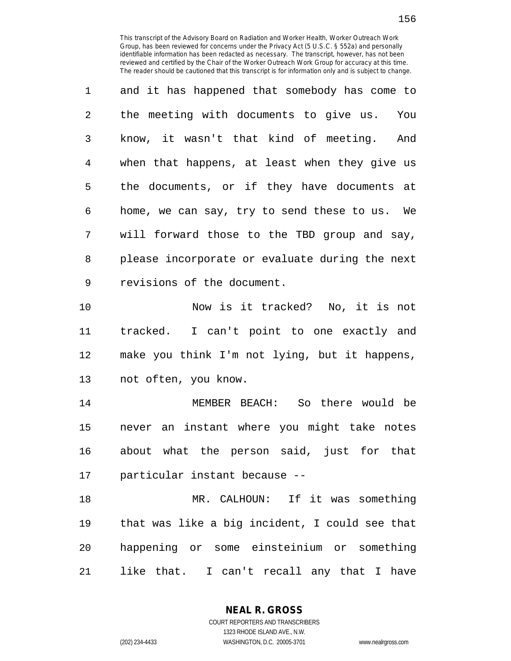1 and it has happened that somebody has come to 2 the meeting with documents to give us. You 3 know, it wasn't that kind of meeting. And 4 when that happens, at least when they give us 5 the documents, or if they have documents at 6 home, we can say, try to send these to us. We 7 will forward those to the TBD group and say, 8 please incorporate or evaluate during the next 9 revisions of the document.

10 Now is it tracked? No, it is not 11 tracked. I can't point to one exactly and 12 make you think I'm not lying, but it happens, 13 not often, you know.

14 MEMBER BEACH: So there would be 15 never an instant where you might take notes 16 about what the person said, just for that 17 particular instant because --

18 MR. CALHOUN: If it was something 19 that was like a big incident, I could see that 20 happening or some einsteinium or something 21 like that. I can't recall any that I have

**NEAL R. GROSS**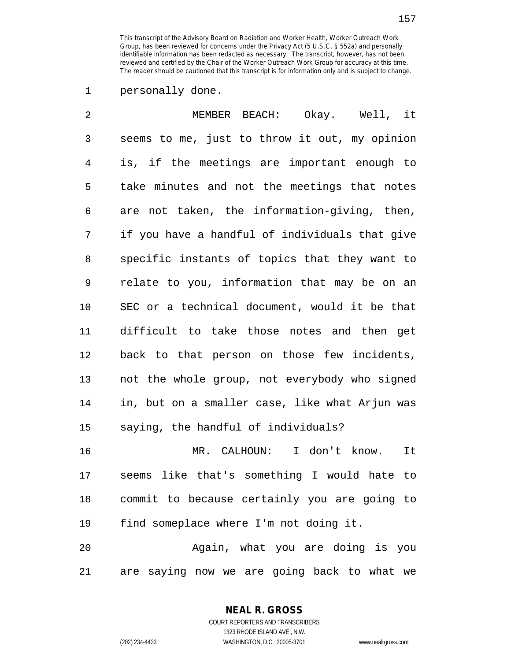## 1 personally done.

| 2              | MEMBER BEACH: Okay. Well, it                   |
|----------------|------------------------------------------------|
| 3              | seems to me, just to throw it out, my opinion  |
| $\overline{4}$ | is, if the meetings are important enough to    |
| 5              | take minutes and not the meetings that notes   |
| 6              | are not taken, the information-giving, then,   |
| 7              | if you have a handful of individuals that give |
| 8              | specific instants of topics that they want to  |
| 9              | relate to you, information that may be on an   |
| 10             | SEC or a technical document, would it be that  |
| 11             | difficult to take those notes and then get     |
| 12             | back to that person on those few incidents,    |
| 13             | not the whole group, not everybody who signed  |
| 14             | in, but on a smaller case, like what Arjun was |
| 15             | saying, the handful of individuals?            |
| 16             | MR. CALHOUN: I don't know.<br>It               |
| 17             | seems like that's something I would hate to    |
| 18             | commit to because certainly you are going to   |
| 19             | find someplace where I'm not doing it.         |

20 Again, what you are doing is you 21 are saying now we are going back to what we

> **NEAL R. GROSS** COURT REPORTERS AND TRANSCRIBERS

> > 1323 RHODE ISLAND AVE., N.W.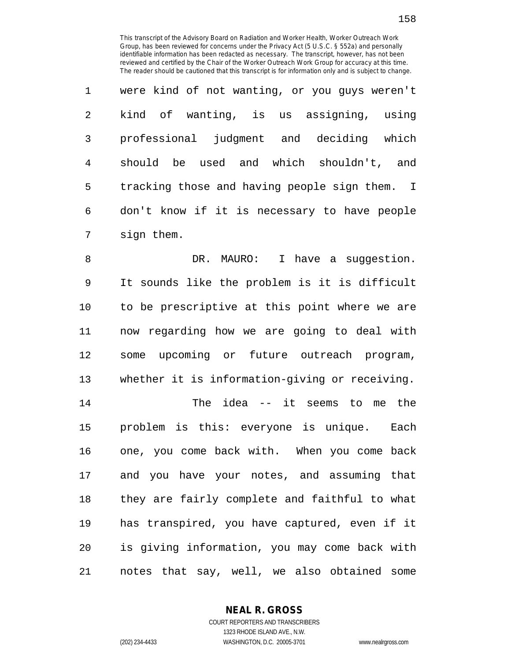1 were kind of not wanting, or you guys weren't 2 kind of wanting, is us assigning, using 3 professional judgment and deciding which 4 should be used and which shouldn't, and 5 tracking those and having people sign them. I 6 don't know if it is necessary to have people 7 sign them.

8 B. DR. MAURO: I have a suggestion. 9 It sounds like the problem is it is difficult 10 to be prescriptive at this point where we are 11 now regarding how we are going to deal with 12 some upcoming or future outreach program, 13 whether it is information-giving or receiving.

14 The idea -- it seems to me the 15 problem is this: everyone is unique. Each 16 one, you come back with. When you come back 17 and you have your notes, and assuming that 18 they are fairly complete and faithful to what 19 has transpired, you have captured, even if it 20 is giving information, you may come back with 21 notes that say, well, we also obtained some

**NEAL R. GROSS**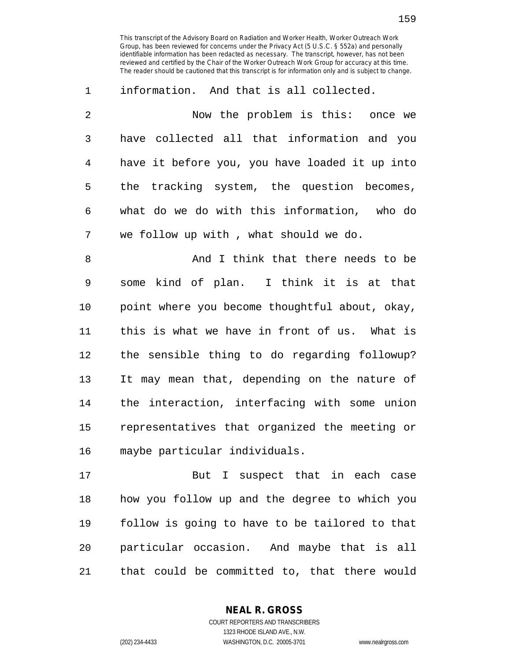| $\mathbf{1}$ | information. And that is all collected.        |
|--------------|------------------------------------------------|
| 2            | Now the problem is this: once we               |
| 3            | have collected all that information and you    |
| 4            | have it before you, you have loaded it up into |
| -5           | the tracking system, the question becomes,     |
| 6            | what do we do with this information, who do    |
| 7            | we follow up with, what should we do.          |

8 And I think that there needs to be 9 some kind of plan. I think it is at that 10 point where you become thoughtful about, okay, 11 this is what we have in front of us. What is 12 the sensible thing to do regarding followup? 13 It may mean that, depending on the nature of 14 the interaction, interfacing with some union 15 representatives that organized the meeting or 16 maybe particular individuals.

17 But I suspect that in each case 18 how you follow up and the degree to which you 19 follow is going to have to be tailored to that 20 particular occasion. And maybe that is all 21 that could be committed to, that there would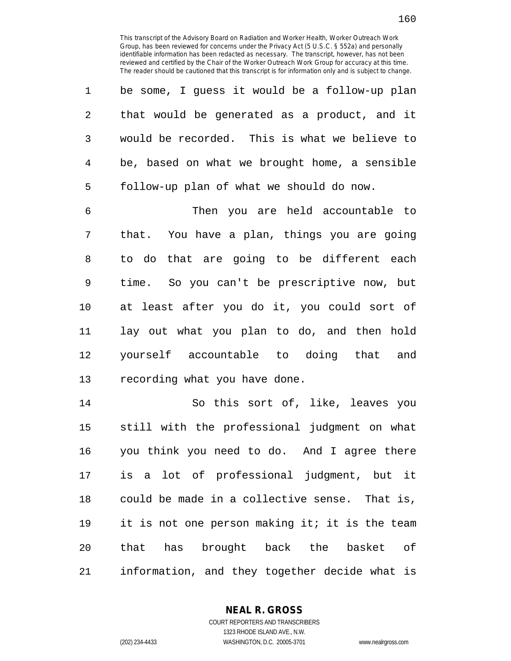1 be some, I guess it would be a follow-up plan 2 that would be generated as a product, and it 3 would be recorded. This is what we believe to 4 be, based on what we brought home, a sensible 5 follow-up plan of what we should do now.

6 Then you are held accountable to 7 that. You have a plan, things you are going 8 to do that are going to be different each 9 time. So you can't be prescriptive now, but 10 at least after you do it, you could sort of 11 lay out what you plan to do, and then hold 12 yourself accountable to doing that and 13 recording what you have done.

14 So this sort of, like, leaves you 15 still with the professional judgment on what 16 you think you need to do. And I agree there 17 is a lot of professional judgment, but it 18 could be made in a collective sense. That is, 19 it is not one person making it; it is the team 20 that has brought back the basket of 21 information, and they together decide what is

> **NEAL R. GROSS** COURT REPORTERS AND TRANSCRIBERS

1323 RHODE ISLAND AVE., N.W. (202) 234-4433 WASHINGTON, D.C. 20005-3701 www.nealrgross.com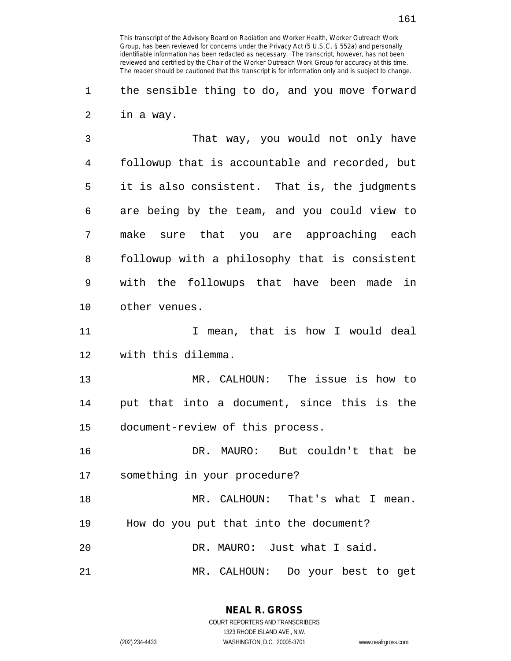1 the sensible thing to do, and you move forward 2 in a way.

3 That way, you would not only have 4 followup that is accountable and recorded, but 5 it is also consistent. That is, the judgments 6 are being by the team, and you could view to 7 make sure that you are approaching each 8 followup with a philosophy that is consistent 9 with the followups that have been made in 10 other venues.

11 11 I mean, that is how I would deal 12 with this dilemma.

13 MR. CALHOUN: The issue is how to 14 put that into a document, since this is the 15 document-review of this process.

16 DR. MAURO: But couldn't that be 17 something in your procedure?

18 MR. CALHOUN: That's what I mean. 19 How do you put that into the document? 20 DR. MAURO: Just what I said.

21 MR. CALHOUN: Do your best to get

**NEAL R. GROSS** COURT REPORTERS AND TRANSCRIBERS

1323 RHODE ISLAND AVE., N.W.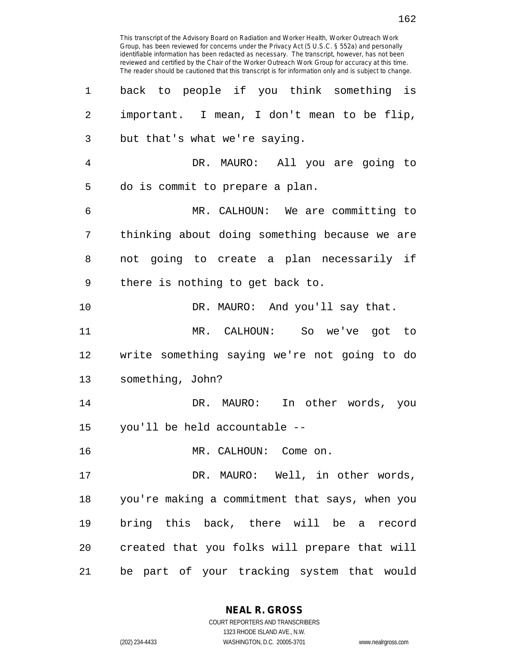This transcript of the Advisory Board on Radiation and Worker Health, Worker Outreach Work Group, has been reviewed for concerns under the Privacy Act (5 U.S.C. § 552a) and personally identifiable information has been redacted as necessary. The transcript, however, has not been reviewed and certified by the Chair of the Worker Outreach Work Group for accuracy at this time. The reader should be cautioned that this transcript is for information only and is subject to change. 1 back to people if you think something is 2 important. I mean, I don't mean to be flip, 3 but that's what we're saying. 4 DR. MAURO: All you are going to 5 do is commit to prepare a plan. 6 MR. CALHOUN: We are committing to 7 thinking about doing something because we are 8 not going to create a plan necessarily if 9 there is nothing to get back to. 10 DR. MAURO: And you'll say that. 11 MR. CALHOUN: So we've got to 12 write something saying we're not going to do 13 something, John? 14 DR. MAURO: In other words, you 15 you'll be held accountable -- 16 MR. CALHOUN: Come on. 17 DR. MAURO: Well, in other words, 18 you're making a commitment that says, when you 19 bring this back, there will be a record 20 created that you folks will prepare that will 21 be part of your tracking system that would

> **NEAL R. GROSS** COURT REPORTERS AND TRANSCRIBERS

1323 RHODE ISLAND AVE., N.W. (202) 234-4433 WASHINGTON, D.C. 20005-3701 www.nealrgross.com

162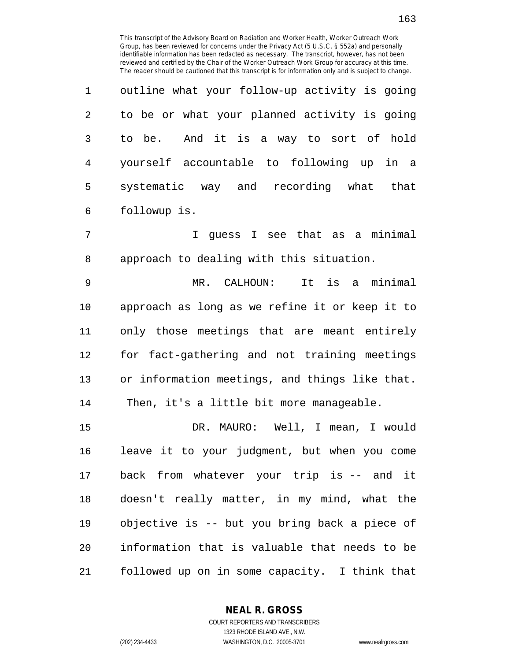| $\mathbf{1}$ | outline what your follow-up activity is going |
|--------------|-----------------------------------------------|
| 2            | to be or what your planned activity is going  |
| 3            | to be. And it is a way to sort of hold        |
| 4            | yourself accountable to following up in a     |
| 5            | systematic way and recording what that        |
| 6            | followup is.                                  |

7 I guess I see that as a minimal 8 approach to dealing with this situation.

9 MR. CALHOUN: It is a minimal 10 approach as long as we refine it or keep it to 11 only those meetings that are meant entirely 12 for fact-gathering and not training meetings 13 or information meetings, and things like that. 14 Then, it's a little bit more manageable.

15 DR. MAURO: Well, I mean, I would 16 leave it to your judgment, but when you come 17 back from whatever your trip is -- and it 18 doesn't really matter, in my mind, what the 19 objective is -- but you bring back a piece of 20 information that is valuable that needs to be 21 followed up on in some capacity. I think that

> **NEAL R. GROSS** COURT REPORTERS AND TRANSCRIBERS

1323 RHODE ISLAND AVE., N.W. (202) 234-4433 WASHINGTON, D.C. 20005-3701 www.nealrgross.com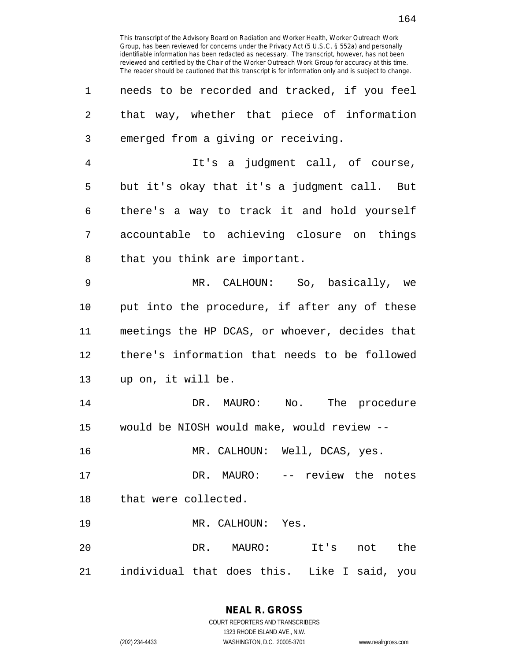| 1              | needs to be recorded and tracked, if you feel  |
|----------------|------------------------------------------------|
| 2              | that way, whether that piece of information    |
| 3              | emerged from a giving or receiving.            |
| $\overline{4}$ | It's a judgment call, of course,               |
| 5              | but it's okay that it's a judgment call. But   |
| 6              | there's a way to track it and hold yourself    |
| 7              | accountable to achieving closure on things     |
| 8              | that you think are important.                  |
| 9              | MR. CALHOUN: So, basically, we                 |
| 10             | put into the procedure, if after any of these  |
| 11             | meetings the HP DCAS, or whoever, decides that |
| 12             | there's information that needs to be followed  |
| 13             | up on, it will be.                             |
| 14             | DR. MAURO: No. The procedure                   |
| 15             | would be NIOSH would make, would review --     |
| 16             | MR. CALHOUN: Well, DCAS, yes.                  |
| 17             | DR. MAURO: -- review the notes                 |
| 18             | that were collected.                           |
| 19             | MR. CALHOUN: Yes.                              |
| 20             | DR. MAURO: It's not the                        |
| 21             | individual that does this. Like I said, you    |

1323 RHODE ISLAND AVE., N.W.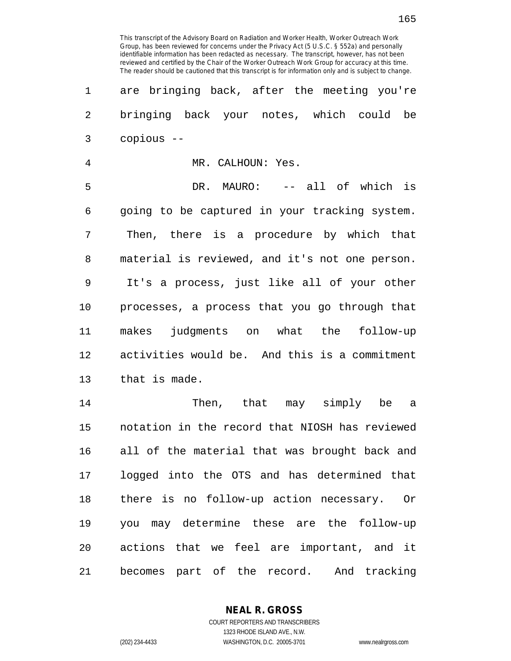| $\mathbf 1$    | are bringing back, after the meeting you're    |
|----------------|------------------------------------------------|
| $\overline{c}$ | bringing back your notes, which could be       |
| 3              | copious --                                     |
| $\overline{4}$ | MR. CALHOUN: Yes.                              |
| 5              | DR. MAURO: -- all of which is                  |
| 6              | going to be captured in your tracking system.  |
| 7              | Then, there is a procedure by which that       |
| 8              | material is reviewed, and it's not one person. |
| 9              | It's a process, just like all of your other    |
| $10$           | processes, a process that you go through that  |
| 11             | makes judgments on what the follow-up          |
| 12             | activities would be. And this is a commitment  |
| 13             | that is made.                                  |
| 14             | Then, that may simply be a                     |
| 15             | notation in the record that NIOSH has reviewed |
| 16             | all of the material that was brought back and  |
| 17             | logged into the OTS and has determined that    |
| 18             | there is no follow-up action necessary. Or     |
| 19             | you may determine these are the follow-up      |
| 20             | actions that we feel are important, and it     |
| 21             | becomes part of the record. And tracking       |

**NEAL R. GROSS** COURT REPORTERS AND TRANSCRIBERS

1323 RHODE ISLAND AVE., N.W.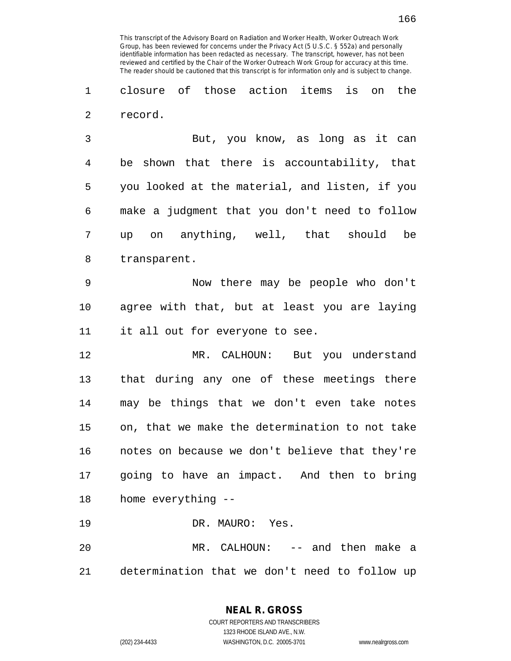1 closure of those action items is on the 2 record.

3 But, you know, as long as it can 4 be shown that there is accountability, that 5 you looked at the material, and listen, if you 6 make a judgment that you don't need to follow 7 up on anything, well, that should be 8 transparent.

9 Now there may be people who don't 10 agree with that, but at least you are laying 11 it all out for everyone to see.

12 MR. CALHOUN: But you understand 13 that during any one of these meetings there 14 may be things that we don't even take notes 15 on, that we make the determination to not take 16 notes on because we don't believe that they're 17 going to have an impact. And then to bring 18 home everything --

19 DR. MAURO: Yes.

20 MR. CALHOUN: -- and then make a 21 determination that we don't need to follow up

**NEAL R. GROSS**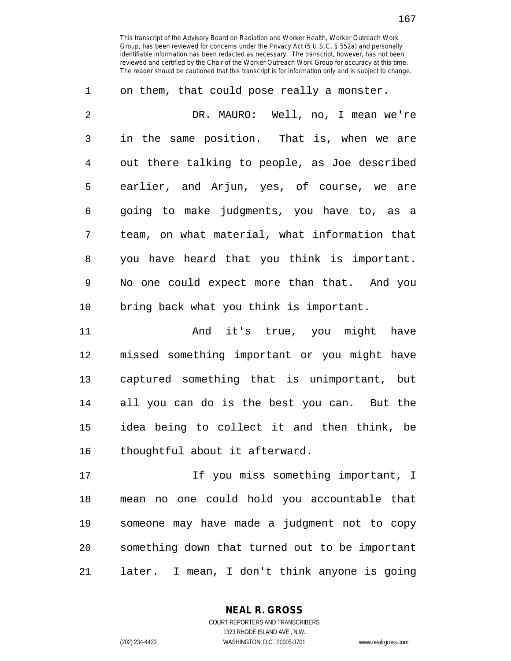| 1  | on them, that could pose really a monster.    |
|----|-----------------------------------------------|
| 2  | DR. MAURO: Well, no, I mean we're             |
| 3  | in the same position. That is, when we are    |
| 4  | out there talking to people, as Joe described |
| 5  | earlier, and Arjun, yes, of course, we are    |
| 6  | going to make judgments, you have to, as a    |
| 7  | team, on what material, what information that |
| 8  | you have heard that you think is important.   |
| 9  | No one could expect more than that. And you   |
| 10 | bring back what you think is important.       |

11 And it's true, you might have 12 missed something important or you might have 13 captured something that is unimportant, but 14 all you can do is the best you can. But the 15 idea being to collect it and then think, be 16 thoughtful about it afterward.

17 17 If you miss something important, I 18 mean no one could hold you accountable that 19 someone may have made a judgment not to copy 20 something down that turned out to be important 21 later. I mean, I don't think anyone is going

**NEAL R. GROSS**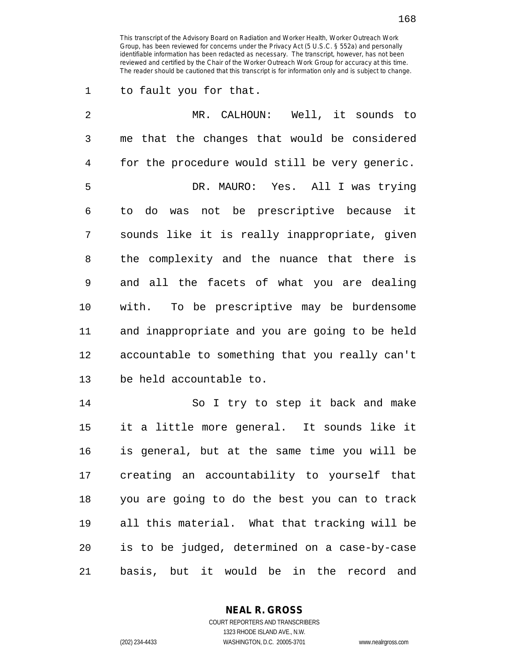1 to fault you for that.

| 2  | MR. CALHOUN: Well, it sounds to                |
|----|------------------------------------------------|
| 3  | me that the changes that would be considered   |
| 4  | for the procedure would still be very generic. |
| 5  | DR. MAURO: Yes. All I was trying               |
| 6  | do was not be prescriptive because it<br>to    |
| 7  | sounds like it is really inappropriate, given  |
| 8  | the complexity and the nuance that there is    |
| 9  | and all the facets of what you are dealing     |
| 10 | with. To be prescriptive may be burdensome     |
| 11 | and inappropriate and you are going to be held |
| 12 | accountable to something that you really can't |
| 13 | be held accountable to.                        |
| 14 | So I try to step it back and make              |
| 15 | it a little more general. It sounds like it    |
| 16 | is general, but at the same time you will be   |
| 17 | creating an accountability to yourself that    |
| 18 | you are going to do the best you can to track  |
| 19 | all this material. What that tracking will be  |
| 20 | is to be judged, determined on a case-by-case  |
| 21 | basis, but it would be in the record and       |

**NEAL R. GROSS** COURT REPORTERS AND TRANSCRIBERS

1323 RHODE ISLAND AVE., N.W. (202) 234-4433 WASHINGTON, D.C. 20005-3701 www.nealrgross.com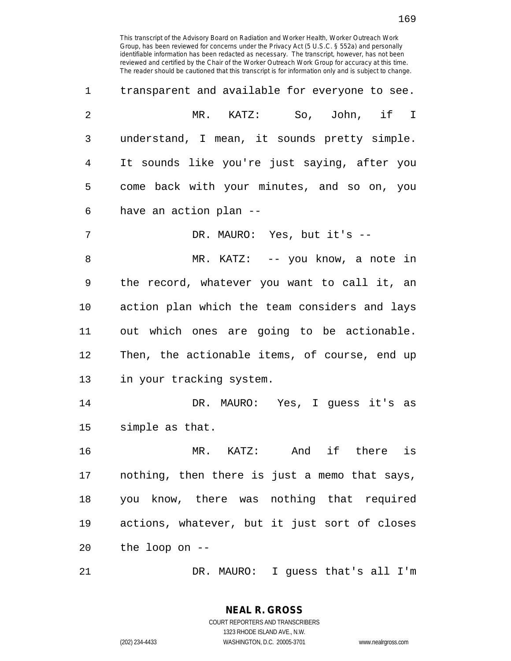| 1              | transparent and available for everyone to see. |
|----------------|------------------------------------------------|
| $\overline{2}$ | MR. KATZ: So, John, if I                       |
| 3              | understand, I mean, it sounds pretty simple.   |
| 4              | It sounds like you're just saying, after you   |
| 5              | come back with your minutes, and so on, you    |
| 6              | have an action plan --                         |
| 7              | DR. MAURO: Yes, but it's --                    |
| 8              | MR. KATZ: -- you know, a note in               |
| 9              | the record, whatever you want to call it, an   |
| 10             | action plan which the team considers and lays  |
| 11             | out which ones are going to be actionable.     |
| 12             | Then, the actionable items, of course, end up  |
| 13             | in your tracking system.                       |
| 14             | DR. MAURO: Yes, I guess it's as                |
| 15             | simple as that.                                |
| 16             | if there<br>$MR.$ $KATZ:$<br>And<br>is         |
| 17             | nothing, then there is just a memo that says,  |
| 18             | you know, there was nothing that required      |
| 19             | actions, whatever, but it just sort of closes  |
| 20             | the loop on --                                 |
| 21             | DR. MAURO: I guess that's all I'm              |

**NEAL R. GROSS**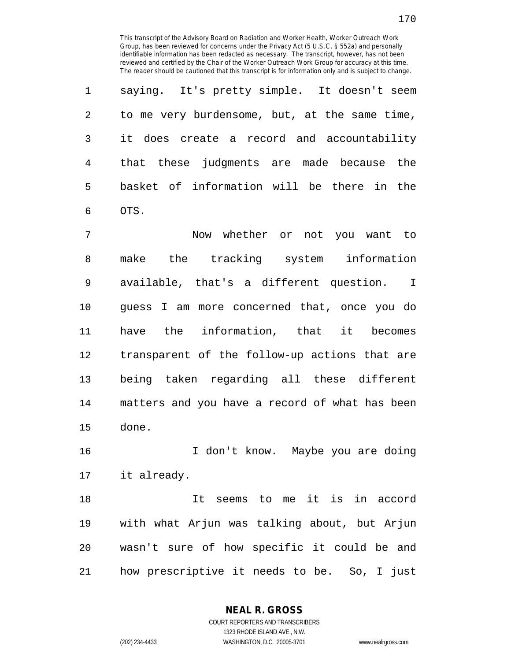1 saying. It's pretty simple. It doesn't seem 2 to me very burdensome, but, at the same time, 3 it does create a record and accountability 4 that these judgments are made because the 5 basket of information will be there in the 6 OTS.

7 Now whether or not you want to 8 make the tracking system information 9 available, that's a different question. I 10 guess I am more concerned that, once you do 11 have the information, that it becomes 12 transparent of the follow-up actions that are 13 being taken regarding all these different 14 matters and you have a record of what has been 15 done.

16 I don't know. Maybe you are doing 17 it already.

18 It seems to me it is in accord 19 with what Arjun was talking about, but Arjun 20 wasn't sure of how specific it could be and 21 how prescriptive it needs to be. So, I just

**NEAL R. GROSS**

170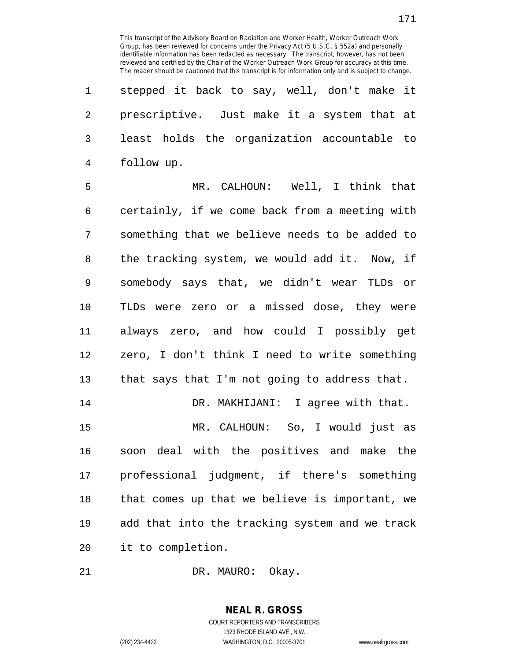1 stepped it back to say, well, don't make it 2 prescriptive. Just make it a system that at 3 least holds the organization accountable to 4 follow up.

5 MR. CALHOUN: Well, I think that 6 certainly, if we come back from a meeting with 7 something that we believe needs to be added to 8 the tracking system, we would add it. Now, if 9 somebody says that, we didn't wear TLDs or 10 TLDs were zero or a missed dose, they were 11 always zero, and how could I possibly get 12 zero, I don't think I need to write something 13 that says that I'm not going to address that. 14 DR. MAKHIJANI: I agree with that.

15 MR. CALHOUN: So, I would just as 16 soon deal with the positives and make the 17 professional judgment, if there's something 18 that comes up that we believe is important, we 19 add that into the tracking system and we track 20 it to completion.

21 DR. MAURO: Okay.

## **NEAL R. GROSS** COURT REPORTERS AND TRANSCRIBERS 1323 RHODE ISLAND AVE., N.W.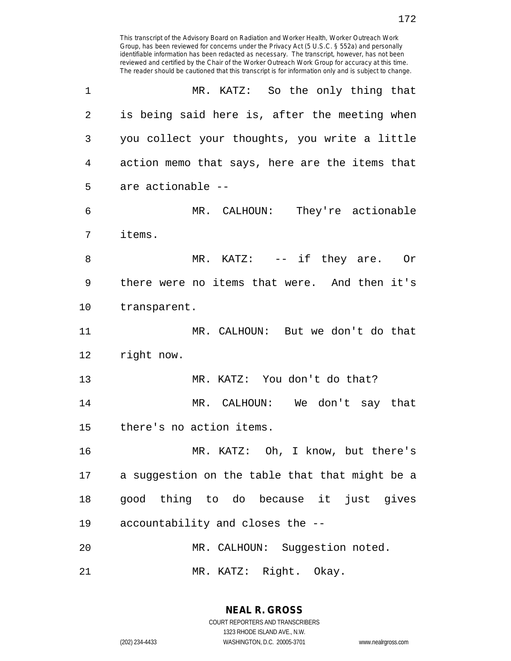| 1              | MR. KATZ: So the only thing that               |
|----------------|------------------------------------------------|
| $\overline{2}$ | is being said here is, after the meeting when  |
| 3              | you collect your thoughts, you write a little  |
| $\overline{4}$ | action memo that says, here are the items that |
| 5              | are actionable --                              |
| 6              | MR. CALHOUN: They're actionable                |
| 7              | items.                                         |
| 8              | MR. KATZ: $--$ if they are. Or                 |
| 9              | there were no items that were. And then it's   |
| 10             | transparent.                                   |
| 11             | MR. CALHOUN: But we don't do that              |
| 12             | right now.                                     |
| 13             | MR. KATZ: You don't do that?                   |
| 14             | MR. CALHOUN: We don't say that                 |
| 15             | there's no action items.                       |
| 16             | MR. KATZ: Oh, I know, but there's              |
| 17             | a suggestion on the table that that might be a |
| 18             | good thing to do because it just gives         |
| 19             | accountability and closes the --               |
| 20             | MR. CALHOUN: Suggestion noted.                 |
| 21             | MR. KATZ: Right. Okay.                         |

**NEAL R. GROSS** COURT REPORTERS AND TRANSCRIBERS 1323 RHODE ISLAND AVE., N.W.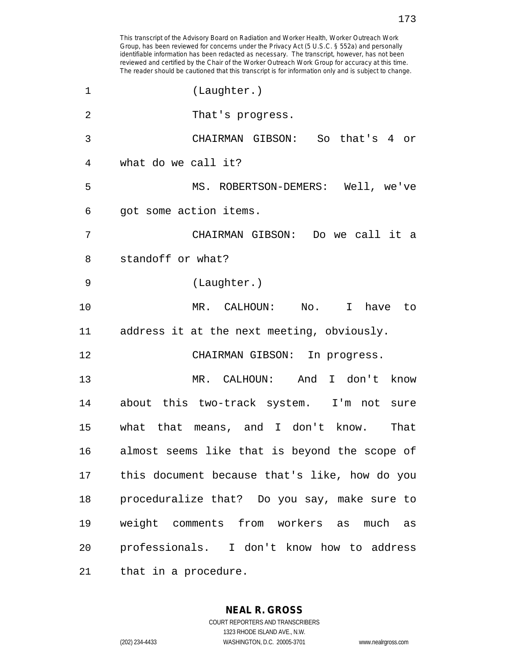| $\mathbf 1$    | (Laughter.)                                   |
|----------------|-----------------------------------------------|
| $\overline{2}$ | That's progress.                              |
| 3              | CHAIRMAN GIBSON: So that's 4 or               |
| 4              | what do we call it?                           |
| 5              | MS. ROBERTSON-DEMERS: Well, we've             |
| 6              | got some action items.                        |
| 7              | CHAIRMAN GIBSON: Do we call it a              |
| 8              | standoff or what?                             |
| 9              | (Laughter.)                                   |
| 10             | MR. CALHOUN: No.<br>I have to                 |
| 11             | address it at the next meeting, obviously.    |
| 12             | CHAIRMAN GIBSON: In progress.                 |
| 13             | MR. CALHOUN: And I don't know                 |
| 14             | about this two-track system. I'm not sure     |
| 15             | what that means, and I don't know.<br>That    |
| 16             | almost seems like that is beyond the scope of |
| 17             | this document because that's like, how do you |
| 18             | proceduralize that? Do you say, make sure to  |
| 19             | weight comments from workers as much as       |
| 20             | professionals. I don't know how to address    |
| 21             | that in a procedure.                          |

**NEAL R. GROSS** COURT REPORTERS AND TRANSCRIBERS 1323 RHODE ISLAND AVE., N.W.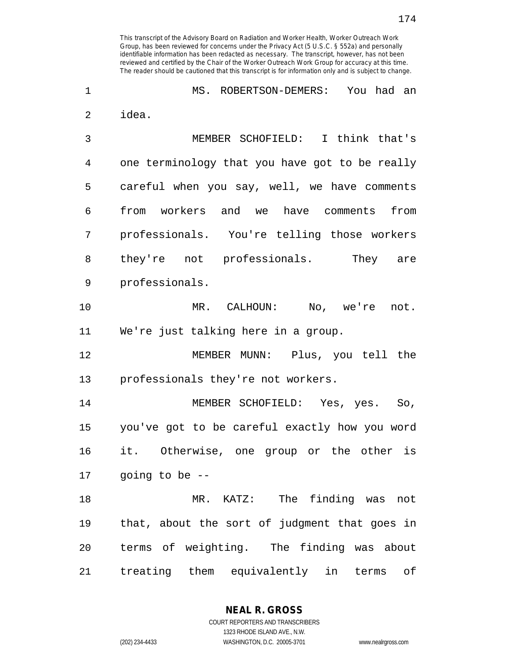1 MS. ROBERTSON-DEMERS: You had an 2 idea. 3 MEMBER SCHOFIELD: I think that's 4 one terminology that you have got to be really 5 careful when you say, well, we have comments 6 from workers and we have comments from 7 professionals. You're telling those workers 8 they're not professionals. They are 9 professionals. 10 MR. CALHOUN: No, we're not. 11 We're just talking here in a group. 12 MEMBER MUNN: Plus, you tell the 13 professionals they're not workers. 14 MEMBER SCHOFIELD: Yes, yes. So, 15 you've got to be careful exactly how you word 16 it. Otherwise, one group or the other is 17 going to be -- 18 MR. KATZ: The finding was not 19 that, about the sort of judgment that goes in 20 terms of weighting. The finding was about 21 treating them equivalently in terms of

> **NEAL R. GROSS** COURT REPORTERS AND TRANSCRIBERS

> > 1323 RHODE ISLAND AVE., N.W.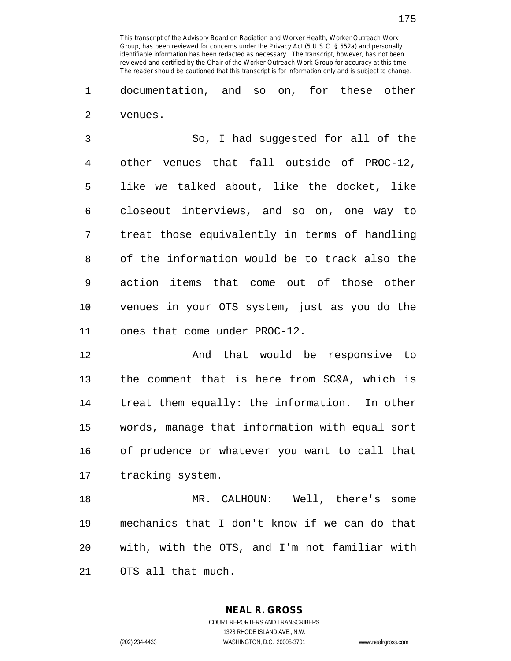1 documentation, and so on, for these other 2 venues.

3 So, I had suggested for all of the 4 other venues that fall outside of PROC-12, 5 like we talked about, like the docket, like 6 closeout interviews, and so on, one way to 7 treat those equivalently in terms of handling 8 of the information would be to track also the 9 action items that come out of those other 10 venues in your OTS system, just as you do the 11 ones that come under PROC-12.

12 And that would be responsive to 13 the comment that is here from SC&A, which is 14 treat them equally: the information. In other 15 words, manage that information with equal sort 16 of prudence or whatever you want to call that 17 tracking system.

18 MR. CALHOUN: Well, there's some 19 mechanics that I don't know if we can do that 20 with, with the OTS, and I'm not familiar with 21 OTS all that much.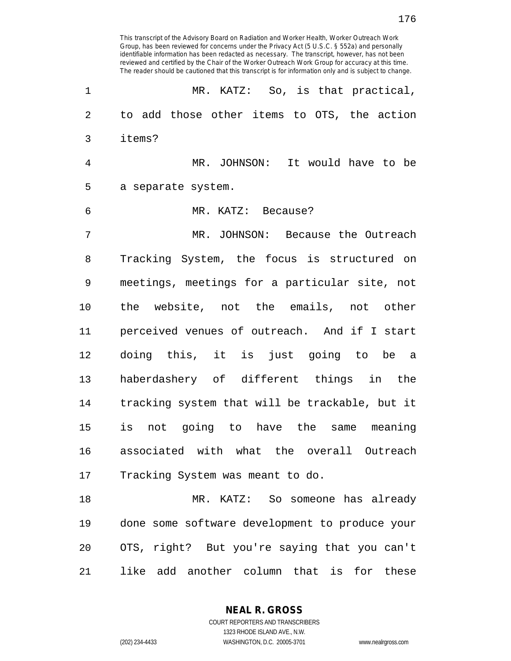1 MR. KATZ: So, is that practical, 2 to add those other items to OTS, the action 3 items? 4 MR. JOHNSON: It would have to be 5 a separate system. 6 MR. KATZ: Because? 7 MR. JOHNSON: Because the Outreach 8 Tracking System, the focus is structured on 9 meetings, meetings for a particular site, not 10 the website, not the emails, not other 11 perceived venues of outreach. And if I start 12 doing this, it is just going to be a 13 haberdashery of different things in the 14 tracking system that will be trackable, but it 15 is not going to have the same meaning 16 associated with what the overall Outreach 17 Tracking System was meant to do. 18 MR. KATZ: So someone has already 19 done some software development to produce your 20 OTS, right? But you're saying that you can't 21 like add another column that is for these

This transcript of the Advisory Board on Radiation and Worker Health, Worker Outreach Work Group, has been reviewed for concerns under the Privacy Act (5 U.S.C. § 552a) and personally identifiable information has been redacted as necessary. The transcript, however, has not been reviewed and certified by the Chair of the Worker Outreach Work Group for accuracy at this time. The reader should be cautioned that this transcript is for information only and is subject to change.

> **NEAL R. GROSS** COURT REPORTERS AND TRANSCRIBERS 1323 RHODE ISLAND AVE., N.W.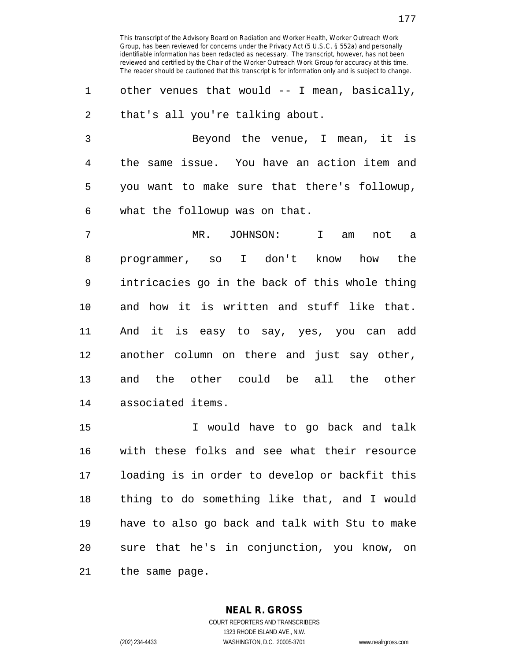1 other venues that would -- I mean, basically, 2 that's all you're talking about.

3 Beyond the venue, I mean, it is 4 the same issue. You have an action item and 5 you want to make sure that there's followup, 6 what the followup was on that.

7 MR. JOHNSON: I am not a 8 programmer, so I don't know how the 9 intricacies go in the back of this whole thing 10 and how it is written and stuff like that. 11 And it is easy to say, yes, you can add 12 another column on there and just say other, 13 and the other could be all the other 14 associated items.

15 I would have to go back and talk 16 with these folks and see what their resource 17 loading is in order to develop or backfit this 18 thing to do something like that, and I would 19 have to also go back and talk with Stu to make 20 sure that he's in conjunction, you know, on 21 the same page.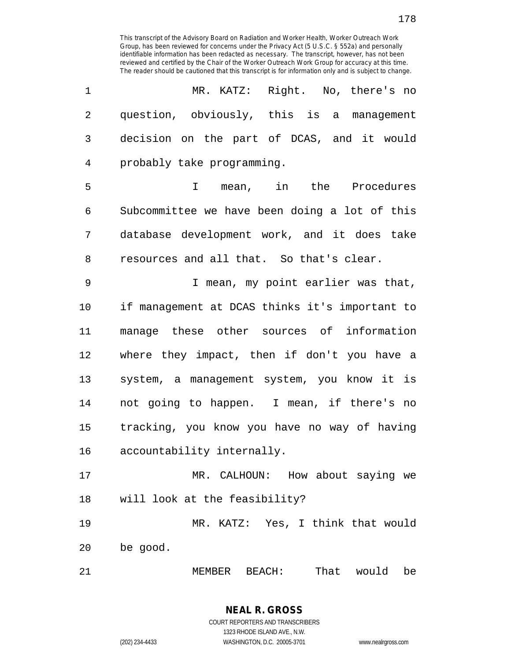| 1              | MR. KATZ: Right. No, there's no                |
|----------------|------------------------------------------------|
| $\overline{2}$ | question, obviously, this is a management      |
| 3              | decision on the part of DCAS, and it would     |
| 4              | probably take programming.                     |
| 5              | I mean, in the Procedures                      |
| 6              | Subcommittee we have been doing a lot of this  |
| 7              | database development work, and it does take    |
| 8              | resources and all that. So that's clear.       |
| 9              | I mean, my point earlier was that,             |
| 10             | if management at DCAS thinks it's important to |
| 11             | manage these other sources of information      |
| 12             | where they impact, then if don't you have a    |
| 13             | system, a management system, you know it is    |
| 14             | not going to happen. I mean, if there's no     |
| 15             | tracking, you know you have no way of having   |
| 16             | accountability internally.                     |
| 17             | MR. CALHOUN: How about saying we               |
| 18             | will look at the feasibility?                  |
| 19             | MR. KATZ: Yes, I think that would              |
| 20             | be good.                                       |
|                |                                                |

21 MEMBER BEACH: That would be

## **NEAL R. GROSS** COURT REPORTERS AND TRANSCRIBERS

1323 RHODE ISLAND AVE., N.W. (202) 234-4433 WASHINGTON, D.C. 20005-3701 www.nealrgross.com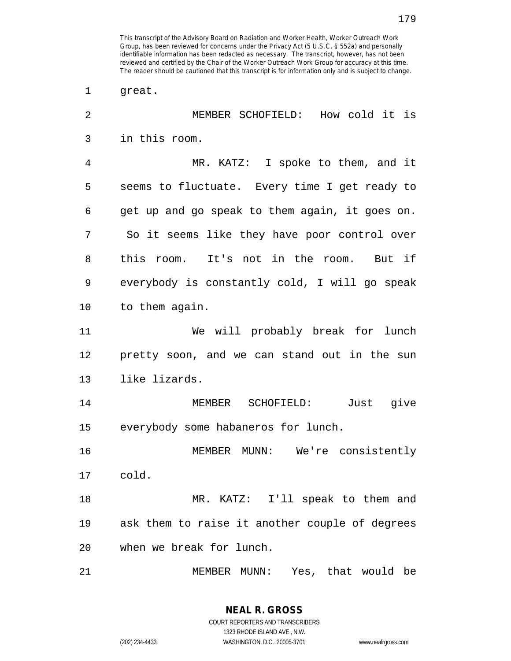2 MEMBER SCHOFIELD: How cold it is 3 in this room. 4 MR. KATZ: I spoke to them, and it 5 seems to fluctuate. Every time I get ready to 6 get up and go speak to them again, it goes on. 7 So it seems like they have poor control over 8 this room. It's not in the room. But if 9 everybody is constantly cold, I will go speak 10 to them again. 11 We will probably break for lunch 12 pretty soon, and we can stand out in the sun 13 like lizards. 14 MEMBER SCHOFIELD: Just give 15 everybody some habaneros for lunch. 16 MEMBER MUNN: We're consistently 17 cold. 18 MR. KATZ: I'll speak to them and 19 ask them to raise it another couple of degrees 20 when we break for lunch. 21 MEMBER MUNN: Yes, that would be

**NEAL R. GROSS**

1 great.

<sup>179</sup>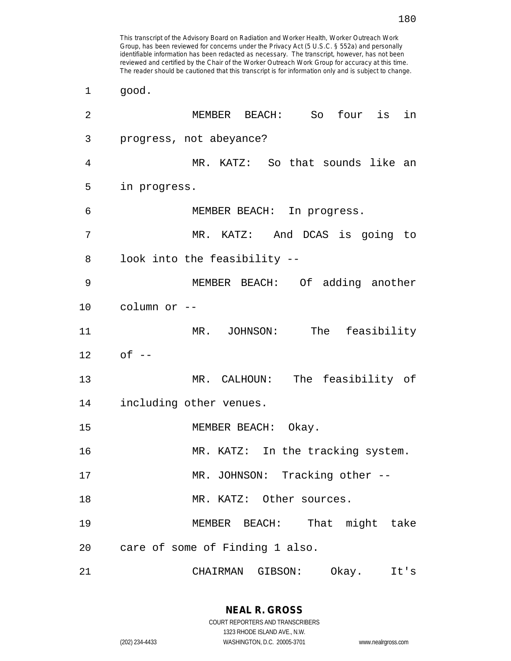| 1  | good.                             |
|----|-----------------------------------|
| 2  | MEMBER BEACH: So four is in       |
| 3  | progress, not abeyance?           |
| 4  | MR. KATZ: So that sounds like an  |
| 5  | in progress.                      |
| 6  | MEMBER BEACH: In progress.        |
| 7  | MR. KATZ: And DCAS is going to    |
| 8  | look into the feasibility --      |
| 9  | MEMBER BEACH: Of adding another   |
| 10 | column or --                      |
| 11 | MR. JOHNSON: The feasibility      |
| 12 | $of --$                           |
| 13 | MR. CALHOUN: The feasibility of   |
| 14 | including other venues.           |
| 15 | MEMBER BEACH: Okay.               |
| 16 | MR. KATZ: In the tracking system. |
| 17 | MR. JOHNSON: Tracking other --    |
| 18 | MR. KATZ: Other sources.          |
| 19 | MEMBER BEACH: That might take     |
| 20 | care of some of Finding 1 also.   |
| 21 | Okay.<br>CHAIRMAN GIBSON:<br>It's |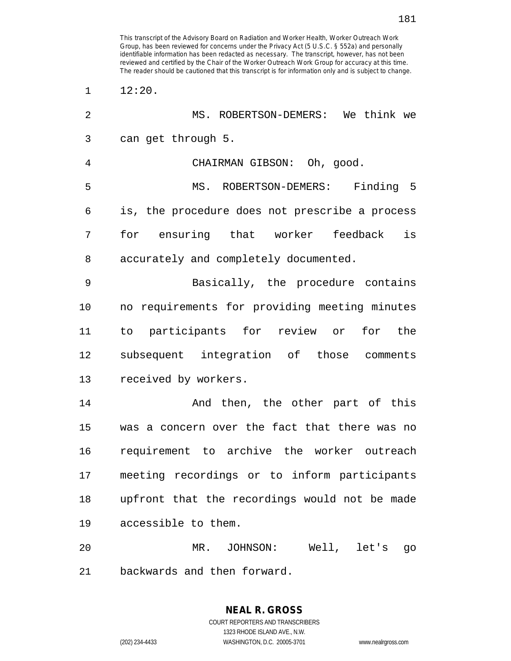| $\overline{2}$ | MS. ROBERTSON-DEMERS: We think we              |
|----------------|------------------------------------------------|
| 3              | can get through 5.                             |
| 4              | CHAIRMAN GIBSON: Oh, good.                     |
| 5              | MS. ROBERTSON-DEMERS: Finding 5                |
| 6              | is, the procedure does not prescribe a process |
| 7              | is<br>for ensuring that worker feedback        |
| 8              | accurately and completely documented.          |
| 9              | Basically, the procedure contains              |
| 10             | no requirements for providing meeting minutes  |
| 11             | to participants for review or for the          |
| 12             | subsequent integration of those comments       |
| 13             | received by workers.                           |
| 14             | And then, the other part of this               |
| 15             | was a concern over the fact that there was no  |
| 16             | requirement to archive the worker outreach     |
| 17             | meeting recordings or to inform participants   |
| 18             | upfront that the recordings would not be made  |
| 19             | accessible to them.                            |
| 20             | Well, let's<br>$MR$ .<br>JOHNSON:<br>90        |

21 backwards and then forward.

 $1 \t 12:20.$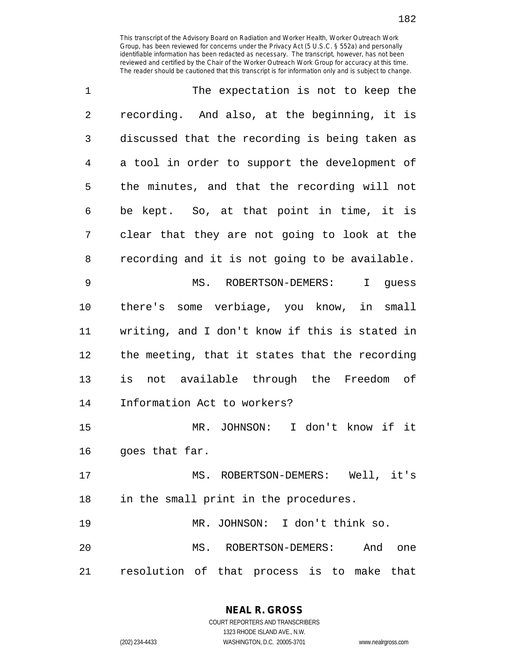| 1           | The expectation is not to keep the                |
|-------------|---------------------------------------------------|
| 2           | recording. And also, at the beginning, it is      |
| 3           | discussed that the recording is being taken as    |
| 4           | a tool in order to support the development of     |
| 5           | the minutes, and that the recording will not      |
| 6           | be kept. So, at that point in time, it is         |
| 7           | clear that they are not going to look at the      |
| 8           | recording and it is not going to be available.    |
| $\mathsf 9$ | MS.<br>ROBERTSON-DEMERS:<br>$\mathbf{I}$<br>guess |
| 10          | there's some verbiage, you know, in small         |
| 11          | writing, and I don't know if this is stated in    |
| 12          | the meeting, that it states that the recording    |
| 13          | is not available through the Freedom of           |
| 14          | Information Act to workers?                       |
| 15          | MR. JOHNSON: I don't know if it                   |
| 16          | goes that far.                                    |
| 17          | MS. ROBERTSON-DEMERS: Well, it's                  |
| 18          | in the small print in the procedures.             |
| 19          | MR. JOHNSON: I don't think so.                    |
| 20          | MS. ROBERTSON-DEMERS: And<br>one                  |
| 21          | resolution of that process is to make that        |

**NEAL R. GROSS** COURT REPORTERS AND TRANSCRIBERS

1323 RHODE ISLAND AVE., N.W.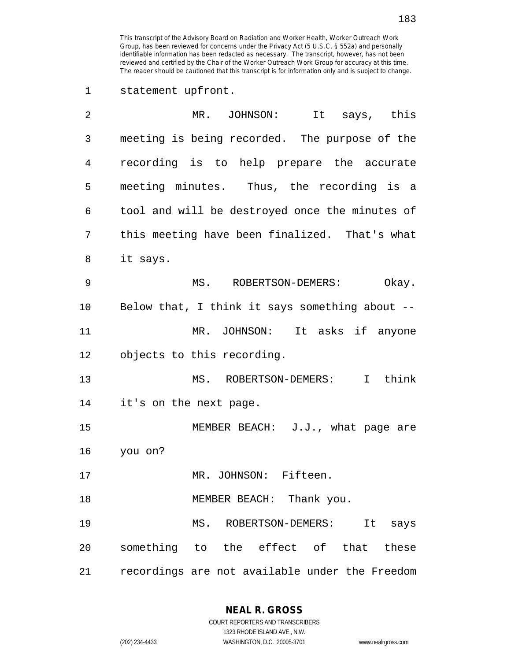1 statement upfront.

| 2  | MR. JOHNSON: It says, this                     |
|----|------------------------------------------------|
| 3  | meeting is being recorded. The purpose of the  |
| 4  | recording is to help prepare the accurate      |
| 5  | meeting minutes. Thus, the recording is a      |
| 6  | tool and will be destroyed once the minutes of |
| 7  | this meeting have been finalized. That's what  |
| 8  | it says.                                       |
| 9  | MS. ROBERTSON-DEMERS:<br>Okay.                 |
| 10 | Below that, I think it says something about -- |
| 11 | MR. JOHNSON: It asks if anyone                 |
| 12 | objects to this recording.                     |
| 13 | MS. ROBERTSON-DEMERS: I think                  |
| 14 | it's on the next page.                         |
| 15 | MEMBER BEACH: J.J., what page are              |
| 16 | you on?                                        |
| 17 | MR. JOHNSON: Fifteen.                          |
| 18 | MEMBER BEACH: Thank you.                       |
| 19 | MS. ROBERTSON-DEMERS:<br>It says               |
| 20 | something to the effect of that these          |
| 21 | recordings are not available under the Freedom |

**NEAL R. GROSS**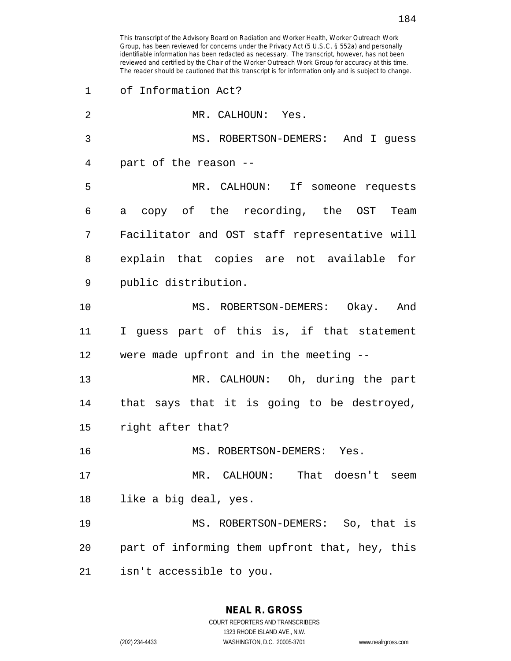1 of Information Act? 2 MR. CALHOUN: Yes. 3 MS. ROBERTSON-DEMERS: And I guess 4 part of the reason -- 5 MR. CALHOUN: If someone requests 6 a copy of the recording, the OST Team 7 Facilitator and OST staff representative will 8 explain that copies are not available for 9 public distribution. 10 MS. ROBERTSON-DEMERS: Okay. And 11 I guess part of this is, if that statement 12 were made upfront and in the meeting -- 13 MR. CALHOUN: Oh, during the part 14 that says that it is going to be destroyed, 15 right after that? 16 MS. ROBERTSON-DEMERS: Yes. 17 MR. CALHOUN: That doesn't seem 18 like a big deal, yes. 19 MS. ROBERTSON-DEMERS: So, that is 20 part of informing them upfront that, hey, this 21 isn't accessible to you.

> **NEAL R. GROSS** COURT REPORTERS AND TRANSCRIBERS

> > 1323 RHODE ISLAND AVE., N.W.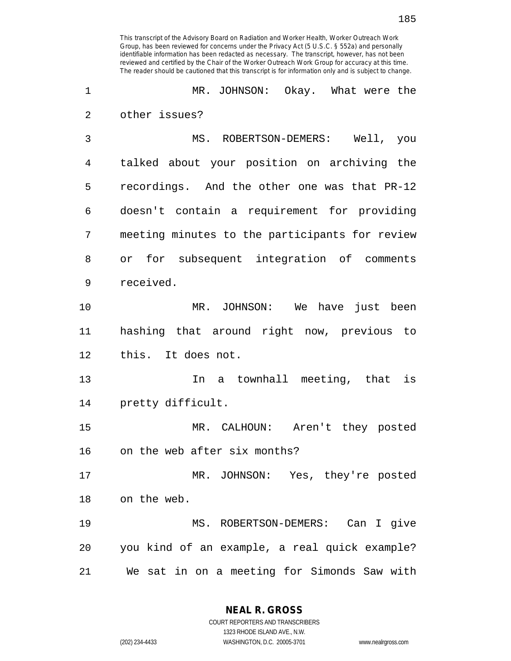This transcript of the Advisory Board on Radiation and Worker Health, Worker Outreach Work Group, has been reviewed for concerns under the Privacy Act (5 U.S.C. § 552a) and personally identifiable information has been redacted as necessary. The transcript, however, has not been

reviewed and certified by the Chair of the Worker Outreach Work Group for accuracy at this time. The reader should be cautioned that this transcript is for information only and is subject to change.

1 MR. JOHNSON: Okay. What were the 2 other issues? 3 MS. ROBERTSON-DEMERS: Well, you 4 talked about your position on archiving the 5 recordings. And the other one was that PR-12 6 doesn't contain a requirement for providing 7 meeting minutes to the participants for review 8 or for subsequent integration of comments 9 received. 10 MR. JOHNSON: We have just been 11 hashing that around right now, previous to 12 this. It does not. 13 In a townhall meeting, that is 14 pretty difficult. 15 MR. CALHOUN: Aren't they posted 16 on the web after six months? 17 MR. JOHNSON: Yes, they're posted 18 on the web. 19 MS. ROBERTSON-DEMERS: Can I give 20 you kind of an example, a real quick example? 21 We sat in on a meeting for Simonds Saw with

> **NEAL R. GROSS** COURT REPORTERS AND TRANSCRIBERS

1323 RHODE ISLAND AVE., N.W. (202) 234-4433 WASHINGTON, D.C. 20005-3701 www.nealrgross.com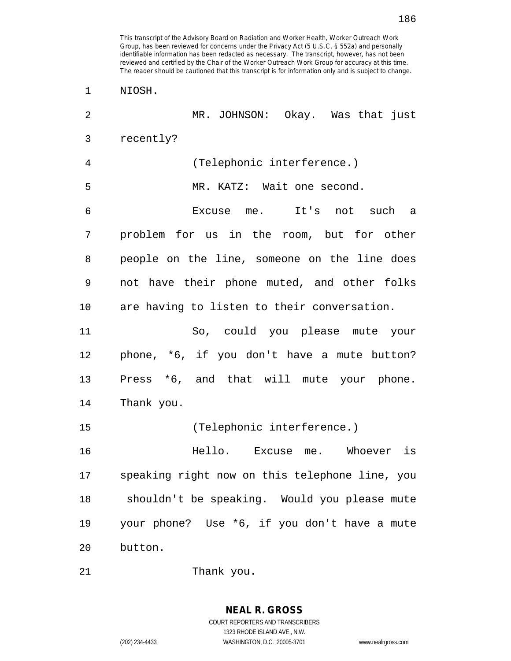1 NIOSH. 2 MR. JOHNSON: Okay. Was that just 3 recently? 4 (Telephonic interference.) 5 MR. KATZ: Wait one second. 6 Excuse me. It's not such a 7 problem for us in the room, but for other 8 people on the line, someone on the line does 9 not have their phone muted, and other folks 10 are having to listen to their conversation. 11 So, could you please mute your 12 phone, \*6, if you don't have a mute button? 13 Press \*6, and that will mute your phone. 14 Thank you. 15 (Telephonic interference.) 16 Hello. Excuse me. Whoever is 17 speaking right now on this telephone line, you 18 shouldn't be speaking. Would you please mute 19 your phone? Use \*6, if you don't have a mute 20 button. 21 Thank you.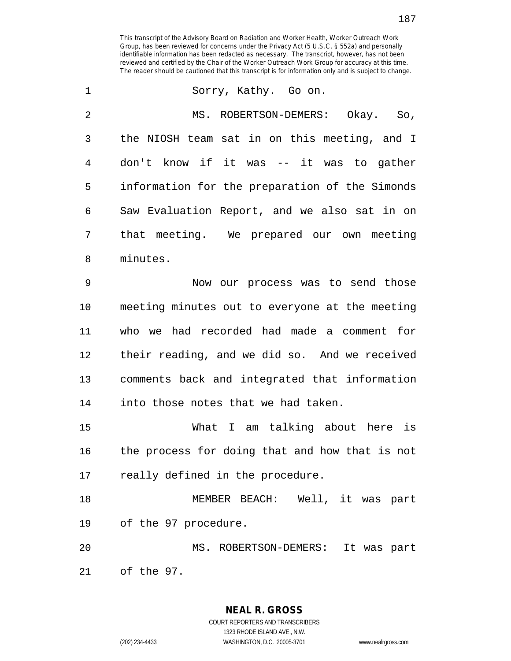| $\mathbf 1$    | Sorry, Kathy. Go on.                           |
|----------------|------------------------------------------------|
| $\overline{2}$ | MS. ROBERTSON-DEMERS: Okay. So,                |
| 3              | the NIOSH team sat in on this meeting, and I   |
| $\overline{4}$ | don't know if it was -- it was to gather       |
| 5              | information for the preparation of the Simonds |
| 6              | Saw Evaluation Report, and we also sat in on   |
| 7              | that meeting. We prepared our own meeting      |
| 8              | minutes.                                       |
| 9              | Now our process was to send those              |
| 10             | meeting minutes out to everyone at the meeting |
| 11             | who we had recorded had made a comment for     |
| 12             | their reading, and we did so. And we received  |
| 13             | comments back and integrated that information  |
| 14             | into those notes that we had taken.            |
| 15             | What I am talking about here is                |
| 16             | the process for doing that and how that is not |
| 17             | really defined in the procedure.               |
| 18             | MEMBER BEACH: Well, it was part                |
| 19             | of the 97 procedure.                           |
| 20             | MS. ROBERTSON-DEMERS: It was part              |
| 21             | of the 97.                                     |

**NEAL R. GROSS**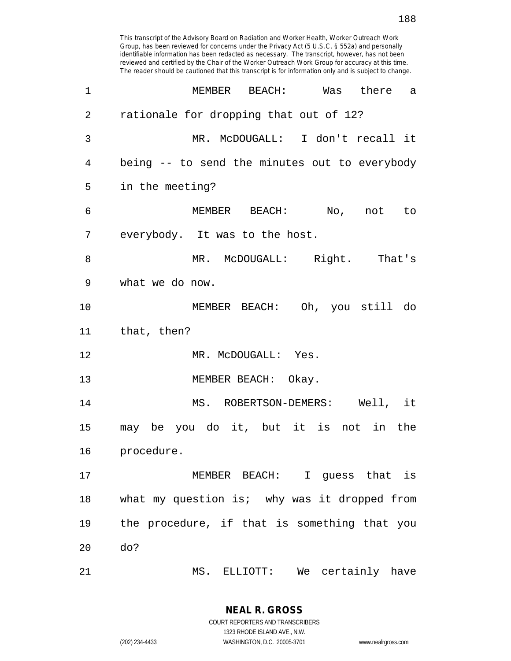| $\mathbf 1$    | MEMBER BEACH: Was there a                     |
|----------------|-----------------------------------------------|
| $\overline{2}$ | rationale for dropping that out of 12?        |
| 3              | MR. McDOUGALL: I don't recall it              |
| 4              | being -- to send the minutes out to everybody |
| 5              | in the meeting?                               |
| 6              | MEMBER BEACH: No, not to                      |
| 7              | everybody. It was to the host.                |
| 8              | MR. McDOUGALL: Right. That's                  |
| 9              | what we do now.                               |
| 10             | MEMBER BEACH: Oh, you still do                |
| 11             | that, then?                                   |
| 12             | MR. McDOUGALL: Yes.                           |
| 13             | MEMBER BEACH: Okay.                           |
| 14             | MS. ROBERTSON-DEMERS: Well, it                |
| 15             | may be you do it, but it is not in the        |
| 16             | procedure.                                    |
| 17             | MEMBER BEACH: I guess that is                 |
| 18             | what my question is; why was it dropped from  |
| 19             | the procedure, if that is something that you  |
| 20             | do?                                           |
| 21             | MS. ELLIOTT: We certainly have                |

**NEAL R. GROSS** COURT REPORTERS AND TRANSCRIBERS 1323 RHODE ISLAND AVE., N.W.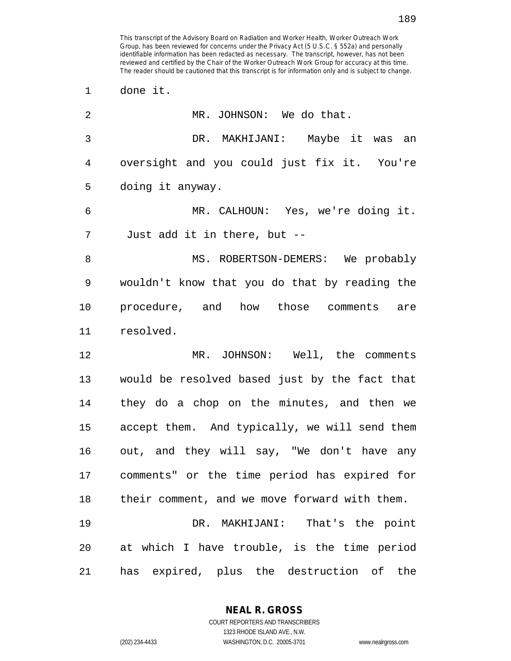1 done it.

| 2              | MR. JOHNSON: We do that.                      |
|----------------|-----------------------------------------------|
| $\mathfrak{Z}$ | DR. MAKHIJANI: Maybe it was an                |
| 4              | oversight and you could just fix it. You're   |
| 5              | doing it anyway.                              |
| 6              | MR. CALHOUN: Yes, we're doing it.             |
| 7              | Just add it in there, but --                  |
| 8              | MS. ROBERTSON-DEMERS: We probably             |
| 9              | wouldn't know that you do that by reading the |
| 10             | procedure, and how those comments are         |
| 11             | resolved.                                     |
| 12             | MR. JOHNSON: Well, the comments               |
| 13             | would be resolved based just by the fact that |
| 14             | they do a chop on the minutes, and then we    |
| 15             | accept them. And typically, we will send them |
| 16             | out, and they will say, "We don't have any    |
| 17             | comments" or the time period has expired for  |
| 18             | their comment, and we move forward with them. |
| 19             | DR. MAKHIJANI: That's the point               |
| 20             | at which I have trouble, is the time period   |
| 21             | has expired, plus the destruction of the      |

**NEAL R. GROSS** COURT REPORTERS AND TRANSCRIBERS

1323 RHODE ISLAND AVE., N.W.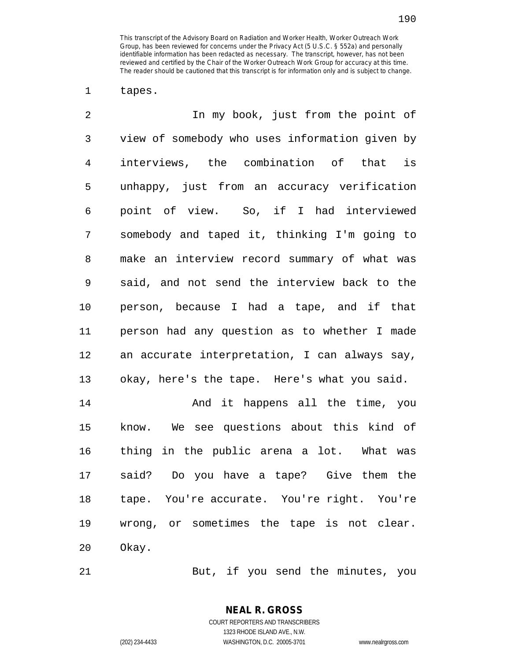1 tapes.

| $\overline{2}$ | In my book, just from the point of             |
|----------------|------------------------------------------------|
| 3              | view of somebody who uses information given by |
| $\overline{4}$ | interviews, the combination of that is         |
| 5              | unhappy, just from an accuracy verification    |
| 6              | point of view. So, if I had interviewed        |
| 7              | somebody and taped it, thinking I'm going to   |
| 8              | make an interview record summary of what was   |
| 9              | said, and not send the interview back to the   |
| 10             | person, because I had a tape, and if that      |
| 11             | person had any question as to whether I made   |
| 12             | an accurate interpretation, I can always say,  |
| 13             | okay, here's the tape. Here's what you said.   |
| 14             | And it happens all the time, you               |
| 15             | know. We see questions about this kind of      |
| 16             | thing in the public arena a lot. What was      |
| 17             | said? Do you have a tape? Give them the        |
| 18             | tape. You're accurate. You're right. You're    |
| 19             | wrong, or sometimes the tape is not clear.     |

20 Okay.

21 But, if you send the minutes, you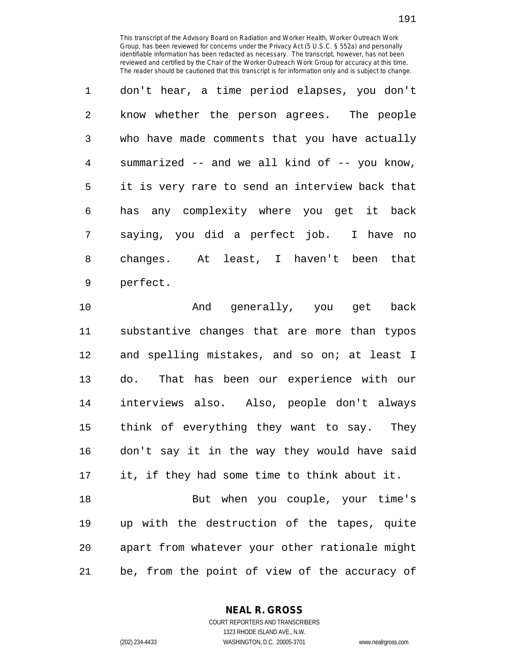1 don't hear, a time period elapses, you don't 2 know whether the person agrees. The people 3 who have made comments that you have actually 4 summarized -- and we all kind of -- you know, 5 it is very rare to send an interview back that 6 has any complexity where you get it back 7 saying, you did a perfect job. I have no 8 changes. At least, I haven't been that 9 perfect.

10 And generally, you get back 11 substantive changes that are more than typos 12 and spelling mistakes, and so on; at least I 13 do. That has been our experience with our 14 interviews also. Also, people don't always 15 think of everything they want to say. They 16 don't say it in the way they would have said 17 it, if they had some time to think about it. 18 But when you couple, your time's 19 up with the destruction of the tapes, quite 20 apart from whatever your other rationale might

21 be, from the point of view of the accuracy of

**NEAL R. GROSS**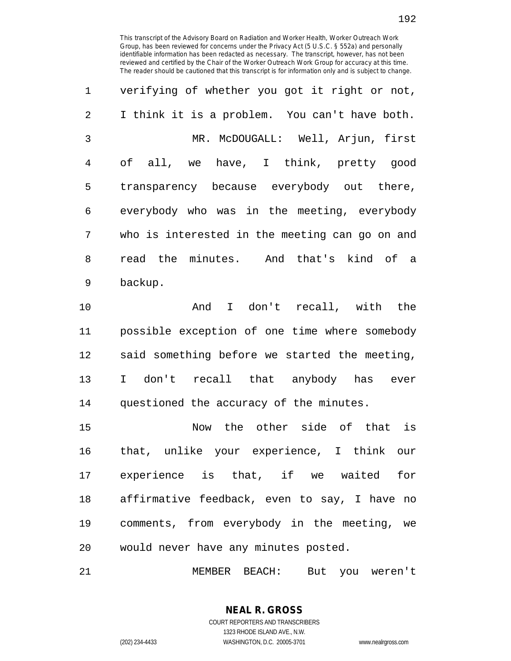| $\mathbf{1}$ | verifying of whether you got it right or not,  |
|--------------|------------------------------------------------|
| 2            | I think it is a problem. You can't have both.  |
| 3            | MR. McDOUGALL: Well, Arjun, first              |
| 4            | of all, we have, I think, pretty good          |
| 5            | transparency because everybody out there,      |
| 6            | everybody who was in the meeting, everybody    |
| 7            | who is interested in the meeting can go on and |
| 8            | read the minutes. And that's kind of a         |
| 9            | backup.                                        |

10 And I don't recall, with the 11 possible exception of one time where somebody 12 said something before we started the meeting, 13 I don't recall that anybody has ever 14 questioned the accuracy of the minutes.

15 Now the other side of that is 16 that, unlike your experience, I think our 17 experience is that, if we waited for 18 affirmative feedback, even to say, I have no 19 comments, from everybody in the meeting, we 20 would never have any minutes posted.

21 MEMBER BEACH: But you weren't

192

COURT REPORTERS AND TRANSCRIBERS 1323 RHODE ISLAND AVE., N.W. (202) 234-4433 WASHINGTON, D.C. 20005-3701 www.nealrgross.com

**NEAL R. GROSS**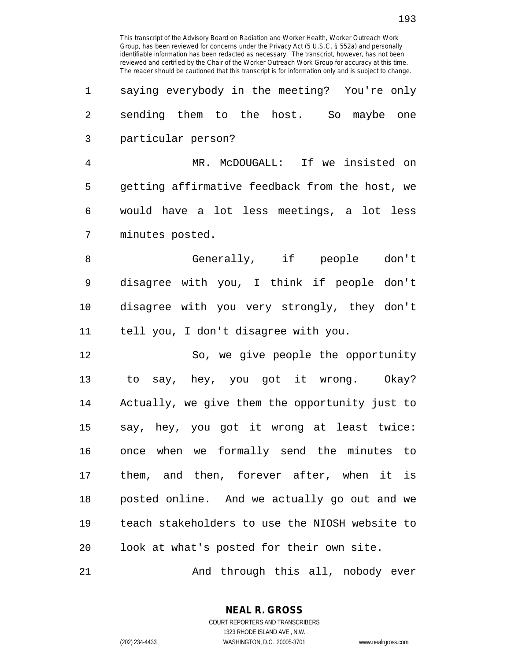1 saying everybody in the meeting? You're only 2 sending them to the host. So maybe one 3 particular person?

4 MR. McDOUGALL: If we insisted on 5 getting affirmative feedback from the host, we 6 would have a lot less meetings, a lot less 7 minutes posted.

8 Generally, if people don't 9 disagree with you, I think if people don't 10 disagree with you very strongly, they don't 11 tell you, I don't disagree with you.

12 So, we give people the opportunity 13 to say, hey, you got it wrong. Okay? 14 Actually, we give them the opportunity just to 15 say, hey, you got it wrong at least twice: 16 once when we formally send the minutes to 17 them, and then, forever after, when it is 18 posted online. And we actually go out and we 19 teach stakeholders to use the NIOSH website to 20 look at what's posted for their own site.

21 And through this all, nobody ever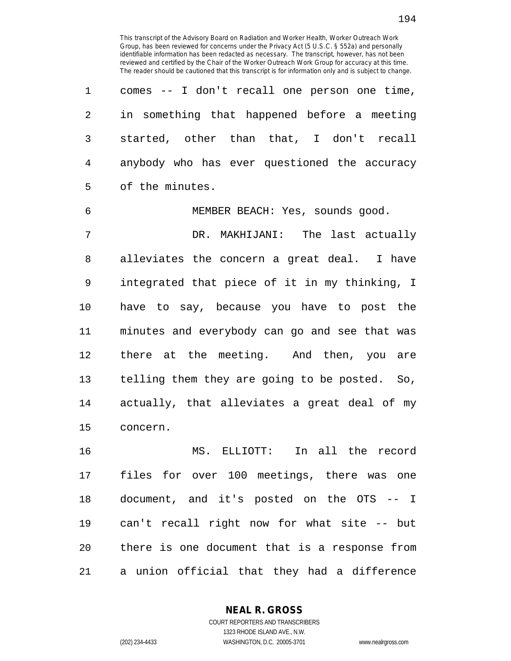1 comes -- I don't recall one person one time, 2 in something that happened before a meeting 3 started, other than that, I don't recall 4 anybody who has ever questioned the accuracy 5 of the minutes.

6 MEMBER BEACH: Yes, sounds good. 7 DR. MAKHIJANI: The last actually 8 alleviates the concern a great deal. I have 9 integrated that piece of it in my thinking, I 10 have to say, because you have to post the 11 minutes and everybody can go and see that was 12 there at the meeting. And then, you are 13 telling them they are going to be posted. So, 14 actually, that alleviates a great deal of my 15 concern.

16 MS. ELLIOTT: In all the record 17 files for over 100 meetings, there was one 18 document, and it's posted on the OTS -- I 19 can't recall right now for what site -- but 20 there is one document that is a response from 21 a union official that they had a difference

> **NEAL R. GROSS** COURT REPORTERS AND TRANSCRIBERS

194

1323 RHODE ISLAND AVE., N.W. (202) 234-4433 WASHINGTON, D.C. 20005-3701 www.nealrgross.com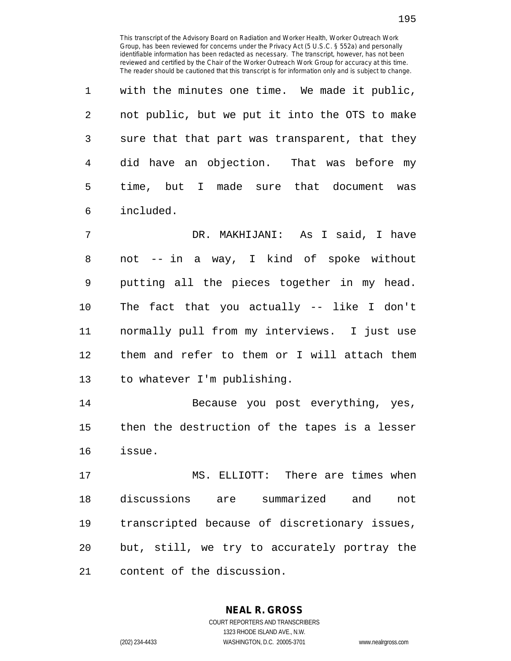1 with the minutes one time. We made it public, 2 not public, but we put it into the OTS to make 3 sure that that part was transparent, that they 4 did have an objection. That was before my 5 time, but I made sure that document was 6 included.

7 DR. MAKHIJANI: As I said, I have 8 not -- in a way, I kind of spoke without 9 putting all the pieces together in my head. 10 The fact that you actually -- like I don't 11 normally pull from my interviews. I just use 12 them and refer to them or I will attach them 13 to whatever I'm publishing.

14 Because you post everything, yes, 15 then the destruction of the tapes is a lesser 16 issue.

17 MS. ELLIOTT: There are times when 18 discussions are summarized and not 19 transcripted because of discretionary issues, 20 but, still, we try to accurately portray the 21 content of the discussion.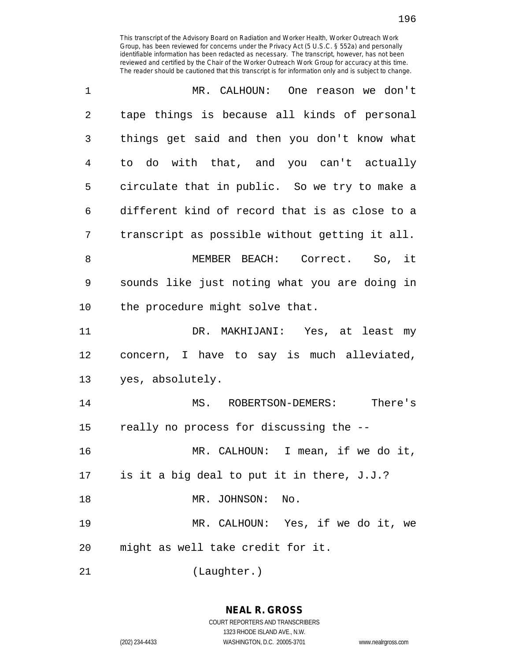| 1              | MR. CALHOUN: One reason we don't               |
|----------------|------------------------------------------------|
| $\overline{2}$ | tape things is because all kinds of personal   |
| 3              | things get said and then you don't know what   |
| 4              | to do with that, and you can't actually        |
| 5              | circulate that in public. So we try to make a  |
| 6              | different kind of record that is as close to a |
| 7              | transcript as possible without getting it all. |
| 8              | MEMBER BEACH: Correct. So, it                  |
| 9              | sounds like just noting what you are doing in  |
| 10             | the procedure might solve that.                |
| 11             | DR. MAKHIJANI: Yes, at least my                |
| 12             | concern, I have to say is much alleviated,     |
| 13             | yes, absolutely.                               |
| 14             | There's<br>MS. ROBERTSON-DEMERS:               |
| 15             | really no process for discussing the --        |
| 16             | MR. CALHOUN: I mean, if we do it,              |
| 17             | is it a big deal to put it in there, J.J.?     |
| 18             | MR. JOHNSON: No.                               |
| 19             | MR. CALHOUN: Yes, if we do it, we              |
| 20             | might as well take credit for it.              |
| 21             | (Laughter.)                                    |

**NEAL R. GROSS**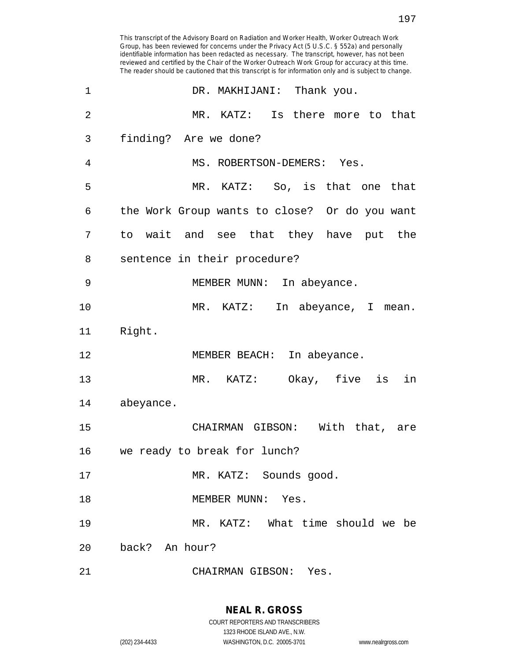This transcript of the Advisory Board on Radiation and Worker Health, Worker Outreach Work Group, has been reviewed for concerns under the Privacy Act (5 U.S.C. § 552a) and personally identifiable information has been redacted as necessary. The transcript, however, has not been reviewed and certified by the Chair of the Worker Outreach Work Group for accuracy at this time. The reader should be cautioned that this transcript is for information only and is subject to change. 1 DR. MAKHIJANI: Thank you. 2 MR. KATZ: Is there more to that 3 finding? Are we done? 4 MS. ROBERTSON-DEMERS: Yes. 5 MR. KATZ: So, is that one that 6 the Work Group wants to close? Or do you want 7 to wait and see that they have put the 8 sentence in their procedure? 9 MEMBER MUNN: In abeyance. 10 MR. KATZ: In abeyance, I mean. 11 Right. 12 MEMBER BEACH: In abeyance. 13 MR. KATZ: Okay, five is in 14 abeyance. 15 CHAIRMAN GIBSON: With that, are 16 we ready to break for lunch? 17 MR. KATZ: Sounds good. 18 MEMBER MUNN: Yes. 19 MR. KATZ: What time should we be 20 back? An hour? 21 CHAIRMAN GIBSON: Yes.

**NEAL R. GROSS**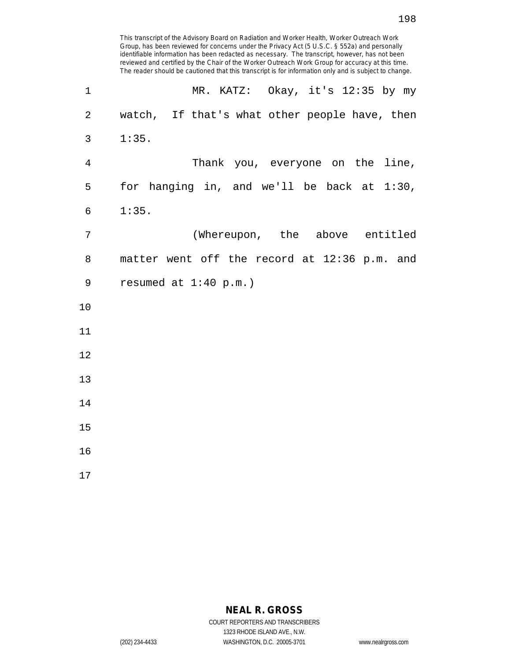This transcript of the Advisory Board on Radiation and Worker Health, Worker Outreach Work Group, has been reviewed for concerns under the Privacy Act (5 U.S.C. § 552a) and personally identifiable information has been redacted as necessary. The transcript, however, has not been reviewed and certified by the Chair of the Worker Outreach Work Group for accuracy at this time. The reader should be cautioned that this transcript is for information only and is subject to change. 1 MR. KATZ: Okay, it's 12:35 by my 2 watch, If that's what other people have, then 3 1:35. 4 Thank you, everyone on the line, 5 for hanging in, and we'll be back at 1:30, 6 1:35. 7 (Whereupon, the above entitled 8 matter went off the record at 12:36 p.m. and 9 resumed at 1:40 p.m.) 10 11 12 13 14 15 16

17

## **NEAL R. GROSS**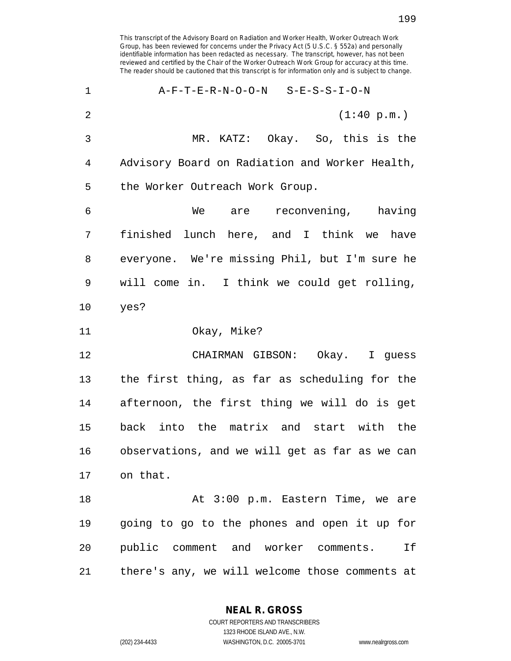This transcript of the Advisory Board on Radiation and Worker Health, Worker Outreach Work Group, has been reviewed for concerns under the Privacy Act (5 U.S.C. § 552a) and personally identifiable information has been redacted as necessary. The transcript, however, has not been reviewed and certified by the Chair of the Worker Outreach Work Group for accuracy at this time. The reader should be cautioned that this transcript is for information only and is subject to change. 1 A-F-T-E-R-N-O-O-N S-E-S-S-I-O-N 2 (1:40 p.m.) 3 MR. KATZ: Okay. So, this is the 4 Advisory Board on Radiation and Worker Health, 5 the Worker Outreach Work Group. 6 We are reconvening, having 7 finished lunch here, and I think we have 8 everyone. We're missing Phil, but I'm sure he 9 will come in. I think we could get rolling, 10 yes? 11 Okay, Mike? 12 CHAIRMAN GIBSON: Okay. I guess 13 the first thing, as far as scheduling for the 14 afternoon, the first thing we will do is get 15 back into the matrix and start with the 16 observations, and we will get as far as we can 17 on that. 18 At 3:00 p.m. Eastern Time, we are 19 going to go to the phones and open it up for 20 public comment and worker comments. If 21 there's any, we will welcome those comments at

> **NEAL R. GROSS** COURT REPORTERS AND TRANSCRIBERS

> > 1323 RHODE ISLAND AVE., N.W.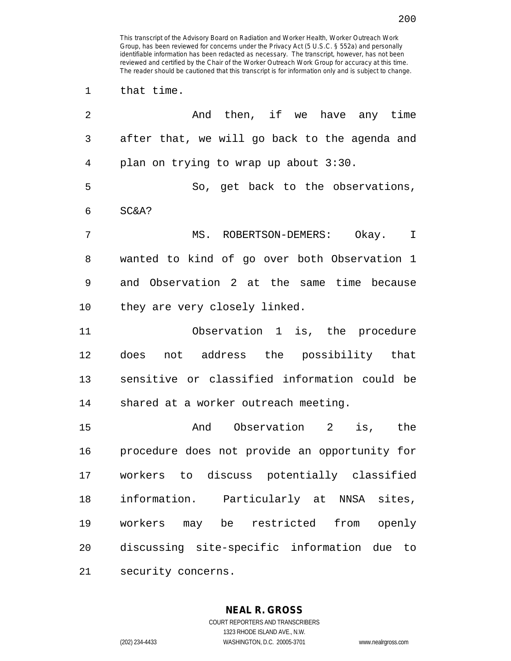1 that time.

| 2  | And then, if we have any time                  |
|----|------------------------------------------------|
| 3  | after that, we will go back to the agenda and  |
| 4  | plan on trying to wrap up about 3:30.          |
| 5  | So, get back to the observations,              |
| 6  | SC&A?                                          |
| 7  | MS. ROBERTSON-DEMERS: Okay. I                  |
| 8  | wanted to kind of go over both Observation 1   |
| 9  | and Observation 2 at the same time because     |
| 10 | they are very closely linked.                  |
| 11 | Observation 1 is, the procedure                |
| 12 | does not address the possibility that          |
| 13 | sensitive or classified information could be   |
| 14 | shared at a worker outreach meeting.           |
| 15 | And Observation 2 is, the                      |
| 16 | procedure does not provide an opportunity for  |
| 17 | workers to discuss potentially classified      |
| 18 | information. Particularly at NNSA sites,       |
| 19 | workers may be<br>restricted from openly       |
| 20 | discussing site-specific information due<br>to |
| 21 | security concerns.                             |

**NEAL R. GROSS** COURT REPORTERS AND TRANSCRIBERS 1323 RHODE ISLAND AVE., N.W.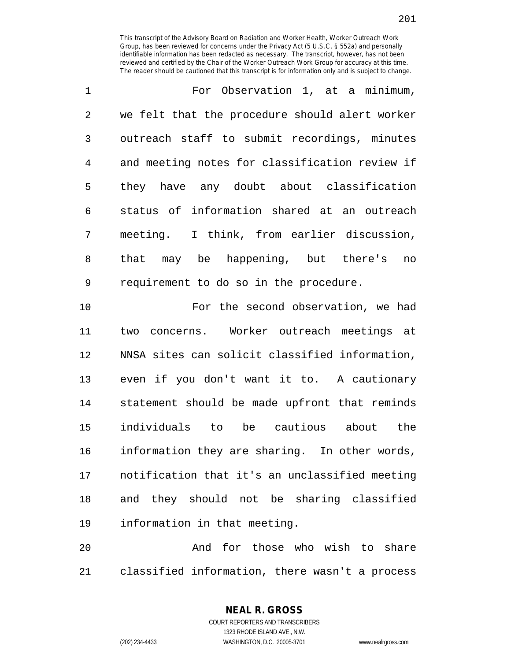1 For Observation 1, at a minimum, 2 we felt that the procedure should alert worker 3 outreach staff to submit recordings, minutes 4 and meeting notes for classification review if 5 they have any doubt about classification 6 status of information shared at an outreach 7 meeting. I think, from earlier discussion, 8 that may be happening, but there's no 9 requirement to do so in the procedure.

10 For the second observation, we had 11 two concerns. Worker outreach meetings at 12 NNSA sites can solicit classified information, 13 even if you don't want it to. A cautionary 14 statement should be made upfront that reminds 15 individuals to be cautious about the 16 information they are sharing. In other words, 17 notification that it's an unclassified meeting 18 and they should not be sharing classified 19 information in that meeting.

20 And for those who wish to share 21 classified information, there wasn't a process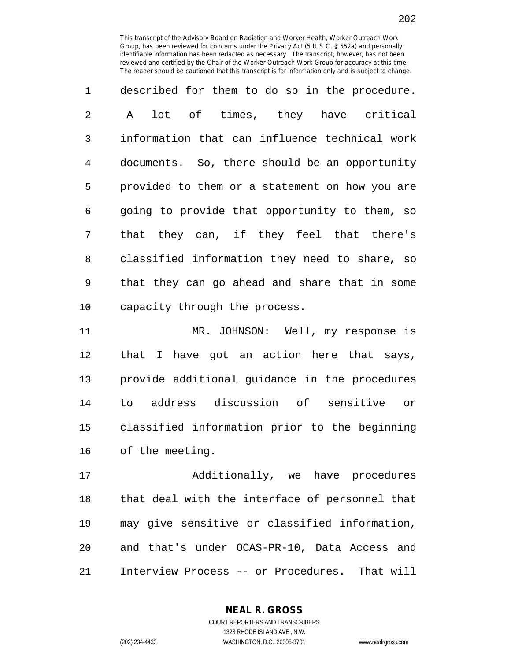1 described for them to do so in the procedure. 2 A lot of times, they have critical 3 information that can influence technical work 4 documents. So, there should be an opportunity 5 provided to them or a statement on how you are 6 going to provide that opportunity to them, so 7 that they can, if they feel that there's 8 classified information they need to share, so 9 that they can go ahead and share that in some 10 capacity through the process.

11 MR. JOHNSON: Well, my response is 12 that I have got an action here that says, 13 provide additional guidance in the procedures 14 to address discussion of sensitive or 15 classified information prior to the beginning 16 of the meeting.

17 Additionally, we have procedures 18 that deal with the interface of personnel that 19 may give sensitive or classified information, 20 and that's under OCAS-PR-10, Data Access and 21 Interview Process -- or Procedures. That will

> **NEAL R. GROSS** COURT REPORTERS AND TRANSCRIBERS 1323 RHODE ISLAND AVE., N.W.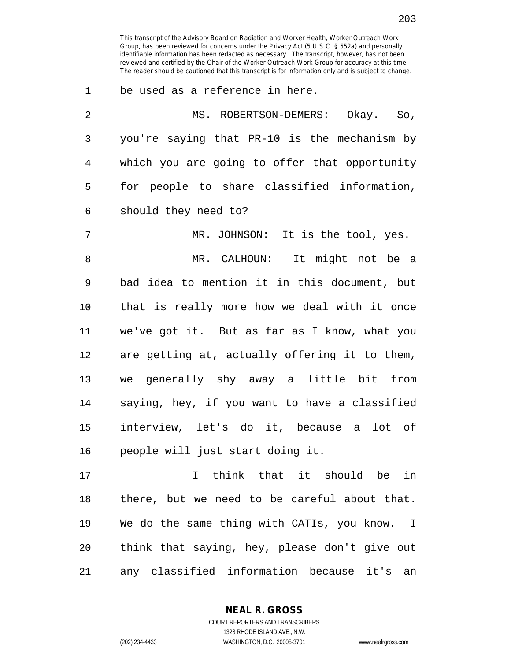1 be used as a reference in here.

| 2              | MS. ROBERTSON-DEMERS: Okay. So,               |
|----------------|-----------------------------------------------|
| $\mathfrak{Z}$ | you're saying that PR-10 is the mechanism by  |
| $\overline{4}$ | which you are going to offer that opportunity |
| 5              | for people to share classified information,   |
| 6              | should they need to?                          |
| 7              | MR. JOHNSON: It is the tool, yes.             |
| 8              | MR. CALHOUN: It might not be a                |
| $\mathsf 9$    | bad idea to mention it in this document, but  |
| 10             | that is really more how we deal with it once  |
| 11             | we've got it. But as far as I know, what you  |
| 12             | are getting at, actually offering it to them, |
| 13             | we generally shy away a little bit from       |
| 14             | saying, hey, if you want to have a classified |
| 15             | interview, let's do it, because a lot of      |
| 16             | people will just start doing it.              |
| 17             | think that it should be<br>in<br>$\mathbf{I}$ |
| 18             | there, but we need to be careful about that.  |

19 We do the same thing with CATIs, you know. I 20 think that saying, hey, please don't give out 21 any classified information because it's an

**NEAL R. GROSS**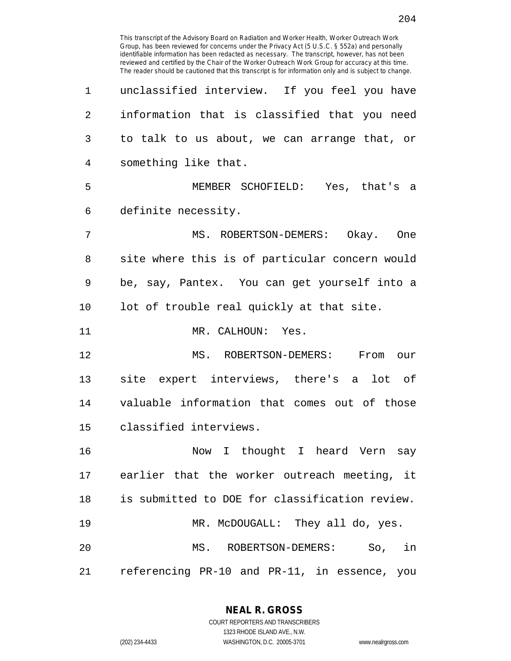reviewed and certified by the Chair of the Worker Outreach Work Group for accuracy at this time. The reader should be cautioned that this transcript is for information only and is subject to change. 1 unclassified interview. If you feel you have 2 information that is classified that you need 3 to talk to us about, we can arrange that, or 4 something like that. 5 MEMBER SCHOFIELD: Yes, that's a 6 definite necessity. 7 MS. ROBERTSON-DEMERS: Okay. One 8 site where this is of particular concern would 9 be, say, Pantex. You can get yourself into a 10 lot of trouble real quickly at that site. 11 MR. CALHOUN: Yes. 12 MS. ROBERTSON-DEMERS: From our 13 site expert interviews, there's a lot of 14 valuable information that comes out of those 15 classified interviews. 16 Now I thought I heard Vern say 17 earlier that the worker outreach meeting, it 18 is submitted to DOE for classification review. 19 MR. McDOUGALL: They all do, yes. 20 MS. ROBERTSON-DEMERS: So, in 21 referencing PR-10 and PR-11, in essence, you

This transcript of the Advisory Board on Radiation and Worker Health, Worker Outreach Work Group, has been reviewed for concerns under the Privacy Act (5 U.S.C. § 552a) and personally identifiable information has been redacted as necessary. The transcript, however, has not been

> **NEAL R. GROSS** COURT REPORTERS AND TRANSCRIBERS

1323 RHODE ISLAND AVE., N.W. (202) 234-4433 WASHINGTON, D.C. 20005-3701 www.nealrgross.com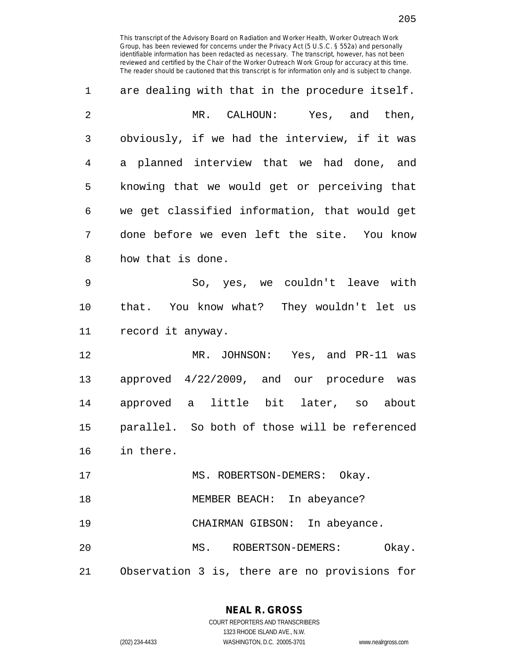| 1              | are dealing with that in the procedure itself. |
|----------------|------------------------------------------------|
| $\overline{2}$ | MR. CALHOUN: Yes, and then,                    |
| 3              | obviously, if we had the interview, if it was  |
| 4              | a planned interview that we had done, and      |
| 5              | knowing that we would get or perceiving that   |
| 6              | we get classified information, that would get  |
| 7              | done before we even left the site. You know    |
| 8              | how that is done.                              |
| 9              | So, yes, we couldn't leave with                |
| 10             | that. You know what? They wouldn't let us      |
| 11             | record it anyway.                              |
| 12             | MR. JOHNSON: Yes, and PR-11 was                |
| 13             | approved 4/22/2009, and our procedure was      |
| 14             | approved a little bit later, so about          |
| 15             | parallel. So both of those will be referenced  |
| 16             | in there.                                      |
| 17             | MS. ROBERTSON-DEMERS: Okay.                    |
| 18             | MEMBER BEACH: In abeyance?                     |
| 19             | CHAIRMAN GIBSON: In abeyance.                  |
| 20             | MS. ROBERTSON-DEMERS:<br>Okay.                 |
| 21             | Observation 3 is, there are no provisions for  |

**NEAL R. GROSS**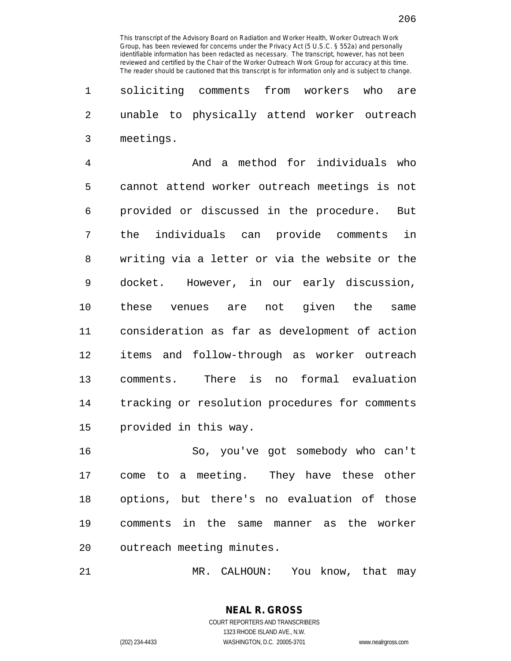1 soliciting comments from workers who are 2 unable to physically attend worker outreach 3 meetings.

4 And a method for individuals who 5 cannot attend worker outreach meetings is not 6 provided or discussed in the procedure. But 7 the individuals can provide comments in 8 writing via a letter or via the website or the 9 docket. However, in our early discussion, 10 these venues are not given the same 11 consideration as far as development of action 12 items and follow-through as worker outreach 13 comments. There is no formal evaluation 14 tracking or resolution procedures for comments 15 provided in this way.

16 So, you've got somebody who can't 17 come to a meeting. They have these other 18 options, but there's no evaluation of those 19 comments in the same manner as the worker 20 outreach meeting minutes.

21 MR. CALHOUN: You know, that may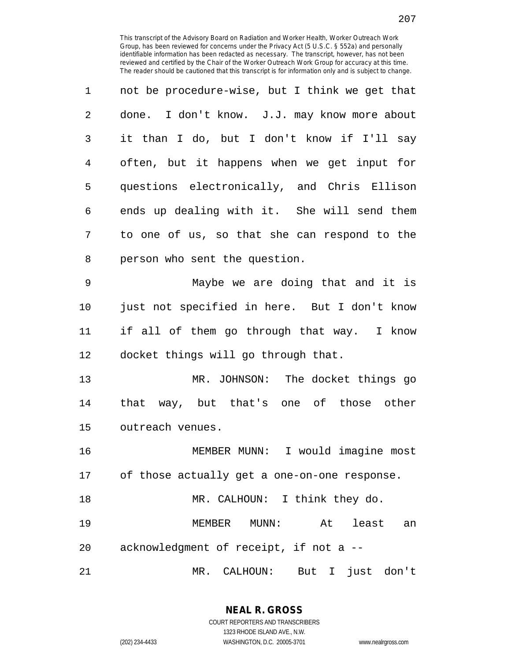| 1 | not be procedure-wise, but I think we get that |
|---|------------------------------------------------|
| 2 | done. I don't know. J.J. may know more about   |
| 3 | it than I do, but I don't know if I'll say     |
| 4 | often, but it happens when we get input for    |
| 5 | questions electronically, and Chris Ellison    |
| 6 | ends up dealing with it. She will send them    |
| 7 | to one of us, so that she can respond to the   |
| 8 | person who sent the question.                  |

9 Maybe we are doing that and it is 10 just not specified in here. But I don't know 11 if all of them go through that way. I know 12 docket things will go through that.

13 MR. JOHNSON: The docket things go 14 that way, but that's one of those other 15 outreach venues.

16 MEMBER MUNN: I would imagine most 17 of those actually get a one-on-one response. 18 MR. CALHOUN: I think they do. 19 MEMBER MUNN: At least an

20 acknowledgment of receipt, if not a --

21 MR. CALHOUN: But I just don't

**NEAL R. GROSS** COURT REPORTERS AND TRANSCRIBERS 1323 RHODE ISLAND AVE., N.W.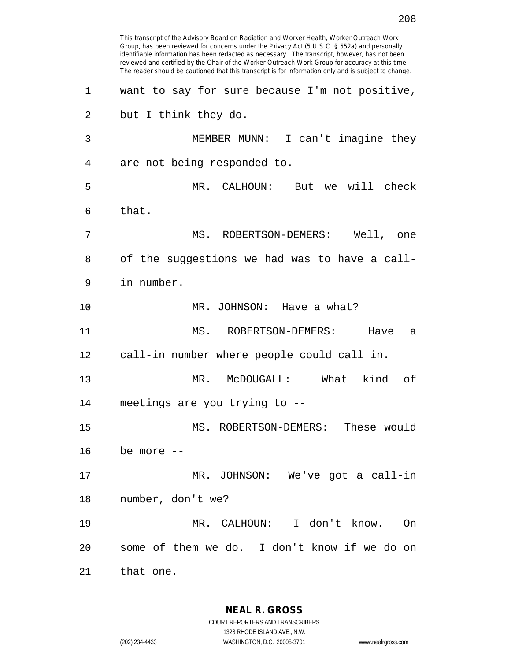This transcript of the Advisory Board on Radiation and Worker Health, Worker Outreach Work Group, has been reviewed for concerns under the Privacy Act (5 U.S.C. § 552a) and personally identifiable information has been redacted as necessary. The transcript, however, has not been reviewed and certified by the Chair of the Worker Outreach Work Group for accuracy at this time. The reader should be cautioned that this transcript is for information only and is subject to change. 1 want to say for sure because I'm not positive, 2 but I think they do. 3 MEMBER MUNN: I can't imagine they 4 are not being responded to. 5 MR. CALHOUN: But we will check 6 that. 7 MS. ROBERTSON-DEMERS: Well, one 8 of the suggestions we had was to have a call-9 in number. 10 MR. JOHNSON: Have a what? 11 MS. ROBERTSON-DEMERS: Have a 12 call-in number where people could call in. 13 MR. McDOUGALL: What kind of 14 meetings are you trying to -- 15 MS. ROBERTSON-DEMERS: These would 16 be more -- 17 MR. JOHNSON: We've got a call-in 18 number, don't we? 19 MR. CALHOUN: I don't know. On 20 some of them we do. I don't know if we do on 21 that one.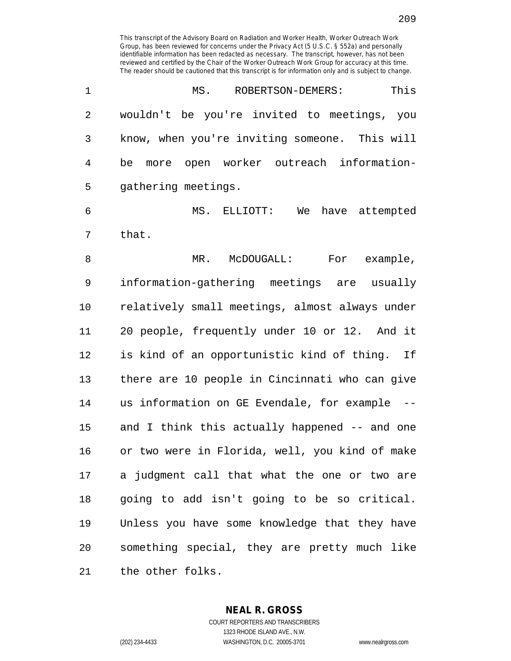| 1              | This<br>MS. ROBERTSON-DEMERS:                  |
|----------------|------------------------------------------------|
| $\overline{2}$ | wouldn't be you're invited to meetings, you    |
| 3              | know, when you're inviting someone. This will  |
| 4              | be more open worker outreach information-      |
| 5              | gathering meetings.                            |
| 6              | MS. ELLIOTT: We have attempted                 |
| 7              | that.                                          |
| 8              | For example,<br>MR. McDOUGALL:                 |
| $\mathsf 9$    | information-gathering meetings are usually     |
| 10             | relatively small meetings, almost always under |
| 11             | 20 people, frequently under 10 or 12. And it   |
| 12             | is kind of an opportunistic kind of thing. If  |
| 13             | there are 10 people in Cincinnati who can give |
| 14             | us information on GE Evendale, for example --  |
| 15             | and I think this actually happened -- and one  |
| 16             | or two were in Florida, well, you kind of make |
| 17             | a judgment call that what the one or two are   |
| 18             | going to add isn't going to be so critical.    |
| 19             | Unless you have some knowledge that they have  |
| 20             | something special, they are pretty much like   |
| 21             | the other folks.                               |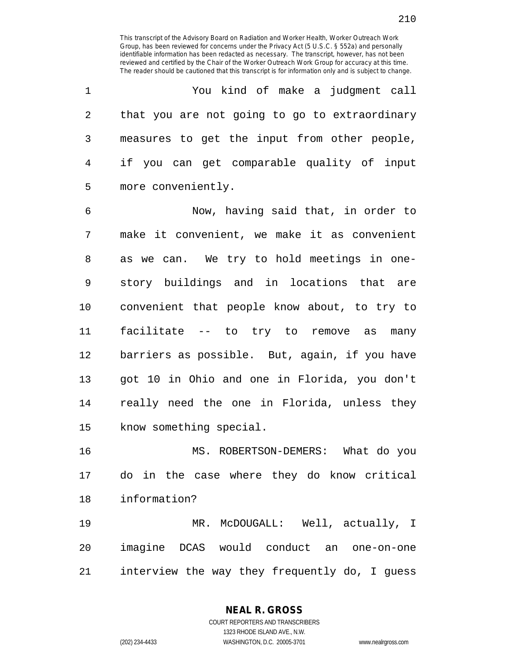1 You kind of make a judgment call 2 that you are not going to go to extraordinary 3 measures to get the input from other people, 4 if you can get comparable quality of input 5 more conveniently.

6 Now, having said that, in order to 7 make it convenient, we make it as convenient 8 as we can. We try to hold meetings in one-9 story buildings and in locations that are 10 convenient that people know about, to try to 11 facilitate -- to try to remove as many 12 barriers as possible. But, again, if you have 13 got 10 in Ohio and one in Florida, you don't 14 really need the one in Florida, unless they 15 know something special.

16 MS. ROBERTSON-DEMERS: What do you 17 do in the case where they do know critical 18 information?

19 MR. McDOUGALL: Well, actually, I 20 imagine DCAS would conduct an one-on-one 21 interview the way they frequently do, I guess

**NEAL R. GROSS**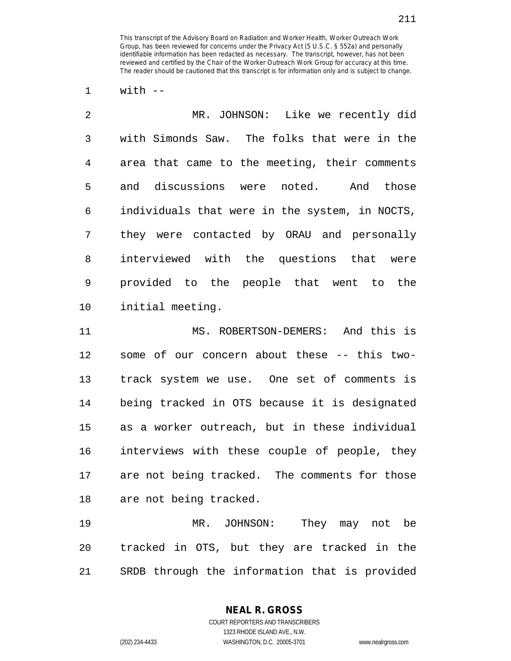$1$  with  $-$ 

| $\overline{2}$ | MR. JOHNSON: Like we recently did              |
|----------------|------------------------------------------------|
| 3              | with Simonds Saw. The folks that were in the   |
| 4              | area that came to the meeting, their comments  |
| 5              | and discussions were noted. And those          |
| 6              | individuals that were in the system, in NOCTS, |
| 7              | they were contacted by ORAU and personally     |
| 8              | interviewed with the questions that were       |
| 9              | provided to the people that went to the        |
| 10             | initial meeting.                               |
|                |                                                |

11 MS. ROBERTSON-DEMERS: And this is 12 some of our concern about these -- this two-13 track system we use. One set of comments is 14 being tracked in OTS because it is designated 15 as a worker outreach, but in these individual 16 interviews with these couple of people, they 17 are not being tracked. The comments for those 18 are not being tracked.

19 MR. JOHNSON: They may not be 20 tracked in OTS, but they are tracked in the 21 SRDB through the information that is provided

> **NEAL R. GROSS** COURT REPORTERS AND TRANSCRIBERS

> > 1323 RHODE ISLAND AVE., N.W.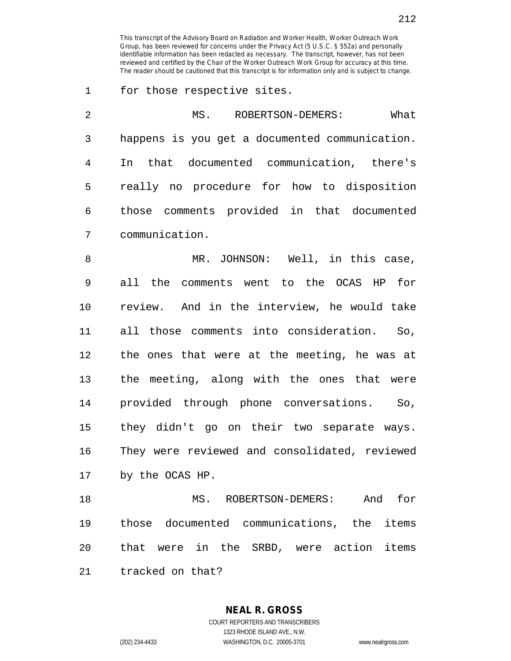1 for those respective sites.

| 2  | What<br>MS. ROBERTSON-DEMERS:                  |
|----|------------------------------------------------|
| 3  | happens is you get a documented communication. |
| 4  | In that documented communication, there's      |
| 5  | really no procedure for how to disposition     |
| 6  | those comments provided in that documented     |
| 7  | communication.                                 |
| 8  | MR. JOHNSON: Well, in this case,               |
| 9  | all the comments went to the OCAS HP for       |
| 10 | review. And in the interview, he would take    |
| 11 | all those comments into consideration. So,     |
| 12 | the ones that were at the meeting, he was at   |
| 13 | the meeting, along with the ones that were     |
| 14 | provided through phone conversations. So,      |
| 15 | they didn't go on their two separate ways.     |
| 16 | They were reviewed and consolidated, reviewed  |
| 17 | by the OCAS HP.                                |
| 18 | for<br>MS. ROBERTSON-DEMERS:<br>And            |
| 19 | those documented communications, the items     |
| 20 | that were in the SRBD, were action items       |

21 tracked on that?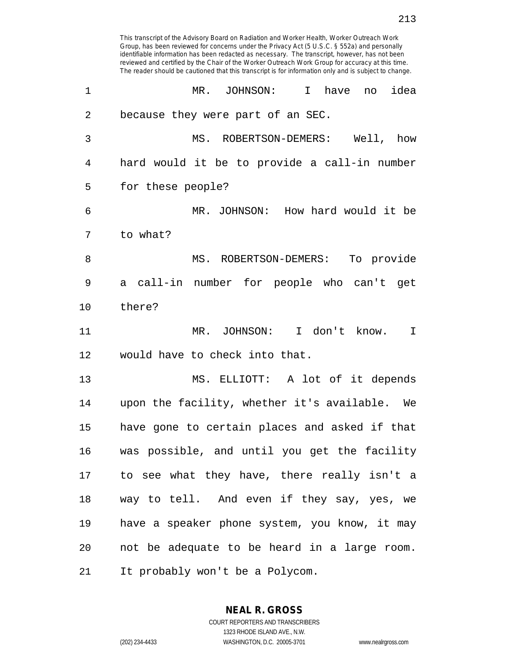identifiable information has been redacted as necessary. The transcript, however, has not been reviewed and certified by the Chair of the Worker Outreach Work Group for accuracy at this time. The reader should be cautioned that this transcript is for information only and is subject to change. 1 MR. JOHNSON: I have no idea 2 because they were part of an SEC. 3 MS. ROBERTSON-DEMERS: Well, how 4 hard would it be to provide a call-in number 5 for these people? 6 MR. JOHNSON: How hard would it be 7 to what? 8 MS. ROBERTSON-DEMERS: To provide 9 a call-in number for people who can't get 10 there? 11 MR. JOHNSON: I don't know. I 12 would have to check into that. 13 MS. ELLIOTT: A lot of it depends 14 upon the facility, whether it's available. We 15 have gone to certain places and asked if that 16 was possible, and until you get the facility 17 to see what they have, there really isn't a 18 way to tell. And even if they say, yes, we 19 have a speaker phone system, you know, it may 20 not be adequate to be heard in a large room. 21 It probably won't be a Polycom.

This transcript of the Advisory Board on Radiation and Worker Health, Worker Outreach Work Group, has been reviewed for concerns under the Privacy Act (5 U.S.C. § 552a) and personally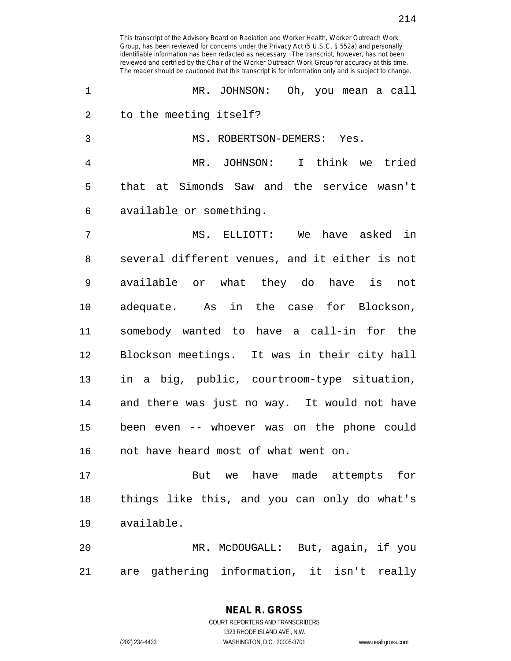1 MR. JOHNSON: Oh, you mean a call 2 to the meeting itself? 3 MS. ROBERTSON-DEMERS: Yes. 4 MR. JOHNSON: I think we tried 5 that at Simonds Saw and the service wasn't 6 available or something. 7 MS. ELLIOTT: We have asked in 8 several different venues, and it either is not 9 available or what they do have is not 10 adequate. As in the case for Blockson, 11 somebody wanted to have a call-in for the 12 Blockson meetings. It was in their city hall 13 in a big, public, courtroom-type situation, 14 and there was just no way. It would not have 15 been even -- whoever was on the phone could 16 not have heard most of what went on. 17 But we have made attempts for 18 things like this, and you can only do what's 19 available. 20 MR. McDOUGALL: But, again, if you

21 are gathering information, it isn't really

**NEAL R. GROSS** COURT REPORTERS AND TRANSCRIBERS

1323 RHODE ISLAND AVE., N.W.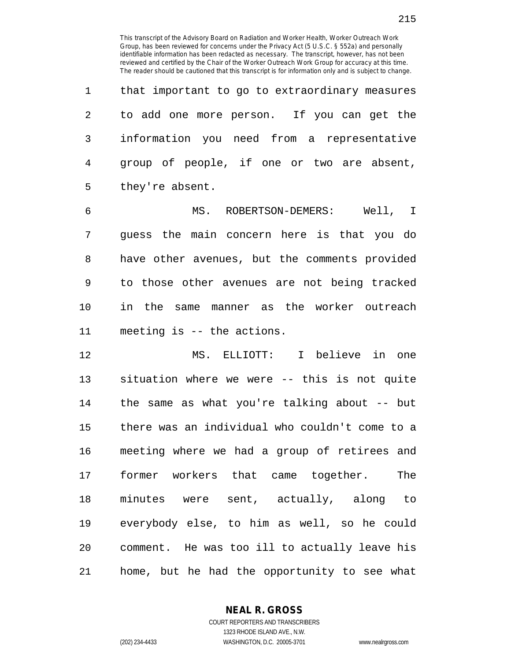1 that important to go to extraordinary measures 2 to add one more person. If you can get the 3 information you need from a representative 4 group of people, if one or two are absent, 5 they're absent.

6 MS. ROBERTSON-DEMERS: Well, I 7 guess the main concern here is that you do 8 have other avenues, but the comments provided 9 to those other avenues are not being tracked 10 in the same manner as the worker outreach 11 meeting is -- the actions.

12 MS. ELLIOTT: I believe in one 13 situation where we were -- this is not quite 14 the same as what you're talking about -- but 15 there was an individual who couldn't come to a 16 meeting where we had a group of retirees and 17 former workers that came together. The 18 minutes were sent, actually, along to 19 everybody else, to him as well, so he could 20 comment. He was too ill to actually leave his 21 home, but he had the opportunity to see what

**NEAL R. GROSS**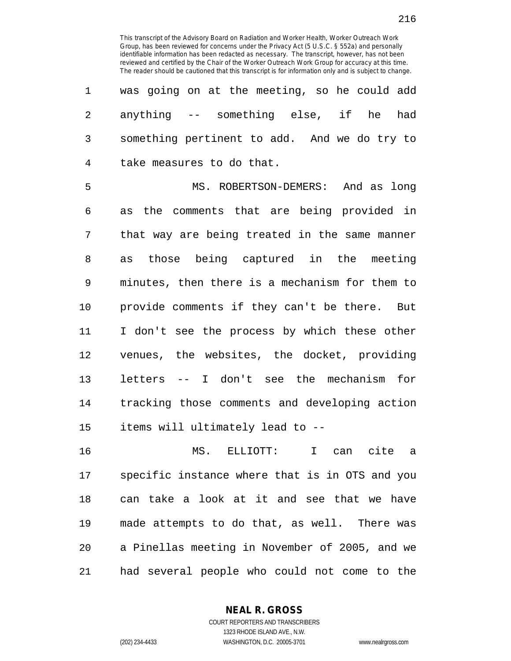| 1              | was going on at the meeting, so he could add   |
|----------------|------------------------------------------------|
| $\overline{2}$ | anything -- something else, if he<br>had       |
| 3              | something pertinent to add. And we do try to   |
| 4              | take measures to do that.                      |
| 5              | MS. ROBERTSON-DEMERS: And as long              |
| 6              | the comments that are being provided in<br>as  |
| 7              | that way are being treated in the same manner  |
| 8              | as those being captured in the meeting         |
| 9              | minutes, then there is a mechanism for them to |
| 10             | provide comments if they can't be there. But   |
| 11             | I don't see the process by which these other   |
| 12             | venues, the websites, the docket, providing    |
| 13             | letters -- I don't see the mechanism for       |
| 14             | tracking those comments and developing action  |
| 15             | items will ultimately lead to --               |
|                |                                                |

16 MS. ELLIOTT: I can cite a 17 specific instance where that is in OTS and you 18 can take a look at it and see that we have 19 made attempts to do that, as well. There was 20 a Pinellas meeting in November of 2005, and we 21 had several people who could not come to the

> **NEAL R. GROSS** COURT REPORTERS AND TRANSCRIBERS

> > 1323 RHODE ISLAND AVE., N.W.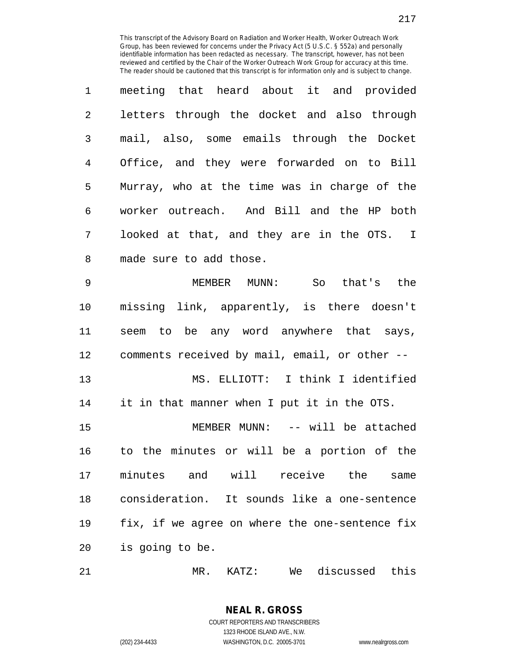| 1 | meeting that heard about it and provided     |
|---|----------------------------------------------|
| 2 | letters through the docket and also through  |
| 3 | mail, also, some emails through the Docket   |
| 4 | Office, and they were forwarded on to Bill   |
| 5 | Murray, who at the time was in charge of the |
| 6 | worker outreach. And Bill and the HP both    |
| 7 | looked at that, and they are in the OTS. I   |
| 8 | made sure to add those.                      |

9 MEMBER MUNN: So that's the 10 missing link, apparently, is there doesn't 11 seem to be any word anywhere that says, 12 comments received by mail, email, or other -- 13 MS. ELLIOTT: I think I identified 14 it in that manner when I put it in the OTS. 15 MEMBER MUNN: -- will be attached 16 to the minutes or will be a portion of the 17 minutes and will receive the same 18 consideration. It sounds like a one-sentence 19 fix, if we agree on where the one-sentence fix 20 is going to be.

21 MR. KATZ: We discussed this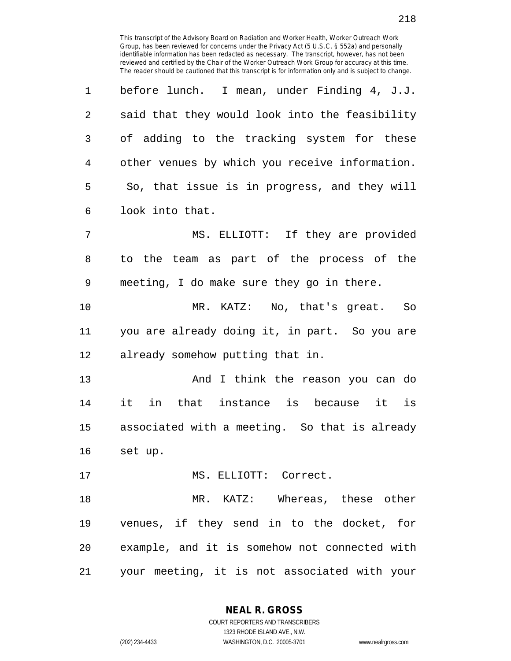| 1  | before lunch. I mean, under Finding 4, J.J.    |
|----|------------------------------------------------|
| 2  | said that they would look into the feasibility |
| 3  | of adding to the tracking system for these     |
| 4  | other venues by which you receive information. |
| 5  | So, that issue is in progress, and they will   |
| 6  | look into that.                                |
| 7  | MS. ELLIOTT: If they are provided              |
| 8  | to the team as part of the process of the      |
| 9  | meeting, I do make sure they go in there.      |
| 10 | MR. KATZ: No, that's great. So                 |
| 11 | you are already doing it, in part. So you are  |
| 12 | already somehow putting that in.               |
| 13 | And I think the reason you can do              |
| 14 | it in that instance is because it is           |
| 15 | associated with a meeting. So that is already  |
| 16 | set up.                                        |
| 17 | MS. ELLIOTT: Correct.                          |
| 18 | MR. KATZ: Whereas, these other                 |
| 19 | venues, if they send in to the docket, for     |
| 20 | example, and it is somehow not connected with  |
| 21 | your meeting, it is not associated with your   |

**NEAL R. GROSS** COURT REPORTERS AND TRANSCRIBERS

1323 RHODE ISLAND AVE., N.W.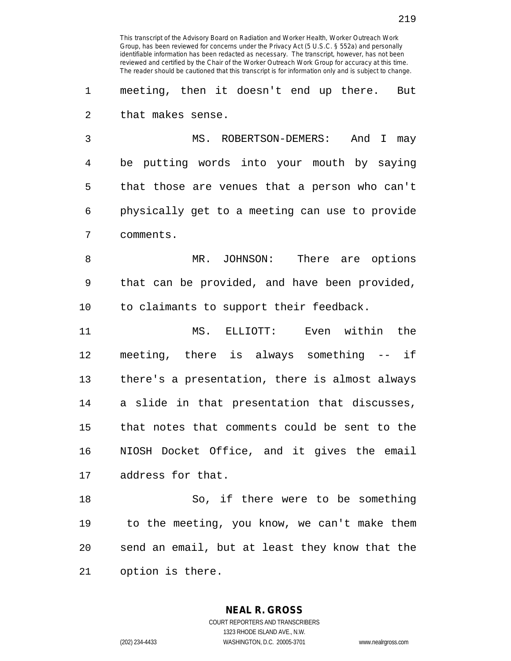1 meeting, then it doesn't end up there. But 2 that makes sense.

3 MS. ROBERTSON-DEMERS: And I may 4 be putting words into your mouth by saying 5 that those are venues that a person who can't 6 physically get to a meeting can use to provide 7 comments.

8 MR. JOHNSON: There are options 9 that can be provided, and have been provided, 10 to claimants to support their feedback.

11 MS. ELLIOTT: Even within the 12 meeting, there is always something -- if 13 there's a presentation, there is almost always 14 a slide in that presentation that discusses, 15 that notes that comments could be sent to the 16 NIOSH Docket Office, and it gives the email 17 address for that.

18 So, if there were to be something 19 to the meeting, you know, we can't make them 20 send an email, but at least they know that the 21 option is there.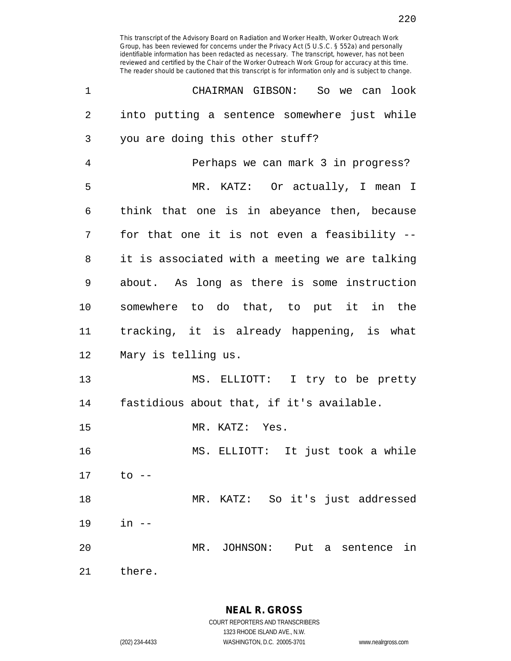| 1              | CHAIRMAN GIBSON: So we can look                |
|----------------|------------------------------------------------|
| $\overline{2}$ | into putting a sentence somewhere just while   |
| 3              | you are doing this other stuff?                |
| 4              | Perhaps we can mark 3 in progress?             |
| 5              | MR. KATZ: Or actually, I mean I                |
| 6              | think that one is in abeyance then, because    |
| 7              | for that one it is not even a feasibility --   |
| 8              | it is associated with a meeting we are talking |
| 9              | about. As long as there is some instruction    |
| $10 \,$        | somewhere to do that, to put it in the         |
| 11             | tracking, it is already happening, is what     |
| 12             | Mary is telling us.                            |
| 13             | MS. ELLIOTT: I try to be pretty                |
| 14             | fastidious about that, if it's available.      |
| 15             | MR. KATZ: Yes.                                 |
| 16             | MS. ELLIOTT: It just took a while              |
| 17             | $\circ$ --                                     |
| 18             | MR. KATZ: So it's just addressed               |
| 19             | $in$ $--$                                      |
| 20             | MR. JOHNSON: Put a sentence<br>in              |
| 21             | there.                                         |

**NEAL R. GROSS**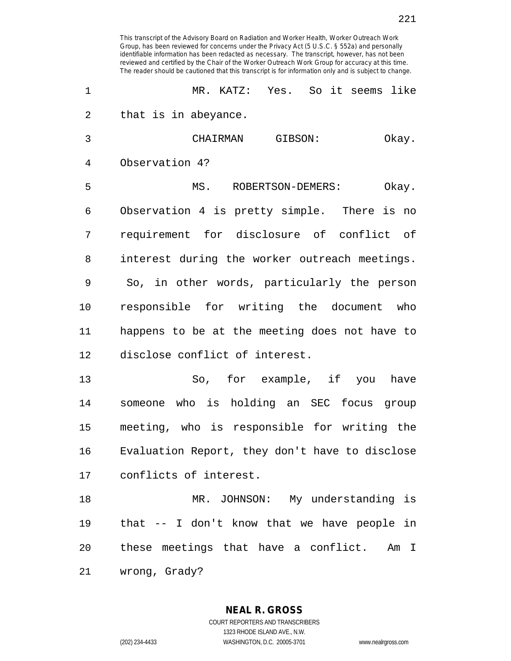| $\mathbf 1$ | MR. KATZ: Yes. So it seems like               |
|-------------|-----------------------------------------------|
| 2           | that is in abeyance.                          |
| 3           | CHAIRMAN GIBSON:<br>Okay.                     |
| 4           | Observation 4?                                |
| 5           | MS.<br>ROBERTSON-DEMERS:<br>Okay.             |
| 6           | Observation 4 is pretty simple. There is no   |
| 7           | requirement for disclosure of conflict of     |
| 8           | interest during the worker outreach meetings. |
| 9           | So, in other words, particularly the person   |
| 10          | responsible for writing the document who      |
| 11          | happens to be at the meeting does not have to |
| 12          | disclose conflict of interest.                |
| 13          | So, for example, if you have                  |
| 14          | someone who is holding an SEC focus group     |
| 15          | meeting, who is responsible for writing the   |

16 Evaluation Report, they don't have to disclose 17 conflicts of interest.

18 MR. JOHNSON: My understanding is 19 that -- I don't know that we have people in 20 these meetings that have a conflict. Am I 21 wrong, Grady?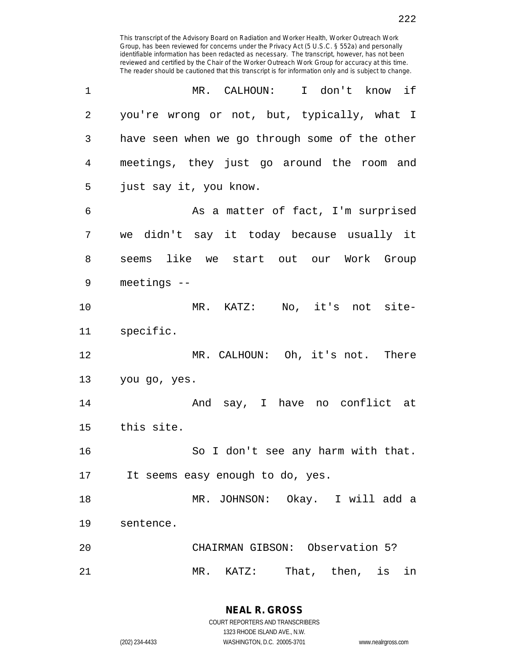| 1  | MR. CALHOUN: I don't know if                   |
|----|------------------------------------------------|
| 2  | you're wrong or not, but, typically, what I    |
| 3  | have seen when we go through some of the other |
| 4  | meetings, they just go around the room and     |
| 5  | just say it, you know.                         |
| 6  | As a matter of fact, I'm surprised             |
| 7  | we didn't say it today because usually it      |
| 8  | seems like we start out our Work Group         |
| 9  | meetings $--$                                  |
| 10 | MR. KATZ: No, it's not site-                   |
| 11 | specific.                                      |
| 12 | MR. CALHOUN: Oh, it's not. There               |
| 13 | you go, yes.                                   |
| 14 | And say, I have no conflict at                 |
| 15 | this site.                                     |
| 16 | So I don't see any harm with that.             |
| 17 | It seems easy enough to do, yes.               |
| 18 | MR. JOHNSON: Okay. I will add a                |
| 19 | sentence.                                      |
| 20 | CHAIRMAN GIBSON: Observation 5?                |
| 21 | MR. KATZ: That, then, is in                    |

**NEAL R. GROSS** COURT REPORTERS AND TRANSCRIBERS 1323 RHODE ISLAND AVE., N.W.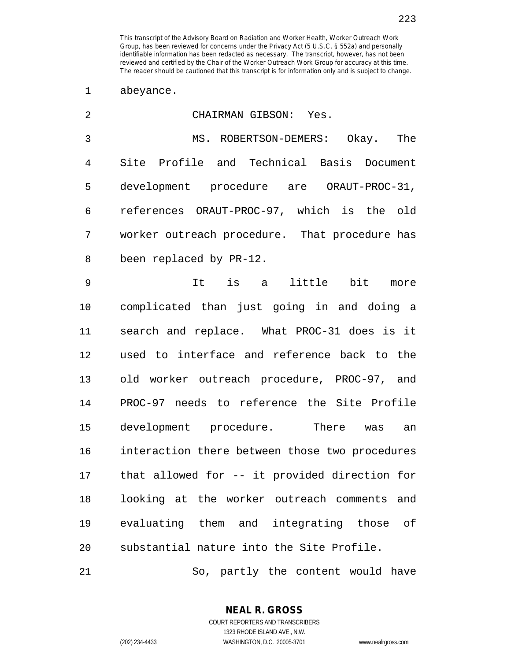1 abeyance.

| $\overline{2}$ | CHAIRMAN GIBSON: Yes.                          |
|----------------|------------------------------------------------|
| 3              | MS. ROBERTSON-DEMERS: Okay. The                |
| 4              | Site Profile and Technical Basis Document      |
| 5              | development procedure are ORAUT-PROC-31,       |
| 6              | references ORAUT-PROC-97, which is the old     |
| 7              | worker outreach procedure. That procedure has  |
| 8              | been replaced by PR-12.                        |
| 9              | It is a<br>little bit<br>more                  |
| 10             | complicated than just going in and doing a     |
| 11             | search and replace. What PROC-31 does is it    |
| 12             | used to interface and reference back to the    |
| 13             | old worker outreach procedure, PROC-97, and    |
| 14             | PROC-97 needs to reference the Site Profile    |
| 15             | development procedure. There<br>was<br>an      |
| 16             | interaction there between those two procedures |
| 17             | that allowed for -- it provided direction for  |
| 18             | looking at the worker outreach comments and    |
| 19             | evaluating them and integrating those of       |
| 20             | substantial nature into the Site Profile.      |

21 So, partly the content would have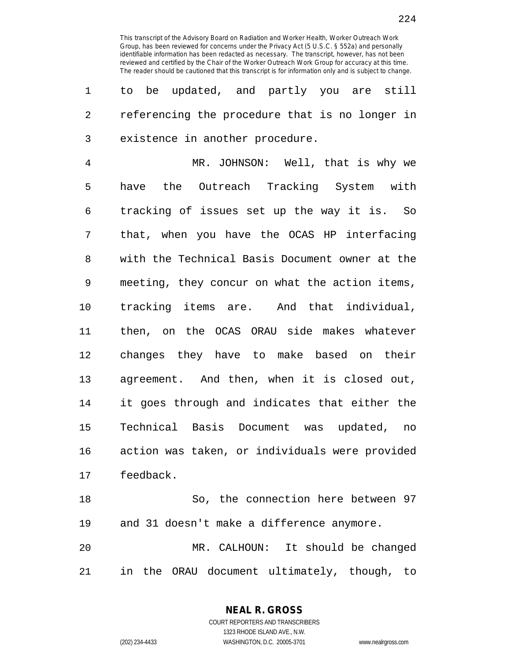1 to be updated, and partly you are still 2 referencing the procedure that is no longer in 3 existence in another procedure.

4 MR. JOHNSON: Well, that is why we 5 have the Outreach Tracking System with 6 tracking of issues set up the way it is. So 7 that, when you have the OCAS HP interfacing 8 with the Technical Basis Document owner at the 9 meeting, they concur on what the action items, 10 tracking items are. And that individual, 11 then, on the OCAS ORAU side makes whatever 12 changes they have to make based on their 13 agreement. And then, when it is closed out, 14 it goes through and indicates that either the 15 Technical Basis Document was updated, no 16 action was taken, or individuals were provided 17 feedback.

18 So, the connection here between 97 19 and 31 doesn't make a difference anymore. 20 MR. CALHOUN: It should be changed 21 in the ORAU document ultimately, though, to

> COURT REPORTERS AND TRANSCRIBERS 1323 RHODE ISLAND AVE., N.W. (202) 234-4433 WASHINGTON, D.C. 20005-3701 www.nealrgross.com

**NEAL R. GROSS**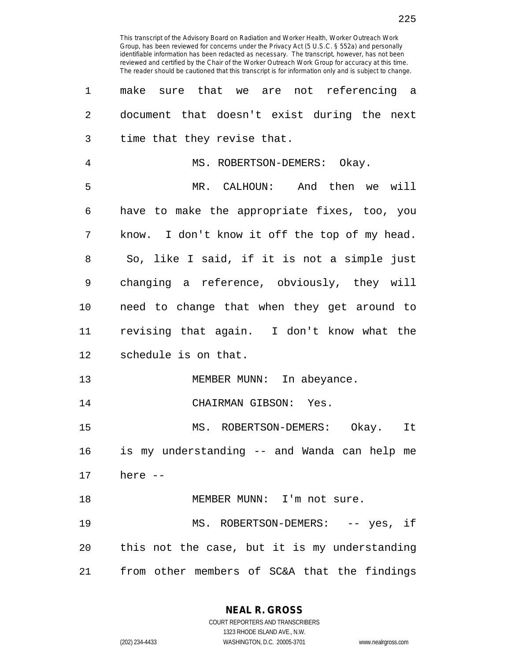3 time that they revise that. 4 MS. ROBERTSON-DEMERS: Okay. 5 MR. CALHOUN: And then we will 6 have to make the appropriate fixes, too, you 7 know. I don't know it off the top of my head. 8 So, like I said, if it is not a simple just 9 changing a reference, obviously, they will 10 need to change that when they get around to 11 revising that again. I don't know what the 12 schedule is on that. 13 MEMBER MUNN: In abeyance. 14 CHAIRMAN GIBSON: Yes. 15 MS. ROBERTSON-DEMERS: Okay. It 16 is my understanding -- and Wanda can help me 17 here -- 18 MEMBER MUNN: I'm not sure. 19 MS. ROBERTSON-DEMERS: -- yes, if 20 this not the case, but it is my understanding 21 from other members of SC&A that the findings

> **NEAL R. GROSS** COURT REPORTERS AND TRANSCRIBERS

1323 RHODE ISLAND AVE., N.W. (202) 234-4433 WASHINGTON, D.C. 20005-3701 www.nealrgross.com

225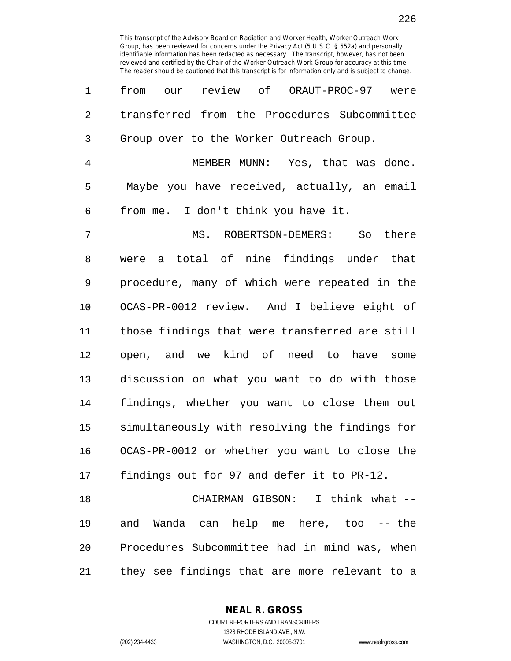| 1              | review of ORAUT-PROC-97 were<br>from<br>our    |
|----------------|------------------------------------------------|
| $\overline{2}$ | transferred from the Procedures Subcommittee   |
| 3              | Group over to the Worker Outreach Group.       |
| $\overline{4}$ | MEMBER MUNN: Yes, that was done.               |
| 5              | Maybe you have received, actually, an email    |
| 6              | from me. I don't think you have it.            |
| 7              | MS. ROBERTSON-DEMERS: So there                 |
| 8              | a total of nine findings under that<br>were    |
| 9              | procedure, many of which were repeated in the  |
| $10 \,$        | OCAS-PR-0012 review. And I believe eight of    |
| 11             | those findings that were transferred are still |
| 12             | open, and we kind of need to have some         |
| 13             | discussion on what you want to do with those   |
| 14             | findings, whether you want to close them out   |
| 15             | simultaneously with resolving the findings for |
| 16             | OCAS-PR-0012 or whether you want to close the  |
| 17             | findings out for 97 and defer it to PR-12.     |
| 18             | CHAIRMAN GIBSON: I think what --               |
| 19             | and Wanda can help me here, too -- the         |
| 20             | Procedures Subcommittee had in mind was, when  |

21 they see findings that are more relevant to a

**NEAL R. GROSS**

COURT REPORTERS AND TRANSCRIBERS 1323 RHODE ISLAND AVE., N.W. (202) 234-4433 WASHINGTON, D.C. 20005-3701 www.nealrgross.com

226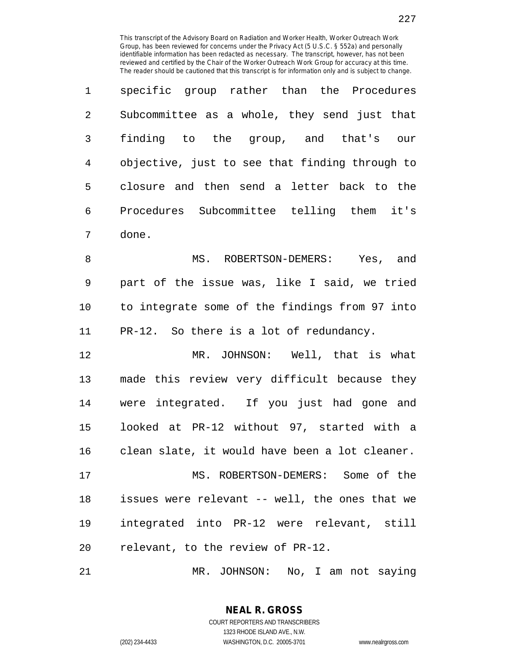| $\mathbf{1}$   | specific group rather than the Procedures      |
|----------------|------------------------------------------------|
| $\mathfrak{D}$ | Subcommittee as a whole, they send just that   |
| 3              | finding to the group, and that's<br>our        |
| 4              | objective, just to see that finding through to |
| 5              | closure and then send a letter back to the     |
| 6              | Procedures Subcommittee telling them it's      |
|                | done.                                          |

8 MS. ROBERTSON-DEMERS: Yes, and 9 part of the issue was, like I said, we tried 10 to integrate some of the findings from 97 into 11 PR-12. So there is a lot of redundancy.

12 MR. JOHNSON: Well, that is what 13 made this review very difficult because they 14 were integrated. If you just had gone and 15 looked at PR-12 without 97, started with a 16 clean slate, it would have been a lot cleaner.

17 MS. ROBERTSON-DEMERS: Some of the 18 issues were relevant -- well, the ones that we 19 integrated into PR-12 were relevant, still 20 relevant, to the review of PR-12.

21 MR. JOHNSON: No, I am not saying

**NEAL R. GROSS**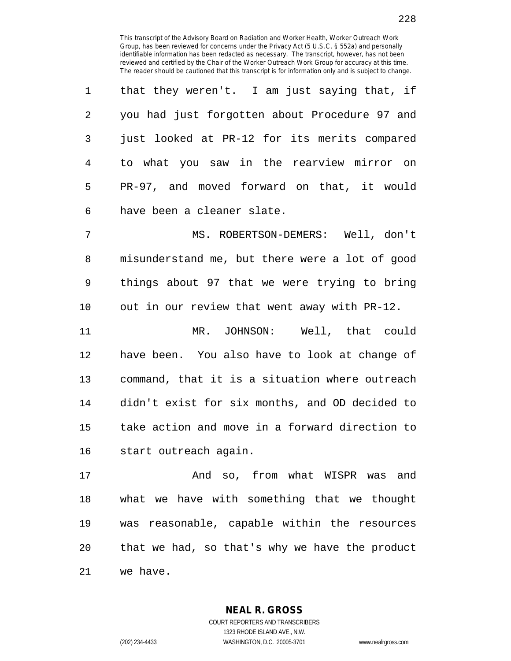| 1              | that they weren't. I am just saying that, if  |
|----------------|-----------------------------------------------|
| $\overline{2}$ | you had just forgotten about Procedure 97 and |
| $\overline{3}$ | just looked at PR-12 for its merits compared  |
| 4              | to what you saw in the rearview mirror on     |
| 5              | PR-97, and moved forward on that, it would    |
| 6              | have been a cleaner slate.                    |

7 MS. ROBERTSON-DEMERS: Well, don't 8 misunderstand me, but there were a lot of good 9 things about 97 that we were trying to bring 10 out in our review that went away with PR-12.

11 MR. JOHNSON: Well, that could 12 have been. You also have to look at change of 13 command, that it is a situation where outreach 14 didn't exist for six months, and OD decided to 15 take action and move in a forward direction to 16 start outreach again.

17 And so, from what WISPR was and 18 what we have with something that we thought 19 was reasonable, capable within the resources 20 that we had, so that's why we have the product 21 we have.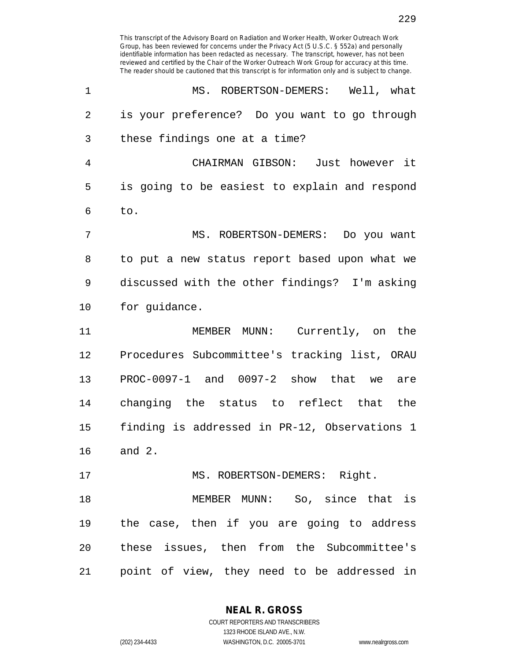| 1              | MS. ROBERTSON-DEMERS: Well, what              |
|----------------|-----------------------------------------------|
| 2              | is your preference? Do you want to go through |
| 3              | these findings one at a time?                 |
| $\overline{4}$ | CHAIRMAN GIBSON: Just however it              |
| 5              | is going to be easiest to explain and respond |
| 6              | to.                                           |
| 7              | MS. ROBERTSON-DEMERS: Do you want             |
| 8              | to put a new status report based upon what we |
| 9              | discussed with the other findings? I'm asking |
| 10             | for guidance.                                 |
| 11             | MEMBER MUNN: Currently, on the                |
| 12             | Procedures Subcommittee's tracking list, ORAU |
| 13             | PROC-0097-1 and 0097-2 show that we are       |
| 14             | changing the status to reflect that the       |
| 15             | finding is addressed in PR-12, Observations 1 |
| 16             | and $2.$                                      |
| 17             | MS. ROBERTSON-DEMERS: Right.                  |
| 18             | MEMBER MUNN: So, since that is                |
| 19             | the case, then if you are going to address    |
| 20             | these issues, then from the Subcommittee's    |
| 21             | point of view, they need to be addressed in   |

**NEAL R. GROSS**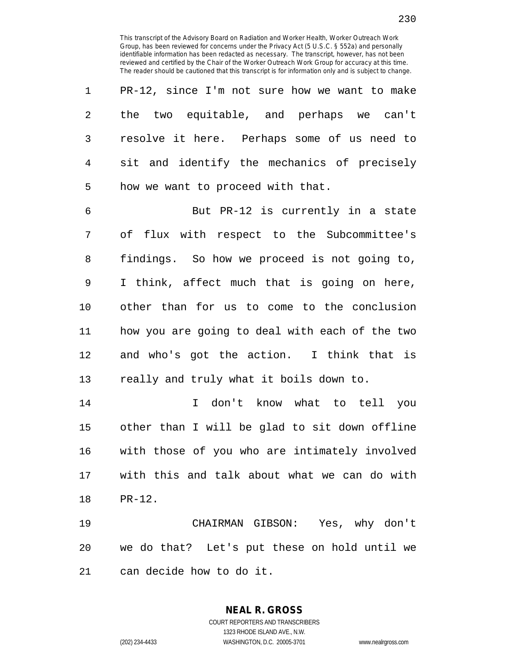1 PR-12, since I'm not sure how we want to make 2 the two equitable, and perhaps we can't 3 resolve it here. Perhaps some of us need to 4 sit and identify the mechanics of precisely 5 how we want to proceed with that.

6 But PR-12 is currently in a state 7 of flux with respect to the Subcommittee's 8 findings. So how we proceed is not going to, 9 I think, affect much that is going on here, 10 other than for us to come to the conclusion 11 how you are going to deal with each of the two 12 and who's got the action. I think that is 13 really and truly what it boils down to.

14 I don't know what to tell you 15 other than I will be glad to sit down offline 16 with those of you who are intimately involved 17 with this and talk about what we can do with 18 PR-12.

19 CHAIRMAN GIBSON: Yes, why don't 20 we do that? Let's put these on hold until we 21 can decide how to do it.

**NEAL R. GROSS**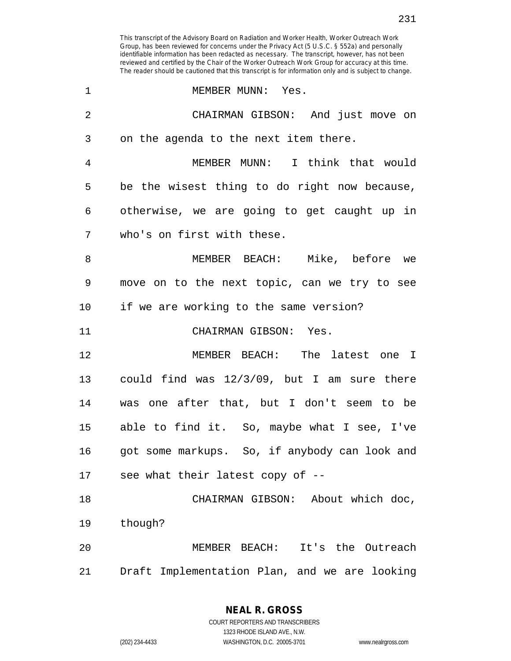| $\mathbf 1$    | MEMBER MUNN: Yes.                              |
|----------------|------------------------------------------------|
| $\overline{2}$ | CHAIRMAN GIBSON: And just move on              |
| 3              | on the agenda to the next item there.          |
| 4              | MEMBER MUNN: I think that would                |
| 5              | be the wisest thing to do right now because,   |
| 6              | otherwise, we are going to get caught up in    |
| 7              | who's on first with these.                     |
| 8              | MEMBER BEACH: Mike, before we                  |
| 9              | move on to the next topic, can we try to see   |
| 10             | if we are working to the same version?         |
| 11             | CHAIRMAN GIBSON: Yes.                          |
| 12             | MEMBER BEACH: The latest one I                 |
| 13             | could find was $12/3/09$ , but I am sure there |
| 14             | was one after that, but I don't seem to be     |
| 15             | able to find it. So, maybe what I see, I've    |
| 16             | got some markups. So, if anybody can look and  |
| 17             | see what their latest copy of --               |
| 18             | CHAIRMAN GIBSON: About which doc,              |
| 19             | though?                                        |
| 20             | It's the Outreach<br>MEMBER BEACH:             |
| 21             | Draft Implementation Plan, and we are looking  |

1323 RHODE ISLAND AVE., N.W.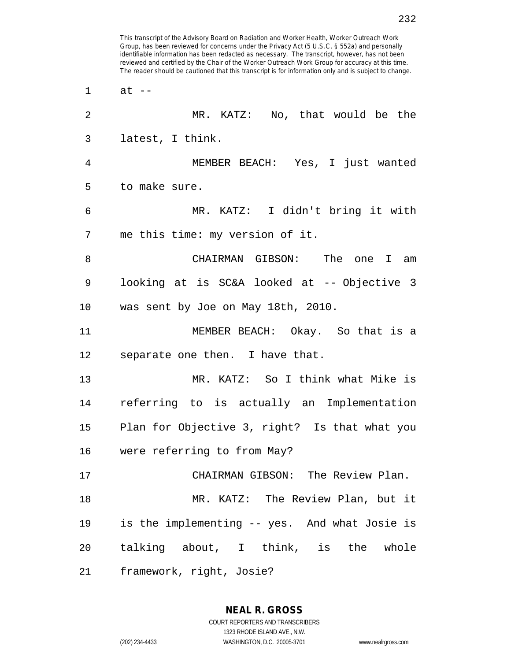reviewed and certified by the Chair of the Worker Outreach Work Group for accuracy at this time. The reader should be cautioned that this transcript is for information only and is subject to change. 1 at -- 2 MR. KATZ: No, that would be the 3 latest, I think. 4 MEMBER BEACH: Yes, I just wanted 5 to make sure. 6 MR. KATZ: I didn't bring it with 7 me this time: my version of it. 8 CHAIRMAN GIBSON: The one I am 9 looking at is SC&A looked at -- Objective 3 10 was sent by Joe on May 18th, 2010. 11 MEMBER BEACH: Okay. So that is a 12 separate one then. I have that. 13 MR. KATZ: So I think what Mike is 14 referring to is actually an Implementation 15 Plan for Objective 3, right? Is that what you 16 were referring to from May? 17 CHAIRMAN GIBSON: The Review Plan. 18 MR. KATZ: The Review Plan, but it 19 is the implementing -- yes. And what Josie is 20 talking about, I think, is the whole 21 framework, right, Josie?

This transcript of the Advisory Board on Radiation and Worker Health, Worker Outreach Work Group, has been reviewed for concerns under the Privacy Act (5 U.S.C. § 552a) and personally identifiable information has been redacted as necessary. The transcript, however, has not been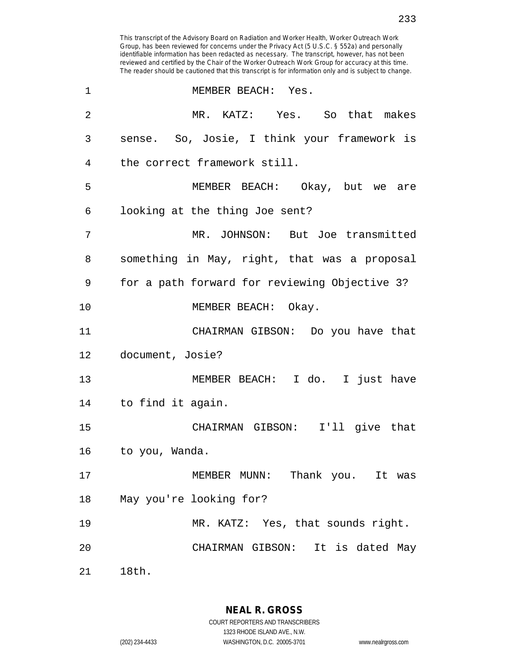| 1              | MEMBER BEACH: Yes.                            |
|----------------|-----------------------------------------------|
| $\overline{2}$ | MR. KATZ: Yes. So that makes                  |
| 3              | sense. So, Josie, I think your framework is   |
| 4              | the correct framework still.                  |
| 5              | MEMBER BEACH: Okay, but we are                |
| 6              | looking at the thing Joe sent?                |
| 7              | MR. JOHNSON: But Joe transmitted              |
| 8              | something in May, right, that was a proposal  |
| 9              | for a path forward for reviewing Objective 3? |
| 10             | MEMBER BEACH: Okay.                           |
| 11             | CHAIRMAN GIBSON: Do you have that             |
| 12             | document, Josie?                              |
| 13             | MEMBER BEACH: I do. I just have               |
| 14             | to find it again.                             |
| 15             | CHAIRMAN GIBSON: I'll give that               |
| 16             | to you, Wanda.                                |
| 17             | MEMBER MUNN: Thank you. It was                |
| 18             | May you're looking for?                       |
| 19             | MR. KATZ: Yes, that sounds right.             |
| 20             | CHAIRMAN GIBSON: It is dated May              |
| 21             | 18th.                                         |

**NEAL R. GROSS** COURT REPORTERS AND TRANSCRIBERS

1323 RHODE ISLAND AVE., N.W.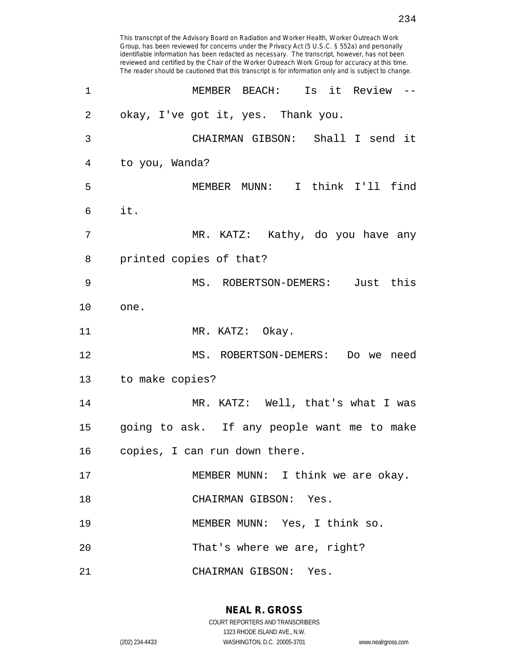| 1       | MEMBER BEACH: Is it Review --               |
|---------|---------------------------------------------|
| 2       | okay, I've got it, yes. Thank you.          |
| 3       | CHAIRMAN GIBSON: Shall I send it            |
| 4       | to you, Wanda?                              |
| 5       | MEMBER MUNN: I think I'll find              |
| 6       | it.                                         |
| 7       | MR. KATZ: Kathy, do you have any            |
| 8       | printed copies of that?                     |
| 9       | MS. ROBERTSON-DEMERS: Just this             |
| $10 \,$ | one.                                        |
| 11      | MR. KATZ: Okay.                             |
| 12      | MS. ROBERTSON-DEMERS: Do we need            |
| 13      | to make copies?                             |
| 14      | MR. KATZ: Well, that's what I was           |
| 15      | going to ask. If any people want me to make |
| 16      | copies, I can run down there.               |
| 17      | MEMBER MUNN: I think we are okay.           |
| 18      | CHAIRMAN GIBSON: Yes.                       |
| 19      | MEMBER MUNN: Yes, I think so.               |
| 20      | That's where we are, right?                 |
| 21      | CHAIRMAN GIBSON: Yes.                       |

**NEAL R. GROSS** COURT REPORTERS AND TRANSCRIBERS

1323 RHODE ISLAND AVE., N.W.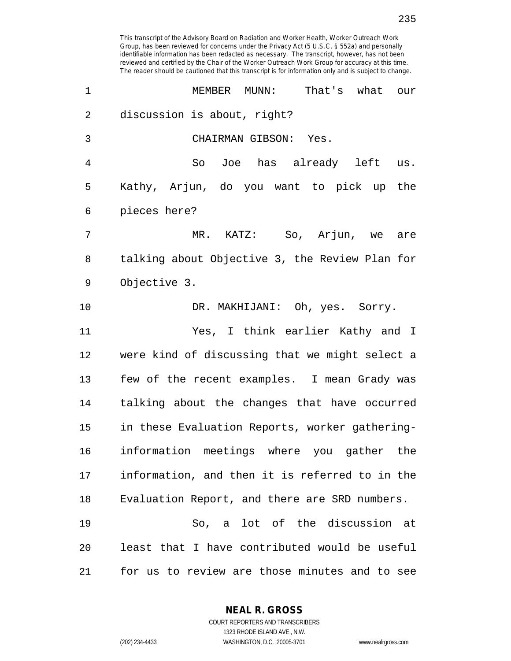| 1              | MEMBER<br>MUNN:<br>That's what<br>our          |
|----------------|------------------------------------------------|
| $\overline{2}$ | discussion is about, right?                    |
| 3              | CHAIRMAN GIBSON: Yes.                          |
| 4              | So Joe has already left us.                    |
| 5              | Kathy, Arjun, do you want to pick up the       |
| 6              | pieces here?                                   |
| 7              | MR. KATZ: So, Arjun, we are                    |
| 8              | talking about Objective 3, the Review Plan for |
| 9              | Objective 3.                                   |
| 10             | DR. MAKHIJANI: Oh, yes. Sorry.                 |
| 11             | Yes, I think earlier Kathy and I               |
| 12             | were kind of discussing that we might select a |
| 13             | few of the recent examples. I mean Grady was   |
| 14             | talking about the changes that have occurred   |
| 15             | in these Evaluation Reports, worker gathering- |
| 16             | information meetings where you gather the      |
| 17             | information, and then it is referred to in the |
| 18             | Evaluation Report, and there are SRD numbers.  |
| 19             | So, a lot of the discussion at                 |
| 20             | least that I have contributed would be useful  |
| 21             | for us to review are those minutes and to see  |

**NEAL R. GROSS** COURT REPORTERS AND TRANSCRIBERS

1323 RHODE ISLAND AVE., N.W.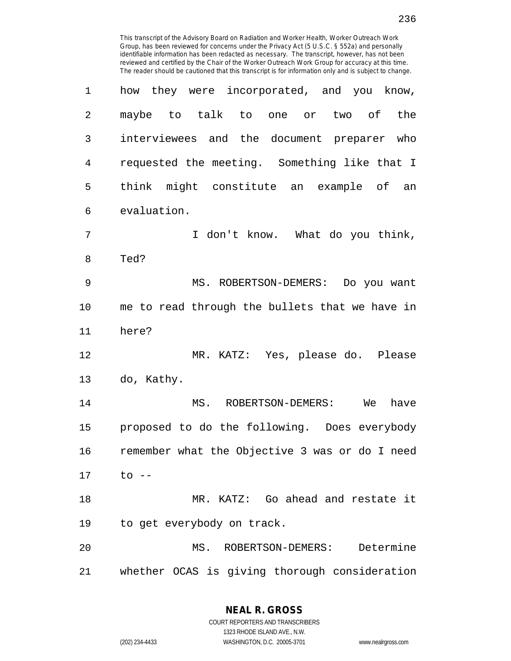| 1              | how they were incorporated, and you know,      |
|----------------|------------------------------------------------|
| $\overline{2}$ | maybe to talk to one or<br>two of<br>the       |
| 3              | interviewees and the document preparer who     |
| 4              | requested the meeting. Something like that I   |
| 5              | think might constitute an example of an        |
| 6              | evaluation.                                    |
| 7              | I don't know. What do you think,               |
| 8              | Ted?                                           |
| $\mathsf 9$    | MS. ROBERTSON-DEMERS: Do you want              |
| 10             | me to read through the bullets that we have in |
| 11             | here?                                          |
| 12             | MR. KATZ: Yes, please do. Please               |
| 13             | do, Kathy.                                     |
| 14             | MS. ROBERTSON-DEMERS: We<br>have               |
| 15             | proposed to do the following. Does everybody   |
| 16             | remember what the Objective 3 was or do I need |
| 17             | to --                                          |
| 18             | MR. KATZ: Go ahead and restate it              |
| 19             | to get everybody on track.                     |
| 20             | Determine<br>MS.<br>ROBERTSON-DEMERS:          |
| 21             | whether OCAS is giving thorough consideration  |

**NEAL R. GROSS** COURT REPORTERS AND TRANSCRIBERS

1323 RHODE ISLAND AVE., N.W.

(202) 234-4433 WASHINGTON, D.C. 20005-3701 www.nealrgross.com

236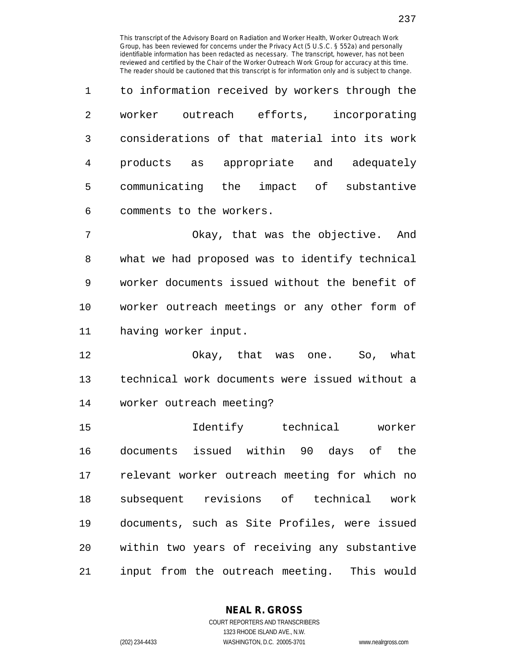237

| $\mathbf{1}$   | to information received by workers through the  |  |
|----------------|-------------------------------------------------|--|
| $\mathfrak{D}$ | incorporating<br>worker<br>efforts,<br>outreach |  |
| 3              | considerations of that material into its work   |  |
| 4              | appropriate and<br>products as<br>adequately    |  |
| 5              | communicating the<br>impact of<br>substantive   |  |
| 6              | comments to the workers.                        |  |

7 Okay, that was the objective. And 8 what we had proposed was to identify technical 9 worker documents issued without the benefit of 10 worker outreach meetings or any other form of 11 having worker input.

12 Okay, that was one. So, what 13 technical work documents were issued without a 14 worker outreach meeting?

15 Identify technical worker 16 documents issued within 90 days of the 17 relevant worker outreach meeting for which no 18 subsequent revisions of technical work 19 documents, such as Site Profiles, were issued 20 within two years of receiving any substantive 21 input from the outreach meeting. This would

**NEAL R. GROSS**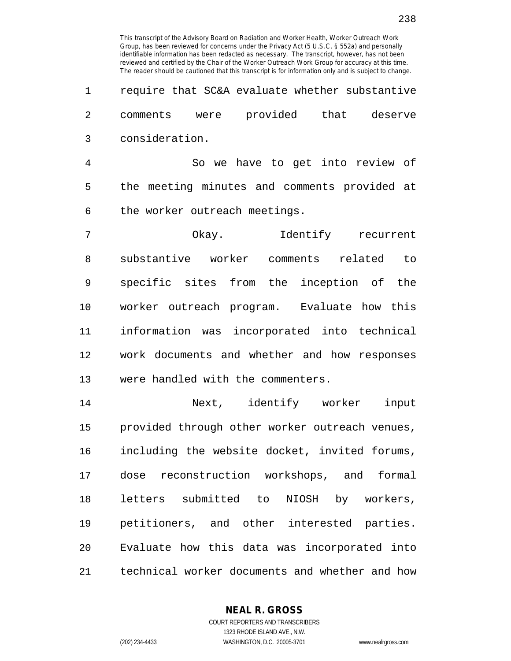1 require that SC&A evaluate whether substantive 2 comments were provided that deserve 3 consideration.

4 So we have to get into review of 5 the meeting minutes and comments provided at 6 the worker outreach meetings.

7 Okay. Identify recurrent 8 substantive worker comments related to 9 specific sites from the inception of the 10 worker outreach program. Evaluate how this 11 information was incorporated into technical 12 work documents and whether and how responses 13 were handled with the commenters.

14 Next, identify worker input 15 provided through other worker outreach venues, 16 including the website docket, invited forums, 17 dose reconstruction workshops, and formal 18 letters submitted to NIOSH by workers, 19 petitioners, and other interested parties. 20 Evaluate how this data was incorporated into 21 technical worker documents and whether and how

> **NEAL R. GROSS** COURT REPORTERS AND TRANSCRIBERS

> > 1323 RHODE ISLAND AVE., N.W.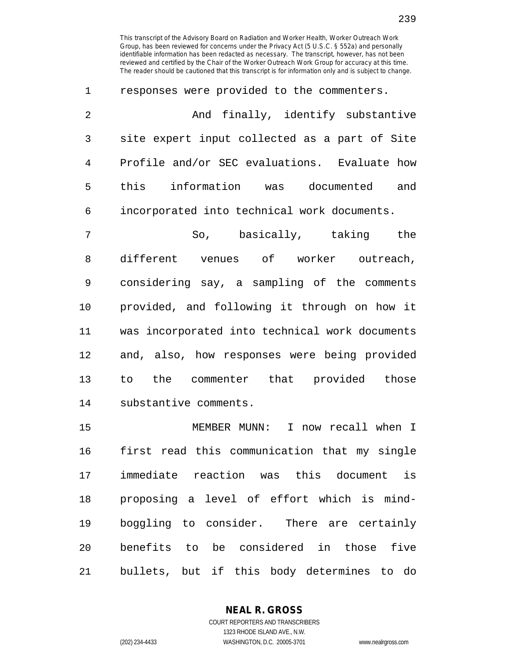1 responses were provided to the commenters. 2 And finally, identify substantive 3 site expert input collected as a part of Site 4 Profile and/or SEC evaluations. Evaluate how 5 this information was documented and 6 incorporated into technical work documents.

7 So, basically, taking the 8 different venues of worker outreach, 9 considering say, a sampling of the comments 10 provided, and following it through on how it 11 was incorporated into technical work documents 12 and, also, how responses were being provided 13 to the commenter that provided those 14 substantive comments.

15 MEMBER MUNN: I now recall when I 16 first read this communication that my single 17 immediate reaction was this document is 18 proposing a level of effort which is mind-19 boggling to consider. There are certainly 20 benefits to be considered in those five 21 bullets, but if this body determines to do

> **NEAL R. GROSS** COURT REPORTERS AND TRANSCRIBERS

> > 1323 RHODE ISLAND AVE., N.W.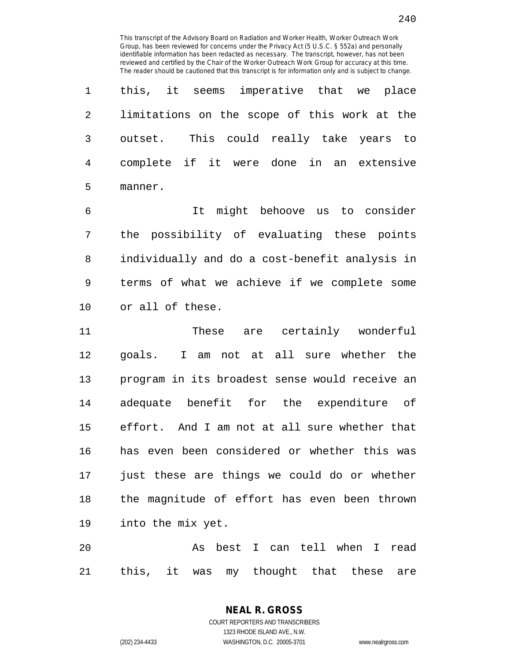1 this, it seems imperative that we place 2 limitations on the scope of this work at the 3 outset. This could really take years to 4 complete if it were done in an extensive 5 manner.

6 It might behoove us to consider 7 the possibility of evaluating these points 8 individually and do a cost-benefit analysis in 9 terms of what we achieve if we complete some 10 or all of these.

11 These are certainly wonderful 12 goals. I am not at all sure whether the 13 program in its broadest sense would receive an 14 adequate benefit for the expenditure of 15 effort. And I am not at all sure whether that 16 has even been considered or whether this was 17 just these are things we could do or whether 18 the magnitude of effort has even been thrown 19 into the mix yet.

20 As best I can tell when I read 21 this, it was my thought that these are

> COURT REPORTERS AND TRANSCRIBERS 1323 RHODE ISLAND AVE., N.W. (202) 234-4433 WASHINGTON, D.C. 20005-3701 www.nealrgross.com

**NEAL R. GROSS**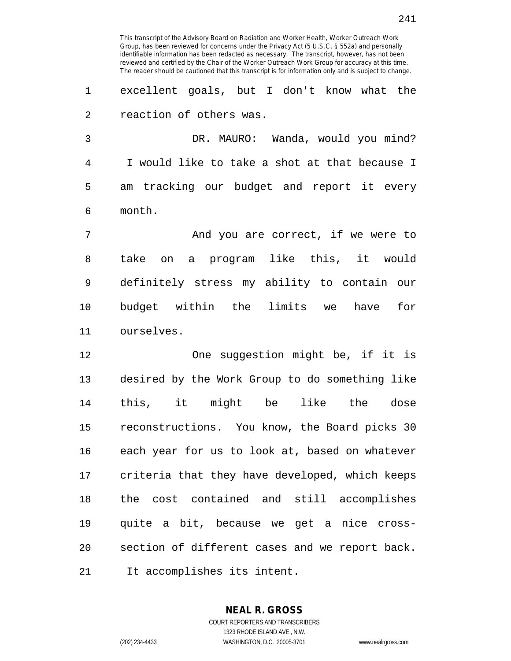1 excellent goals, but I don't know what the 2 reaction of others was.

3 DR. MAURO: Wanda, would you mind? 4 I would like to take a shot at that because I 5 am tracking our budget and report it every 6 month.

7 And you are correct, if we were to 8 take on a program like this, it would 9 definitely stress my ability to contain our 10 budget within the limits we have for 11 ourselves.

12 One suggestion might be, if it is 13 desired by the Work Group to do something like 14 this, it might be like the dose 15 reconstructions. You know, the Board picks 30 16 each year for us to look at, based on whatever 17 criteria that they have developed, which keeps 18 the cost contained and still accomplishes 19 quite a bit, because we get a nice cross-20 section of different cases and we report back. 21 It accomplishes its intent.

> COURT REPORTERS AND TRANSCRIBERS 1323 RHODE ISLAND AVE., N.W. (202) 234-4433 WASHINGTON, D.C. 20005-3701 www.nealrgross.com

**NEAL R. GROSS**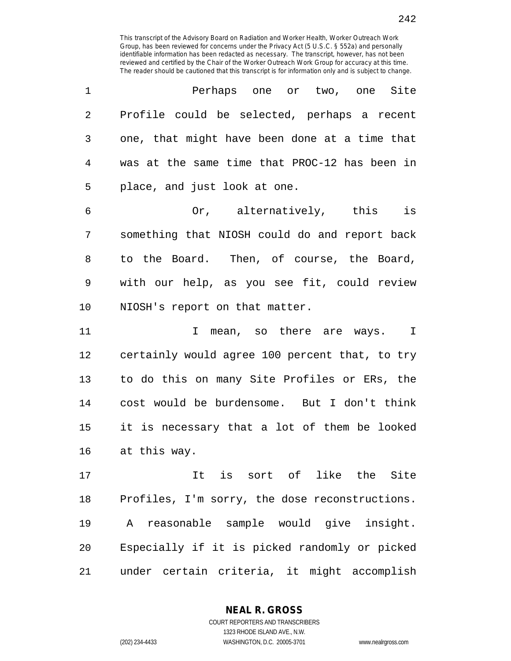| 1              | Perhaps one or two, one Site                   |
|----------------|------------------------------------------------|
| $\overline{2}$ | Profile could be selected, perhaps a recent    |
| 3              | one, that might have been done at a time that  |
| $\overline{4}$ | was at the same time that PROC-12 has been in  |
| 5              | place, and just look at one.                   |
| 6              | Or, alternatively, this is                     |
| 7              | something that NIOSH could do and report back  |
| 8              | to the Board. Then, of course, the Board,      |
| 9              | with our help, as you see fit, could review    |
| 10             | NIOSH's report on that matter.                 |
| 11             | I mean, so there are ways. I                   |
| 12             | certainly would agree 100 percent that, to try |
| 13             | to do this on many Site Profiles or ERs, the   |
| 14             | cost would be burdensome. But I don't think    |
| 15             | it is necessary that a lot of them be looked   |
| 16             | at this way.                                   |
| 17             | It is sort of like the Site                    |
| 18             | Profiles, I'm sorry, the dose reconstructions. |
| 19             | reasonable sample would give insight.<br>A     |
| 20             | Especially if it is picked randomly or picked  |
| 21             | under certain criteria, it might accomplish    |

**NEAL R. GROSS**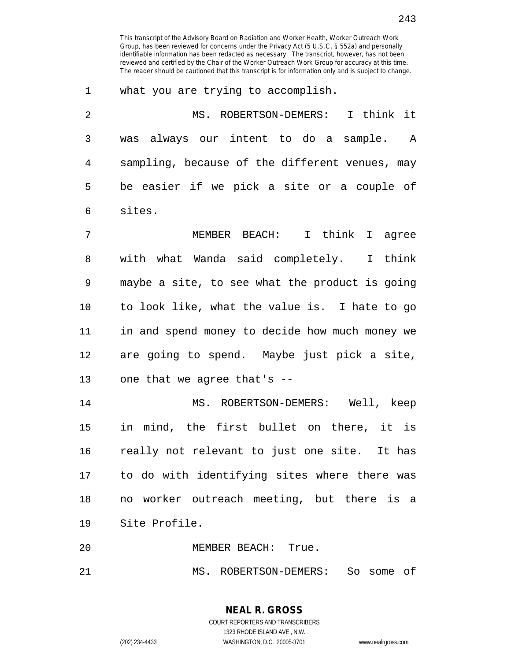1 what you are trying to accomplish.

| $\overline{2}$ | MS. ROBERTSON-DEMERS: I think it               |
|----------------|------------------------------------------------|
| 3              | was always our intent to do a sample. A        |
| 4              | sampling, because of the different venues, may |
| 5              | be easier if we pick a site or a couple of     |
| 6              | sites.                                         |
| 7              | MEMBER BEACH: I think I agree                  |
| 8              | with what Wanda said completely. I think       |
| 9              | maybe a site, to see what the product is going |
| 10             | to look like, what the value is. I hate to go  |
| 11             | in and spend money to decide how much money we |
| 12             | are going to spend. Maybe just pick a site,    |
| 13             | one that we agree that's --                    |
| 14             | MS. ROBERTSON-DEMERS: Well, keep               |
| 15             | in mind, the first bullet on there, it is      |
| 16             | really not relevant to just one site. It has   |
| 17             | to do with identifying sites where there was   |
| 18             | no worker outreach meeting, but there is a     |
| 19             | Site Profile.                                  |

20 MEMBER BEACH: True.

21 MS. ROBERTSON-DEMERS: So some of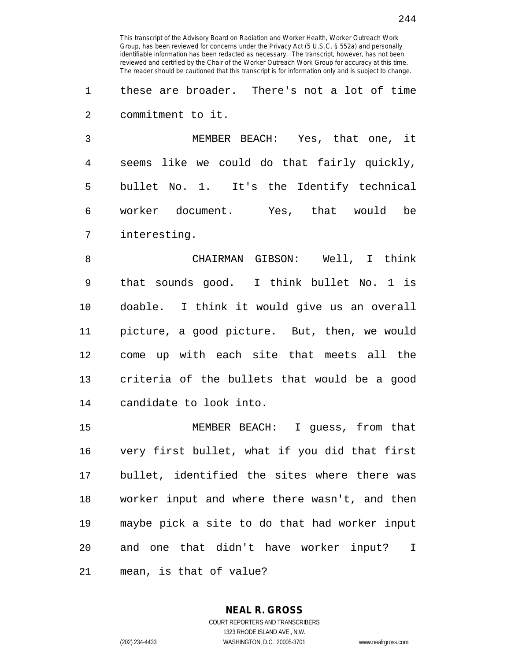1 these are broader. There's not a lot of time 2 commitment to it.

3 MEMBER BEACH: Yes, that one, it 4 seems like we could do that fairly quickly, 5 bullet No. 1. It's the Identify technical 6 worker document. Yes, that would be 7 interesting.

8 CHAIRMAN GIBSON: Well, I think 9 that sounds good. I think bullet No. 1 is 10 doable. I think it would give us an overall 11 picture, a good picture. But, then, we would 12 come up with each site that meets all the 13 criteria of the bullets that would be a good 14 candidate to look into.

15 MEMBER BEACH: I guess, from that 16 very first bullet, what if you did that first 17 bullet, identified the sites where there was 18 worker input and where there wasn't, and then 19 maybe pick a site to do that had worker input 20 and one that didn't have worker input? I 21 mean, is that of value?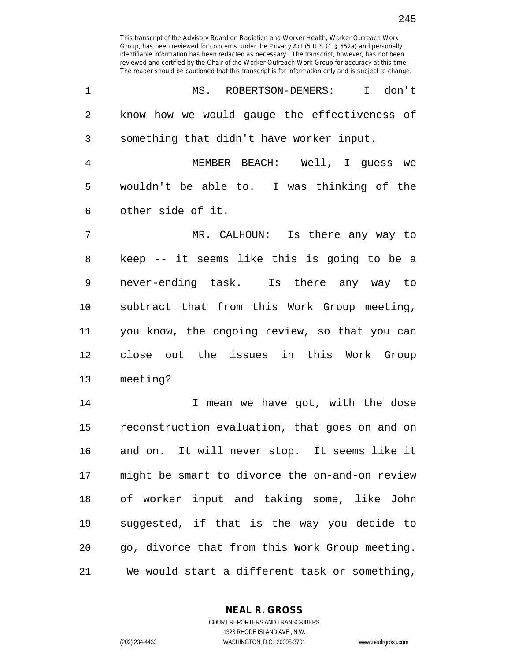245

| $\mathbf{1}$   | I don't<br>MS. ROBERTSON-DEMERS:             |
|----------------|----------------------------------------------|
| 2              | know how we would gauge the effectiveness of |
| 3 <sup>7</sup> | something that didn't have worker input.     |
| $\overline{4}$ | MEMBER BEACH: Well, I quess we               |
|                |                                              |

5 wouldn't be able to. I was thinking of the 6 other side of it.

7 MR. CALHOUN: Is there any way to 8 keep -- it seems like this is going to be a 9 never-ending task. Is there any way to 10 subtract that from this Work Group meeting, 11 you know, the ongoing review, so that you can 12 close out the issues in this Work Group 13 meeting?

14 14 I mean we have got, with the dose 15 reconstruction evaluation, that goes on and on 16 and on. It will never stop. It seems like it 17 might be smart to divorce the on-and-on review 18 of worker input and taking some, like John 19 suggested, if that is the way you decide to 20 go, divorce that from this Work Group meeting. 21 We would start a different task or something,

**NEAL R. GROSS**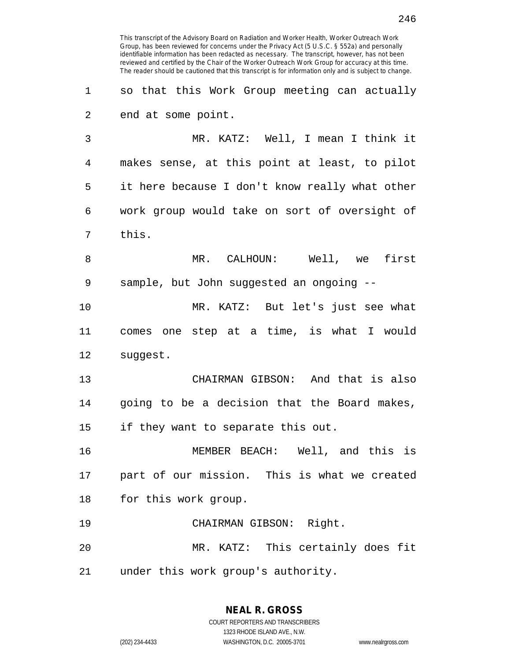13 CHAIRMAN GIBSON: And that is also 14 going to be a decision that the Board makes, 15 if they want to separate this out.

This transcript of the Advisory Board on Radiation and Worker Health, Worker Outreach Work Group, has been reviewed for concerns under the Privacy Act (5 U.S.C. § 552a) and personally identifiable information has been redacted as necessary. The transcript, however, has not been reviewed and certified by the Chair of the Worker Outreach Work Group for accuracy at this time. The reader should be cautioned that this transcript is for information only and is subject to change.

1 so that this Work Group meeting can actually

3 MR. KATZ: Well, I mean I think it

4 makes sense, at this point at least, to pilot

5 it here because I don't know really what other

6 work group would take on sort of oversight of

8 MR. CALHOUN: Well, we first

10 MR. KATZ: But let's just see what

11 comes one step at a time, is what I would

9 sample, but John suggested an ongoing --

2 end at some point.

7 this.

12 suggest.

16 MEMBER BEACH: Well, and this is 17 part of our mission. This is what we created 18 for this work group.

19 CHAIRMAN GIBSON: Right.

20 MR. KATZ: This certainly does fit 21 under this work group's authority.

> **NEAL R. GROSS** COURT REPORTERS AND TRANSCRIBERS

1323 RHODE ISLAND AVE., N.W. (202) 234-4433 WASHINGTON, D.C. 20005-3701 www.nealrgross.com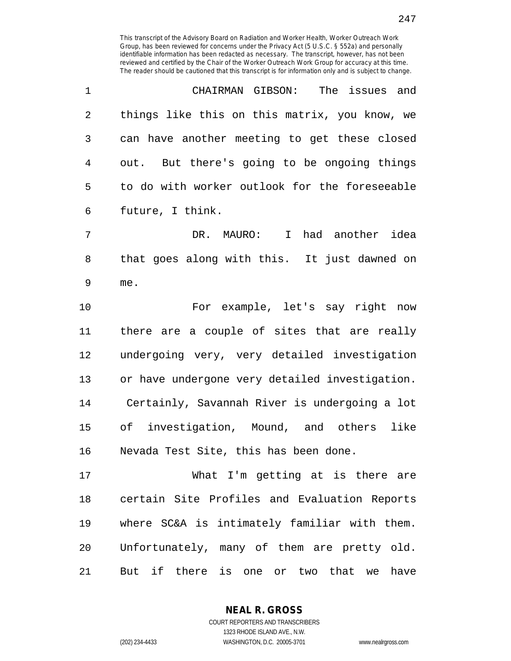| $\mathbf{1}$ | CHAIRMAN GIBSON: The issues and                                                                                                                                                                                                                                                                             |
|--------------|-------------------------------------------------------------------------------------------------------------------------------------------------------------------------------------------------------------------------------------------------------------------------------------------------------------|
| 2            | things like this on this matrix, you know, we                                                                                                                                                                                                                                                               |
| 3            | can have another meeting to get these closed                                                                                                                                                                                                                                                                |
| 4            | out. But there's going to be ongoing things                                                                                                                                                                                                                                                                 |
| 5            | to do with worker outlook for the foreseeable                                                                                                                                                                                                                                                               |
| 6            | future, I think.                                                                                                                                                                                                                                                                                            |
| 7            | DR. MAURO: I had another idea                                                                                                                                                                                                                                                                               |
| 8            | that goes along with this. It just dawned on                                                                                                                                                                                                                                                                |
| 9            | me.                                                                                                                                                                                                                                                                                                         |
| $\sim$       | $\mathbf{a}$ , $\mathbf{b}$ , $\mathbf{c}$ , $\mathbf{c}$ , $\mathbf{c}$ , $\mathbf{c}$ , $\mathbf{c}$ , $\mathbf{c}$ , $\mathbf{c}$ , $\mathbf{c}$ , $\mathbf{c}$ , $\mathbf{c}$ , $\mathbf{c}$ , $\mathbf{c}$ , $\mathbf{c}$ , $\mathbf{c}$ , $\mathbf{c}$ , $\mathbf{c}$ , $\mathbf{c}$ , $\mathbf{c}$ , |

10 For example, let's say right now 11 there are a couple of sites that are really 12 undergoing very, very detailed investigation 13 or have undergone very detailed investigation. 14 Certainly, Savannah River is undergoing a lot 15 of investigation, Mound, and others like 16 Nevada Test Site, this has been done.

17 What I'm getting at is there are 18 certain Site Profiles and Evaluation Reports 19 where SC&A is intimately familiar with them. 20 Unfortunately, many of them are pretty old. 21 But if there is one or two that we have

> COURT REPORTERS AND TRANSCRIBERS 1323 RHODE ISLAND AVE., N.W. (202) 234-4433 WASHINGTON, D.C. 20005-3701 www.nealrgross.com

**NEAL R. GROSS**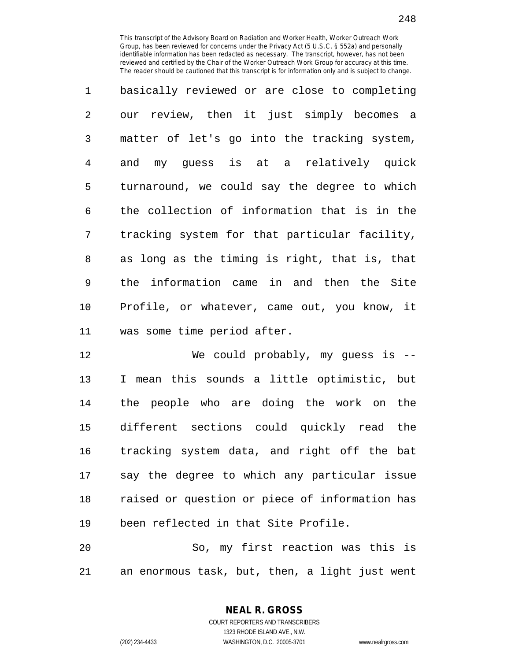1 basically reviewed or are close to completing 2 our review, then it just simply becomes a 3 matter of let's go into the tracking system, 4 and my guess is at a relatively quick 5 turnaround, we could say the degree to which 6 the collection of information that is in the 7 tracking system for that particular facility, 8 as long as the timing is right, that is, that 9 the information came in and then the Site 10 Profile, or whatever, came out, you know, it 11 was some time period after.

12 We could probably, my guess is -- 13 I mean this sounds a little optimistic, but 14 the people who are doing the work on the 15 different sections could quickly read the 16 tracking system data, and right off the bat 17 say the degree to which any particular issue 18 raised or question or piece of information has 19 been reflected in that Site Profile.

20 So, my first reaction was this is 21 an enormous task, but, then, a light just went

> COURT REPORTERS AND TRANSCRIBERS 1323 RHODE ISLAND AVE., N.W. (202) 234-4433 WASHINGTON, D.C. 20005-3701 www.nealrgross.com

**NEAL R. GROSS**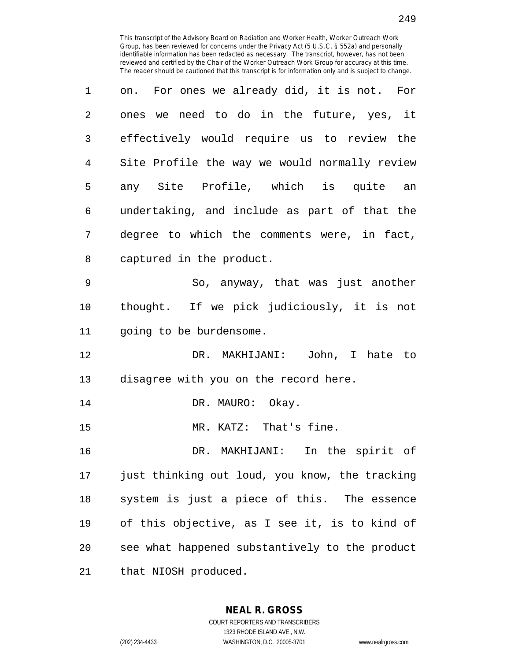| 1              | on. For ones we already did, it is not. For    |
|----------------|------------------------------------------------|
| 2              | ones we need to do in the future, yes, it      |
| 3              | effectively would require us to review the     |
| $\overline{4}$ | Site Profile the way we would normally review  |
| 5              | any Site Profile, which is quite an            |
| 6              | undertaking, and include as part of that the   |
| 7              | degree to which the comments were, in fact,    |
| 8              | captured in the product.                       |
| 9              | So, anyway, that was just another              |
| 10             | thought. If we pick judiciously, it is not     |
| 11             | going to be burdensome.                        |
| 12             | DR. MAKHIJANI: John, I hate to                 |
| 13             | disagree with you on the record here.          |
| 14             | DR. MAURO: Okay.                               |
| 15             | MR. KATZ: That's fine.                         |
| 16             | DR. MAKHIJANI: In the spirit of                |
| 17             | just thinking out loud, you know, the tracking |
| 18             | system is just a piece of this. The essence    |
| 19             | of this objective, as I see it, is to kind of  |
| 20             | see what happened substantively to the product |
| 21             | that NIOSH produced.                           |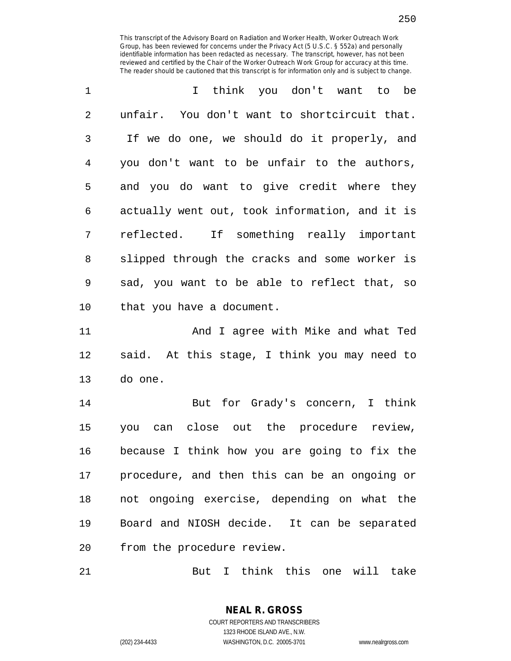| $\mathbf{1}$   | I think you don't want to be                   |
|----------------|------------------------------------------------|
| $\overline{2}$ | unfair. You don't want to shortcircuit that.   |
| 3              | If we do one, we should do it properly, and    |
| 4              | you don't want to be unfair to the authors,    |
| 5              | and you do want to give credit where they      |
| 6              | actually went out, took information, and it is |
| 7              | reflected. If something really important       |
| 8              | slipped through the cracks and some worker is  |
| 9              | sad, you want to be able to reflect that, so   |
| 10             | that you have a document.                      |

11 And I agree with Mike and what Ted 12 said. At this stage, I think you may need to 13 do one.

14 But for Grady's concern, I think 15 you can close out the procedure review, 16 because I think how you are going to fix the 17 procedure, and then this can be an ongoing or 18 not ongoing exercise, depending on what the 19 Board and NIOSH decide. It can be separated 20 from the procedure review.

21 But I think this one will take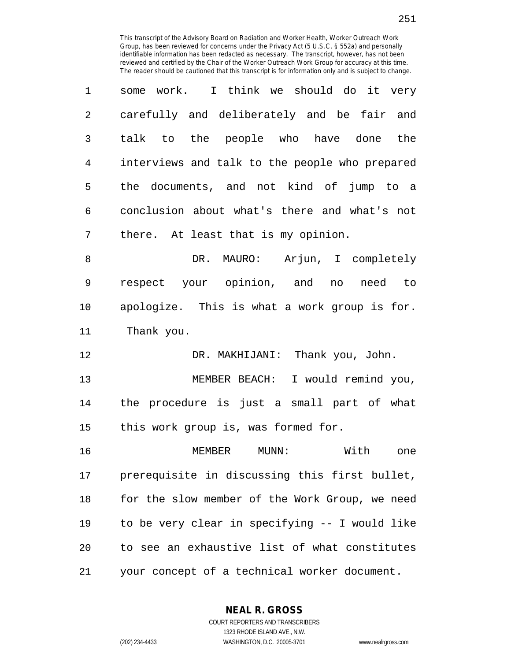| $\mathbf{1}$ | some work. I think we should do it very        |
|--------------|------------------------------------------------|
| 2            | carefully and deliberately and be fair and     |
| 3            | talk to the people who have done the           |
| 4            | interviews and talk to the people who prepared |
| 5            | the documents, and not kind of jump to a       |
| 6            | conclusion about what's there and what's not   |
| 7            | there. At least that is my opinion.            |

8 DR. MAURO: Arjun, I completely 9 respect your opinion, and no need to 10 apologize. This is what a work group is for. 11 Thank you.

12 DR. MAKHIJANI: Thank you, John. 13 MEMBER BEACH: I would remind you, 14 the procedure is just a small part of what 15 this work group is, was formed for.

16 MEMBER MUNN: With one 17 prerequisite in discussing this first bullet, 18 for the slow member of the Work Group, we need 19 to be very clear in specifying -- I would like 20 to see an exhaustive list of what constitutes 21 your concept of a technical worker document.

**NEAL R. GROSS**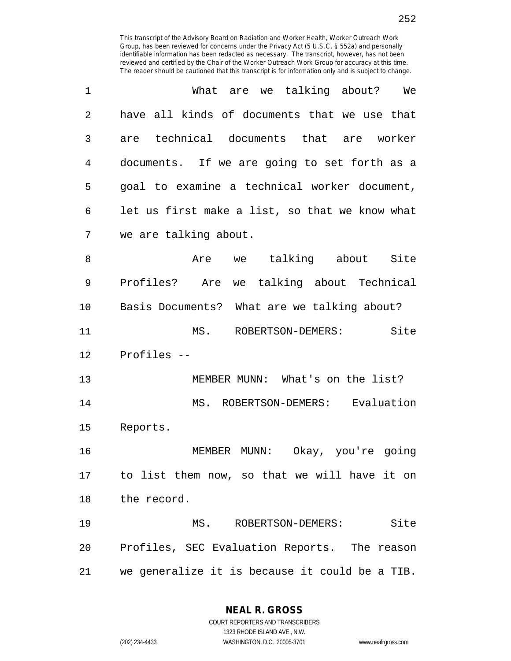| $\mathbf 1$ | What are we talking about?<br>We               |
|-------------|------------------------------------------------|
| 2           | have all kinds of documents that we use that   |
| 3           | technical documents that are worker<br>are     |
| 4           | documents. If we are going to set forth as a   |
| 5           | goal to examine a technical worker document,   |
| 6           | let us first make a list, so that we know what |
| 7           | we are talking about.                          |
| 8           | we talking about Site<br>Are                   |
| 9           | Profiles? Are we talking about Technical       |
| 10          | Basis Documents? What are we talking about?    |
| 11          | Site<br>MS. ROBERTSON-DEMERS:                  |
| 12          | Profiles --                                    |
| 13          | MEMBER MUNN: What's on the list?               |
| 14          | MS. ROBERTSON-DEMERS: Evaluation               |
| 15          | Reports.                                       |
| 16          | Okay, you're going<br>MEMBER MUNN:             |
| 17          | to list them now, so that we will have it on   |
| 18          | the record.                                    |
| 19          | Site<br>MS. ROBERTSON-DEMERS:                  |
| 20          | Profiles, SEC Evaluation Reports. The reason   |
| 21          | we generalize it is because it could be a TIB. |

**NEAL R. GROSS**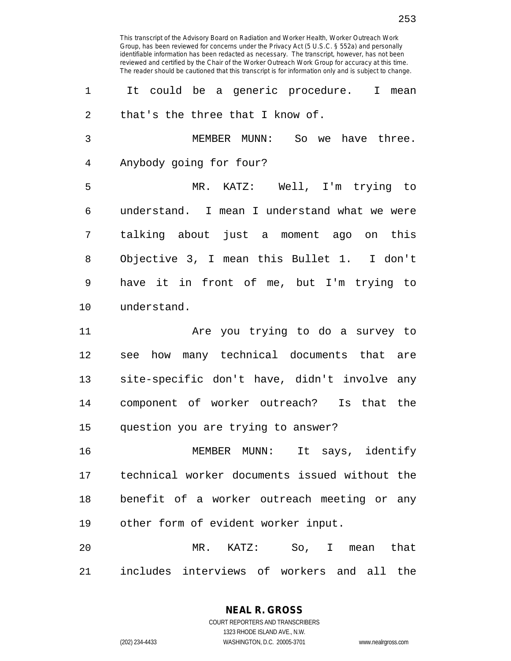1 It could be a generic procedure. I mean 2 that's the three that I know of. 3 MEMBER MUNN: So we have three. 4 Anybody going for four? 5 MR. KATZ: Well, I'm trying to 6 understand. I mean I understand what we were 7 talking about just a moment ago on this 8 Objective 3, I mean this Bullet 1. I don't 9 have it in front of me, but I'm trying to 10 understand. 11 Are you trying to do a survey to 12 see how many technical documents that are

13 site-specific don't have, didn't involve any 14 component of worker outreach? Is that the 15 question you are trying to answer?

16 MEMBER MUNN: It says, identify 17 technical worker documents issued without the 18 benefit of a worker outreach meeting or any 19 other form of evident worker input.

20 MR. KATZ: So, I mean that 21 includes interviews of workers and all the

> **NEAL R. GROSS** COURT REPORTERS AND TRANSCRIBERS 1323 RHODE ISLAND AVE., N.W. (202) 234-4433 WASHINGTON, D.C. 20005-3701 www.nealrgross.com

253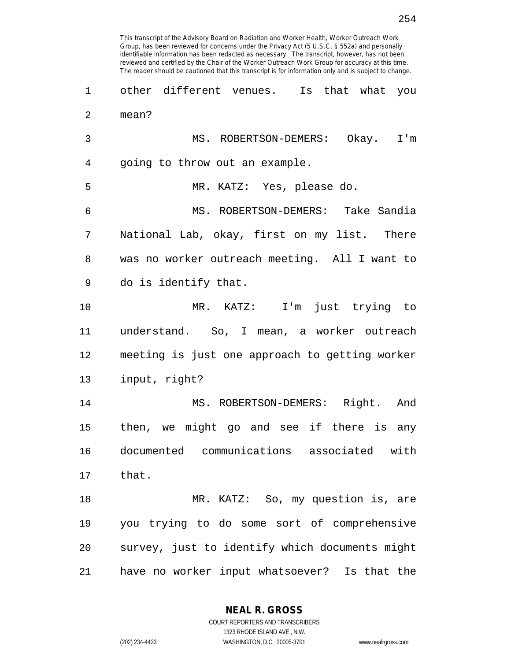4 going to throw out an example. 5 MR. KATZ: Yes, please do. 6 MS. ROBERTSON-DEMERS: Take Sandia 7 National Lab, okay, first on my list. There 8 was no worker outreach meeting. All I want to 9 do is identify that. 10 MR. KATZ: I'm just trying to

11 understand. So, I mean, a worker outreach 12 meeting is just one approach to getting worker 13 input, right?

14 MS. ROBERTSON-DEMERS: Right. And 15 then, we might go and see if there is any 16 documented communications associated with 17 that.

18 MR. KATZ: So, my question is, are 19 you trying to do some sort of comprehensive 20 survey, just to identify which documents might 21 have no worker input whatsoever? Is that the

> **NEAL R. GROSS** COURT REPORTERS AND TRANSCRIBERS

> > 1323 RHODE ISLAND AVE., N.W.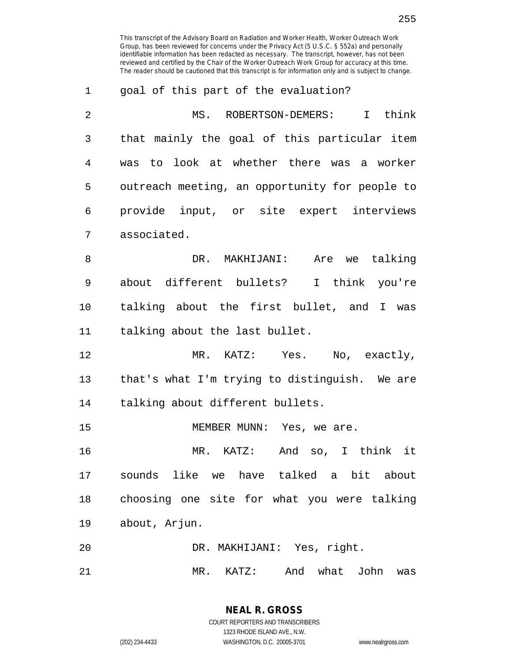| 1  | goal of this part of the evaluation?           |
|----|------------------------------------------------|
| 2  | I think<br>MS. ROBERTSON-DEMERS:               |
| 3  | that mainly the goal of this particular item   |
| 4  | was to look at whether there was a worker      |
| 5  | outreach meeting, an opportunity for people to |
| 6  | provide input, or site expert interviews       |
| 7  | associated.                                    |
| 8  | DR. MAKHIJANI: Are we talking                  |
| 9  | about different bullets? I think you're        |
| 10 | talking about the first bullet, and I was      |
| 11 | talking about the last bullet.                 |
| 12 | MR. KATZ: Yes. No, exactly,                    |
| 13 | that's what I'm trying to distinguish. We are  |
| 14 | talking about different bullets.               |
| 15 | MEMBER MUNN: Yes, we are.                      |
| 16 | And so, I think it<br>MR. KATZ:                |
| 17 | sounds like we have talked a bit about         |
| 18 | choosing one site for what you were talking    |
| 19 | about, Arjun.                                  |
| 20 | DR. MAKHIJANI: Yes, right.                     |
| 21 | KATZ: And<br>what John<br>MR.<br>was           |

COURT REPORTERS AND TRANSCRIBERS 1323 RHODE ISLAND AVE., N.W. (202) 234-4433 WASHINGTON, D.C. 20005-3701 www.nealrgross.com

**NEAL R. GROSS**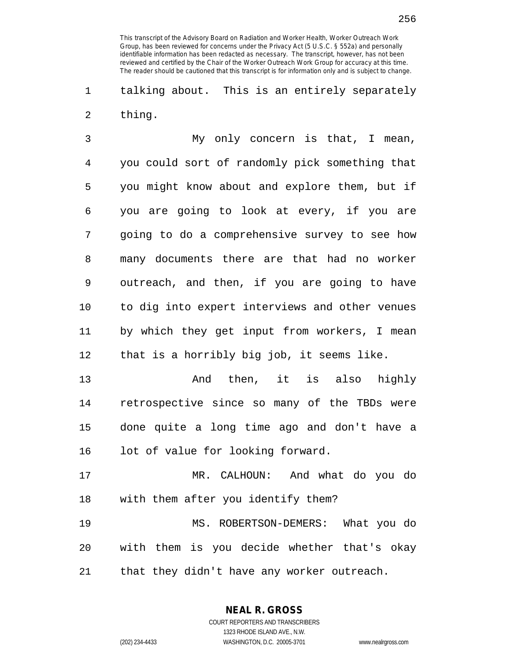1 talking about. This is an entirely separately 2 thing.

3 My only concern is that, I mean, 4 you could sort of randomly pick something that 5 you might know about and explore them, but if 6 you are going to look at every, if you are 7 going to do a comprehensive survey to see how 8 many documents there are that had no worker 9 outreach, and then, if you are going to have 10 to dig into expert interviews and other venues 11 by which they get input from workers, I mean 12 that is a horribly big job, it seems like.

13 And then, it is also highly 14 retrospective since so many of the TBDs were 15 done quite a long time ago and don't have a 16 lot of value for looking forward.

17 MR. CALHOUN: And what do you do 18 with them after you identify them?

19 MS. ROBERTSON-DEMERS: What you do 20 with them is you decide whether that's okay 21 that they didn't have any worker outreach.

**NEAL R. GROSS**

256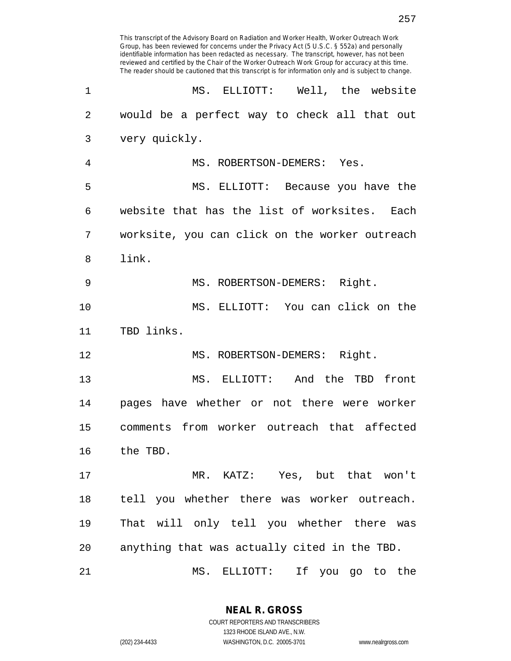| 1              | MS. ELLIOTT: Well, the website                 |
|----------------|------------------------------------------------|
| $\overline{2}$ | would be a perfect way to check all that out   |
| 3              | very quickly.                                  |
| 4              | MS. ROBERTSON-DEMERS: Yes.                     |
| 5              | MS. ELLIOTT: Because you have the              |
| 6              | website that has the list of worksites. Each   |
| 7              | worksite, you can click on the worker outreach |
| 8              | link.                                          |
| 9              | MS. ROBERTSON-DEMERS: Right.                   |
| 10             | MS. ELLIOTT: You can click on the              |
| 11             | TBD links.                                     |
| 12             | MS. ROBERTSON-DEMERS: Right.                   |
| 13             | MS. ELLIOTT: And the TBD front                 |
| 14             | pages have whether or not there were worker    |
| 15             | comments from worker outreach that affected    |
| 16             | the TBD.                                       |
| 17             | MR. KATZ: Yes, but that won't                  |
| 18             | tell you whether there was worker outreach.    |
| 19             | That will only tell you whether there was      |
| 20             | anything that was actually cited in the TBD.   |
| 21             | MS. ELLIOTT: If you go to the                  |

**NEAL R. GROSS** COURT REPORTERS AND TRANSCRIBERS

1323 RHODE ISLAND AVE., N.W.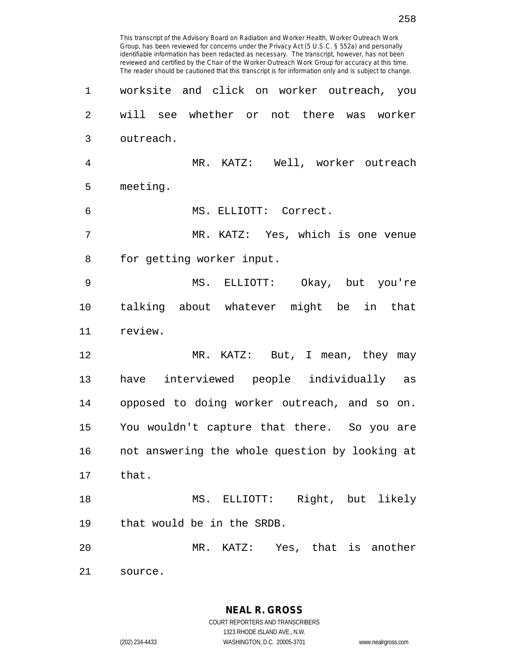Group, has been reviewed for concerns under the Privacy Act (5 U.S.C. § 552a) and personally identifiable information has been redacted as necessary. The transcript, however, has not been reviewed and certified by the Chair of the Worker Outreach Work Group for accuracy at this time. The reader should be cautioned that this transcript is for information only and is subject to change. 1 worksite and click on worker outreach, you 2 will see whether or not there was worker 3 outreach. 4 MR. KATZ: Well, worker outreach 5 meeting. 6 MS. ELLIOTT: Correct. 7 MR. KATZ: Yes, which is one venue 8 for getting worker input. 9 MS. ELLIOTT: Okay, but you're 10 talking about whatever might be in that 11 review. 12 MR. KATZ: But, I mean, they may 13 have interviewed people individually as 14 opposed to doing worker outreach, and so on. 15 You wouldn't capture that there. So you are 16 not answering the whole question by looking at 17 that. 18 MS. ELLIOTT: Right, but likely 19 that would be in the SRDB. 20 MR. KATZ: Yes, that is another 21 source.

This transcript of the Advisory Board on Radiation and Worker Health, Worker Outreach Work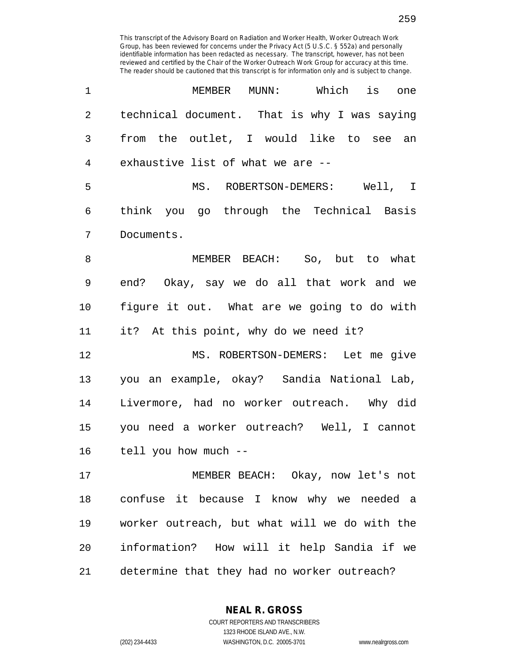| 1              | MEMBER MUNN: Which is one                     |
|----------------|-----------------------------------------------|
| $\overline{2}$ | technical document. That is why I was saying  |
| 3              | from the outlet, I would like to see an       |
| 4              | exhaustive list of what we are --             |
| 5              | MS. ROBERTSON-DEMERS: Well, I                 |
| 6              | think you go through the Technical Basis      |
| 7              | Documents.                                    |
| 8              | MEMBER BEACH: So, but to what                 |
| 9              | end? Okay, say we do all that work and we     |
| $10 \,$        | figure it out. What are we going to do with   |
| 11             | it? At this point, why do we need it?         |
| 12             | MS. ROBERTSON-DEMERS: Let me give             |
| 13             | you an example, okay? Sandia National Lab,    |
| 14             | Livermore, had no worker outreach. Why did    |
| 15             | you need a worker outreach? Well, I cannot    |
| 16             | tell you how much --                          |
| 17             | MEMBER BEACH: Okay, now let's not             |
| 18             | confuse it because I know why we needed a     |
| 19             | worker outreach, but what will we do with the |
| 20             | information? How will it help Sandia if we    |
| 21             | determine that they had no worker outreach?   |

**NEAL R. GROSS** COURT REPORTERS AND TRANSCRIBERS

1323 RHODE ISLAND AVE., N.W.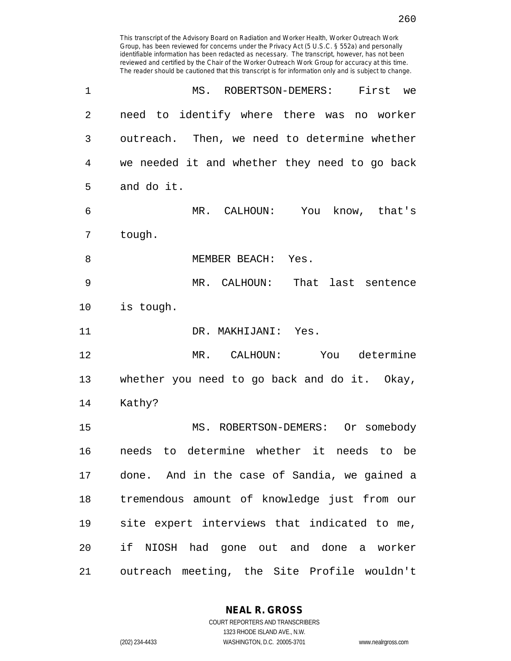Group, has been reviewed for concerns under the Privacy Act (5 U.S.C. § 552a) and personally identifiable information has been redacted as necessary. The transcript, however, has not been reviewed and certified by the Chair of the Worker Outreach Work Group for accuracy at this time. The reader should be cautioned that this transcript is for information only and is subject to change. 1 MS. ROBERTSON-DEMERS: First we 2 need to identify where there was no worker 3 outreach. Then, we need to determine whether 4 we needed it and whether they need to go back 5 and do it. 6 MR. CALHOUN: You know, that's 7 tough. 8 MEMBER BEACH: Yes. 9 MR. CALHOUN: That last sentence 10 is tough. 11 DR. MAKHIJANI: Yes. 12 MR. CALHOUN: You determine 13 whether you need to go back and do it. Okay, 14 Kathy? 15 MS. ROBERTSON-DEMERS: Or somebody 16 needs to determine whether it needs to be 17 done. And in the case of Sandia, we gained a 18 tremendous amount of knowledge just from our 19 site expert interviews that indicated to me, 20 if NIOSH had gone out and done a worker 21 outreach meeting, the Site Profile wouldn't

This transcript of the Advisory Board on Radiation and Worker Health, Worker Outreach Work

**NEAL R. GROSS**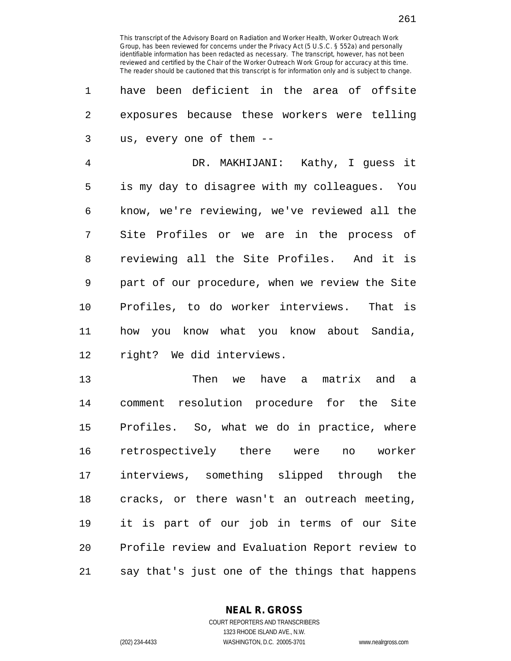1 have been deficient in the area of offsite 2 exposures because these workers were telling 3 us, every one of them --

4 DR. MAKHIJANI: Kathy, I guess it 5 is my day to disagree with my colleagues. You 6 know, we're reviewing, we've reviewed all the 7 Site Profiles or we are in the process of 8 reviewing all the Site Profiles. And it is 9 part of our procedure, when we review the Site 10 Profiles, to do worker interviews. That is 11 how you know what you know about Sandia, 12 right? We did interviews.

13 Then we have a matrix and a 14 comment resolution procedure for the Site 15 Profiles. So, what we do in practice, where 16 retrospectively there were no worker 17 interviews, something slipped through the 18 cracks, or there wasn't an outreach meeting, 19 it is part of our job in terms of our Site 20 Profile review and Evaluation Report review to 21 say that's just one of the things that happens

**NEAL R. GROSS**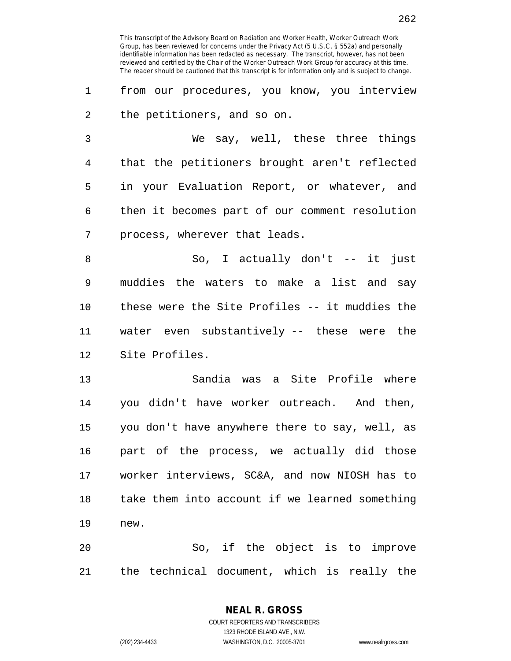262

This transcript of the Advisory Board on Radiation and Worker Health, Worker Outreach Work Group, has been reviewed for concerns under the Privacy Act (5 U.S.C. § 552a) and personally identifiable information has been redacted as necessary. The transcript, however, has not been reviewed and certified by the Chair of the Worker Outreach Work Group for accuracy at this time. The reader should be cautioned that this transcript is for information only and is subject to change.

1 from our procedures, you know, you interview 2 the petitioners, and so on.

3 We say, well, these three things 4 that the petitioners brought aren't reflected 5 in your Evaluation Report, or whatever, and 6 then it becomes part of our comment resolution 7 process, wherever that leads.

8 So, I actually don't -- it just 9 muddies the waters to make a list and say 10 these were the Site Profiles -- it muddies the 11 water even substantively -- these were the 12 Site Profiles.

13 Sandia was a Site Profile where 14 you didn't have worker outreach. And then, 15 you don't have anywhere there to say, well, as 16 part of the process, we actually did those 17 worker interviews, SC&A, and now NIOSH has to 18 take them into account if we learned something 19 new.

20 So, if the object is to improve 21 the technical document, which is really the

**NEAL R. GROSS**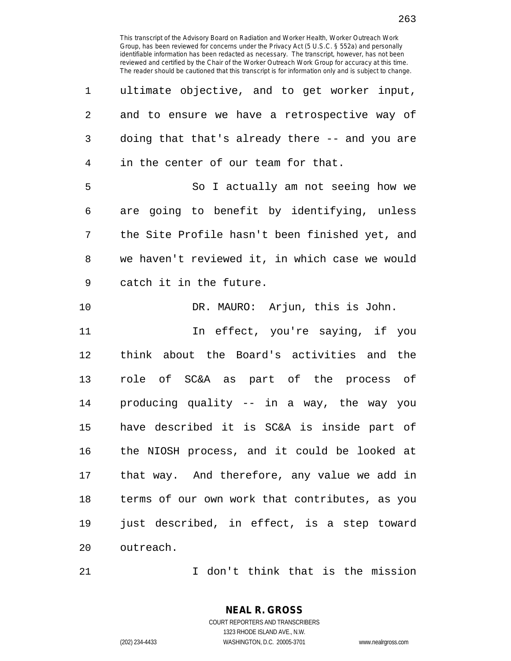| 1  | ultimate objective, and to get worker input,   |
|----|------------------------------------------------|
| 2  | and to ensure we have a retrospective way of   |
| 3  | doing that that's already there -- and you are |
| 4  | in the center of our team for that.            |
| 5  | So I actually am not seeing how we             |
| 6  | are going to benefit by identifying, unless    |
| 7  | the Site Profile hasn't been finished yet, and |
| 8  | we haven't reviewed it, in which case we would |
| 9  | catch it in the future.                        |
| 10 | DR. MAURO: Arjun, this is John.                |
|    |                                                |
| 11 | In effect, you're saying, if you               |
| 12 | think about the Board's activities and the     |
| 13 | role of SC&A as part of the process of         |
| 14 | producing quality -- in a way, the way you     |
| 15 | have described it is SC&A is inside part of    |
| 16 | the NIOSH process, and it could be looked at   |
| 17 | that way. And therefore, any value we add in   |
| 18 | terms of our own work that contributes, as you |
| 19 | just described, in effect, is a step toward    |

21 I don't think that is the mission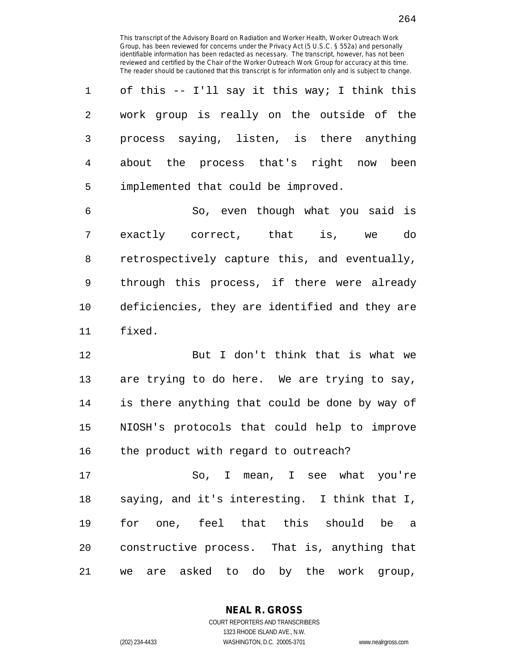1 of this -- I'll say it this way; I think this 2 work group is really on the outside of the 3 process saying, listen, is there anything 4 about the process that's right now been 5 implemented that could be improved.

6 So, even though what you said is 7 exactly correct, that is, we do 8 retrospectively capture this, and eventually, 9 through this process, if there were already 10 deficiencies, they are identified and they are 11 fixed.

12 But I don't think that is what we 13 are trying to do here. We are trying to say, 14 is there anything that could be done by way of 15 NIOSH's protocols that could help to improve 16 the product with regard to outreach?

17 So, I mean, I see what you're 18 saying, and it's interesting. I think that I, 19 for one, feel that this should be a 20 constructive process. That is, anything that 21 we are asked to do by the work group,

> COURT REPORTERS AND TRANSCRIBERS 1323 RHODE ISLAND AVE., N.W. (202) 234-4433 WASHINGTON, D.C. 20005-3701 www.nealrgross.com

**NEAL R. GROSS**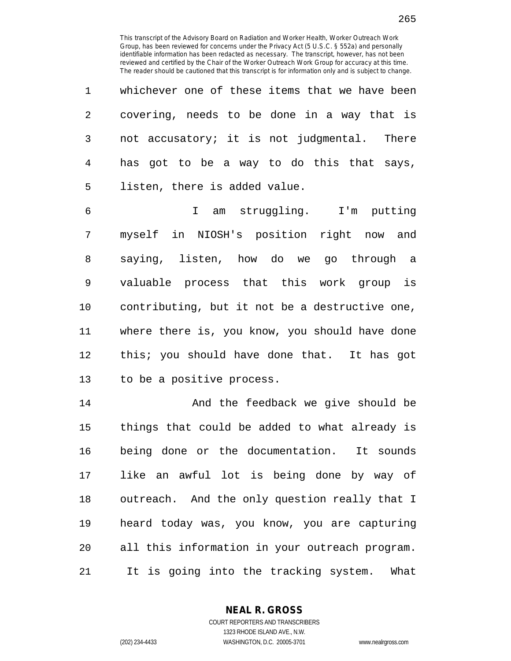| 1              | whichever one of these items that we have been |
|----------------|------------------------------------------------|
| $\overline{2}$ | covering, needs to be done in a way that is    |
| 3 <sup>7</sup> | not accusatory; it is not judgmental. There    |
| $4\degree$     | has got to be a way to do this that says,      |
| 5 <sub>5</sub> | listen, there is added value.                  |

6 I am struggling. I'm putting 7 myself in NIOSH's position right now and 8 saying, listen, how do we go through a 9 valuable process that this work group is 10 contributing, but it not be a destructive one, 11 where there is, you know, you should have done 12 this; you should have done that. It has got 13 to be a positive process.

14 And the feedback we give should be 15 things that could be added to what already is 16 being done or the documentation. It sounds 17 like an awful lot is being done by way of 18 outreach. And the only question really that I 19 heard today was, you know, you are capturing 20 all this information in your outreach program. 21 It is going into the tracking system. What

> **NEAL R. GROSS** COURT REPORTERS AND TRANSCRIBERS

> > 1323 RHODE ISLAND AVE., N.W.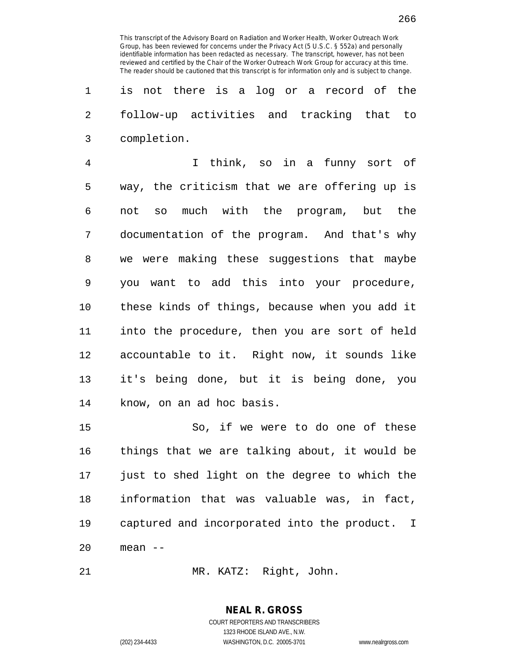1 is not there is a log or a record of the 2 follow-up activities and tracking that to 3 completion.

4 I think, so in a funny sort of 5 way, the criticism that we are offering up is 6 not so much with the program, but the 7 documentation of the program. And that's why 8 we were making these suggestions that maybe 9 you want to add this into your procedure, 10 these kinds of things, because when you add it 11 into the procedure, then you are sort of held 12 accountable to it. Right now, it sounds like 13 it's being done, but it is being done, you 14 know, on an ad hoc basis.

15 So, if we were to do one of these 16 things that we are talking about, it would be 17 just to shed light on the degree to which the 18 information that was valuable was, in fact, 19 captured and incorporated into the product. I 20 mean --

21 MR. KATZ: Right, John.

**NEAL R. GROSS** COURT REPORTERS AND TRANSCRIBERS 1323 RHODE ISLAND AVE., N.W.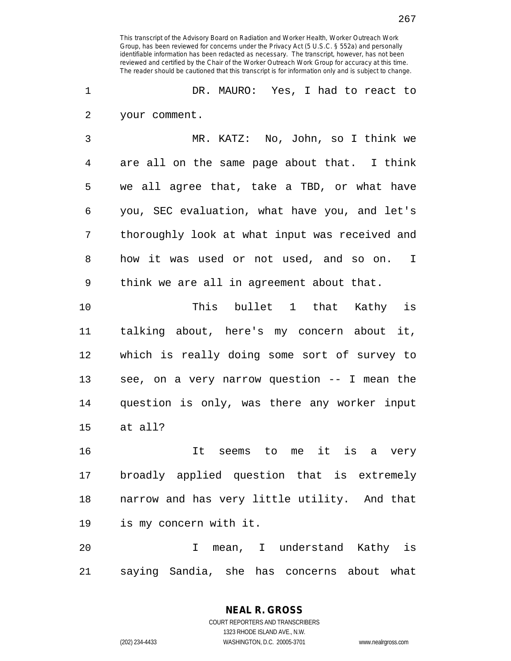1 DR. MAURO: Yes, I had to react to 2 your comment.

3 MR. KATZ: No, John, so I think we 4 are all on the same page about that. I think 5 we all agree that, take a TBD, or what have 6 you, SEC evaluation, what have you, and let's 7 thoroughly look at what input was received and 8 how it was used or not used, and so on. I 9 think we are all in agreement about that.

10 This bullet 1 that Kathy is 11 talking about, here's my concern about it, 12 which is really doing some sort of survey to 13 see, on a very narrow question -- I mean the 14 question is only, was there any worker input 15 at all?

16 It seems to me it is a very 17 broadly applied question that is extremely 18 narrow and has very little utility. And that 19 is my concern with it.

20 I mean, I understand Kathy is 21 saying Sandia, she has concerns about what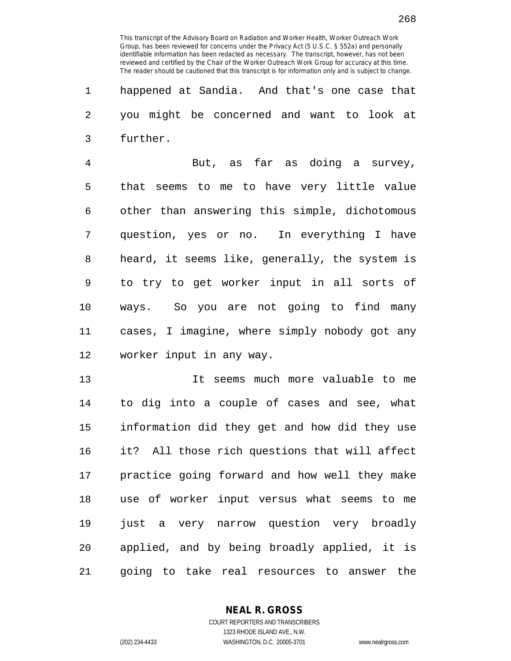1 happened at Sandia. And that's one case that 2 you might be concerned and want to look at 3 further.

4 But, as far as doing a survey, 5 that seems to me to have very little value 6 other than answering this simple, dichotomous 7 question, yes or no. In everything I have 8 heard, it seems like, generally, the system is 9 to try to get worker input in all sorts of 10 ways. So you are not going to find many 11 cases, I imagine, where simply nobody got any 12 worker input in any way.

13 It seems much more valuable to me 14 to dig into a couple of cases and see, what 15 information did they get and how did they use 16 it? All those rich questions that will affect 17 practice going forward and how well they make 18 use of worker input versus what seems to me 19 just a very narrow question very broadly 20 applied, and by being broadly applied, it is 21 going to take real resources to answer the

**NEAL R. GROSS**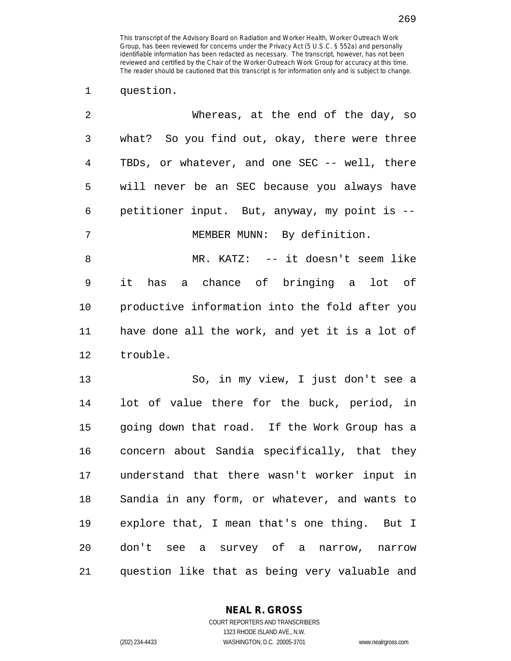1 question.

| 2       | Whereas, at the end of the day, so             |
|---------|------------------------------------------------|
| 3       | what? So you find out, okay, there were three  |
| 4       | TBDs, or whatever, and one SEC -- well, there  |
| 5       | will never be an SEC because you always have   |
| 6       | petitioner input. But, anyway, my point is --  |
| 7       | MEMBER MUNN: By definition.                    |
| $\,8\,$ | MR. KATZ: -- it doesn't seem like              |
| 9       | has a chance of bringing a lot of<br>it        |
| 10      | productive information into the fold after you |
| 11      | have done all the work, and yet it is a lot of |
| 12      | trouble.                                       |
| 13      | So, in my view, I just don't see a             |
| 14      | lot of value there for the buck, period, in    |
| 15      | going down that road. If the Work Group has a  |
| 16      | concern about Sandia specifically, that they   |
| 17      | understand that there wasn't worker input in   |
| 18      | Sandia in any form, or whatever, and wants to  |
| 19      | explore that, I mean that's one thing. But I   |
| 20      | don't see a survey of a narrow, narrow         |
| 21      | question like that as being very valuable and  |

**NEAL R. GROSS**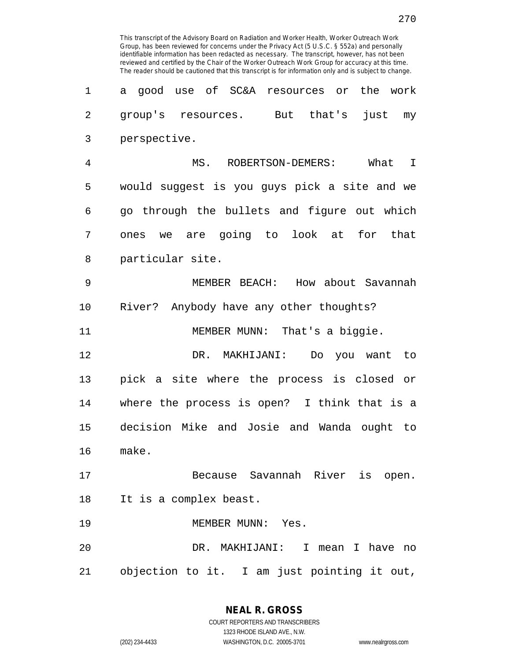| 1  | good use of SC&A resources or<br>the work<br>a |
|----|------------------------------------------------|
| 2  | group's resources. But that's<br>just my       |
| 3  | perspective.                                   |
| 4  | MS. ROBERTSON-DEMERS: What I                   |
| 5  | would suggest is you guys pick a site and we   |
| 6  | go through the bullets and figure out which    |
| 7  | ones we are going to look at for that          |
| 8  | particular site.                               |
| 9  | MEMBER BEACH: How about Savannah               |
| 10 | River? Anybody have any other thoughts?        |
| 11 | MEMBER MUNN: That's a biggie.                  |
| 12 | DR. MAKHIJANI:<br>Do you want to               |
| 13 | pick a site where the process is closed or     |
| 14 | where the process is open? I think that is a   |
| 15 | decision Mike and Josie and Wanda ought to     |
| 16 | make.                                          |
| 17 | Because Savannah River is open.                |
| 18 | It is a complex beast.                         |
| 19 | MEMBER MUNN: Yes.                              |
| 20 | DR. MAKHIJANI: I mean I have no                |
| 21 | objection to it. I am just pointing it out,    |

**NEAL R. GROSS** COURT REPORTERS AND TRANSCRIBERS 1323 RHODE ISLAND AVE., N.W.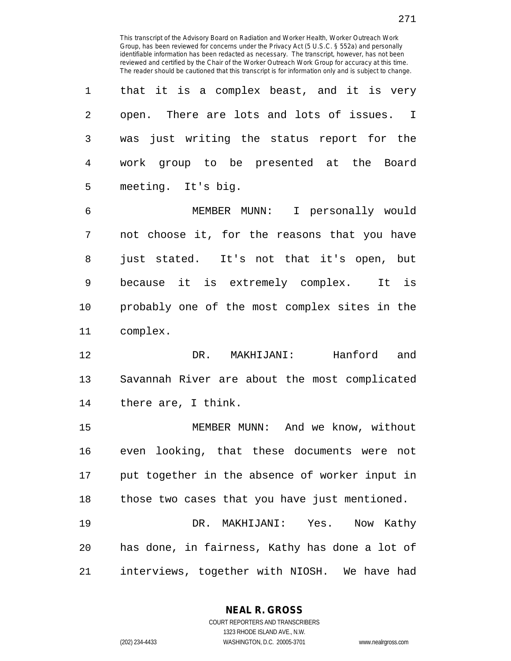1 that it is a complex beast, and it is very 2 open. There are lots and lots of issues. I 3 was just writing the status report for the 4 work group to be presented at the Board 5 meeting. It's big.

6 MEMBER MUNN: I personally would 7 not choose it, for the reasons that you have 8 just stated. It's not that it's open, but 9 because it is extremely complex. It is 10 probably one of the most complex sites in the 11 complex.

12 DR. MAKHIJANI: Hanford and 13 Savannah River are about the most complicated 14 there are, I think.

15 MEMBER MUNN: And we know, without 16 even looking, that these documents were not 17 put together in the absence of worker input in 18 those two cases that you have just mentioned.

19 DR. MAKHIJANI: Yes. Now Kathy 20 has done, in fairness, Kathy has done a lot of 21 interviews, together with NIOSH. We have had

> **NEAL R. GROSS** COURT REPORTERS AND TRANSCRIBERS

1323 RHODE ISLAND AVE., N.W. (202) 234-4433 WASHINGTON, D.C. 20005-3701 www.nealrgross.com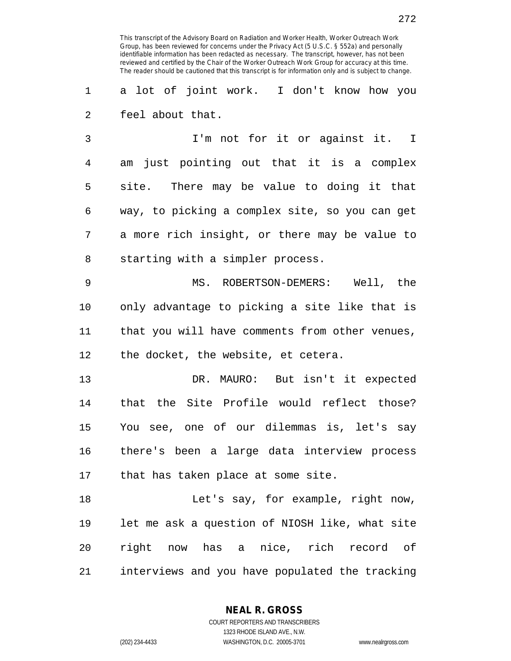1 a lot of joint work. I don't know how you 2 feel about that.

3 I'm not for it or against it. I 4 am just pointing out that it is a complex 5 site. There may be value to doing it that 6 way, to picking a complex site, so you can get 7 a more rich insight, or there may be value to 8 starting with a simpler process.

9 MS. ROBERTSON-DEMERS: Well, the 10 only advantage to picking a site like that is 11 that you will have comments from other venues, 12 the docket, the website, et cetera.

13 DR. MAURO: But isn't it expected 14 that the Site Profile would reflect those? 15 You see, one of our dilemmas is, let's say 16 there's been a large data interview process 17 that has taken place at some site.

18 Let's say, for example, right now, 19 let me ask a question of NIOSH like, what site 20 right now has a nice, rich record of 21 interviews and you have populated the tracking

> **NEAL R. GROSS** COURT REPORTERS AND TRANSCRIBERS

> > 1323 RHODE ISLAND AVE., N.W.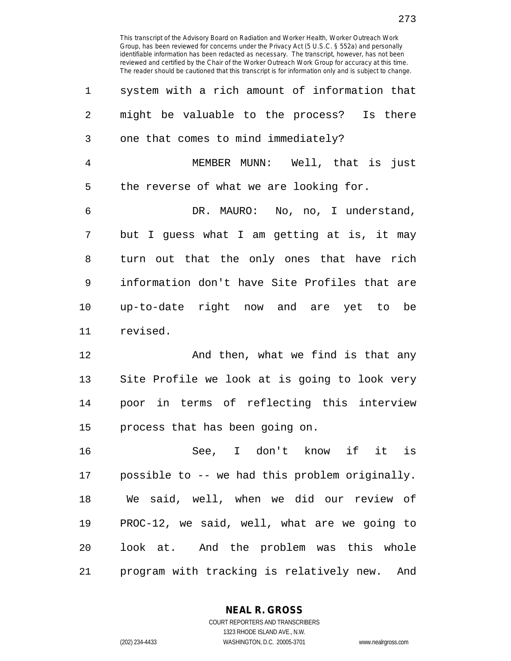| $\mathbf 1$    | system with a rich amount of information that |
|----------------|-----------------------------------------------|
| 2              | might be valuable to the process? Is there    |
| 3              | one that comes to mind immediately?           |
| $\overline{4}$ | MEMBER MUNN: Well, that is just               |
| 5              | the reverse of what we are looking for.       |
| 6              | DR. MAURO: No, no, I understand,              |
| 7              | but I guess what I am getting at is, it may   |
| 8              | turn out that the only ones that have rich    |
| 9              | information don't have Site Profiles that are |
| 10             | up-to-date right now and are yet to be        |
| 11             | revised.                                      |
| 12             | And then, what we find is that any            |
| 13             | Site Profile we look at is going to look very |
| 14             | poor in terms of reflecting this interview    |
| 15             | process that has been going on.               |
| 16             | See T don't know if it is                     |

16 See, I don't know if it is 17 possible to -- we had this problem originally. 18 We said, well, when we did our review of 19 PROC-12, we said, well, what are we going to 20 look at. And the problem was this whole 21 program with tracking is relatively new. And

**NEAL R. GROSS**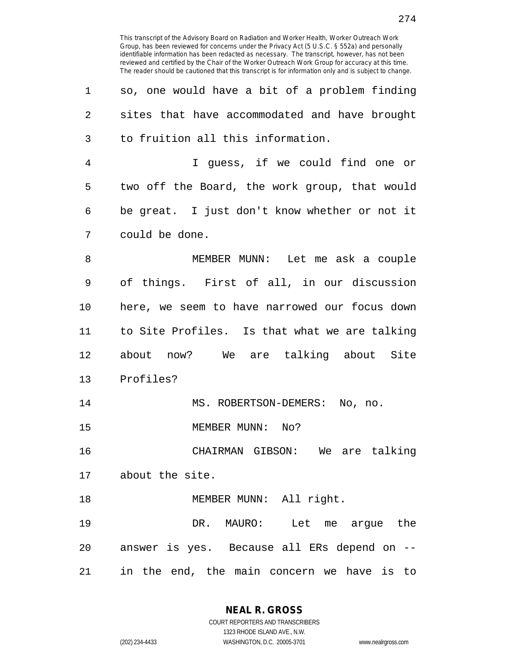| 1  | so, one would have a bit of a problem finding |
|----|-----------------------------------------------|
| 2  | sites that have accommodated and have brought |
| 3  | to fruition all this information.             |
| 4  | I guess, if we could find one or              |
| 5  | two off the Board, the work group, that would |
| 6  | be great. I just don't know whether or not it |
| 7  | could be done.                                |
| 8  | MEMBER MUNN: Let me ask a couple              |
| 9  | of things. First of all, in our discussion    |
| 10 | here, we seem to have narrowed our focus down |
| 11 | to Site Profiles. Is that what we are talking |
| 12 | about now? We are talking about Site          |
| 13 | Profiles?                                     |
| 14 | MS. ROBERTSON-DEMERS: No, no.                 |
| 15 | MEMBER MUNN: No?                              |
| 16 | CHAIRMAN GIBSON: We are talking               |
| 17 | about the site.                               |
| 18 | MEMBER MUNN: All right.                       |
| 19 | DR.<br>MAURO:<br>Let<br>the<br>me argue       |
|    |                                               |

21 in the end, the main concern we have is to

20 answer is yes. Because all ERs depend on --

**NEAL R. GROSS** COURT REPORTERS AND TRANSCRIBERS

1323 RHODE ISLAND AVE., N.W. (202) 234-4433 WASHINGTON, D.C. 20005-3701 www.nealrgross.com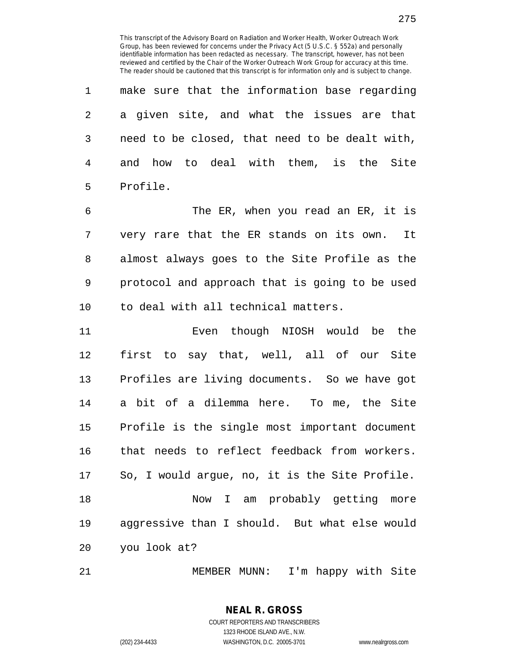| 1              | make sure that the information base regarding  |
|----------------|------------------------------------------------|
| 2              | a given site, and what the issues are that     |
| 3              | need to be closed, that need to be dealt with, |
| $\overline{4}$ | and how to deal with them, is the Site         |
| 5              | Profile.                                       |
| 6              | The ER, when you read an ER, it is             |
| 7              | very rare that the ER stands on its own. It    |
| 8              | almost always goes to the Site Profile as the  |
| 9              | protocol and approach that is going to be used |
| 10             | to deal with all technical matters.            |
| 11             | Even though NIOSH would be the                 |
| 12             | first to say that, well, all of our Site       |
| 13             | Profiles are living documents. So we have got  |
| 14             | a bit of a dilemma here. To me, the Site       |
| 15             | Profile is the single most important document  |
| 16             | that needs to reflect feedback from workers.   |
| 17             | So, I would argue, no, it is the Site Profile. |
| 18             | I am probably getting more<br>Now              |
| 19             | aggressive than I should. But what else would  |
| 20             | you look at?                                   |
|                |                                                |

21 MEMBER MUNN: I'm happy with Site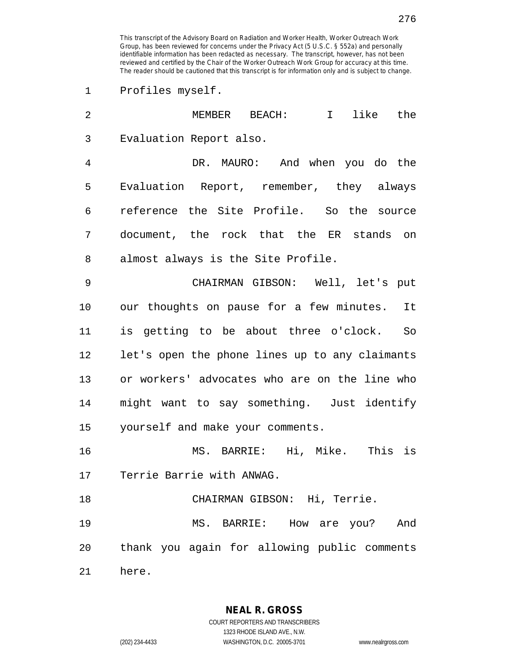1 Profiles myself.

| $\overline{2}$ | like the<br>$MEMBER$ BEACH:<br>$\mathbf{I}$    |
|----------------|------------------------------------------------|
| 3              | Evaluation Report also.                        |
| 4              | DR. MAURO: And when you do the                 |
| 5              | Evaluation Report, remember, they always       |
| 6              | reference the Site Profile. So the source      |
| 7              | document, the rock that the ER stands on       |
| 8              | almost always is the Site Profile.             |
| 9              | CHAIRMAN GIBSON: Well, let's put               |
| 10             | our thoughts on pause for a few minutes. It    |
| 11             | is getting to be about three o'clock. So       |
| 12             | let's open the phone lines up to any claimants |
| 13             | or workers' advocates who are on the line who  |
| 14             | might want to say something. Just identify     |
| 15             | yourself and make your comments.               |
| 16             | MS. BARRIE: Hi, Mike. This is                  |
| 17             | Terrie Barrie with ANWAG.                      |
| 18             | CHAIRMAN GIBSON: Hi, Terrie.                   |
| 19             | MS. BARRIE: How are you? And                   |
| 20             | thank you again for allowing public comments   |
| 21             | here.                                          |

**NEAL R. GROSS** COURT REPORTERS AND TRANSCRIBERS 1323 RHODE ISLAND AVE., N.W.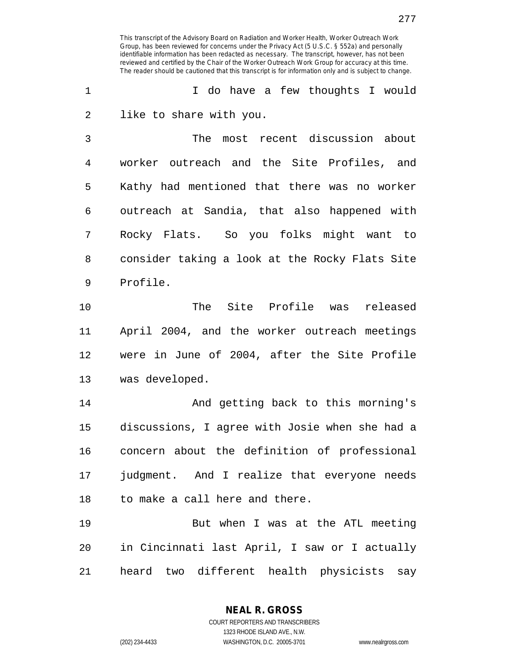1 1 I do have a few thoughts I would 2 like to share with you.

3 The most recent discussion about 4 worker outreach and the Site Profiles, and 5 Kathy had mentioned that there was no worker 6 outreach at Sandia, that also happened with 7 Rocky Flats. So you folks might want to 8 consider taking a look at the Rocky Flats Site 9 Profile.

10 The Site Profile was released 11 April 2004, and the worker outreach meetings 12 were in June of 2004, after the Site Profile 13 was developed.

14 And getting back to this morning's 15 discussions, I agree with Josie when she had a 16 concern about the definition of professional 17 judgment. And I realize that everyone needs 18 to make a call here and there.

19 But when I was at the ATL meeting 20 in Cincinnati last April, I saw or I actually 21 heard two different health physicists say

> **NEAL R. GROSS** COURT REPORTERS AND TRANSCRIBERS

1323 RHODE ISLAND AVE., N.W. (202) 234-4433 WASHINGTON, D.C. 20005-3701 www.nealrgross.com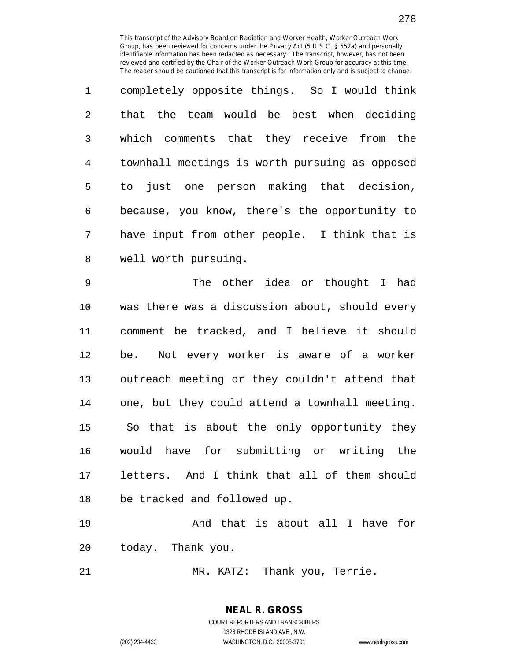1 completely opposite things. So I would think 2 that the team would be best when deciding 3 which comments that they receive from the 4 townhall meetings is worth pursuing as opposed 5 to just one person making that decision, 6 because, you know, there's the opportunity to 7 have input from other people. I think that is 8 well worth pursuing.

9 The other idea or thought I had 10 was there was a discussion about, should every 11 comment be tracked, and I believe it should 12 be. Not every worker is aware of a worker 13 outreach meeting or they couldn't attend that 14 one, but they could attend a townhall meeting. 15 So that is about the only opportunity they 16 would have for submitting or writing the 17 letters. And I think that all of them should 18 be tracked and followed up.

19 And that is about all I have for 20 today. Thank you.

21 MR. KATZ: Thank you, Terrie.

**NEAL R. GROSS** COURT REPORTERS AND TRANSCRIBERS 1323 RHODE ISLAND AVE., N.W.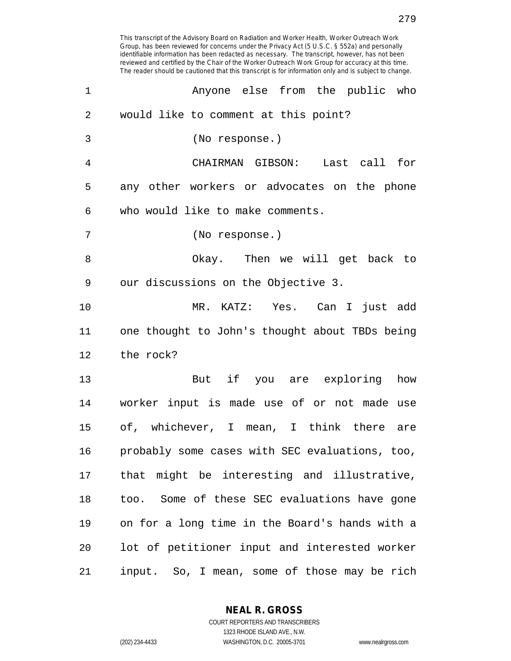| $\mathbf 1$    | Anyone else from the public who                |
|----------------|------------------------------------------------|
| $\overline{2}$ | would like to comment at this point?           |
| 3              | (No response.)                                 |
| 4              | CHAIRMAN GIBSON: Last call for                 |
| 5              | any other workers or advocates on the phone    |
| 6              | who would like to make comments.               |
| 7              | (No response.)                                 |
| 8              | Okay. Then we will get back to                 |
| 9              | our discussions on the Objective 3.            |
| 10             | MR. KATZ: Yes. Can I just add                  |
| 11             | one thought to John's thought about TBDs being |
| 12             | the rock?                                      |
| 13             | But if you are exploring how                   |
| 14             | worker input is made use of or not made use    |
| 15             | of, whichever, I mean, I think there are       |
| 16             | probably some cases with SEC evaluations, too, |
| 17             | that might be interesting and illustrative,    |
| 18             | too. Some of these SEC evaluations have gone   |
| 19             | on for a long time in the Board's hands with a |
| 20             | lot of petitioner input and interested worker  |
| 21             | input. So, I mean, some of those may be rich   |

**NEAL R. GROSS** COURT REPORTERS AND TRANSCRIBERS

1323 RHODE ISLAND AVE., N.W. (202) 234-4433 WASHINGTON, D.C. 20005-3701 www.nealrgross.com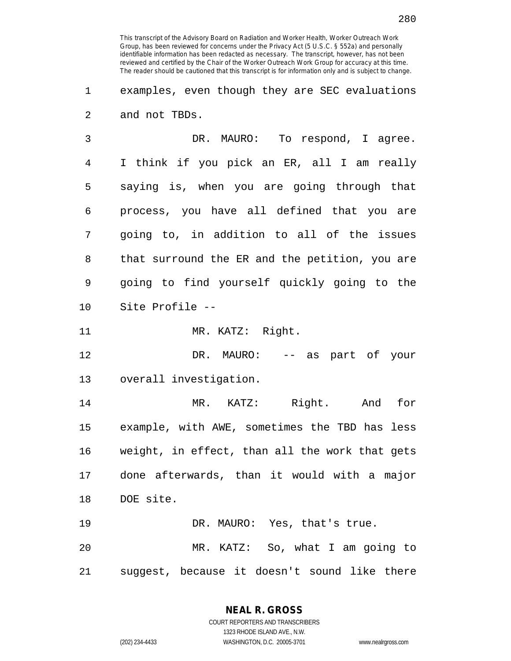1 examples, even though they are SEC evaluations 2 and not TBDs.

3 DR. MAURO: To respond, I agree. 4 I think if you pick an ER, all I am really 5 saying is, when you are going through that 6 process, you have all defined that you are 7 going to, in addition to all of the issues 8 that surround the ER and the petition, you are 9 going to find yourself quickly going to the 10 Site Profile --

11 MR. KATZ: Right.

12 DR. MAURO: -- as part of your 13 overall investigation.

14 MR. KATZ: Right. And for 15 example, with AWE, sometimes the TBD has less 16 weight, in effect, than all the work that gets 17 done afterwards, than it would with a major 18 DOE site.

19 DR. MAURO: Yes, that's true. 20 MR. KATZ: So, what I am going to 21 suggest, because it doesn't sound like there

> **NEAL R. GROSS** COURT REPORTERS AND TRANSCRIBERS

> > 1323 RHODE ISLAND AVE., N.W.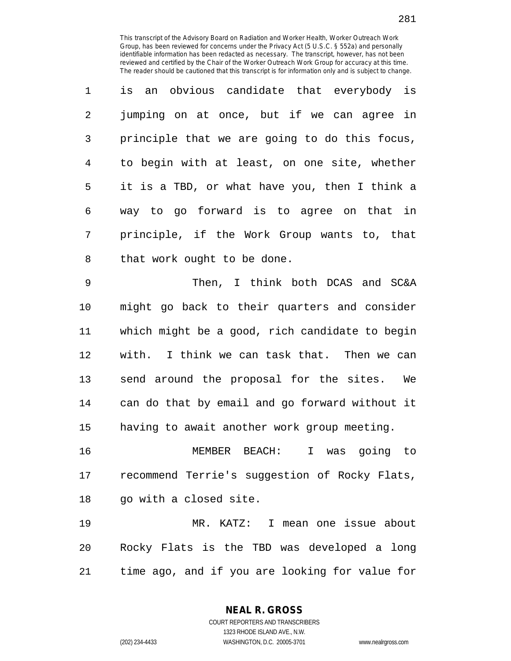1 is an obvious candidate that everybody is 2 jumping on at once, but if we can agree in 3 principle that we are going to do this focus, 4 to begin with at least, on one site, whether 5 it is a TBD, or what have you, then I think a 6 way to go forward is to agree on that in 7 principle, if the Work Group wants to, that 8 that work ought to be done.

9 Then, I think both DCAS and SC&A 10 might go back to their quarters and consider 11 which might be a good, rich candidate to begin 12 with. I think we can task that. Then we can 13 send around the proposal for the sites. We 14 can do that by email and go forward without it 15 having to await another work group meeting.

16 MEMBER BEACH: I was going to 17 recommend Terrie's suggestion of Rocky Flats, 18 go with a closed site.

19 MR. KATZ: I mean one issue about 20 Rocky Flats is the TBD was developed a long 21 time ago, and if you are looking for value for

> COURT REPORTERS AND TRANSCRIBERS 1323 RHODE ISLAND AVE., N.W. (202) 234-4433 WASHINGTON, D.C. 20005-3701 www.nealrgross.com

**NEAL R. GROSS**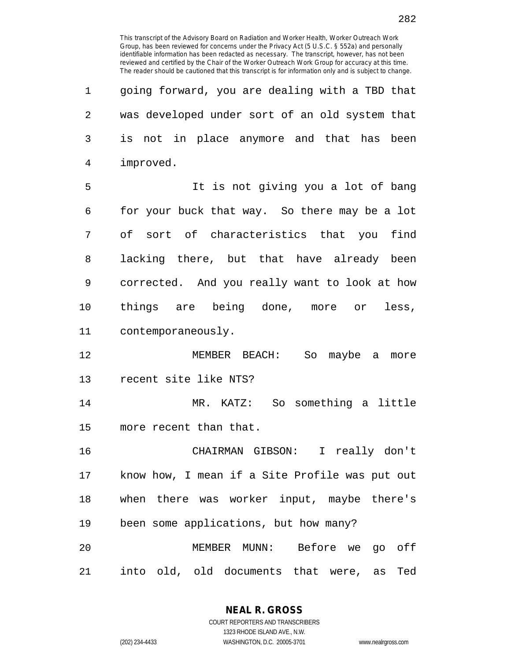| 1              | going forward, you are dealing with a TBD that |
|----------------|------------------------------------------------|
| $\overline{2}$ | was developed under sort of an old system that |
| 3              | is not in place anymore and that has been      |
| 4              | improved.                                      |
| 5              | It is not giving you a lot of bang             |
| 6              | for your buck that way. So there may be a lot  |
| 7              | of sort of characteristics that you<br>find    |
| 8              | lacking there, but that have already been      |
| 9              | corrected. And you really want to look at how  |
| 10             | things are being done, more or<br>less,        |
| 11             | contemporaneously.                             |
| 12             | MEMBER BEACH: So maybe a<br>more               |
| 13             | recent site like NTS?                          |
| 14             | MR. KATZ: So something a little                |
| 15             | more recent than that.                         |
| 16             | CHAIRMAN GIBSON: I really don't                |
| 17             | know how, I mean if a Site Profile was put out |
| 18             | when there was worker input, maybe there's     |
| 19             | been some applications, but how many?          |
| 20             | MEMBER MUNN: Before we go off                  |
| 21             | into old, old documents that were, as<br>Ted   |

**NEAL R. GROSS** COURT REPORTERS AND TRANSCRIBERS

1323 RHODE ISLAND AVE., N.W.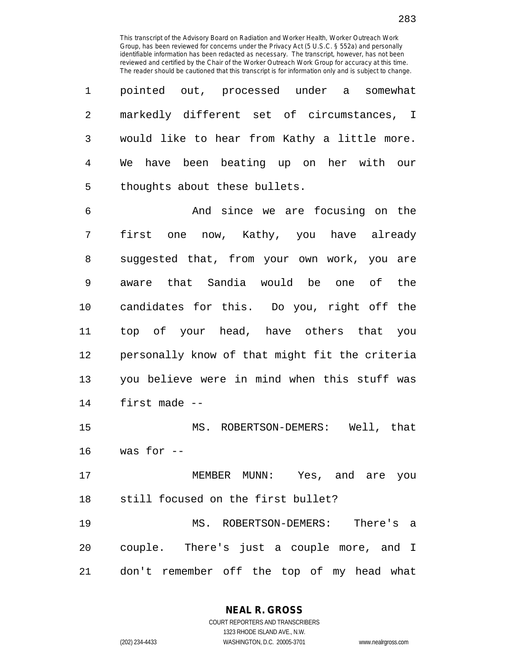| 1  | pointed out, processed under a somewhat        |
|----|------------------------------------------------|
| 2  | markedly different set of circumstances, I     |
| 3  | would like to hear from Kathy a little more.   |
| 4  | We have been beating up on her with our        |
| 5  | thoughts about these bullets.                  |
| 6  | And since we are focusing on the               |
| 7  | first one now, Kathy, you have already         |
| 8  | suggested that, from your own work, you are    |
| 9  | aware that Sandia would be one of the          |
| 10 | candidates for this. Do you, right off the     |
| 11 | top of your head, have others that you         |
| 12 | personally know of that might fit the criteria |
| 13 | you believe were in mind when this stuff was   |
| 14 | first made --                                  |
| 15 | MS. ROBERTSON-DEMERS: Well, that               |
| 16 | was for --                                     |
| 17 | MEMBER MUNN: Yes, and are you                  |
| 18 | still focused on the first bullet?             |
| 19 | MS. ROBERTSON-DEMERS: There's a                |
| 20 | couple. There's just a couple more, and I      |
| 21 | don't remember off the top of my head what     |

**NEAL R. GROSS**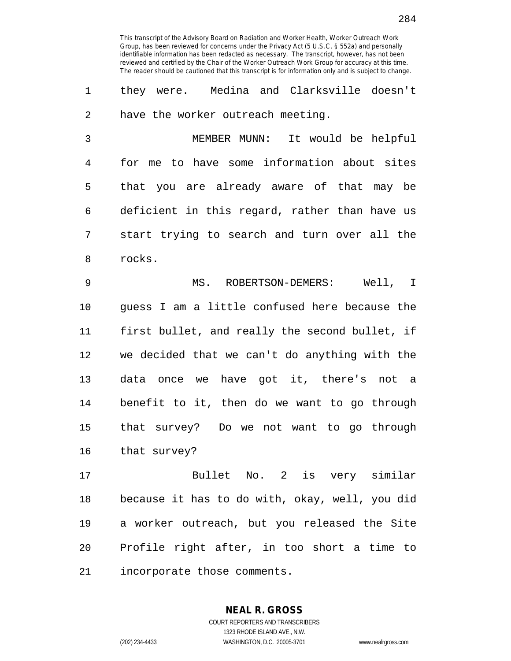1 they were. Medina and Clarksville doesn't 2 have the worker outreach meeting.

3 MEMBER MUNN: It would be helpful 4 for me to have some information about sites 5 that you are already aware of that may be 6 deficient in this regard, rather than have us 7 start trying to search and turn over all the 8 rocks.

9 MS. ROBERTSON-DEMERS: Well, I 10 guess I am a little confused here because the 11 first bullet, and really the second bullet, if 12 we decided that we can't do anything with the 13 data once we have got it, there's not a 14 benefit to it, then do we want to go through 15 that survey? Do we not want to go through 16 that survey?

17 Bullet No. 2 is very similar 18 because it has to do with, okay, well, you did 19 a worker outreach, but you released the Site 20 Profile right after, in too short a time to 21 incorporate those comments.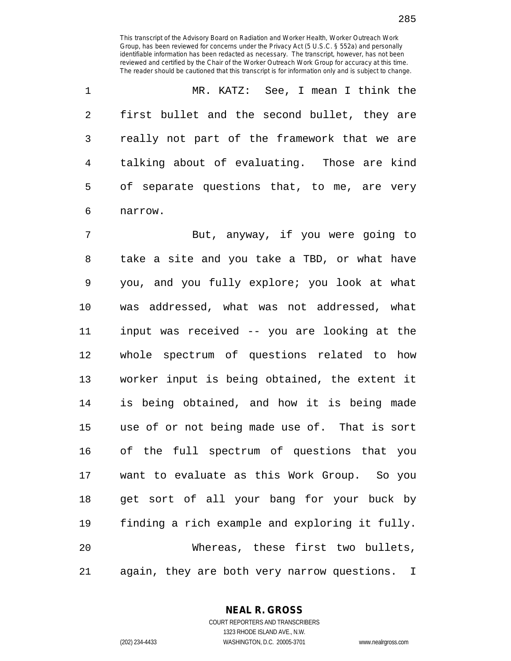1 MR. KATZ: See, I mean I think the 2 first bullet and the second bullet, they are 3 really not part of the framework that we are 4 talking about of evaluating. Those are kind 5 of separate questions that, to me, are very 6 narrow.

7 But, anyway, if you were going to 8 take a site and you take a TBD, or what have 9 you, and you fully explore; you look at what 10 was addressed, what was not addressed, what 11 input was received -- you are looking at the 12 whole spectrum of questions related to how 13 worker input is being obtained, the extent it 14 is being obtained, and how it is being made 15 use of or not being made use of. That is sort 16 of the full spectrum of questions that you 17 want to evaluate as this Work Group. So you 18 get sort of all your bang for your buck by 19 finding a rich example and exploring it fully. 20 Whereas, these first two bullets, 21 again, they are both very narrow questions. I

**NEAL R. GROSS**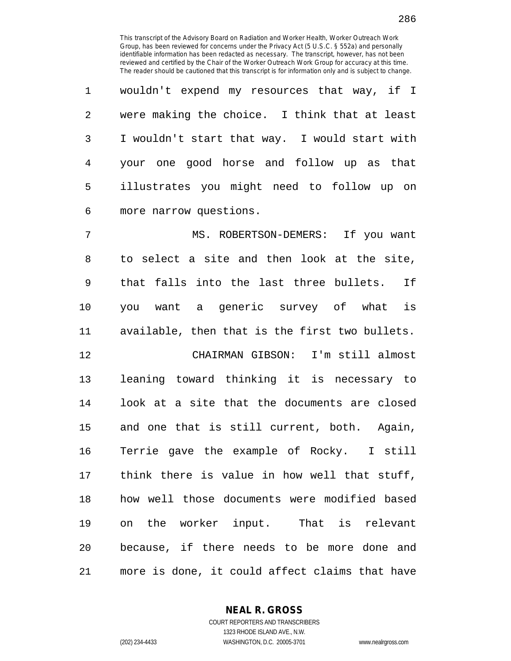| 1 | wouldn't expend my resources that way, if I   |
|---|-----------------------------------------------|
| 2 | were making the choice. I think that at least |
| 3 | I wouldn't start that way. I would start with |
| 4 | your one good horse and follow up as that     |
| 5 | illustrates you might need to follow up on    |
| 6 | more narrow questions.                        |

7 MS. ROBERTSON-DEMERS: If you want 8 to select a site and then look at the site, 9 that falls into the last three bullets. If 10 you want a generic survey of what is 11 available, then that is the first two bullets. 12 CHAIRMAN GIBSON: I'm still almost 13 leaning toward thinking it is necessary to 14 look at a site that the documents are closed 15 and one that is still current, both. Again, 16 Terrie gave the example of Rocky. I still 17 think there is value in how well that stuff, 18 how well those documents were modified based 19 on the worker input. That is relevant

21 more is done, it could affect claims that have

20 because, if there needs to be more done and

**NEAL R. GROSS**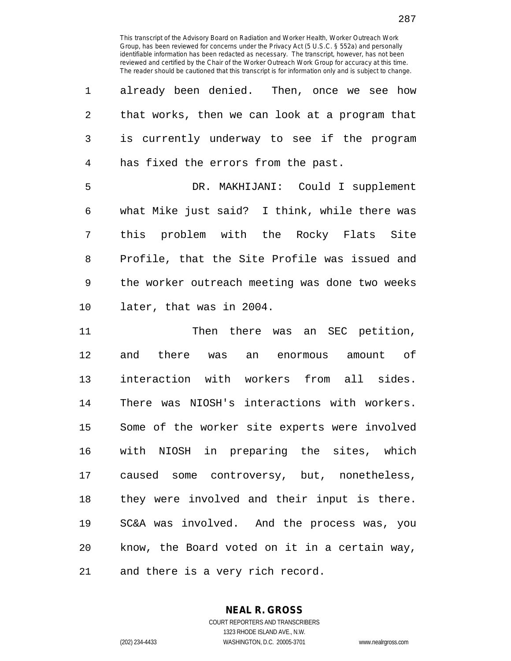| $\mathbf{1}$ | already been denied. Then, once we see how     |
|--------------|------------------------------------------------|
| 2            | that works, then we can look at a program that |
| 3            | is currently underway to see if the program    |
| 4            | has fixed the errors from the past.            |
| 5            | DR. MAKHIJANI: Could I supplement              |
| 6            | what Mike just said? I think, while there was  |
| 7            | this problem with the Rocky Flats Site         |
| 8            | Profile, that the Site Profile was issued and  |
| 9            | the worker outreach meeting was done two weeks |
| 10           | later, that was in 2004.                       |
| 11           | Then there was an SEC petition,                |

12 and there was an enormous amount of 13 interaction with workers from all sides. 14 There was NIOSH's interactions with workers. 15 Some of the worker site experts were involved 16 with NIOSH in preparing the sites, which 17 caused some controversy, but, nonetheless, 18 they were involved and their input is there. 19 SC&A was involved. And the process was, you 20 know, the Board voted on it in a certain way, 21 and there is a very rich record.

> **NEAL R. GROSS** COURT REPORTERS AND TRANSCRIBERS 1323 RHODE ISLAND AVE., N.W.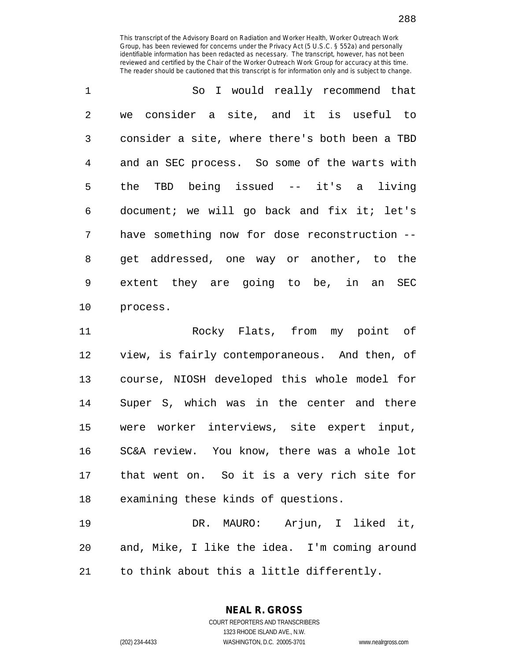| $\mathbf 1$    | So I would really recommend that               |
|----------------|------------------------------------------------|
| $\overline{2}$ | we consider a site, and it is useful to        |
| 3              | consider a site, where there's both been a TBD |
| 4              | and an SEC process. So some of the warts with  |
| 5              | the TBD being issued $--$ it's a living        |
| 6              | document; we will go back and fix it; let's    |
| 7              | have something now for dose reconstruction --  |
| 8              | get addressed, one way or another, to the      |
| 9              | extent they are going to be, in an SEC         |
| 10             | process.                                       |

11 Rocky Flats, from my point of 12 view, is fairly contemporaneous. And then, of 13 course, NIOSH developed this whole model for 14 Super S, which was in the center and there 15 were worker interviews, site expert input, 16 SC&A review. You know, there was a whole lot 17 that went on. So it is a very rich site for 18 examining these kinds of questions.

19 DR. MAURO: Arjun, I liked it, 20 and, Mike, I like the idea. I'm coming around 21 to think about this a little differently.

**NEAL R. GROSS**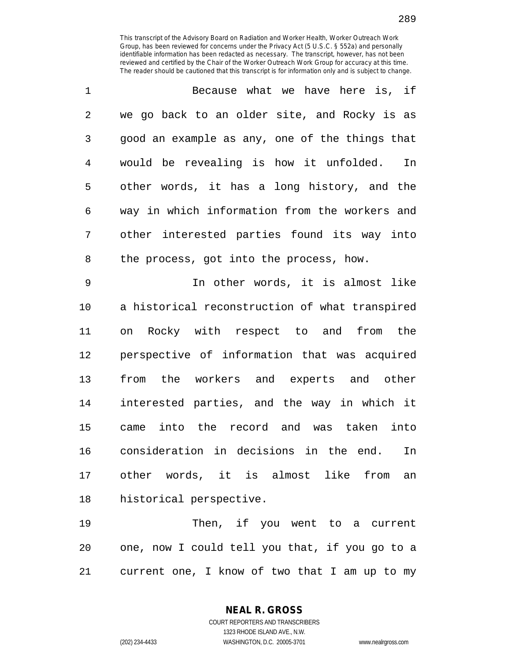| $\mathbf{1}$ | Because what we have here is, if               |
|--------------|------------------------------------------------|
| 2            | we go back to an older site, and Rocky is as   |
| 3            | good an example as any, one of the things that |
| 4            | would be revealing is how it unfolded.<br>In   |
| 5            | other words, it has a long history, and the    |
| 6            | way in which information from the workers and  |
| 7            | other interested parties found its way into    |
| 8            | the process, got into the process, how.        |

9 In other words, it is almost like 10 a historical reconstruction of what transpired 11 on Rocky with respect to and from the 12 perspective of information that was acquired 13 from the workers and experts and other 14 interested parties, and the way in which it 15 came into the record and was taken into 16 consideration in decisions in the end. In 17 other words, it is almost like from an 18 historical perspective.

19 Then, if you went to a current 20 one, now I could tell you that, if you go to a 21 current one, I know of two that I am up to my

> COURT REPORTERS AND TRANSCRIBERS 1323 RHODE ISLAND AVE., N.W. (202) 234-4433 WASHINGTON, D.C. 20005-3701 www.nealrgross.com

**NEAL R. GROSS**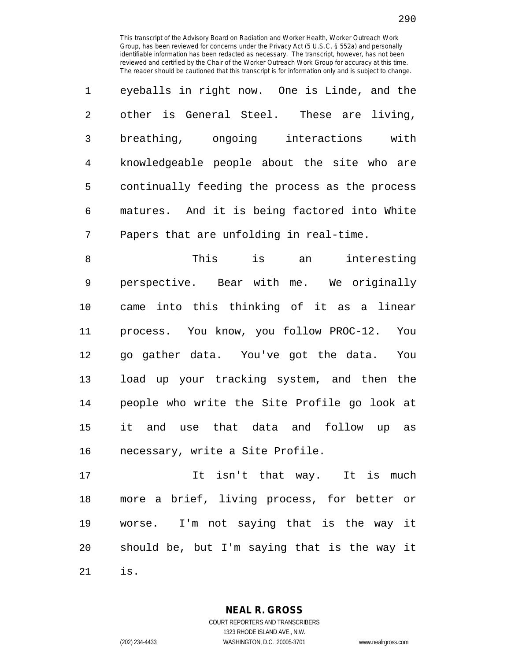1 eyeballs in right now. One is Linde, and the 2 other is General Steel. These are living, 3 breathing, ongoing interactions with 4 knowledgeable people about the site who are 5 continually feeding the process as the process 6 matures. And it is being factored into White 7 Papers that are unfolding in real-time.

8 This is an interesting 9 perspective. Bear with me. We originally 10 came into this thinking of it as a linear 11 process. You know, you follow PROC-12. You 12 go gather data. You've got the data. You 13 load up your tracking system, and then the 14 people who write the Site Profile go look at 15 it and use that data and follow up as 16 necessary, write a Site Profile.

17 It isn't that way. It is much 18 more a brief, living process, for better or 19 worse. I'm not saying that is the way it 20 should be, but I'm saying that is the way it 21 is.

> **NEAL R. GROSS** COURT REPORTERS AND TRANSCRIBERS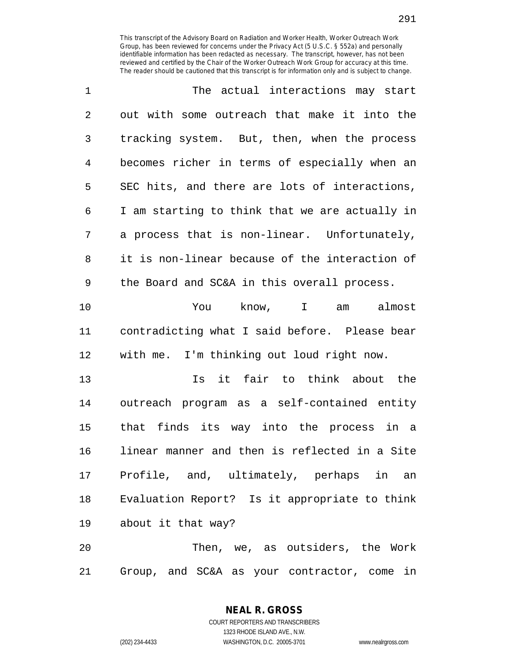| $\mathbf 1$    | The actual interactions may start              |
|----------------|------------------------------------------------|
| $\overline{2}$ | out with some outreach that make it into the   |
| 3              | tracking system. But, then, when the process   |
| $\overline{4}$ | becomes richer in terms of especially when an  |
| 5              | SEC hits, and there are lots of interactions,  |
| 6              | I am starting to think that we are actually in |
| 7              | a process that is non-linear. Unfortunately,   |
| 8              | it is non-linear because of the interaction of |
| 9              | the Board and SC&A in this overall process.    |
| 10             | know, I am almost<br>You                       |
| 11             | contradicting what I said before. Please bear  |
| 12             | with me. I'm thinking out loud right now.      |
| 13             | Is it fair to think about the                  |
| 14             | outreach program as a self-contained entity    |
| 15             | that finds its way into the process in a       |
| 16             | linear manner and then is reflected in a Site  |

16 linear manner and then is reflected in a Site 17 Profile, and, ultimately, perhaps in an 18 Evaluation Report? Is it appropriate to think 19 about it that way?

20 Then, we, as outsiders, the Work 21 Group, and SC&A as your contractor, come in

> **NEAL R. GROSS** COURT REPORTERS AND TRANSCRIBERS 1323 RHODE ISLAND AVE., N.W. (202) 234-4433 WASHINGTON, D.C. 20005-3701 www.nealrgross.com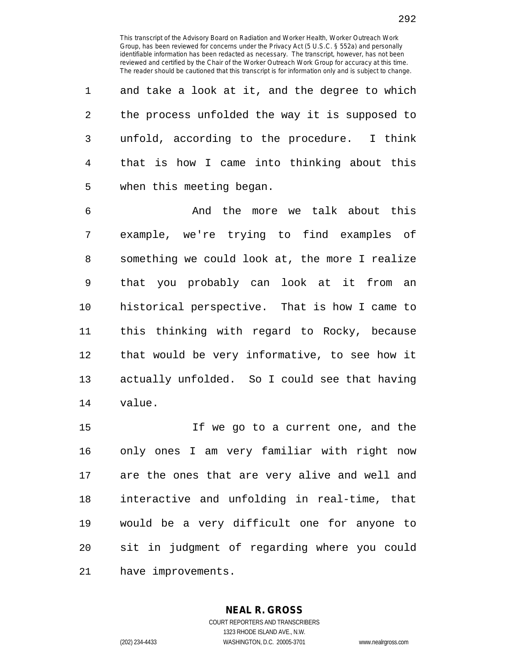1 and take a look at it, and the degree to which 2 the process unfolded the way it is supposed to 3 unfold, according to the procedure. I think 4 that is how I came into thinking about this 5 when this meeting began.

6 And the more we talk about this 7 example, we're trying to find examples of 8 something we could look at, the more I realize 9 that you probably can look at it from an 10 historical perspective. That is how I came to 11 this thinking with regard to Rocky, because 12 that would be very informative, to see how it 13 actually unfolded. So I could see that having 14 value.

15 If we go to a current one, and the 16 only ones I am very familiar with right now 17 are the ones that are very alive and well and 18 interactive and unfolding in real-time, that 19 would be a very difficult one for anyone to 20 sit in judgment of regarding where you could 21 have improvements.

> **NEAL R. GROSS** COURT REPORTERS AND TRANSCRIBERS 1323 RHODE ISLAND AVE., N.W. (202) 234-4433 WASHINGTON, D.C. 20005-3701 www.nealrgross.com

292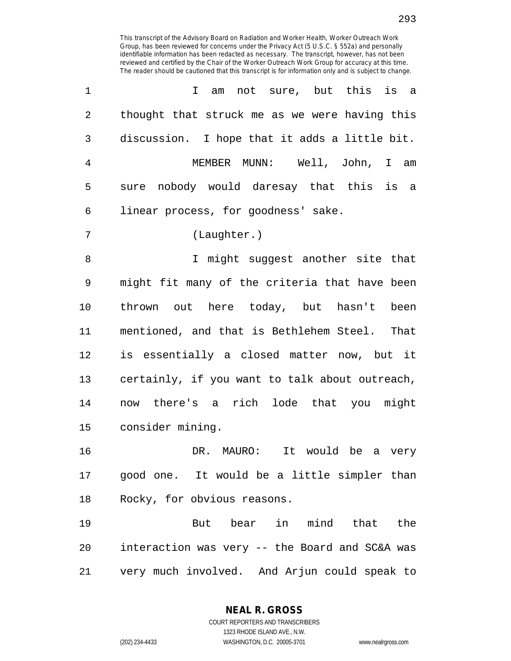| $\mathbf 1$    | am not sure, but this is a<br>$\mathbf{I}$     |
|----------------|------------------------------------------------|
| 2              | thought that struck me as we were having this  |
| 3              | discussion. I hope that it adds a little bit.  |
| $\overline{4}$ | MEMBER MUNN: Well, John, I am                  |
| 5              | sure nobody would daresay that this is a       |
| 6              | linear process, for goodness' sake.            |
| 7              | (Laughter.)                                    |
| 8              | I might suggest another site that              |
| 9              | might fit many of the criteria that have been  |
| 10             | thrown out here today, but hasn't been         |
| 11             | mentioned, and that is Bethlehem Steel. That   |
| 12             | is essentially a closed matter now, but it     |
| 13             | certainly, if you want to talk about outreach, |
| 14             | now there's a rich lode that you might         |
| 15             | consider mining.                               |
| 16             | DR. MAURO: It would be a very                  |
| 17             | good one. It would be a little simpler than    |
| 18             | Rocky, for obvious reasons.                    |
| 19             | But bear in mind that<br>the                   |
| 20             | interaction was very -- the Board and SC&A was |

21 very much involved. And Arjun could speak to

**NEAL R. GROSS** COURT REPORTERS AND TRANSCRIBERS

1323 RHODE ISLAND AVE., N.W.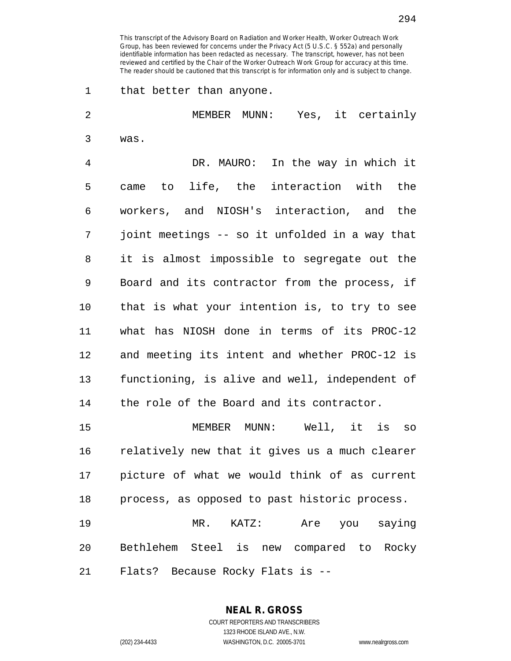1 that better than anyone.

2 MEMBER MUNN: Yes, it certainly 3 was. 4 DR. MAURO: In the way in which it 5 came to life, the interaction with the 6 workers, and NIOSH's interaction, and the 7 joint meetings -- so it unfolded in a way that 8 it is almost impossible to segregate out the 9 Board and its contractor from the process, if 10 that is what your intention is, to try to see 11 what has NIOSH done in terms of its PROC-12 12 and meeting its intent and whether PROC-12 is 13 functioning, is alive and well, independent of 14 the role of the Board and its contractor. 15 MEMBER MUNN: Well, it is so 16 relatively new that it gives us a much clearer 17 picture of what we would think of as current 18 process, as opposed to past historic process. 19 MR. KATZ: Are you saying 20 Bethlehem Steel is new compared to Rocky

21 Flats? Because Rocky Flats is --

## **NEAL R. GROSS**

COURT REPORTERS AND TRANSCRIBERS 1323 RHODE ISLAND AVE., N.W. (202) 234-4433 WASHINGTON, D.C. 20005-3701 www.nealrgross.com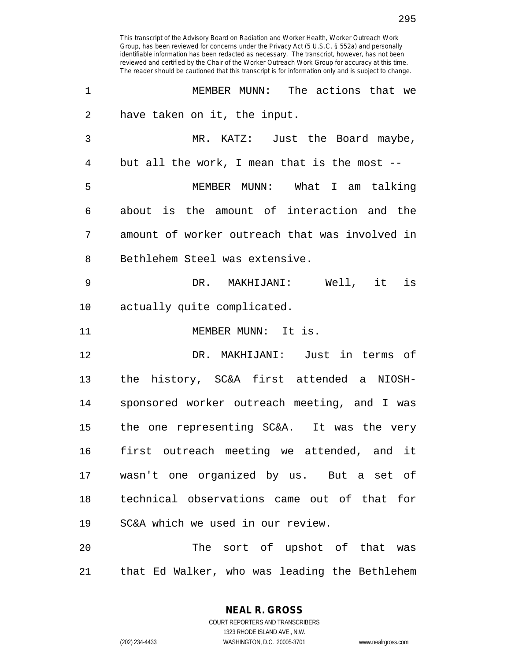| 1              | MEMBER MUNN: The actions that we               |
|----------------|------------------------------------------------|
| $\overline{2}$ | have taken on it, the input.                   |
| 3              | MR. KATZ: Just the Board maybe,                |
| $\overline{4}$ | but all the work, I mean that is the most --   |
| 5              | MEMBER MUNN: What I am talking                 |
| 6              | about is the amount of interaction and the     |
| 7              | amount of worker outreach that was involved in |
| 8              | Bethlehem Steel was extensive.                 |
| 9              | DR. MAKHIJANI: Well, it is                     |
| 10             | actually quite complicated.                    |
| 11             | MEMBER MUNN: It is.                            |
| 12             | DR. MAKHIJANI: Just in terms of                |
| 13             | the history, SC&A first attended a NIOSH-      |
| 14             | sponsored worker outreach meeting, and I was   |
| 15             | the one representing SC&A. It was the very     |
| 16             | first outreach meeting we attended, and it     |
| 17             | wasn't one organized by us. But a set of       |
| 18             | technical observations came out of that for    |
| 19             | SC&A which we used in our review.              |
| 20             | The sort of upshot of that was                 |
| 21             | that Ed Walker, who was leading the Bethlehem  |

**NEAL R. GROSS** COURT REPORTERS AND TRANSCRIBERS

1323 RHODE ISLAND AVE., N.W.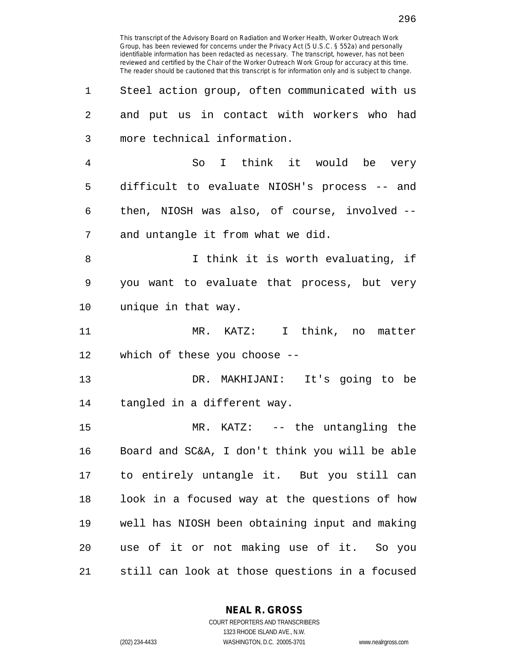296

This transcript of the Advisory Board on Radiation and Worker Health, Worker Outreach Work Group, has been reviewed for concerns under the Privacy Act (5 U.S.C. § 552a) and personally identifiable information has been redacted as necessary. The transcript, however, has not been reviewed and certified by the Chair of the Worker Outreach Work Group for accuracy at this time. The reader should be cautioned that this transcript is for information only and is subject to change.

1 Steel action group, often communicated with us

| 2  | and put us in contact with workers who had     |
|----|------------------------------------------------|
| 3  | more technical information.                    |
| 4  | So I think it would be very                    |
| 5  | difficult to evaluate NIOSH's process -- and   |
| 6  | then, NIOSH was also, of course, involved --   |
| 7  | and untangle it from what we did.              |
| 8  | I think it is worth evaluating, if             |
| 9  | you want to evaluate that process, but very    |
| 10 | unique in that way.                            |
| 11 | MR. KATZ: I think, no matter                   |
| 12 | which of these you choose $-$ -                |
| 13 | DR. MAKHIJANI: It's going to be                |
| 14 | tangled in a different way.                    |
| 15 | MR. KATZ: -- the untangling the                |
| 16 | Board and SC&A, I don't think you will be able |
| 17 | to entirely untangle it. But you still can     |
| 18 | look in a focused way at the questions of how  |
| 19 | well has NIOSH been obtaining input and making |
| 20 | use of it or not making use of it. So you      |
| 21 | still can look at those questions in a focused |
|    |                                                |

**NEAL R. GROSS**

COURT REPORTERS AND TRANSCRIBERS 1323 RHODE ISLAND AVE., N.W. (202) 234-4433 WASHINGTON, D.C. 20005-3701 www.nealrgross.com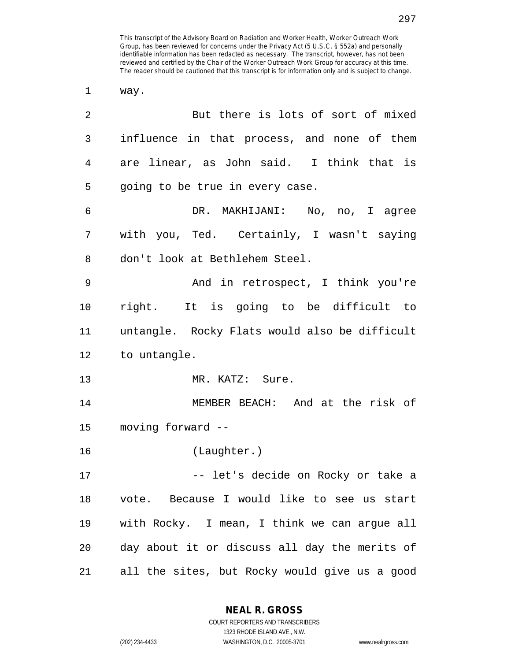1 way.

| 2  | But there is lots of sort of mixed            |
|----|-----------------------------------------------|
| 3  | influence in that process, and none of them   |
| 4  | are linear, as John said. I think that is     |
| 5  | going to be true in every case.               |
| 6  | DR. MAKHIJANI: No, no, I agree                |
| 7  | with you, Ted. Certainly, I wasn't saying     |
| 8  | don't look at Bethlehem Steel.                |
| 9  | And in retrospect, I think you're             |
| 10 | right. It is going to be difficult to         |
| 11 | untangle. Rocky Flats would also be difficult |
| 12 | to untangle.                                  |
| 13 | MR. KATZ: Sure.                               |
| 14 | MEMBER BEACH: And at the risk of              |
| 15 | moving forward --                             |
| 16 | (Laughter.)                                   |
| 17 | -- let's decide on Rocky or take a            |
| 18 | vote. Because I would like to see us start    |
| 19 | with Rocky. I mean, I think we can argue all  |
| 20 | day about it or discuss all day the merits of |
| 21 | all the sites, but Rocky would give us a good |

**NEAL R. GROSS**

COURT REPORTERS AND TRANSCRIBERS 1323 RHODE ISLAND AVE., N.W. (202) 234-4433 WASHINGTON, D.C. 20005-3701 www.nealrgross.com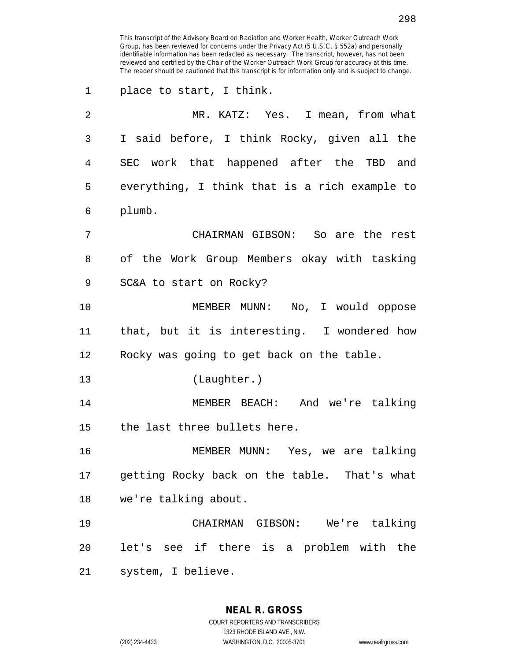| $\mathbf 1$ | place to start, I think.                        |
|-------------|-------------------------------------------------|
| 2           | MR. KATZ: Yes. I mean, from what                |
| 3           | I said before, I think Rocky, given all the     |
| 4           | SEC work that happened after the TBD and        |
| 5           | everything, I think that is a rich example to   |
| 6           | plumb.                                          |
| 7           | CHAIRMAN GIBSON: So are the rest                |
| 8           | of the Work Group Members okay with tasking     |
| 9           | SC&A to start on Rocky?                         |
| 10          | MEMBER MUNN: No, I would oppose                 |
| 11          | that, but it is interesting. I wondered how     |
| 12          | Rocky was going to get back on the table.       |
| 13          | (Laughter.)                                     |
| 14          | MEMBER BEACH: And we're talking                 |
| 15          | the last three bullets here.                    |
| 16          | MEMBER MUNN: Yes, we are talking                |
|             | 17 getting Rocky back on the table. That's what |
| 18          | we're talking about.                            |
| 19          | CHAIRMAN GIBSON: We're talking                  |
| 20          | let's see if there is a problem with the        |
| 21          | system, I believe.                              |

**NEAL R. GROSS** COURT REPORTERS AND TRANSCRIBERS 1323 RHODE ISLAND AVE., N.W. (202) 234-4433 WASHINGTON, D.C. 20005-3701 www.nealrgross.com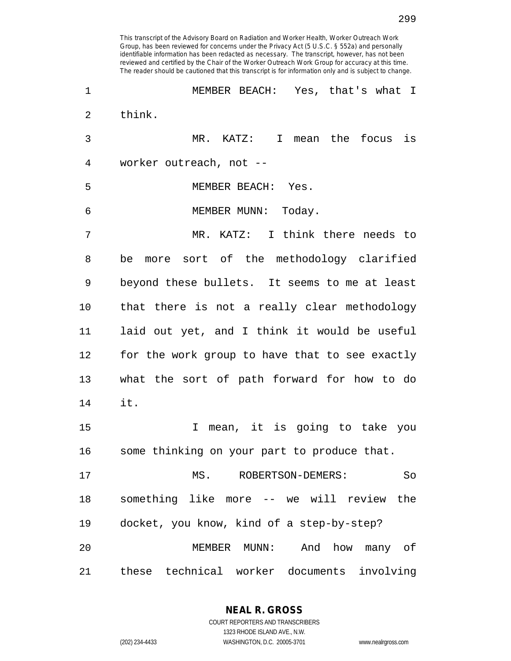| 1  | MEMBER BEACH: Yes, that's what I               |
|----|------------------------------------------------|
| 2  | think.                                         |
| 3  | MR. KATZ: I<br>mean the focus is               |
| 4  | worker outreach, not --                        |
| 5  | MEMBER BEACH: Yes.                             |
| 6  | MEMBER MUNN: Today.                            |
| 7  | MR. KATZ: I think there needs to               |
| 8  | more sort of the methodology clarified<br>be   |
| 9  | beyond these bullets. It seems to me at least  |
| 10 | that there is not a really clear methodology   |
| 11 | laid out yet, and I think it would be useful   |
| 12 | for the work group to have that to see exactly |
| 13 | what the sort of path forward for how to do    |
| 14 | it.                                            |
| 15 | mean, it is going to take you<br>I.            |
| 16 | some thinking on your part to produce that.    |
| 17 | MS.<br>ROBERTSON-DEMERS:<br>So                 |
| 18 | something like more -- we will review<br>the   |
| 19 | docket, you know, kind of a step-by-step?      |
| 20 | MEMBER<br>MUNN:<br>And<br>how<br>many of       |
| 21 | these technical worker documents involving     |

**NEAL R. GROSS** COURT REPORTERS AND TRANSCRIBERS 1323 RHODE ISLAND AVE., N.W.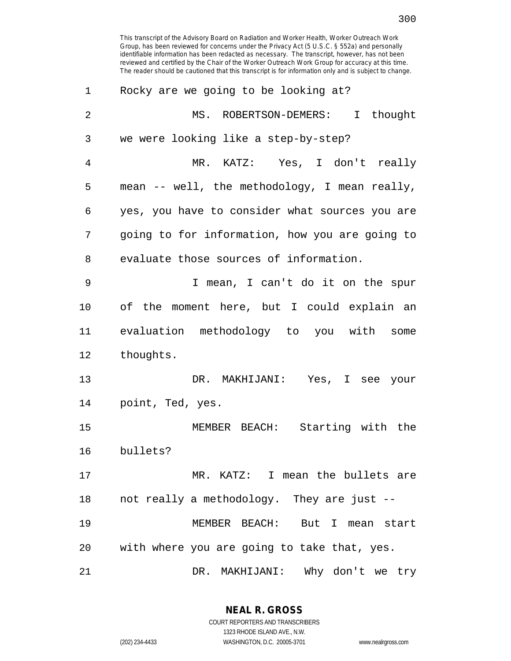| 1              | Rocky are we going to be looking at?           |
|----------------|------------------------------------------------|
| $\overline{2}$ | MS. ROBERTSON-DEMERS: I thought                |
| 3              | we were looking like a step-by-step?           |
| 4              | MR. KATZ: Yes, I don't really                  |
| 5              | mean -- well, the methodology, I mean really,  |
| 6              | yes, you have to consider what sources you are |
| 7              | going to for information, how you are going to |
| 8              | evaluate those sources of information.         |
| 9              | I mean, I can't do it on the spur              |
| 10             | of the moment here, but I could explain an     |
| 11             | evaluation methodology to you with some        |
| 12             | thoughts.                                      |
| 13             | DR. MAKHIJANI: Yes, I see your                 |
| 14             | point, Ted, yes.                               |
| 15             | MEMBER BEACH: Starting with the                |
| 16             | bullets?                                       |
| 17             | MR. KATZ: I mean the bullets are               |
| 18             | not really a methodology. They are just --     |
| 19             | MEMBER BEACH: But I mean start                 |
| 20             | with where you are going to take that, yes.    |
| 21             | DR. MAKHIJANI: Why don't we try                |

**NEAL R. GROSS** COURT REPORTERS AND TRANSCRIBERS 1323 RHODE ISLAND AVE., N.W. (202) 234-4433 WASHINGTON, D.C. 20005-3701 www.nealrgross.com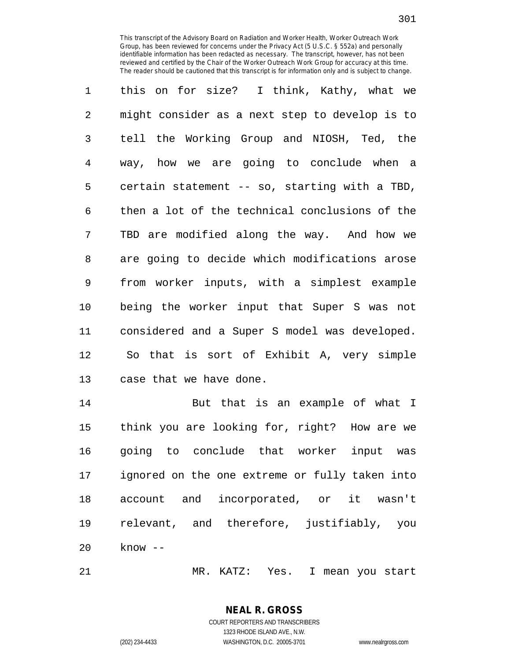1 this on for size? I think, Kathy, what we 2 might consider as a next step to develop is to 3 tell the Working Group and NIOSH, Ted, the 4 way, how we are going to conclude when a 5 certain statement -- so, starting with a TBD, 6 then a lot of the technical conclusions of the 7 TBD are modified along the way. And how we 8 are going to decide which modifications arose 9 from worker inputs, with a simplest example 10 being the worker input that Super S was not 11 considered and a Super S model was developed. 12 So that is sort of Exhibit A, very simple 13 case that we have done.

14 But that is an example of what I 15 think you are looking for, right? How are we 16 going to conclude that worker input was 17 ignored on the one extreme or fully taken into 18 account and incorporated, or it wasn't 19 relevant, and therefore, justifiably, you 20 know --

21 MR. KATZ: Yes. I mean you start

## **NEAL R. GROSS** COURT REPORTERS AND TRANSCRIBERS 1323 RHODE ISLAND AVE., N.W.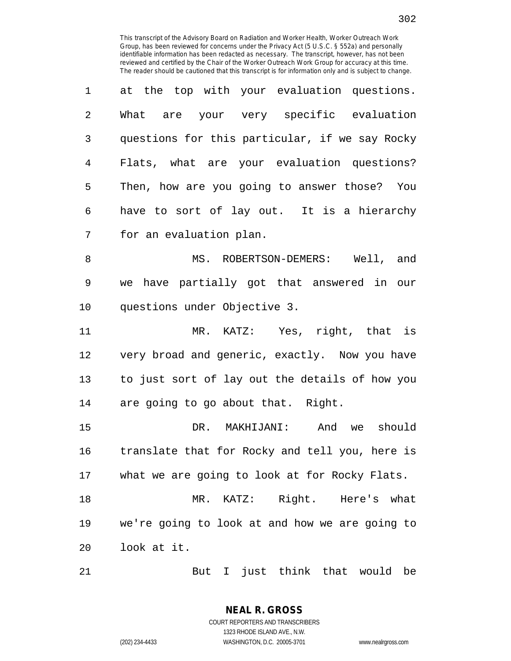| 1              | at the top with your evaluation questions.     |
|----------------|------------------------------------------------|
| $\mathfrak{D}$ | What are your very specific evaluation         |
| 3              | questions for this particular, if we say Rocky |
| 4              | Flats, what are your evaluation questions?     |
| 5              | Then, how are you going to answer those? You   |
| 6              | have to sort of lay out. It is a hierarchy     |
| 7              | for an evaluation plan.                        |

8 MS. ROBERTSON-DEMERS: Well, and 9 we have partially got that answered in our 10 questions under Objective 3.

11 MR. KATZ: Yes, right, that is 12 very broad and generic, exactly. Now you have 13 to just sort of lay out the details of how you 14 are going to go about that. Right.

15 DR. MAKHIJANI: And we should 16 translate that for Rocky and tell you, here is 17 what we are going to look at for Rocky Flats.

18 MR. KATZ: Right. Here's what 19 we're going to look at and how we are going to 20 look at it.

21 But I just think that would be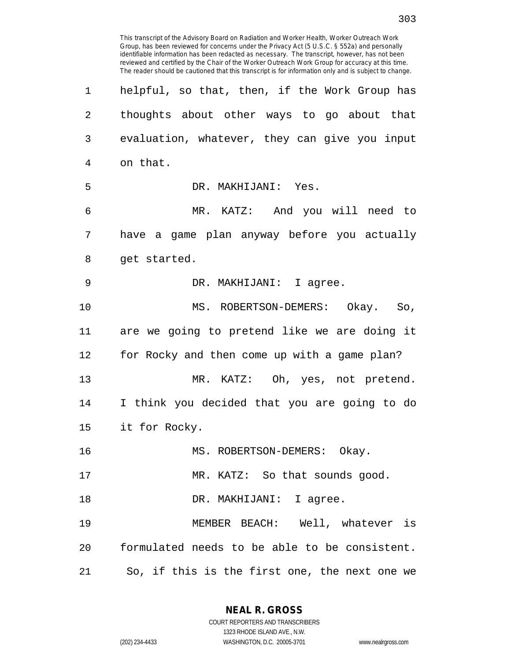This transcript of the Advisory Board on Radiation and Worker Health, Worker Outreach Work Group, has been reviewed for concerns under the Privacy Act (5 U.S.C. § 552a) and personally identifiable information has been redacted as necessary. The transcript, however, has not been reviewed and certified by the Chair of the Worker Outreach Work Group for accuracy at this time. The reader should be cautioned that this transcript is for information only and is subject to change. 1 helpful, so that, then, if the Work Group has 2 thoughts about other ways to go about that 3 evaluation, whatever, they can give you input 4 on that. 5 DR. MAKHIJANI: Yes. 6 MR. KATZ: And you will need to 7 have a game plan anyway before you actually 8 get started. 9 DR. MAKHIJANI: I agree. 10 MS. ROBERTSON-DEMERS: Okay. So, 11 are we going to pretend like we are doing it 12 for Rocky and then come up with a game plan? 13 MR. KATZ: Oh, yes, not pretend. 14 I think you decided that you are going to do 15 it for Rocky. 16 MS. ROBERTSON-DEMERS: Okay. 17 MR. KATZ: So that sounds good. 18 DR. MAKHIJANI: I agree. 19 MEMBER BEACH: Well, whatever is 20 formulated needs to be able to be consistent. 21 So, if this is the first one, the next one we

> **NEAL R. GROSS** COURT REPORTERS AND TRANSCRIBERS

1323 RHODE ISLAND AVE., N.W. (202) 234-4433 WASHINGTON, D.C. 20005-3701 www.nealrgross.com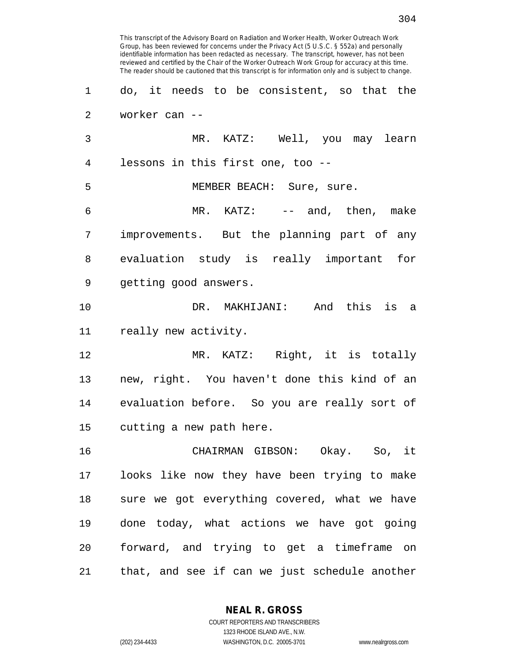This transcript of the Advisory Board on Radiation and Worker Health, Worker Outreach Work Group, has been reviewed for concerns under the Privacy Act (5 U.S.C. § 552a) and personally identifiable information has been redacted as necessary. The transcript, however, has not been reviewed and certified by the Chair of the Worker Outreach Work Group for accuracy at this time. The reader should be cautioned that this transcript is for information only and is subject to change. 1 do, it needs to be consistent, so that the 2 worker can -- 3 MR. KATZ: Well, you may learn 4 lessons in this first one, too -- 5 MEMBER BEACH: Sure, sure. 6 MR. KATZ: -- and, then, make 7 improvements. But the planning part of any 8 evaluation study is really important for 9 getting good answers. 10 DR. MAKHIJANI: And this is a 11 really new activity. 12 MR. KATZ: Right, it is totally 13 new, right. You haven't done this kind of an 14 evaluation before. So you are really sort of 15 cutting a new path here. 16 CHAIRMAN GIBSON: Okay. So, it 17 looks like now they have been trying to make 18 sure we got everything covered, what we have 19 done today, what actions we have got going 20 forward, and trying to get a timeframe on 21 that, and see if can we just schedule another

> **NEAL R. GROSS** COURT REPORTERS AND TRANSCRIBERS

> > 1323 RHODE ISLAND AVE., N.W.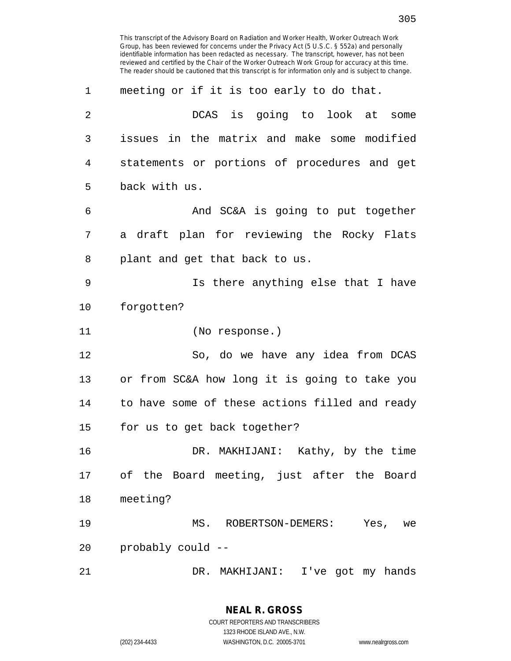| 1  | meeting or if it is too early to do that.      |
|----|------------------------------------------------|
| 2  | DCAS is going to look at<br>some               |
| 3  | issues in the matrix and make some modified    |
| 4  | statements or portions of procedures and get   |
| 5  | back with us.                                  |
| 6  | And SC&A is going to put together              |
| 7  | a draft plan for reviewing the Rocky Flats     |
| 8  | plant and get that back to us.                 |
| 9  | Is there anything else that I have             |
| 10 | forgotten?                                     |
| 11 | (No response.)                                 |
| 12 | So, do we have any idea from DCAS              |
| 13 | or from SC&A how long it is going to take you  |
| 14 | to have some of these actions filled and ready |
| 15 | for us to get back together?                   |
| 16 | DR. MAKHIJANI: Kathy, by the time              |
| 17 | of the Board meeting, just after the Board     |
| 18 | meeting?                                       |
| 19 | MS. ROBERTSON-DEMERS: Yes, we                  |
| 20 | probably could --                              |
| 21 | DR. MAKHIJANI: I've got my hands               |

1323 RHODE ISLAND AVE., N.W.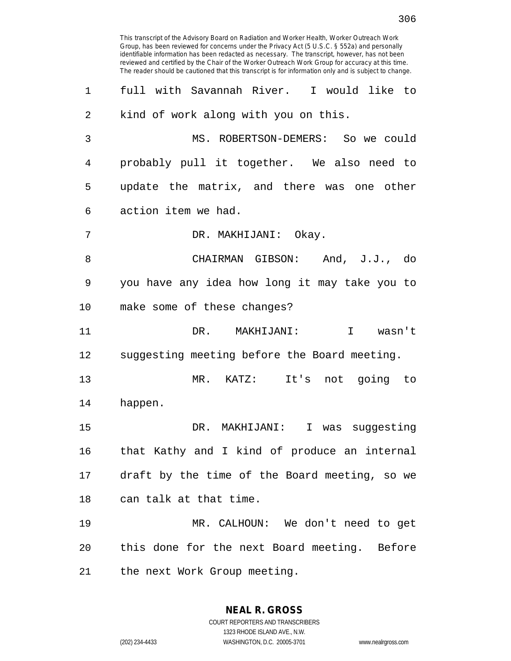This transcript of the Advisory Board on Radiation and Worker Health, Worker Outreach Work Group, has been reviewed for concerns under the Privacy Act (5 U.S.C. § 552a) and personally identifiable information has been redacted as necessary. The transcript, however, has not been reviewed and certified by the Chair of the Worker Outreach Work Group for accuracy at this time. The reader should be cautioned that this transcript is for information only and is subject to change. 1 full with Savannah River. I would like to 2 kind of work along with you on this. 3 MS. ROBERTSON-DEMERS: So we could 4 probably pull it together. We also need to 5 update the matrix, and there was one other 6 action item we had. 7 DR. MAKHIJANI: Okay. 8 CHAIRMAN GIBSON: And, J.J., do 9 you have any idea how long it may take you to 10 make some of these changes? 11 DR. MAKHIJANI: I wasn't 12 suggesting meeting before the Board meeting. 13 MR. KATZ: It's not going to 14 happen. 15 DR. MAKHIJANI: I was suggesting 16 that Kathy and I kind of produce an internal 17 draft by the time of the Board meeting, so we 18 can talk at that time. 19 MR. CALHOUN: We don't need to get 20 this done for the next Board meeting. Before 21 the next Work Group meeting.

> **NEAL R. GROSS** COURT REPORTERS AND TRANSCRIBERS 1323 RHODE ISLAND AVE., N.W.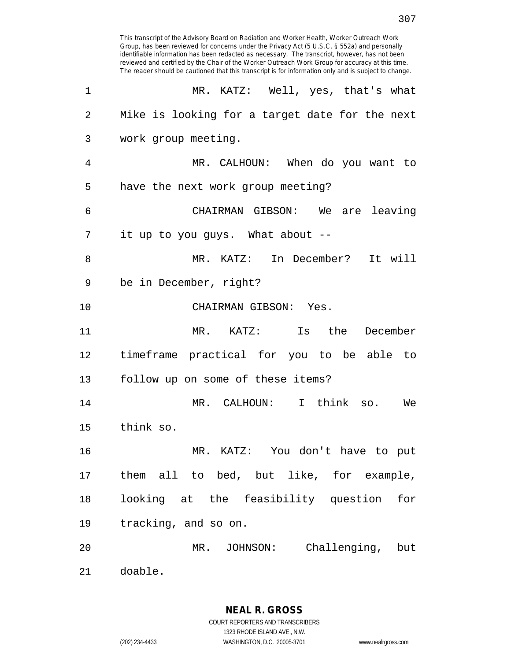Group, has been reviewed for concerns under the Privacy Act (5 U.S.C. § 552a) and personally identifiable information has been redacted as necessary. The transcript, however, has not been reviewed and certified by the Chair of the Worker Outreach Work Group for accuracy at this time. The reader should be cautioned that this transcript is for information only and is subject to change. 1 MR. KATZ: Well, yes, that's what 2 Mike is looking for a target date for the next 3 work group meeting. 4 MR. CALHOUN: When do you want to 5 have the next work group meeting? 6 CHAIRMAN GIBSON: We are leaving 7 it up to you guys. What about -- 8 MR. KATZ: In December? It will 9 be in December, right? 10 CHAIRMAN GIBSON: Yes. 11 MR. KATZ: Is the December 12 timeframe practical for you to be able to 13 follow up on some of these items? 14 MR. CALHOUN: I think so. We 15 think so. 16 MR. KATZ: You don't have to put 17 them all to bed, but like, for example, 18 looking at the feasibility question for 19 tracking, and so on. 20 MR. JOHNSON: Challenging, but 21 doable.

This transcript of the Advisory Board on Radiation and Worker Health, Worker Outreach Work

**NEAL R. GROSS** COURT REPORTERS AND TRANSCRIBERS 1323 RHODE ISLAND AVE., N.W. (202) 234-4433 WASHINGTON, D.C. 20005-3701 www.nealrgross.com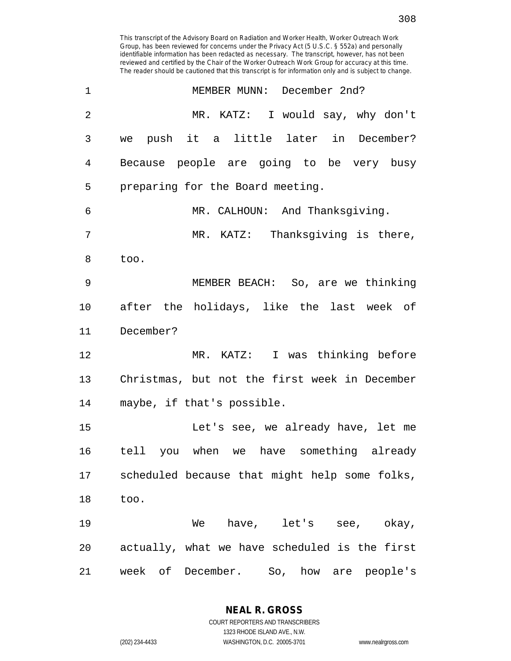identifiable information has been redacted as necessary. The transcript, however, has not been reviewed and certified by the Chair of the Worker Outreach Work Group for accuracy at this time. The reader should be cautioned that this transcript is for information only and is subject to change. 1 MEMBER MUNN: December 2nd? 2 MR. KATZ: I would say, why don't 3 we push it a little later in December? 4 Because people are going to be very busy 5 preparing for the Board meeting. 6 MR. CALHOUN: And Thanksgiving. 7 MR. KATZ: Thanksgiving is there, 8 too. 9 MEMBER BEACH: So, are we thinking 10 after the holidays, like the last week of 11 December? 12 MR. KATZ: I was thinking before 13 Christmas, but not the first week in December 14 maybe, if that's possible. 15 Let's see, we already have, let me 16 tell you when we have something already 17 scheduled because that might help some folks, 18 too. 19 We have, let's see, okay, 20 actually, what we have scheduled is the first 21 week of December. So, how are people's

This transcript of the Advisory Board on Radiation and Worker Health, Worker Outreach Work Group, has been reviewed for concerns under the Privacy Act (5 U.S.C. § 552a) and personally

> **NEAL R. GROSS** COURT REPORTERS AND TRANSCRIBERS

> > 1323 RHODE ISLAND AVE., N.W.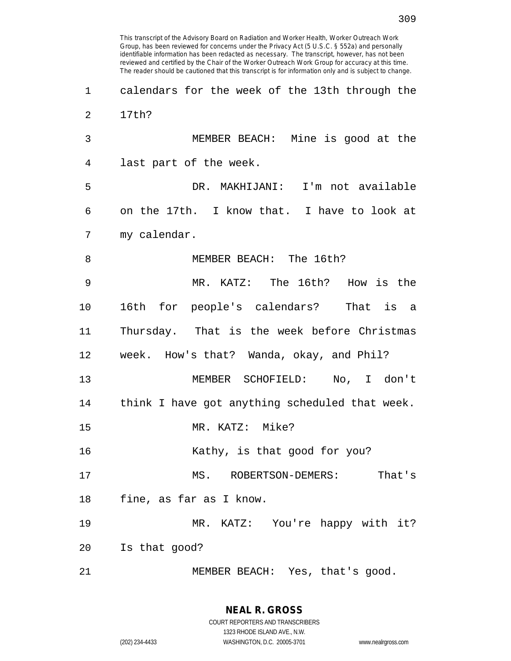identifiable information has been redacted as necessary. The transcript, however, has not been reviewed and certified by the Chair of the Worker Outreach Work Group for accuracy at this time. The reader should be cautioned that this transcript is for information only and is subject to change. 1 calendars for the week of the 13th through the 2 17th? 3 MEMBER BEACH: Mine is good at the 4 last part of the week. 5 DR. MAKHIJANI: I'm not available 6 on the 17th. I know that. I have to look at 7 my calendar. 8 MEMBER BEACH: The 16th? 9 MR. KATZ: The 16th? How is the 10 16th for people's calendars? That is a 11 Thursday. That is the week before Christmas 12 week. How's that? Wanda, okay, and Phil? 13 MEMBER SCHOFIELD: No, I don't 14 think I have got anything scheduled that week. 15 MR. KATZ: Mike? 16 Kathy, is that good for you? 17 MS. ROBERTSON-DEMERS: That's 18 fine, as far as I know. 19 MR. KATZ: You're happy with it? 20 Is that good?

This transcript of the Advisory Board on Radiation and Worker Health, Worker Outreach Work Group, has been reviewed for concerns under the Privacy Act (5 U.S.C. § 552a) and personally

21 MEMBER BEACH: Yes, that's good.

1323 RHODE ISLAND AVE., N.W.

309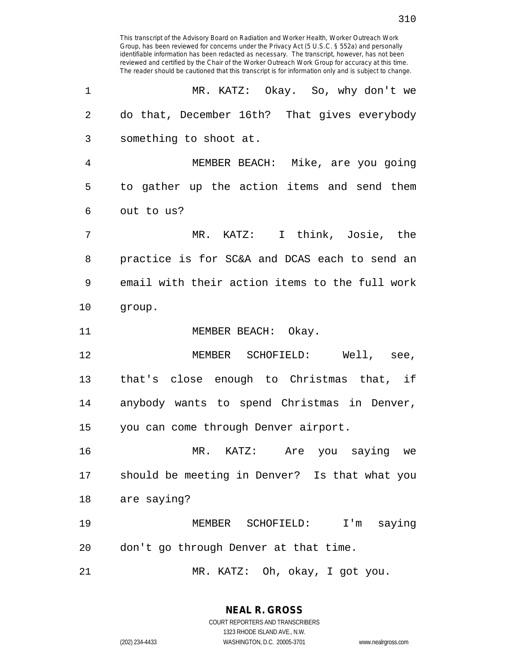| 1              | MR. KATZ: Okay. So, why don't we               |
|----------------|------------------------------------------------|
| $\overline{2}$ | do that, December 16th? That gives everybody   |
| 3              | something to shoot at.                         |
| 4              | MEMBER BEACH: Mike, are you going              |
| 5              | to gather up the action items and send them    |
| 6              | out to us?                                     |
| 7              | MR. KATZ: I think, Josie, the                  |
| 8              | practice is for SC&A and DCAS each to send an  |
| 9              | email with their action items to the full work |
| 10             | group.                                         |
| 11             | MEMBER BEACH: Okay.                            |
| 12             | MEMBER SCHOFIELD: Well, see,                   |
| 13             | that's close enough to Christmas that, if      |
| 14             | anybody wants to spend Christmas in Denver,    |
| 15             | you can come through Denver airport.           |
| 16             | $MR$ .<br>KATZ: Are you saying we              |
| 17             | should be meeting in Denver? Is that what you  |
| 18             | are saying?                                    |
| 19             | MEMBER SCHOFIELD: I'm saying                   |
| 20             | don't go through Denver at that time.          |
| 21             | MR. KATZ: Oh, okay, I got you.                 |

**NEAL R. GROSS** COURT REPORTERS AND TRANSCRIBERS

1323 RHODE ISLAND AVE., N.W.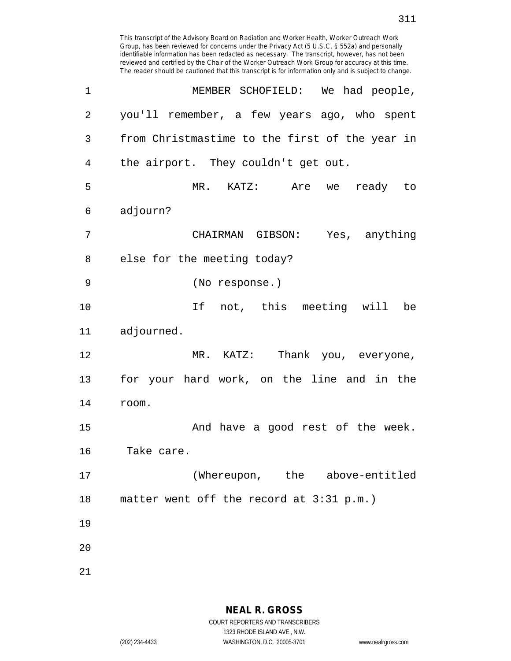Group, has been reviewed for concerns under the Privacy Act (5 U.S.C. § 552a) and personally identifiable information has been redacted as necessary. The transcript, however, has not been reviewed and certified by the Chair of the Worker Outreach Work Group for accuracy at this time. The reader should be cautioned that this transcript is for information only and is subject to change. 1 MEMBER SCHOFIELD: We had people, 2 you'll remember, a few years ago, who spent 3 from Christmastime to the first of the year in 4 the airport. They couldn't get out. 5 MR. KATZ: Are we ready to 6 adjourn? 7 CHAIRMAN GIBSON: Yes, anything 8 else for the meeting today? 9 (No response.) 10 If not, this meeting will be 11 adjourned. 12 MR. KATZ: Thank you, everyone, 13 for your hard work, on the line and in the 14 room. 15 And have a good rest of the week. 16 Take care. 17 (Whereupon, the above-entitled 18 matter went off the record at 3:31 p.m.) 19 20

This transcript of the Advisory Board on Radiation and Worker Health, Worker Outreach Work

21